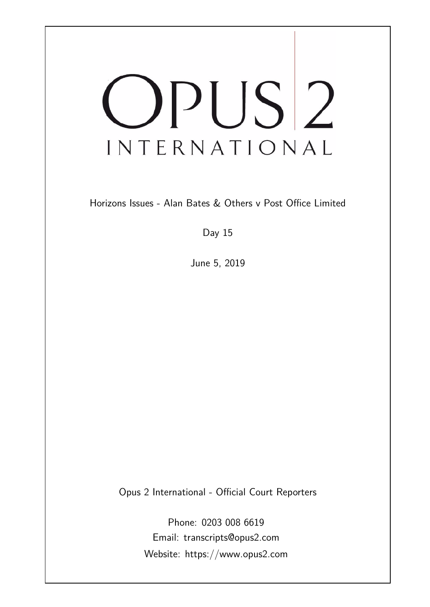# OPUS<sup>2</sup> INTERNATIONAL

Horizons Issues - Alan Bates & Others v Post Office Limited

Day 15

June 5, 2019

Opus 2 International - Official Court Reporters

Phone: 0203 008 6619 Email: transcripts@opus2.com Website: https://www.opus2.com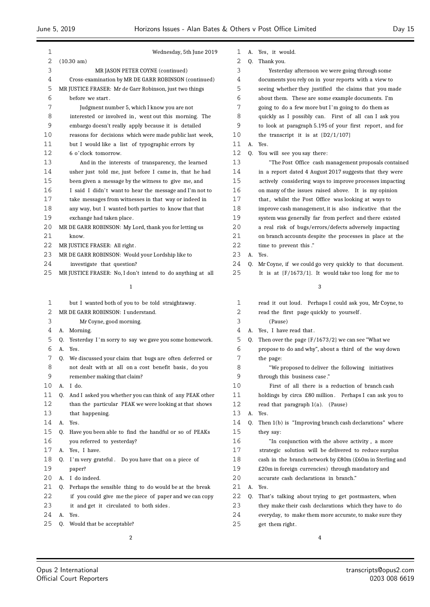| 1  | Wednesday, 5th June 2019                                      | 1  |    | A. Yes, it would.                                          |
|----|---------------------------------------------------------------|----|----|------------------------------------------------------------|
| 2  | $(10.30 \text{ am})$                                          | 2  | Q. | Thank you.                                                 |
| 3  | MR JASON PETER COYNE (continued)                              | 3  |    | Yesterday afternoon we were going through some             |
| 4  | Cross-examination by MR DE GARR ROBINSON (continued)          | 4  |    | documents you rely on in your reports with a view to       |
| 5  | MR JUSTICE FRASER: Mr de Garr Robinson, just two things       | 5  |    | seeing whether they justified the claims that you made     |
| 6  | before we start.                                              | 6  |    | about them. These are some example documents. I'm          |
| 7  | Judgment number 5, which I know you are not                   | 7  |    | going to do a few more but I'm going to do them as         |
| 8  | interested or involved in, went out this morning. The         | 8  |    | quickly as I possibly can. First of all can I ask you      |
| 9  | embargo doesn't really apply because it is detailed           | 9  |    | to look at paragraph 5.195 of your first report, and for   |
| 10 | reasons for decisions which were made public last week,       | 10 |    | the transcript it is at $[D2/1/107]$                       |
| 11 | but I would like a list of typographic errors by              | 11 |    | A. Yes.                                                    |
| 12 | 6 o'clock tomorrow.                                           | 12 | 0. | You will see you say there:                                |
| 13 | And in the interests of transparency, the learned             | 13 |    | "The Post Office cash management proposals contained       |
| 14 | usher just told me, just before I came in, that he had        | 14 |    | in a report dated 4 August 2017 suggests that they were    |
| 15 | been given a message by the witness to give me, and           | 15 |    | actively considering ways to improve processes impacting   |
| 16 | I said I didn't want to hear the message and I'm not to       | 16 |    | on many of the issues raised above. It is my opinion       |
| 17 | take messages from witnesses in that way or indeed in         | 17 |    | that, whilst the Post Office was looking at ways to        |
| 18 | any way, but I wanted both parties to know that that          | 18 |    | improve cash management, it is also indicative that the    |
| 19 | exchange had taken place.                                     | 19 |    | system was generally far from perfect and there existed    |
| 20 | MR DE GARR ROBINSON: My Lord, thank you for letting us        | 20 |    | a real risk of bugs/errors/defects adversely impacting     |
| 21 | know.                                                         | 21 |    | on branch accounts despite the processes in place at the   |
| 22 | MR JUSTICE FRASER: All right.                                 | 22 |    | time to prevent this."                                     |
| 23 | MR DE GARR ROBINSON: Would your Lordship like to              | 23 | А. | Yes.                                                       |
| 24 | investigate that question?                                    | 24 | 0. | Mr Coyne, if we could go very quickly to that document.    |
| 25 | MR JUSTICE FRASER: No, I don't intend to do anything at all   | 25 |    | It is at $[F/1673/1]$ . It would take too long for me to   |
|    | 1                                                             |    |    | 3                                                          |
| 1  | but I wanted both of you to be told straightaway.             | 1  |    | read it out loud. Perhaps I could ask you, Mr Coyne, to    |
| 2  | MR DE GARR ROBINSON: I understand.                            | 2  |    | read the first page quickly to yourself.                   |
| 3  | Mr Coyne, good morning.                                       | 3  |    | (Pause)                                                    |
| 4  | A. Morning.                                                   | 4  |    | A. Yes, I have read that.                                  |
| 5  | Yesterday I'm sorry to say we gave you some homework.<br>Q.   | 5  | 0. | Then over the page $\{F/1673/2\}$ we can see "What we      |
| 6  | Yes.<br>А.                                                    | 6  |    | propose to do and why", about a third of the way down      |
| 7  | We discussed your claim that bugs are often deferred or<br>0. | 7  |    | the page:                                                  |
| 8  | not dealt with at all on a cost benefit basis, do you         | 8  |    | We proposed to deliver the following initiatives           |
| 9  | remember making that claim?                                   | 9  |    | through this business case."                               |
| 10 | A. I do.                                                      | 10 |    | First of all there is a reduction of branch cash           |
| 11 | Q. And I asked you whether you can think of any PEAK other    | 11 |    | holdings by circa £80 million. Perhaps I can ask you to    |
| 12 | than the particular PEAK we were looking at that shows        | 12 |    | read that paragraph $1(a)$ . (Pause)                       |
| 13 | that happening.                                               | 13 |    | A. Yes.                                                    |
| 14 | A.<br>Yes.                                                    | 14 | 0. | Then 1(b) is "Improving branch cash declarations" where    |
| 15 | Have you been able to find the handful or so of PEAKs<br>0.   | 15 |    | they say:                                                  |
| 16 | you referred to yesterday?                                    | 16 |    | "In conjunction with the above activity, a more            |
| 17 | A. Yes, I have.                                               | 17 |    | strategic solution will be delivered to reduce surplus     |
| 18 | Q. I'm very grateful. Do you have that on a piece of          | 18 |    | cash in the branch network by $£80m$ (£60m in Sterling and |
| 19 | paper?                                                        | 19 |    | £20m in foreign currencies) through mandatory and          |
| 20 | A. I do indeed.                                               | 20 |    | accurate cash declarations in branch."                     |
| 21 | Q. Perhaps the sensible thing to do would be at the break     | 21 |    | A. Yes.                                                    |
| 22 | if you could give me the piece of paper and we can copy       | 22 | 0. | That's talking about trying to get postmasters, when       |
| 23 | it and get it circulated to both sides.                       | 23 |    | they make their cash declarations which they have to do    |
| 24 | A.<br>Yes.                                                    | 24 |    | everyday, to make them more accurate, to make sure they    |
| 25 | Would that be acceptable?<br>Q.                               | 25 |    | get them right.                                            |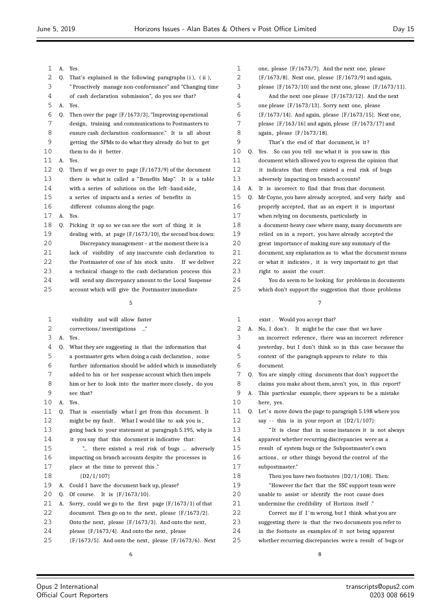| 1  |    | A. Yes.                                                      |
|----|----|--------------------------------------------------------------|
| 2  | 0. | That's explained in the following paragraphs (i), (ii),      |
| 3  |    | "Proactively manage non-conformance" and "Changing time"     |
| 4  |    | of cash declaration submission", do you see that?            |
| 5  | A. | Yes.                                                         |
| 6  | 0. | Then over the page $\{F/1673/3\}$ , "Improving operational   |
| 7  |    | design, training and communications to Postmasters to        |
| 8  |    | ensure cash declaration conformance." It is all about        |
| 9  |    | getting the SPMs to do what they already do but to get       |
| 10 |    | them to do it better.                                        |
| 11 | A. | Yes.                                                         |
| 12 | 0. | Then if we go over to page $\{F/1673/9\}$ of the document    |
| 13 |    | there is what is called a "Benefits Map". It is a table      |
| 14 |    | with a series of solutions on the left-hand side,            |
| 15 |    | a series of impacts and a series of benefits in              |
| 16 |    | different columns along the page.                            |
| 17 | A. | Yes.                                                         |
| 18 | 0. | Picking it up so we can see the sort of thing it is          |
| 19 |    | dealing with, at page $\{F/1673/10\}$ , the second box down: |
| 20 |    | Discrepancy management – at the moment there is a            |
| 21 |    | lack of visibility of any inaccurate cash declaration to     |
| 22 |    | the Postmaster of one of his stock units. If we deliver      |
| 23 |    | a technical change to the cash declaration process this      |
| 24 |    | will send any discrepancy amount to the Local Suspense       |
| 25 |    | account which will give the Postmaster immediate             |
|    |    | 5                                                            |

 visibility and will allow faster corrections/ investigations ..." A. Yes. Q. What they are suggesting is that the information that a postmaster gets when doing a cash declaration , some further information should be added which is immediately added to his or her suspense account which then impels 8 him or her to look into the matter more closely, do you see that? A. Yes. Q. That is essentially what I get from this document. It 12 might be my fault. What I would like to ask you is, going back to your statement at paragraph 5.195, why is it you say that this document is indicative that : "... there existed a real risk of bugs ... adversely impacting on branch accounts despite the processes in place at the time to prevent this ." {D2/1/107} A. Could I have the document back up, please? Q. Of course. It is {F/1673/10}. A. Sorry, could we go to the first page {F/1673/1} of that document. Then go on to the next, please {F/1673/2}. Onto the next, please {F/1673/3}. And onto the next, please {F/1673/4}. And onto the next, please {F/1673/5}. And onto the next, please {F/1673/6}. Next yesterday, but I don't think so in this case because the context of the paragraph appears to relate to this document. Q. You are simply citing documents that don't support the claims you make about them, aren't you, in this report? A. This particular example, there appears to be a mistake here, yes. 11 Q. Let's move down the page to paragraph 5.198 where you say - - this is in your report at {D2/1/107}: " It is clear that in some instances it is not always apparent whether recurring discrepancies were as a result of system bugs or the Subpostmaster's own actions , or other things beyond the control of the subpostmaster." Then you have two footnotes {D2/1/108}. Then: "However the fact that the SSC support team were unable to assist or identify the root cause does undermine the credibility of Horizon itself ." Correct me if I 'm wrong, but I think what you are suggesting there is that the two documents you refer to in the footnote as examples of it not being apparent whether recurring discrepancies were a result of bugs or

 ${F/1673/8}$ . Next one, please  ${F/1673/9}$  and again, please {F/1673/10} and the next one, please {F/1673/11}. And the next one please {F/1673/12}. And the next one please {F/1673/13}. Sorry next one, please {F/1673/14}. And again, please {F/1673/15}. Next one, please {F/163/16} and again, please {F/1673/17} and again, please {F/1673/18}. That's the end of that document, is it ? Q. Yes. So can you tell me what it is you saw in this document which allowed you to express the opinion that it indicates that there existed a real risk of bugs adversely impacting on branch accounts? A. It is incorrect to find that from that document. Q. Mr Coyne, you have already accepted, and very fairly and properly accepted, that as an expert it is important when relying on documents, particularly in a document-heavy case where many, many documents are 19 relied on in a report, you have already accepted the great importance of making sure any summary of the document, any explanation as to what the document means or what it indicates , it is very important to get that 23 right to assist the court. You do seem to be looking for problems in documents which don't support the suggestion that those problems 1 exist. Would you accept that? 2 A. No, I don't. It might be the case that we have an incorrect reference , there was an incorrect reference

one, please {F/1673/7}. And the next one, please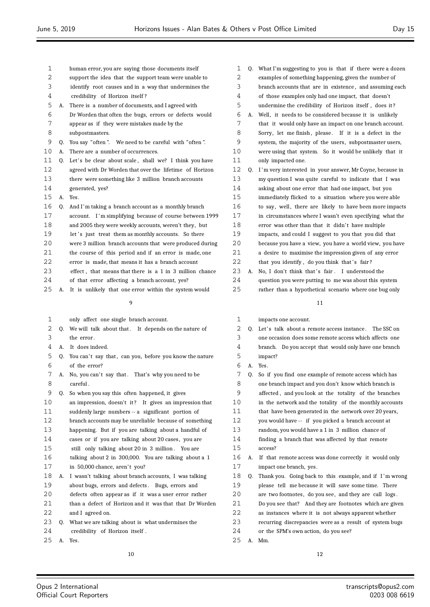human error, you are saying those documents itself support the idea that the support team were unable to identify root causes and in a way that undermines the credibility of Horizon itself ? A. There is a number of documents, and I agreed with Dr Worden that often the bugs, errors or defects would appear as if they were mistakes made by the subpostmasters. Q. You say "often ". We need to be careful with "often ". A. There are a number of occurrences. 11 Q. Let's be clear about scale, shall we? I think you have agreed with Dr Worden that over the lifetime of Horizon there were something like 3 million branch accounts generated, yes? A. Yes. Q. And I'm taking a branch account as a monthly branch account. I 'm simplifying because of course between 1999 and 2005 they were weekly accounts, weren't they, but 19 let's just treat them as monthly accounts. So there were 3 million branch accounts that were produced during 21 the course of this period and if an error is made, one 22 error is made that means it has a branch account effect , that means that there is a 1 in 3 million chance of that error affecting a branch account, yes? A. It is unlikely that one error within the system would

 $\alpha$ 

- only affect one single branch account.
- 2 Q. We will talk about that. It depends on the nature of the error .
- A. It does indeed.
- 5 Q. You can't say that, can you, before you know the nature of the error?
- 7 A. No, you can't say that. That's why you need to be careful .
- Q. So when you say this often happened, it gives
- 10 an impression, doesn't it? It gives an impression that
- suddenly large numbers -- a significant portion of
- branch accounts may be unreliable because of something
- happening. But if you are talking about a handful of
- cases or if you are talking about 20 cases , you are
- still only talking about 20 in 3 million . You are talking about 2 in 300,000. You are talking about a 1
- 17 in 50,000 chance, aren't you?
- A. I wasn't talking about branch accounts, I was talking
- about bugs, errors and defects . Bugs, errors and
- defects often appear as if it was a user error rather
- than a defect of Horizon and it was that that Dr Worden and I agreed on.
- Q. What we are talking about is what undermines the
- credibility of Horizon itself .
- A. Yes.
- Q. What I'm suggesting to you is that if there were a dozen examples of something happening, given the number of branch accounts that are in existence , and assuming each of those examples only had one impact, that doesn't undermine the credibility of Horizon itself , does it ? A. Well, it needs to be considered because it is unlikely that it would only have an impact on one branch account. 8 Sorry, let me finish, please. If it is a defect in the system, the majority of the users, subpostmaster users, were using that system. So it would be unlikely that it only impacted one. Q. I 'm very interested in your answer, Mr Coyne, because in my question I was quite careful to indicate that I was asking about one error that had one impact, but you immediately flicked to a situation where you were able 16 to say, well, there are likely to have been more impacts in circumstances where I wasn't even specifying what the 18 error was other than that it didn't have multiple impacts, and could I suggest to you that you did that because you have a view, you have a world view, you have a desire to maximise the impression given of any error
- 22 that you identify, do you think that's fair?
- 23 A. No, I don't think that's fair . I understood the question you were putting to me was about this system rather than a hypothetical scenario where one bug only

- impacts one account.
- 2 Q. Let's talk about a remote access instance. The SSC on one occasion does some remote access which affects one branch. Do you accept that would only have one branch impact?
- A. Yes.
- Q. So if you find one example of remote access which has one branch impact and you don't know which branch is affected , and you look at the totality of the branches in the network and the totality of the monthly accounts that have been generated in the network over 20 years, you would have -- if you picked a branch account at random, you would have a 1 in 3 million chance of finding a branch that was affected by that remote access? A. If that remote access was done correctly it would only impact one branch, yes. 18 O. Thank you. Going back to this example, and if I'm wrong please tell me because it will save some time. There 20 are two footnotes, do you see, and they are call logs. Do you see that? And they are footnotes which are given as instances where it is not always apparent whether recurring discrepancies were as a result of system bugs or the SPM's own action, do you see? A. Mm.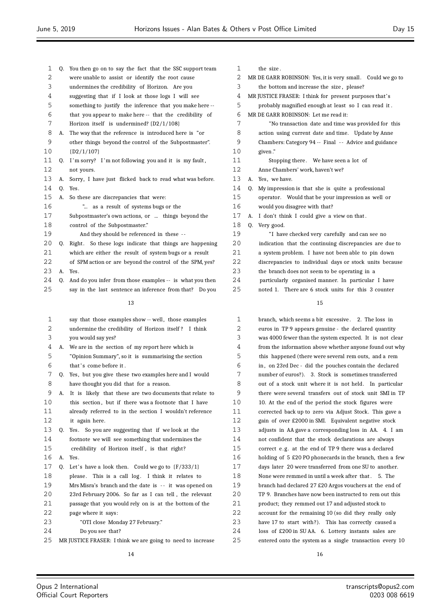- Q. You then go on to say the fact that the SSC support team were unable to assist or identify the root cause undermines the credibility of Horizon. Are you suggesting that if I look at those logs I will see something to justify the inference that you make here -- that you appear to make here -- that the credibility of Horizon itself is undermined? {D2/1/108} A. The way that the reference is introduced here is "or other things beyond the control of the Subpostmaster". {D2/1/107} 11 Q. I'm sorry? I'm not following you and it is my fault, not yours. A. Sorry, I have just flicked back to read what was before.  $14 \quad 0 \quad$  Yes. A. So these are discrepancies that were: "... as a result of systems bugs or the Subpostmaster's own actions, or ... things beyond the control of the Subpostmaster." And they should be referenced in these - - 20 Q. Right. So these logs indicate that things are happening which are either the result of system bugs or a result of SPM action or are beyond the control of the SPM, yes? A. Yes. Q. And do you infer from those examples -- is what you then say in the last sentence an inference from that? Do you say that those examples show -- well , those examples undermine the credibility of Horizon itself ? I think you would say yes? A. We are in the section of my report here which is "Opinion Summary", so it is summarising the section 6 that's come before it. Q. Yes, but you give these two examples here and I would 1 the size. given ." Q. Very good.
	- have thought you did that for a reason. A. It is likely that these are two documents that relate to
- 10 this section, but if there was a footnote that I have already referred to in the section I wouldn't reference it again here.
- Q. Yes. So you are suggesting that if we look at the footnote we will see something that undermines the
- credibility of Horizon itself , is that right?
- A. Yes.
- 17 Q. Let's have a look then. Could we go to  $\{F/333/1\}$
- 18 please. This is a call log. I think it relates to
- Mrs Misra's branch and the date is - it was opened on
- 23rd February 2006. So far as I can tell , the relevant
- passage that you would rely on is at the bottom of the
- page where it says:
- "OTI close Monday 27 February."
- Do you see that?
- MR JUSTICE FRASER: I think we are going to need to increase
- MR DE GARR ROBINSON: Yes, it is very small. Could we go to the bottom and increase the size , please?
- MR JUSTICE FRASER: I think for present purposes that's
- probably magnified enough at least so I can read it .
- MR DE GARR ROBINSON: Let me read it:
- "No transaction date and time was provided for this action using current date and time. Update by Anne 9 Chambers: Category 94 -- Final -- Advice and guidance Stopping there . We have seen a lot of Anne Chambers' work, haven't we? A. Yes, we have. Q. My impression is that she is quite a professional operator. Would that be your impression as well or would you disagree with that? A. I don't think I could give a view on that . 19 Thave checked very carefully and can see no indication that the continuing discrepancies are due to a system problem. I have not been able to pin down
- discrepancies to individual days or stock units because
- the branch does not seem to be operating in a
- particularly organised manner. In particular I have
- noted 1. There are 6 stock units for this 3 counter

 branch, which seems a bit excessive . 2. The loss in euros in TP 9 appears genuine - the declared quantity was 4000 fewer than the system expected. It is not clear from the information above whether anyone found out why this happened (there were several rem outs, and a rem in , on 23rd Dec - did the pouches contain the declared number of euros?). 3. Stock is sometimes transferred out of a stock unit where it is not held. In particular there were several transfers out of stock unit SMI in TP 10. At the end of the period the stock figures were corrected back up to zero via Adjust Stock. This gave a gain of over £2000 in SMI. Equivalent negative stock adjusts in AA gave a corresponding loss in AA. 4. I am not confident that the stock declarations are always correct e .g. at the end of TP 9 there was a declared holding of 5 £20 PO phonecards in the branch, then a few days later 20 were transferred from one SU to another. 18 None were remmed in until a week after that . 5. The branch had declared 27 £20 Argos vouchers at the end of TP 9. Branches have now been instructed to rem out this product; they remmed out 17 and adjusted stock to account for the remaining 10 (so did they really only have 17 to start with?). This has correctly caused a loss of £200 in SU AA. 6. Lottery instants sales are entered onto the system as a single transaction every 10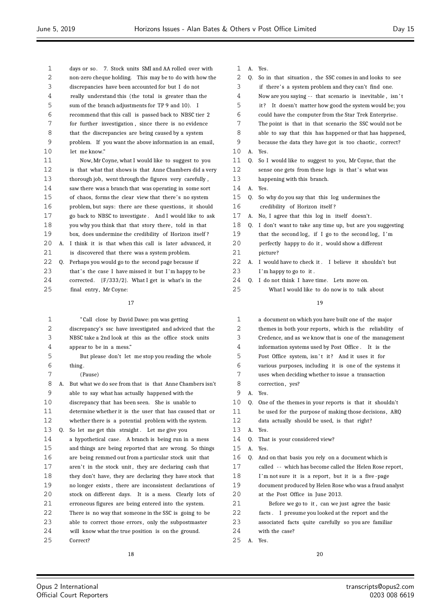| 2  |    | non-zero cheque holding. This may be to do with how the  |  |
|----|----|----------------------------------------------------------|--|
| 3  |    | discrepancies have been accounted for but I do not       |  |
| 4  |    | really understand this (the total is greater than the    |  |
| 5  |    | sum of the branch adjustments for TP 9 and 10). I        |  |
| 6  |    | recommend that this call is passed back to NBSC tier 2   |  |
| 7  |    | for further investigation, since there is no evidence    |  |
| 8  |    | that the discrepancies are being caused by a system      |  |
| 9  |    | problem. If you want the above information in an email,  |  |
| 10 |    | let me know."                                            |  |
| 11 |    | Now, Mr Coyne, what I would like to suggest to you       |  |
| 12 |    | is that what that shows is that Anne Chambers did a very |  |
| 13 |    | thorough job, went through the figures very carefully,   |  |
| 14 |    | saw there was a branch that was operating in some sort   |  |
| 15 |    | of chaos, forms the clear view that there's no system    |  |
| 16 |    | problem, but says: there are these questions, it should  |  |
| 17 |    | go back to NBSC to investigate. And I would like to ask  |  |
| 18 |    | you why you think that that story there, told in that    |  |
| 19 |    | box, does undermine the credibility of Horizon itself?   |  |
| 20 | А. | I think it is that when this call is later advanced, it  |  |
| 21 |    | is discovered that there was a system problem.           |  |
| 22 | 0. | Perhaps you would go to the second page because if       |  |
| 23 |    | that's the case I have missed it but I'm happy to be     |  |
| 24 |    | corrected. $[F/333/2]$ . What I get is what's in the     |  |
| 25 |    | final entry, Mr Coyne:                                   |  |
|    |    | 17                                                       |  |
|    |    |                                                          |  |
| 1  |    | "Call close by David Dawe: pm was getting                |  |
| 2  |    | discrepancy's ssc have investigated and adviced that the |  |
| 3  |    | NBSC take a 2nd look at this as the office stock units   |  |
| 4  |    | appear to be in a mess."                                 |  |
| 5  |    | But please don't let me stop you reading the whole       |  |
| 6  |    | thing.                                                   |  |
| 7  |    | (Pause)                                                  |  |
| 8  | А. | But what we do see from that is that Anne Chambers isn't |  |
| 9  |    | able to say what has actually happened with the          |  |
| 10 |    | discrepancy that has been seen. She is unable to         |  |
| 11 |    | determine whether it is the user that has caused that or |  |
| 12 |    | whether there is a potential problem with the system.    |  |
| 13 | 0. | So let me get this straight. Let me give you             |  |
| 14 |    | a hypothetical case. A branch is being run in a mess     |  |
| 15 |    | and things are being reported that are wrong. So things  |  |
| 16 |    | are being remmed out from a particular stock unit that   |  |
| 17 |    | aren't in the stock unit, they are declaring cash that   |  |
| 18 |    | they don't have, they are declaring they have stock that |  |
| 19 |    | no longer exists, there are inconsistent declarations of |  |
| 20 |    | stock on different days. It is a mess. Clearly lots of   |  |
| 21 |    | erroneous figures are being entered into the system.     |  |
| 22 |    | There is no way that someone in the SSC is going to be   |  |
| 23 |    | able to correct those errors, only the subpostmaster     |  |
| 24 |    | will know what the true position is on the ground.       |  |
| 25 |    | Correct?                                                 |  |

days or so. 7. Stock units SMI and AA rolled over with

|  | <br>$\sim$<br>л. |
|--|------------------|
|  |                  |

- Q. So in that situation , the SSC comes in and looks to see
- if there' s a system problem and they can't find one.
- Now are you saying - that scenario is inevitable , isn ' t
- it ? It doesn't matter how good the system would be; you
- could have the computer from the Star Trek Enterprise .
- The point is that in that scenario the SSC would not be
- able to say that this has happened or that has happened,
- 9 because the data they have got is too chaotic, correct? A. Yes.
- Q. So I would like to suggest to you, Mr Coyne, that the
- 12 sense one gets from these logs is that's what was
- happening with this branch.
- A. Yes.
- Q. So why do you say that this log undermines the
- credibility of Horizon itself ?
- 17 A. No, I agree that this log in itself doesn't.
- Q. I don't want to take any time up, but are you suggesting
- 19 that the second log, if I go to the second log, I'm perfectly happy to do it , would show a different
- picture? A. I would have to check it . I believe it shouldn't but
- 23 I'm happy to go to it.
- Q. I do not think I have time. Lets move on.
- What I would like to do now is to talk about

| 1  |    | a document on which you have built one of the major      |
|----|----|----------------------------------------------------------|
| 2  |    | themes in both your reports, which is the reliability of |
| 3  |    | Credence, and as we know that is one of the management   |
| 4  |    | information systems used by Post Office. It is the       |
| 5  |    | Post Office system, isn't it? And it uses it for         |
| 6  |    | various purposes, including it is one of the systems it  |
| 7  |    | uses when deciding whether to issue a transaction        |
| 8  |    | correction, yes?                                         |
| 9  | А. | Yes.                                                     |
| 10 | 0. | One of the themes in your reports is that it shouldn't   |
| 11 |    | be used for the purpose of making those decisions, ARQ   |
| 12 |    | data actually should be used, is that right?             |
| 13 | A. | Yes.                                                     |
| 14 | 0. | That is your considered view?                            |
| 15 | А. | Yes.                                                     |
| 16 | 0. | And on that basis you rely on a document which is        |
| 17 |    | called -- which has become called the Helen Rose report, |
| 18 |    | I'm not sure it is a report, but it is a five-page       |
| 19 |    | document produced by Helen Rose who was a fraud analyst  |
| 20 |    | at the Post Office in June 2013.                         |
| 21 |    | Before we go to it, can we just agree the basic          |
| 22 |    | facts. I presume you looked at the report and the        |
| 23 |    | associated facts quite carefully so you are familiar     |
| 24 |    | with the case?                                           |
| 25 | А. | Yes.                                                     |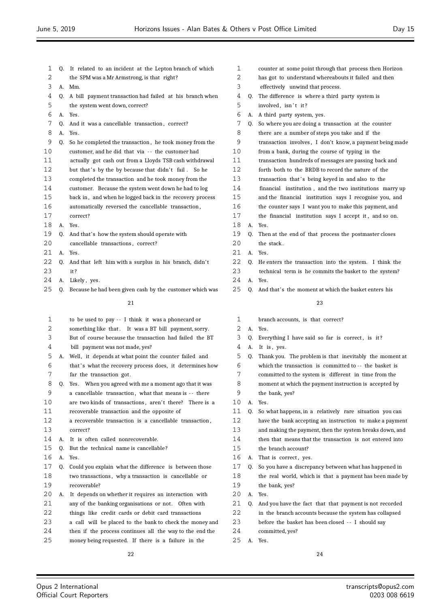$\equiv$ 

| 1  |    | Q. It related to an incident at the Lepton branch of which  | $\mathbf{1}$ |    | counter at some point through that process then Horizon  |
|----|----|-------------------------------------------------------------|--------------|----|----------------------------------------------------------|
| 2  |    | the SPM was a Mr Armstrong, is that right?                  | 2            |    | has got to understand whereabouts it failed and then     |
| 3  |    | A. Mm.                                                      | 3            |    | effectively unwind that process.                         |
| 4  |    | Q. A bill payment transaction had failed at his branch when | 4            | 0. | The difference is where a third party system is          |
| 5  |    | the system went down, correct?                              | 5            |    | involved, isn't it?                                      |
| 6  |    | A. Yes.                                                     | 6            |    | A. A third party system, yes.                            |
| 7  | 0. | And it was a cancellable transaction, correct?              | 7            | Q. | So where you are doing a transaction at the counter      |
| 8  | A. | Yes.                                                        | 8            |    | there are a number of steps you take and if the          |
| 9  | Q. | So he completed the transaction, he took money from the     | 9            |    | transaction involves, I don't know, a payment being made |
| 10 |    | customer, and he did that via -- the customer had           | 10           |    | from a bank, during the course of typing in the          |
| 11 |    | actually got cash out from a Lloyds TSB cash withdrawal     | 11           |    | transaction hundreds of messages are passing back and    |
| 12 |    | but that's by the by because that didn't fail. So he        | 12           |    | forth both to the BRDB to record the nature of the       |
| 13 |    | completed the transaction and he took money from the        | 13           |    | transaction that's being keyed in and also to the        |
| 14 |    | customer. Because the system went down he had to log        | 14           |    | financial institution, and the two institutions marry up |
| 15 |    | back in, and when he logged back in the recovery process    | 15           |    | and the financial institution says I recognise you, and  |
| 16 |    | automatically reversed the cancellable transaction,         | 16           |    | the counter says I want you to make this payment, and    |
| 17 |    | correct?                                                    | 17           |    | the financial institution says I accept it, and so on.   |
| 18 |    | A. Yes.                                                     | 18           |    | A. Yes.                                                  |
| 19 | 0. | And that's how the system should operate with               | 19           | 0. | Then at the end of that process the postmaster closes    |
| 20 |    | cancellable transactions, correct?                          | 20           |    | the stack.                                               |
| 21 |    | A. Yes.                                                     | 21           |    | A. Yes.                                                  |
| 22 | Q. | And that left him with a surplus in his branch, didn't      | 22           | 0. | He enters the transaction into the system. I think the   |
| 23 |    | it?                                                         | 23           |    | technical term is he commits the basket to the system?   |
| 24 |    | A. Likely, yes.                                             | 24           |    | A. Yes.                                                  |
| 25 | 0. | Because he had been given cash by the customer which was    | 25           |    | Q. And that's the moment at which the basket enters his  |
|    |    | 21                                                          |              |    | 23                                                       |
| 1  |    | to be used to pay -- I think it was a phonecard or          | 1            |    | branch accounts, is that correct?                        |
| 2  |    | something like that. It was a BT bill payment, sorry.       | 2            |    | A. Yes.                                                  |
| 3  |    | But of course because the transaction had failed the BT     | 3            | Q. | Everything I have said so far is correct, is it?         |
| 4  |    | bill payment was not made, yes?                             | 4            |    | A. It is, yes.                                           |
| 5  |    | A. Well, it depends at what point the counter failed and    | 5            | Q. | Thank you. The problem is that inevitably the moment at  |
| 6  |    | that's what the recovery process does, it determines how    | 6            |    | which the transaction is committed to -- the basket is   |
| 7  |    | far the transaction got.                                    | 7            |    | committed to the system is different in time from the    |
| 8  |    | Q. Yes. When you agreed with me a moment ago that it was    | 8            |    | moment at which the payment instruction is accepted by   |
| 9  |    | a cancellable transaction, what that means is -- there      | 9            |    | the bank, yes?                                           |
| 10 |    | are two kinds of transactions, aren't there? There is a     | 10           | А. | Yes.                                                     |
| 11 |    | recoverable transaction and the opposite of                 | 11           | Q. | So what happens, in a relatively rare situation you can  |
| 12 |    | a recoverable transaction is a cancellable transaction,     | 12           |    | have the bank accepting an instruction to make a payment |
| 13 |    | correct?                                                    | 13           |    | and making the payment, then the system breaks down, and |
| 14 | А. | It is often called nonrecoverable.                          | 14           |    | then that means that the transaction is not entered into |
| 15 | Q. | But the technical name is cancellable?                      | 15           |    | the branch account?                                      |
| 16 |    | A. Yes.                                                     | 16           | А. | That is correct, yes.                                    |
| 17 | 0. | Could you explain what the difference is between those      | 17           | 0. | So you have a discrepancy between what has happened in   |
| 18 |    | two transactions, why a transaction is cancellable or       | 18           |    | the real world, which is that a payment has been made by |
| 19 |    | recoverable?                                                | 19           |    | the bank, yes?                                           |
| 20 |    | A. It depends on whether it requires an interaction with    | 20           | А. | Yes.                                                     |
| 21 |    | any of the banking organisations or not. Often with         | 21           | Q. | And you have the fact that that payment is not recorded  |
| 22 |    | things like credit cards or debit card transactions         | 22           |    | in the branch accounts because the system has collapsed  |
| 23 |    | a call will be placed to the bank to check the money and    | 23           |    | before the basket has been closed -- I should say        |
| 24 |    | then if the process continues all the way to the end the    | 24           |    | committed, yes?                                          |
|    |    |                                                             |              |    |                                                          |
| 25 |    | money being requested. If there is a failure in the         | 25           |    | A. Yes.                                                  |
|    |    | 22                                                          |              |    | 24                                                       |

Ξ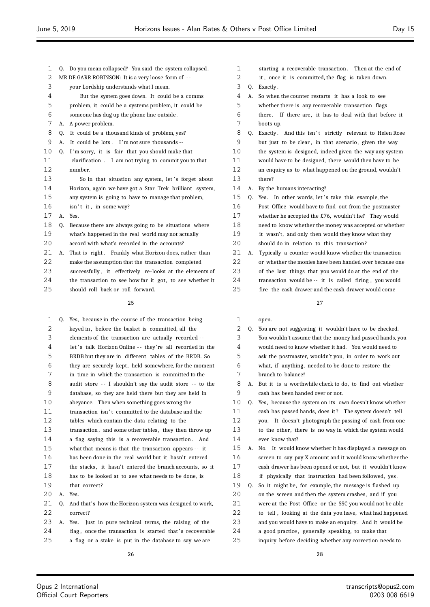- Q. Do you mean collapsed? You said the system collapsed.
- MR DE GARR ROBINSON: It is a very loose form of -
- your Lordship understands what I mean.
- But the system goes down. It could be a comms
- problem, it could be a systems problem, it could be
- someone has dug up the phone line outside .
- A. A power problem.
- Q. It could be a thousand kinds of problem, yes?
- A. It could be lots . I 'm not sure thousands --
- Q. I 'm sorry, it is fair that you should make that
- clarification . I am not trying to commit you to that number.
- 13 So in that situation any system, let's forget about Horizon, again we have got a Star Trek brilliant system, any system is going to have to manage that problem,
- 16 isn't it, in some way?
- A. Yes.
- Q. Because there are always going to be situations where what's happened in the real world may not actually
- 20 accord with what's recorded in the accounts?
- 21 A. That is right. Frankly what Horizon does, rather than make the assumption that the transaction completed successfully , it effectively re-looks at the elements of 24 the transaction to see how far it got, to see whether it should roll back or roll forward.

 Q. Yes, because in the course of the transaction being 2 keyed in, before the basket is committed, all the elements of the transaction are actually recorded - - 4 let's talk Horizon Online -- they're all recorded in the BRDB but they are in different tables of the BRDB. So they are securely kept, held somewhere, for the moment in time in which the transaction is committed to the 8 audit store -- I shouldn't say the audit store -- to the database, so they are held there but they are held in abeyance. Then when something goes wrong the 11 transaction isn't committed to the database and the tables which contain the data relating to the 13 transaction, and some other tables, they then throw up a flag saying this is a recoverable transaction . And what that means is that the transaction appears - - it has been done in the real world but it hasn't entered the stacks , it hasn't entered the branch accounts, so it has to be looked at to see what needs to be done, is that correct? A. Yes. Q. And that's how the Horizon system was designed to work, correct? A. Yes. Just in pure technical terms, the raising of the 24 flag, once the transaction is started that's recoverable a flag or a stake is put in the database to say we are

- starting a recoverable transaction . Then at the end of
- it , once it is committed, the flag is taken down.
- Q. Exactly .
- A. So when the counter restarts it has a look to see
- whether there is any recoverable transaction flags
- there . If there are , it has to deal with that before it boots up.
- 8 Q. Exactly. And this isn't strictly relevant to Helen Rose
- 9 but just to be clear, in that scenario, given the way
- the system is designed, indeed given the way any system would have to be designed, there would then have to be
- an enquiry as to what happened on the ground, wouldn't there?
- A. By the humans interacting?
- 15 Q. Yes. In other words, let's take this example, the Post Office would have to find out from the postmaster whether he accepted the £76, wouldn't he? They would need to know whether the money was accepted or whether it wasn't, and only then would they know what they 20 should do in relation to this transaction?
- A. Typically a counter would know whether the transaction or whether the monies have been handed over because one of the last things that you would do at the end of the transaction would be -- it is called firing , you would fire the cash drawer and the cash drawer would come

- open.
- Q. You are not suggesting it wouldn't have to be checked. You wouldn't assume that the money had passed hands, you would need to know whether it had. You would need to ask the postmaster, wouldn't you, in order to work out what, if anything, needed to be done to restore the branch to balance? A. But it is a worthwhile check to do, to find out whether cash has been handed over or not. Q. Yes, because the system on its own doesn't know whether
- cash has passed hands, does it ? The system doesn't tell you. It doesn't photograph the passing of cash from one to the other, there is no way in which the system would ever know that?
- A. No. It would know whether it has displayed a message on screen to say pay X amount and it would know whether the cash drawer has been opened or not, but it wouldn't know
- 18 if physically that instruction had been followed, yes.
- Q. So it might be, for example, the message is flashed up
- on the screen and then the system crashes, and if you
- were at the Post Office or the SSC you would not be able
- to tell , looking at the data you have, what had happened
- and you would have to make an enquiry. And it would be
- a good practice , generally speaking, to make that
- inquiry before deciding whether any correction needs to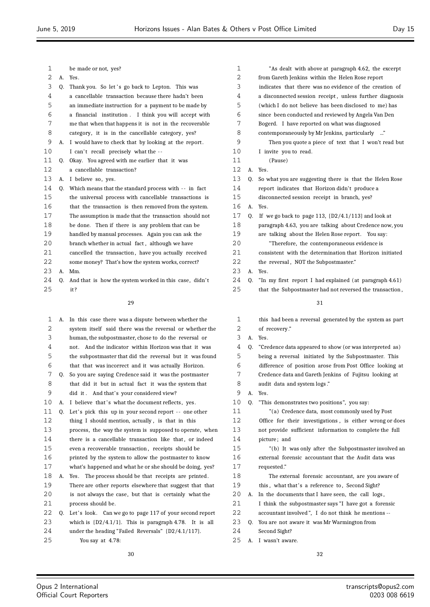| 1  |    | be made or not, yes?                                     |              |
|----|----|----------------------------------------------------------|--------------|
| 2  | А. | Yes.                                                     |              |
| 3  | Q. | Thank you. So let's go back to Lepton. This was          |              |
| 4  |    | a cancellable transaction because there hadn't been      |              |
| 5  |    | an immediate instruction for a payment to be made by     |              |
| 6  |    | a financial institution. I think you will accept with    |              |
| 7  |    | me that when that happens it is not in the recoverable   |              |
| 8  |    | category, it is in the cancellable category, yes?        |              |
| 9  | A. | I would have to check that by looking at the report.     |              |
| 10 |    | I can't recall precisely what the --                     | 1            |
| 11 | Q. | Okay. You agreed with me earlier that it was             | $\mathbf{1}$ |
| 12 |    | a cancellable transaction?                               | 1            |
| 13 | А. | I believe so, yes.                                       | 1            |
| 14 | Q. | Which means that the standard process with -- in fact    | $\mathbf{1}$ |
| 15 |    | the universal process with cancellable transactions is   | 1            |
| 16 |    | that the transaction is then removed from the system.    | 1            |
| 17 |    | The assumption is made that the transaction should not   | 1            |
| 18 |    | be done. Then if there is any problem that can be        | 1            |
| 19 |    | handled by manual processes. Again you can ask the       | 1            |
| 20 |    | branch whether in actual fact, although we have          | 2            |
| 21 |    | cancelled the transaction, have you actually received    | 2            |
| 22 |    | some money? That's how the system works, correct?        | 2            |
| 23 | А. | Mm.                                                      | 2            |
| 24 | Q. | And that is how the system worked in this case, didn't   | 2            |
| 25 |    | it?                                                      | 2            |
|    |    | 29                                                       |              |
| 1  | А. | In this case there was a dispute between whether the     |              |
| 2  |    | system itself said there was the reversal or whether the |              |
| 3  |    | human, the subpostmaster, chose to do the reversal or    |              |
| 4  |    | And the indicator within Horizon was that it was<br>not. |              |
| 5  |    | the subpostmaster that did the reversal but it was found |              |
| 6  |    | that that was incorrect and it was actually Horizon.     |              |
| 7  | Q. | So you are saying Credence said it was the postmaster    |              |
| 8  |    | that did it but in actual fact it was the system that    |              |
| 9  |    | did it. And that's your considered view?                 |              |
| 10 | А. | I believe that's what the document reflects, yes.        | 1            |
| 11 | Q. | Let's pick this up in your second report -- one other    | 1            |
| 12 |    | thing I should mention, actually, is that in this        | 1            |
| 13 |    | process, the way the system is supposed to operate, when | $\mathbf{1}$ |

14 there is a cancellable transaction like that, or indeed

- even a recoverable transaction , receipts should be
- printed by the system to allow the postmaster to know what's happened and what he or she should be doing, yes?
- A. Yes. The process should be that receipts are printed . There are other reports elsewhere that suggest that that is not always the case, but that is certainly what the
- process should be. 22 Q. Let's look. Can we go to page 117 of your second report
- which is {D2/4.1/1}. This is paragraph 4.78. It is all under the heading "Failed Reversals" {D2/4.1/117}.
- You say at 4.78:

| 1  |    | "As dealt with above at paragraph 4.62, the excerpt      |
|----|----|----------------------------------------------------------|
| 2  |    | from Gareth Jenkins within the Helen Rose report         |
| 3  |    | indicates that there was no evidence of the creation of  |
| 4  |    | a disconnected session receipt, unless further diagnosis |
| 5  |    | (which I do not believe has been disclosed to me) has    |
| 6  |    | since been conducted and reviewed by Angela Van Den      |
| 7  |    | Bogerd. I have reported on what was diagnosed            |
| 8  |    | contemporaneously by Mr Jenkins, particularly "          |
| 9  |    | Then you quote a piece of text that I won't read but     |
| 10 |    | I invite you to read.                                    |
| 11 |    | (Pause)                                                  |
| 12 | А. | Yes.                                                     |
| 13 | 0. | So what you are suggesting there is that the Helen Rose  |
| 14 |    | report indicates that Horizon didn't produce a           |
| 15 |    | disconnected session receipt in branch, yes?             |
| 16 | А. | Yes.                                                     |
| 17 | 0. | If we go back to page 113, $\{D2/4.1/113\}$ and look at  |
| 18 |    | paragraph 4.63, you are talking about Credence now, you  |
| 19 |    | are talking about the Helen Rose report. You say:        |
| 20 |    | "Therefore, the contemporaneous evidence is              |
| 21 |    | consistent with the determination that Horizon initiated |
| 22 |    | the reversal, NOT the Subpostmaster."                    |
| 23 | А. | Yes.                                                     |
| 24 | 0. | "In my first report I had explained (at paragraph 4.61)  |
| 25 |    | that the Subpostmaster had not reversed the transaction, |
|    |    | 31                                                       |
| 1  |    | this had been a reversal generated by the system as part |
| 2  |    | of recovery."                                            |

- A. Yes.
- Q. "Credence data appeared to show (or was interpreted as)
- being a reversal initiated by the Subpostmaster. This
- difference of position arose from Post Office looking at
- Credence data and Gareth Jenkins of Fujitsu looking at
- audit data and system logs ." A. Yes.
- Q. "This demonstrates two positions", you say:
- "(a) Credence data, most commonly used by Post Office for their investigations , is either wrong or does not provide sufficient information to complete the full **picture**: and "(b) It was only after the Subpostmaster involved an external forensic accountant that the Audit data was requested." The external forensic accountant, are you aware of 19 this, what that's a reference to, Second Sight? 20 A. In the documents that I have seen, the call logs, 21 I think the subpostmaster says "I have got a forensic accountant involved ", I do not think he mentions -- Q. You are not aware it was Mr Warmington from
- Second Sight?
- A. I wasn't aware.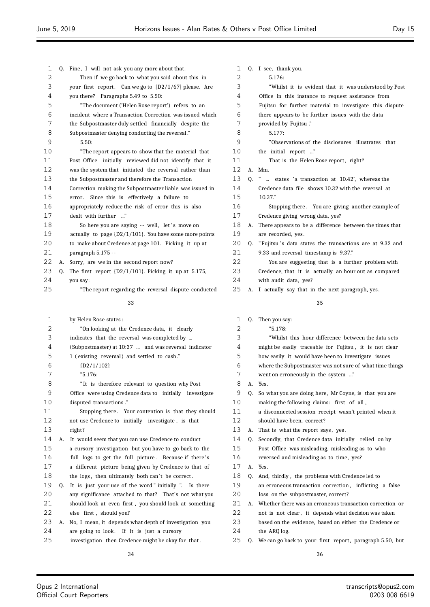| 1            |    | Q. Fine, I will not ask you any more about that.          | 1      |    | Q. I see, thank you.        |
|--------------|----|-----------------------------------------------------------|--------|----|-----------------------------|
| $\mathbf{2}$ |    | Then if we go back to what you said about this in         | 2      |    | 5.176:                      |
| 3            |    | your first report. Can we go to $(D2/1/67)$ please. Are   | 3      |    | "Whilst it is evid          |
| 4            |    | you there? Paragraphs 5.49 to 5.50:                       | 4      |    | Office in this instanc      |
| 5            |    | "The document ('Helen Rose report') refers to an          | 5      |    | Fujitsu for further m       |
| 6            |    | incident where a Transaction Correction was issued which  | 6      |    | there appears to be fu      |
| 7            |    | the Subpostmaster duly settled financially despite the    | 7      |    | provided by Fujitsu."       |
| 8            |    | Subpostmaster denying conducting the reversal."           | 8      |    | 5.177:                      |
| 9            |    | 5.50:                                                     | 9      |    | "Observations of t          |
| 10           |    | "The report appears to show that the material that        | 10     |    | the initial report "        |
| 11           |    | Post Office initially reviewed did not identify that it   | 11     |    | That is the Helen           |
| 12           |    | was the system that initiated the reversal rather than    | 12     |    | A. Mm.                      |
| 13           |    | the Subpostmaster and therefore the Transaction           | 13     |    | Q. "  states 'a transa      |
| 14           |    | Correction making the Subpostmaster liable was issued in  | 14     |    | Credence data file sho      |
| 15           |    | error. Since this is effectively a failure to             | 15     |    | 10.37."                     |
| 16           |    | appropriately reduce the risk of error this is also       | 16     |    | Stopping there. Y           |
| 17           |    | dealt with further "                                      | 17     |    | Credence giving wrong       |
| 18           |    | So here you are saying -- well, let's move on             | 18     |    | A. There appears to be a    |
| 19           |    | actually to page $(D2/1/101)$ . You have some more points | 19     |    | are recorded, yes.          |
| 20           |    | to make about Credence at page 101. Picking it up at      | 20     |    | Q. "Fujitsu's data states   |
| 21           |    | paragraph 5.175 --                                        | 21     |    | 9.33 and reversal time      |
| 22           | A. | Sorry, are we in the second report now?                   | 22     |    | You are suggesting          |
| 23           | Q. | The first report $[D2/1/101]$ . Picking it up at 5.175,   | 23     |    | Credence, that it is a      |
| 24           |    | you say:                                                  | 24     |    | with audit data, yes?       |
| 25           |    | "The report regarding the reversal dispute conducted      | 25     |    | A. I actually say that in   |
|              |    | 33                                                        |        |    |                             |
| 1            |    |                                                           |        |    |                             |
| 2            |    | by Helen Rose states:                                     | 1<br>2 |    | Q. Then you say:<br>"5.178: |
| 3            |    | "On looking at the Credence data, it clearly              | 3      |    |                             |
| 4            |    | indicates that the reversal was completed by              | 4      |    | "Whilst this hour           |
|              |    | (Subpostmaster) at 10:37  and was reversal indicator      |        |    | might be easily tracea      |
| 5            |    | 1 (existing reversal) and settled to cash."               | 5      |    | how easily it would h       |
| 6            |    | $\{D2/1/102\}$                                            | 6      |    | where the Subpostmas        |
| 7            |    | "5.176:                                                   | 7      |    | went on erroneously in      |
| 8            |    | "It is therefore relevant to question why Post            | 8      |    | Yes.                        |
| 9            |    | Office were using Credence data to initially investigate  | 9      |    | Q. So what you are doing    |
| 10           |    | disputed transactions."                                   | 10     |    | making the following c      |
| 11           |    | Stopping there. Your contention is that they should       | 11     |    | a disconnected session      |
| 12           |    | not use Credence to initially investigate, is that        | 12     |    | should have been, corr      |
| 13           |    | right?                                                    | 13     |    | A. That is what the repor   |
| 14           | А. | It would seem that you can use Credence to conduct        | 14     |    | Q. Secondly, that Creden    |
| 15           |    | a cursory investigation but you have to go back to the    | 15     |    | Post Office was mislea      |
| 16           |    | full logs to get the full picture. Because if there's     | 16     |    | reversed and misleadir      |
| 17           |    | a different picture being given by Credence to that of    | 17     | A. | Yes.                        |
| 18           |    | the logs, then ultimately both can't be correct.          | 18     |    | Q. And, thirdly, the prol   |
| 19           | 0. | It is just your use of the word "initially". Is there     | 19     |    | an erroneous transactio     |
| 20           |    | any significance attached to that? That's not what you    | 20     |    | loss on the subpostma       |
| 21           |    | should look at even first, you should look at something   | 21     |    | A. Whether there was an     |
| 22           |    | else first, should you?                                   | 22     |    | not is not clear, it d      |
| 23           | А. | No, I mean, it depends what depth of investigation you    | 23     |    | based on the evidence,      |
| 24           |    | are going to look. If it is just a cursory                | 24     |    | the ARQ log.                |
| 25           |    | investigation then Credence might be okay for that.       | 25     |    | Q. We can go back to you!   |
|              |    |                                                           |        |    |                             |

ident that it was understood by Post nce to request assistance from material to investigate this dispute further issues with the data the disclosures illustrates that n Rose report, right? saction at 10.42', whereas the 14 a credence shows 10.32 with the reversal at You are giving another example of 1g data, yes? difference between the times that es the transactions are at 9.32 and estamp is 9.37." 1g that is a further problem with actually an hour out as compared in the next paragraph, yes. 

r difference between the data sets eable for Fujitsu, it is not clear have been to investigate issues ster was not sure of what time things in the system ..."

- g here, Mr Coyne, is that you are claims: first of all, n receipt wasn't printed when it
- rrect?
- ort says, yes.
- nce data initially relied on by
	- eading, misleading as to who
	- ing as to time, yes?
- oblems with Credence led to
- tion correction, inflicting a false naster, correct?
- erroneous transaction correction or
- depends what decision was taken
- e, based on either the Credence or
- ur first report, paragraph 5.50, but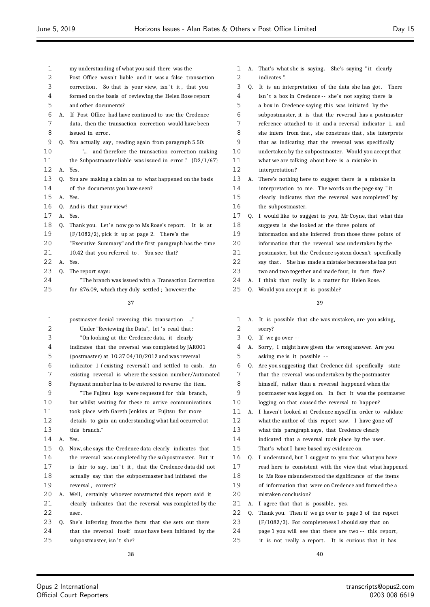| $\overline{2}$ |    | Post Office wasn't liable and it was a false transaction     |                |
|----------------|----|--------------------------------------------------------------|----------------|
| 3              |    | correction. So that is your view, isn't it, that you         |                |
| 4              |    | formed on the basis of reviewing the Helen Rose report       |                |
| 5              |    | and other documents?                                         |                |
| 6              |    | A. If Post Office had have continued to use the Credence     |                |
| 7              |    | data, then the transaction correction would have been        |                |
| 8              |    | issued in error.                                             |                |
| 9              |    | Q. You actually say, reading again from paragraph 5.50:      |                |
| 10             |    | " and therefore the transaction correction making            | 1              |
| 11             |    | the Subpostmaster liable was issued in error." $\{D2/1/67\}$ | $\mathbf{1}$   |
| 12             |    | A. Yes.                                                      | $\mathbf{1}$   |
| 13             | 0. | You are making a claim as to what happened on the basis      | $\mathbf{1}$   |
| 14             |    | of the documents you have seen?                              | $\mathbf{1}$   |
| 15             |    | A. Yes.                                                      | $\mathbf{1}$   |
| 16             | 0. | And is that your view?                                       | $\mathbf{1}$   |
| 17             |    | A. Yes.                                                      | 1              |
| 18             |    | Q. Thank you. Let's now go to Ms Rose's report. It is at     | $\mathbf{1}$   |
| 19             |    | ${F/1082/2}$ , pick it up at page 2. There's the             | $\mathbf{1}$   |
| 20             |    | "Executive Summary" and the first paragraph has the time     | 2              |
| 21             |    | 10.42 that you referred to. You see that?                    | $\overline{2}$ |
| 22             | A. | Yes.                                                         | $\overline{c}$ |
| 23             | 0. | The report says:                                             | 2              |
| 24             |    | "The branch was issued with a Transaction Correction         | 2              |
| 25             |    | for £76.09, which they duly settled; however the             | 2              |
|                |    |                                                              |                |

my understanding of what you said there was the

| $\mathbf 1$ |    | postmaster denial reversing this transaction "           |
|-------------|----|----------------------------------------------------------|
| 2           |    | Under "Reviewing the Data", let's read that:             |
| 3           |    | "On looking at the Credence data, it clearly             |
| 4           |    | indicates that the reversal was completed by JAR001      |
| 5           |    | (postmaster) at $10:3704/10/2012$ and was reversal       |
| 6           |    | indicator 1 (existing reversal) and settled to cash. An  |
| 7           |    | existing reversal is where the session number/Automated  |
| 8           |    | Payment number has to be entered to reverse the item.    |
| 9           |    | "The Fujitsu logs were requested for this branch,        |
| 10          |    | but whilst waiting for these to arrive communications    |
| 11          |    | took place with Gareth Jenkins at Fujitsu for more       |
| 12          |    | details to gain an understanding what had occurred at    |
| 13          |    | this branch."                                            |
| 14          | А. | Yes.                                                     |
| 15          | Q. | Now, she says the Credence data clearly indicates that   |
| 16          |    | the reversal was completed by the subpostmaster. But it  |
| 17          |    | is fair to say, isn't it, that the Credence data did not |
| 18          |    | actually say that the subpostmaster had initiated the    |
| 19          |    | reversal, correct?                                       |
| 20          | А. | Well, certainly whoever constructed this report said it  |
| 21          |    | clearly indicates that the reversal was completed by the |
| 22          |    | user.                                                    |
| 23          | 0. | She's inferring from the facts that she sets out there   |
| 24          |    | that the reversal itself must have been initiated by the |
| 25          |    | subpostmaster, isn't she?                                |

| 1  |    | A. That's what she is saying. She's saying "it clearly   |
|----|----|----------------------------------------------------------|
| 2  |    | indicates".                                              |
| 3  | O. | It is an interpretation of the data she has got. There   |
| 4  |    | isn't a box in Credence -- she's not saying there is     |
| 5  |    | a box in Credence saying this was initiated by the       |
| 6  |    | subpostmaster, it is that the reversal has a postmaster  |
| 7  |    | reference attached to it and a reversal indicator 1, and |
| 8  |    | she infers from that, she construes that, she interprets |
| 9  |    | that as indicating that the reversal was specifically    |
| 10 |    | undertaken by the subpostmaster. Would you accept that   |
| 11 |    | what we are talking about here is a mistake in           |

interpretation ?

A. There's nothing here to suggest there is a mistake in

interpretation to me. The words on the page say " it

clearly indicates that the reversal was completed" by

- the subpostmaster.
- Q. I would like to suggest to you, Mr Coyne, that what this suggests is she looked at the three points of information and she inferred from those three points of
- information that the reversal was undertaken by the
- postmaster, but the Credence system doesn't specifically
- 2 say that. She has made a mistake because she has put
- two and two together and made four, in fact five ?
- A. I think that really is a matter for Helen Rose.
- Q. Would you accept it is possible?

- A. It is possible that she was mistaken, are you asking, sorry? Q. If we go over  $-$  A. Sorry, I might have given the wrong answer. Are you asking me is it possible - -
- Q. Are you suggesting that Credence did specifically state that the reversal was undertaken by the postmaster 8 himself, rather than a reversal happened when the postmaster was logged on. In fact it was the postmaster
- logging on that caused the reversal to happen?
- A. I haven't looked at Credence myself in order to validate what the author of this report saw. I have gone off
- what this paragraph says, that Credence clearly indicated that a reversal took place by the user.
- That's what I have based my evidence on.
- Q. I understand, but I suggest to you that what you have read here is consistent with the view that what happened is Ms Rose misunderstood the significance of the items of information that were on Credence and formed the a
- mistaken conclusion?
- 21 A. I agree that that is possible, yes.
- Q. Thank you. Then if we go over to page 3 of the report
- {F/1082/3}. For completeness I should say that on
- 24 page 1 you will see that there are two -- this report,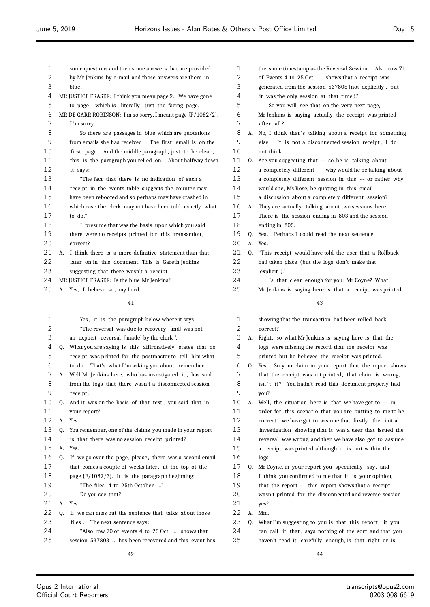$\equiv$ 

| 2<br>2<br>by Mr Jenkins by e-mail and those answers are there in<br>of Events 4 to 25 Oct  shows that a receipt was<br>3<br>3<br>blue.<br>generated from the session 537805 (not explicitly, but<br>4<br>4<br>it was the only session at that time)."<br>MR JUSTICE FRASER: I think you mean page 2. We have gone<br>5<br>5<br>So you will see that on the very next page,<br>to page 1 which is literally just the facing page.<br>6<br>6<br>MR DE GARR ROBINSON: I'm so sorry, I meant page {F/1082/2}.<br>Mr Jenkins is saying actually the receipt was printed<br>7<br>7<br>after all?<br>I'm sorry.<br>8<br>8<br>No, I think that's talking about a receipt for something<br>So there are passages in blue which are quotations<br>А.<br>9<br>9<br>from emails she has received. The first email is on the<br>else. It is not a disconnected session receipt, I do<br>10<br>10<br>first page. And the middle paragraph, just to be clear,<br>not think.<br>11<br>11<br>this is the paragraph you relied on. About halfway down<br>Q.<br>Are you suggesting that -- so he is talking about<br>12<br>12<br>a completely different -- why would he be talking about<br>it says:<br>13<br>13<br>"The fact that there is no indication of such a<br>a completely different session in this -- or rather why<br>14<br>14<br>receipt in the events table suggests the counter may<br>would she, Ms Rose, be quoting in this email<br>15<br>15<br>have been rebooted and so perhaps may have crashed in<br>a discussion about a completely different session?<br>16<br>16<br>which case the clerk may not have been told exactly what<br>A. They are actually talking about two sessions here.<br>17<br>17<br>to do."<br>There is the session ending in 803 and the session<br>18<br>18<br>ending in 805.<br>I presume that was the basis upon which you said<br>19<br>19<br>there were no receipts printed for this transaction,<br>Yes. Perhaps I could read the next sentence.<br>Q.<br>20<br>20<br>Yes.<br>correct?<br>А.<br>21<br>21<br>A. I think there is a more definitive statement than that<br>0.<br>"This receipt would have told the user that a Rollback<br>22<br>22<br>later on in this document. This is Gareth Jenkins<br>had taken place (but the logs don't make that<br>23<br>23<br>explicit)."<br>suggesting that there wasn't a receipt.<br>24<br>24<br>MR JUSTICE FRASER: Is the blue Mr Jenkins?<br>Is that clear enough for you, Mr Coyne? What<br>25<br>25<br>Mr Jenkins is saying here is that a receipt was printed<br>A. Yes, I believe so, my Lord.<br>41<br>43<br>1<br>1<br>Yes, it is the paragraph below where it says:<br>showing that the transaction had been rolled back,<br>2<br>2<br>"The reversal was due to recovery [and] was not<br>correct?<br>3<br>3<br>an explicit reversal [made] by the clerk ".<br>Right, so what Mr Jenkins is saying here is that the<br>А.<br>4<br>What you are saying is this affirmatively states that no<br>4<br>Q.<br>logs were missing the record that the receipt was<br>5<br>5<br>receipt was printed for the postmaster to tell him what<br>printed but he believes the receipt was printed.<br>6<br>6<br>to do. That's what I'm asking you about, remember.<br>0.<br>Yes. So your claim in your report that the report shows<br>7<br>7<br>Well Mr Jenkins here, who has investigated it, has said<br>that the receipt was not printed, that claim is wrong,<br>А.<br>8<br>8<br>from the logs that there wasn't a disconnected session<br>isn't it? You hadn't read this document properly, had<br>9<br>9<br>receipt.<br>you?<br>10<br>10<br>And it was on the basis of that text, you said that in<br>Well, the situation here is that we have got to $-$ in<br>Q.<br>А.<br>11<br>11<br>order for this scenario that you are putting to me to be<br>your report?<br>12<br>12<br>A. Yes.<br>correct, we have got to assume that firstly the initial<br>13<br>13<br>Q.<br>You remember, one of the claims you made in your report<br>investigation showing that it was a user that issued the<br>14<br>14<br>is that there was no session receipt printed?<br>reversal was wrong, and then we have also got to assume<br>15<br>15<br>A. Yes.<br>a receipt was printed although it is not within the<br>16<br>16<br>Q.<br>If we go over the page, please, there was a second email<br>logs.<br>17<br>17<br>that comes a couple of weeks later, at the top of the<br>Q.<br>Mr Coyne, in your report you specifically say, and<br>18<br>18<br>I think you confirmed to me that it is your opinion,<br>page $\{F/1082/3\}$ . It is the paragraph beginning:<br>19<br>19<br>"The files 4 to 25th October …"<br>that the report -- this report shows that a receipt<br>20<br>20<br>Do you see that?<br>wasn't printed for the disconnected and reverse session,<br>21<br>21<br>Yes.<br>А.<br>yes?<br>22<br>22<br>Q.<br>If we can miss out the sentence that talks about those<br>A.<br>Mm.<br>23<br>23<br>files. The next sentence says:<br>Q.<br>What I'm suggesting to you is that this report, if you<br>24<br>24<br>"Also row 70 of events 4 to 25 Oct  shows that<br>can call it that, says nothing of the sort and that you<br>25<br>25<br>session 537803  has been recovered and this event has<br>haven't read it carefully enough, is that right or is | 1 |  | some questions and then some answers that are provided | 1 |  | the same timestamp as the Reversal Session. Also row 71 |
|-----------------------------------------------------------------------------------------------------------------------------------------------------------------------------------------------------------------------------------------------------------------------------------------------------------------------------------------------------------------------------------------------------------------------------------------------------------------------------------------------------------------------------------------------------------------------------------------------------------------------------------------------------------------------------------------------------------------------------------------------------------------------------------------------------------------------------------------------------------------------------------------------------------------------------------------------------------------------------------------------------------------------------------------------------------------------------------------------------------------------------------------------------------------------------------------------------------------------------------------------------------------------------------------------------------------------------------------------------------------------------------------------------------------------------------------------------------------------------------------------------------------------------------------------------------------------------------------------------------------------------------------------------------------------------------------------------------------------------------------------------------------------------------------------------------------------------------------------------------------------------------------------------------------------------------------------------------------------------------------------------------------------------------------------------------------------------------------------------------------------------------------------------------------------------------------------------------------------------------------------------------------------------------------------------------------------------------------------------------------------------------------------------------------------------------------------------------------------------------------------------------------------------------------------------------------------------------------------------------------------------------------------------------------------------------------------------------------------------------------------------------------------------------------------------------------------------------------------------------------------------------------------------------------------------------------------------------------------------------------------------------------------------------------------------------------------------------------------------------------------------------------------------------------------------------------------------------------------------------------------------------------------------------------------------------------------------------------------------------------------------------------------------------------------------------------------------------------------------------------------------------------------------------------------------------------------------------------------------------------------------------------------------------------------------------------------------------------------------------------------------------------------------------------------------------------------------------------------------------------------------------------------------------------------------------------------------------------------------------------------------------------------------------------------------------------------------------------------------------------------------------------------------------------------------------------------------------------------------------------------------------------------------------------------------------------------------------------------------------------------------------------------------------------------------------------------------------------------------------------------------------------------------------------------------------------------------------------------------------------------------------------------------------------------------------------------------------------------------------------------------------------------------------------------------------------------------------------------------------------------------------------------------------------------------------------------------------------------------------------------------------------------------------------------------------------------------------------------------------------------------------------------------------------------------------------------------------------------------------------------------------------------------------------------------------------------------------|---|--|--------------------------------------------------------|---|--|---------------------------------------------------------|
|                                                                                                                                                                                                                                                                                                                                                                                                                                                                                                                                                                                                                                                                                                                                                                                                                                                                                                                                                                                                                                                                                                                                                                                                                                                                                                                                                                                                                                                                                                                                                                                                                                                                                                                                                                                                                                                                                                                                                                                                                                                                                                                                                                                                                                                                                                                                                                                                                                                                                                                                                                                                                                                                                                                                                                                                                                                                                                                                                                                                                                                                                                                                                                                                                                                                                                                                                                                                                                                                                                                                                                                                                                                                                                                                                                                                                                                                                                                                                                                                                                                                                                                                                                                                                                                                                                                                                                                                                                                                                                                                                                                                                                                                                                                                                                                                                                                                                                                                                                                                                                                                                                                                                                                                                                                                                                                                   |   |  |                                                        |   |  |                                                         |
|                                                                                                                                                                                                                                                                                                                                                                                                                                                                                                                                                                                                                                                                                                                                                                                                                                                                                                                                                                                                                                                                                                                                                                                                                                                                                                                                                                                                                                                                                                                                                                                                                                                                                                                                                                                                                                                                                                                                                                                                                                                                                                                                                                                                                                                                                                                                                                                                                                                                                                                                                                                                                                                                                                                                                                                                                                                                                                                                                                                                                                                                                                                                                                                                                                                                                                                                                                                                                                                                                                                                                                                                                                                                                                                                                                                                                                                                                                                                                                                                                                                                                                                                                                                                                                                                                                                                                                                                                                                                                                                                                                                                                                                                                                                                                                                                                                                                                                                                                                                                                                                                                                                                                                                                                                                                                                                                   |   |  |                                                        |   |  |                                                         |
|                                                                                                                                                                                                                                                                                                                                                                                                                                                                                                                                                                                                                                                                                                                                                                                                                                                                                                                                                                                                                                                                                                                                                                                                                                                                                                                                                                                                                                                                                                                                                                                                                                                                                                                                                                                                                                                                                                                                                                                                                                                                                                                                                                                                                                                                                                                                                                                                                                                                                                                                                                                                                                                                                                                                                                                                                                                                                                                                                                                                                                                                                                                                                                                                                                                                                                                                                                                                                                                                                                                                                                                                                                                                                                                                                                                                                                                                                                                                                                                                                                                                                                                                                                                                                                                                                                                                                                                                                                                                                                                                                                                                                                                                                                                                                                                                                                                                                                                                                                                                                                                                                                                                                                                                                                                                                                                                   |   |  |                                                        |   |  |                                                         |
|                                                                                                                                                                                                                                                                                                                                                                                                                                                                                                                                                                                                                                                                                                                                                                                                                                                                                                                                                                                                                                                                                                                                                                                                                                                                                                                                                                                                                                                                                                                                                                                                                                                                                                                                                                                                                                                                                                                                                                                                                                                                                                                                                                                                                                                                                                                                                                                                                                                                                                                                                                                                                                                                                                                                                                                                                                                                                                                                                                                                                                                                                                                                                                                                                                                                                                                                                                                                                                                                                                                                                                                                                                                                                                                                                                                                                                                                                                                                                                                                                                                                                                                                                                                                                                                                                                                                                                                                                                                                                                                                                                                                                                                                                                                                                                                                                                                                                                                                                                                                                                                                                                                                                                                                                                                                                                                                   |   |  |                                                        |   |  |                                                         |
|                                                                                                                                                                                                                                                                                                                                                                                                                                                                                                                                                                                                                                                                                                                                                                                                                                                                                                                                                                                                                                                                                                                                                                                                                                                                                                                                                                                                                                                                                                                                                                                                                                                                                                                                                                                                                                                                                                                                                                                                                                                                                                                                                                                                                                                                                                                                                                                                                                                                                                                                                                                                                                                                                                                                                                                                                                                                                                                                                                                                                                                                                                                                                                                                                                                                                                                                                                                                                                                                                                                                                                                                                                                                                                                                                                                                                                                                                                                                                                                                                                                                                                                                                                                                                                                                                                                                                                                                                                                                                                                                                                                                                                                                                                                                                                                                                                                                                                                                                                                                                                                                                                                                                                                                                                                                                                                                   |   |  |                                                        |   |  |                                                         |
|                                                                                                                                                                                                                                                                                                                                                                                                                                                                                                                                                                                                                                                                                                                                                                                                                                                                                                                                                                                                                                                                                                                                                                                                                                                                                                                                                                                                                                                                                                                                                                                                                                                                                                                                                                                                                                                                                                                                                                                                                                                                                                                                                                                                                                                                                                                                                                                                                                                                                                                                                                                                                                                                                                                                                                                                                                                                                                                                                                                                                                                                                                                                                                                                                                                                                                                                                                                                                                                                                                                                                                                                                                                                                                                                                                                                                                                                                                                                                                                                                                                                                                                                                                                                                                                                                                                                                                                                                                                                                                                                                                                                                                                                                                                                                                                                                                                                                                                                                                                                                                                                                                                                                                                                                                                                                                                                   |   |  |                                                        |   |  |                                                         |
|                                                                                                                                                                                                                                                                                                                                                                                                                                                                                                                                                                                                                                                                                                                                                                                                                                                                                                                                                                                                                                                                                                                                                                                                                                                                                                                                                                                                                                                                                                                                                                                                                                                                                                                                                                                                                                                                                                                                                                                                                                                                                                                                                                                                                                                                                                                                                                                                                                                                                                                                                                                                                                                                                                                                                                                                                                                                                                                                                                                                                                                                                                                                                                                                                                                                                                                                                                                                                                                                                                                                                                                                                                                                                                                                                                                                                                                                                                                                                                                                                                                                                                                                                                                                                                                                                                                                                                                                                                                                                                                                                                                                                                                                                                                                                                                                                                                                                                                                                                                                                                                                                                                                                                                                                                                                                                                                   |   |  |                                                        |   |  |                                                         |
|                                                                                                                                                                                                                                                                                                                                                                                                                                                                                                                                                                                                                                                                                                                                                                                                                                                                                                                                                                                                                                                                                                                                                                                                                                                                                                                                                                                                                                                                                                                                                                                                                                                                                                                                                                                                                                                                                                                                                                                                                                                                                                                                                                                                                                                                                                                                                                                                                                                                                                                                                                                                                                                                                                                                                                                                                                                                                                                                                                                                                                                                                                                                                                                                                                                                                                                                                                                                                                                                                                                                                                                                                                                                                                                                                                                                                                                                                                                                                                                                                                                                                                                                                                                                                                                                                                                                                                                                                                                                                                                                                                                                                                                                                                                                                                                                                                                                                                                                                                                                                                                                                                                                                                                                                                                                                                                                   |   |  |                                                        |   |  |                                                         |
|                                                                                                                                                                                                                                                                                                                                                                                                                                                                                                                                                                                                                                                                                                                                                                                                                                                                                                                                                                                                                                                                                                                                                                                                                                                                                                                                                                                                                                                                                                                                                                                                                                                                                                                                                                                                                                                                                                                                                                                                                                                                                                                                                                                                                                                                                                                                                                                                                                                                                                                                                                                                                                                                                                                                                                                                                                                                                                                                                                                                                                                                                                                                                                                                                                                                                                                                                                                                                                                                                                                                                                                                                                                                                                                                                                                                                                                                                                                                                                                                                                                                                                                                                                                                                                                                                                                                                                                                                                                                                                                                                                                                                                                                                                                                                                                                                                                                                                                                                                                                                                                                                                                                                                                                                                                                                                                                   |   |  |                                                        |   |  |                                                         |
|                                                                                                                                                                                                                                                                                                                                                                                                                                                                                                                                                                                                                                                                                                                                                                                                                                                                                                                                                                                                                                                                                                                                                                                                                                                                                                                                                                                                                                                                                                                                                                                                                                                                                                                                                                                                                                                                                                                                                                                                                                                                                                                                                                                                                                                                                                                                                                                                                                                                                                                                                                                                                                                                                                                                                                                                                                                                                                                                                                                                                                                                                                                                                                                                                                                                                                                                                                                                                                                                                                                                                                                                                                                                                                                                                                                                                                                                                                                                                                                                                                                                                                                                                                                                                                                                                                                                                                                                                                                                                                                                                                                                                                                                                                                                                                                                                                                                                                                                                                                                                                                                                                                                                                                                                                                                                                                                   |   |  |                                                        |   |  |                                                         |
|                                                                                                                                                                                                                                                                                                                                                                                                                                                                                                                                                                                                                                                                                                                                                                                                                                                                                                                                                                                                                                                                                                                                                                                                                                                                                                                                                                                                                                                                                                                                                                                                                                                                                                                                                                                                                                                                                                                                                                                                                                                                                                                                                                                                                                                                                                                                                                                                                                                                                                                                                                                                                                                                                                                                                                                                                                                                                                                                                                                                                                                                                                                                                                                                                                                                                                                                                                                                                                                                                                                                                                                                                                                                                                                                                                                                                                                                                                                                                                                                                                                                                                                                                                                                                                                                                                                                                                                                                                                                                                                                                                                                                                                                                                                                                                                                                                                                                                                                                                                                                                                                                                                                                                                                                                                                                                                                   |   |  |                                                        |   |  |                                                         |
|                                                                                                                                                                                                                                                                                                                                                                                                                                                                                                                                                                                                                                                                                                                                                                                                                                                                                                                                                                                                                                                                                                                                                                                                                                                                                                                                                                                                                                                                                                                                                                                                                                                                                                                                                                                                                                                                                                                                                                                                                                                                                                                                                                                                                                                                                                                                                                                                                                                                                                                                                                                                                                                                                                                                                                                                                                                                                                                                                                                                                                                                                                                                                                                                                                                                                                                                                                                                                                                                                                                                                                                                                                                                                                                                                                                                                                                                                                                                                                                                                                                                                                                                                                                                                                                                                                                                                                                                                                                                                                                                                                                                                                                                                                                                                                                                                                                                                                                                                                                                                                                                                                                                                                                                                                                                                                                                   |   |  |                                                        |   |  |                                                         |
|                                                                                                                                                                                                                                                                                                                                                                                                                                                                                                                                                                                                                                                                                                                                                                                                                                                                                                                                                                                                                                                                                                                                                                                                                                                                                                                                                                                                                                                                                                                                                                                                                                                                                                                                                                                                                                                                                                                                                                                                                                                                                                                                                                                                                                                                                                                                                                                                                                                                                                                                                                                                                                                                                                                                                                                                                                                                                                                                                                                                                                                                                                                                                                                                                                                                                                                                                                                                                                                                                                                                                                                                                                                                                                                                                                                                                                                                                                                                                                                                                                                                                                                                                                                                                                                                                                                                                                                                                                                                                                                                                                                                                                                                                                                                                                                                                                                                                                                                                                                                                                                                                                                                                                                                                                                                                                                                   |   |  |                                                        |   |  |                                                         |
|                                                                                                                                                                                                                                                                                                                                                                                                                                                                                                                                                                                                                                                                                                                                                                                                                                                                                                                                                                                                                                                                                                                                                                                                                                                                                                                                                                                                                                                                                                                                                                                                                                                                                                                                                                                                                                                                                                                                                                                                                                                                                                                                                                                                                                                                                                                                                                                                                                                                                                                                                                                                                                                                                                                                                                                                                                                                                                                                                                                                                                                                                                                                                                                                                                                                                                                                                                                                                                                                                                                                                                                                                                                                                                                                                                                                                                                                                                                                                                                                                                                                                                                                                                                                                                                                                                                                                                                                                                                                                                                                                                                                                                                                                                                                                                                                                                                                                                                                                                                                                                                                                                                                                                                                                                                                                                                                   |   |  |                                                        |   |  |                                                         |
|                                                                                                                                                                                                                                                                                                                                                                                                                                                                                                                                                                                                                                                                                                                                                                                                                                                                                                                                                                                                                                                                                                                                                                                                                                                                                                                                                                                                                                                                                                                                                                                                                                                                                                                                                                                                                                                                                                                                                                                                                                                                                                                                                                                                                                                                                                                                                                                                                                                                                                                                                                                                                                                                                                                                                                                                                                                                                                                                                                                                                                                                                                                                                                                                                                                                                                                                                                                                                                                                                                                                                                                                                                                                                                                                                                                                                                                                                                                                                                                                                                                                                                                                                                                                                                                                                                                                                                                                                                                                                                                                                                                                                                                                                                                                                                                                                                                                                                                                                                                                                                                                                                                                                                                                                                                                                                                                   |   |  |                                                        |   |  |                                                         |
|                                                                                                                                                                                                                                                                                                                                                                                                                                                                                                                                                                                                                                                                                                                                                                                                                                                                                                                                                                                                                                                                                                                                                                                                                                                                                                                                                                                                                                                                                                                                                                                                                                                                                                                                                                                                                                                                                                                                                                                                                                                                                                                                                                                                                                                                                                                                                                                                                                                                                                                                                                                                                                                                                                                                                                                                                                                                                                                                                                                                                                                                                                                                                                                                                                                                                                                                                                                                                                                                                                                                                                                                                                                                                                                                                                                                                                                                                                                                                                                                                                                                                                                                                                                                                                                                                                                                                                                                                                                                                                                                                                                                                                                                                                                                                                                                                                                                                                                                                                                                                                                                                                                                                                                                                                                                                                                                   |   |  |                                                        |   |  |                                                         |
|                                                                                                                                                                                                                                                                                                                                                                                                                                                                                                                                                                                                                                                                                                                                                                                                                                                                                                                                                                                                                                                                                                                                                                                                                                                                                                                                                                                                                                                                                                                                                                                                                                                                                                                                                                                                                                                                                                                                                                                                                                                                                                                                                                                                                                                                                                                                                                                                                                                                                                                                                                                                                                                                                                                                                                                                                                                                                                                                                                                                                                                                                                                                                                                                                                                                                                                                                                                                                                                                                                                                                                                                                                                                                                                                                                                                                                                                                                                                                                                                                                                                                                                                                                                                                                                                                                                                                                                                                                                                                                                                                                                                                                                                                                                                                                                                                                                                                                                                                                                                                                                                                                                                                                                                                                                                                                                                   |   |  |                                                        |   |  |                                                         |
|                                                                                                                                                                                                                                                                                                                                                                                                                                                                                                                                                                                                                                                                                                                                                                                                                                                                                                                                                                                                                                                                                                                                                                                                                                                                                                                                                                                                                                                                                                                                                                                                                                                                                                                                                                                                                                                                                                                                                                                                                                                                                                                                                                                                                                                                                                                                                                                                                                                                                                                                                                                                                                                                                                                                                                                                                                                                                                                                                                                                                                                                                                                                                                                                                                                                                                                                                                                                                                                                                                                                                                                                                                                                                                                                                                                                                                                                                                                                                                                                                                                                                                                                                                                                                                                                                                                                                                                                                                                                                                                                                                                                                                                                                                                                                                                                                                                                                                                                                                                                                                                                                                                                                                                                                                                                                                                                   |   |  |                                                        |   |  |                                                         |
|                                                                                                                                                                                                                                                                                                                                                                                                                                                                                                                                                                                                                                                                                                                                                                                                                                                                                                                                                                                                                                                                                                                                                                                                                                                                                                                                                                                                                                                                                                                                                                                                                                                                                                                                                                                                                                                                                                                                                                                                                                                                                                                                                                                                                                                                                                                                                                                                                                                                                                                                                                                                                                                                                                                                                                                                                                                                                                                                                                                                                                                                                                                                                                                                                                                                                                                                                                                                                                                                                                                                                                                                                                                                                                                                                                                                                                                                                                                                                                                                                                                                                                                                                                                                                                                                                                                                                                                                                                                                                                                                                                                                                                                                                                                                                                                                                                                                                                                                                                                                                                                                                                                                                                                                                                                                                                                                   |   |  |                                                        |   |  |                                                         |
|                                                                                                                                                                                                                                                                                                                                                                                                                                                                                                                                                                                                                                                                                                                                                                                                                                                                                                                                                                                                                                                                                                                                                                                                                                                                                                                                                                                                                                                                                                                                                                                                                                                                                                                                                                                                                                                                                                                                                                                                                                                                                                                                                                                                                                                                                                                                                                                                                                                                                                                                                                                                                                                                                                                                                                                                                                                                                                                                                                                                                                                                                                                                                                                                                                                                                                                                                                                                                                                                                                                                                                                                                                                                                                                                                                                                                                                                                                                                                                                                                                                                                                                                                                                                                                                                                                                                                                                                                                                                                                                                                                                                                                                                                                                                                                                                                                                                                                                                                                                                                                                                                                                                                                                                                                                                                                                                   |   |  |                                                        |   |  |                                                         |
|                                                                                                                                                                                                                                                                                                                                                                                                                                                                                                                                                                                                                                                                                                                                                                                                                                                                                                                                                                                                                                                                                                                                                                                                                                                                                                                                                                                                                                                                                                                                                                                                                                                                                                                                                                                                                                                                                                                                                                                                                                                                                                                                                                                                                                                                                                                                                                                                                                                                                                                                                                                                                                                                                                                                                                                                                                                                                                                                                                                                                                                                                                                                                                                                                                                                                                                                                                                                                                                                                                                                                                                                                                                                                                                                                                                                                                                                                                                                                                                                                                                                                                                                                                                                                                                                                                                                                                                                                                                                                                                                                                                                                                                                                                                                                                                                                                                                                                                                                                                                                                                                                                                                                                                                                                                                                                                                   |   |  |                                                        |   |  |                                                         |
|                                                                                                                                                                                                                                                                                                                                                                                                                                                                                                                                                                                                                                                                                                                                                                                                                                                                                                                                                                                                                                                                                                                                                                                                                                                                                                                                                                                                                                                                                                                                                                                                                                                                                                                                                                                                                                                                                                                                                                                                                                                                                                                                                                                                                                                                                                                                                                                                                                                                                                                                                                                                                                                                                                                                                                                                                                                                                                                                                                                                                                                                                                                                                                                                                                                                                                                                                                                                                                                                                                                                                                                                                                                                                                                                                                                                                                                                                                                                                                                                                                                                                                                                                                                                                                                                                                                                                                                                                                                                                                                                                                                                                                                                                                                                                                                                                                                                                                                                                                                                                                                                                                                                                                                                                                                                                                                                   |   |  |                                                        |   |  |                                                         |
|                                                                                                                                                                                                                                                                                                                                                                                                                                                                                                                                                                                                                                                                                                                                                                                                                                                                                                                                                                                                                                                                                                                                                                                                                                                                                                                                                                                                                                                                                                                                                                                                                                                                                                                                                                                                                                                                                                                                                                                                                                                                                                                                                                                                                                                                                                                                                                                                                                                                                                                                                                                                                                                                                                                                                                                                                                                                                                                                                                                                                                                                                                                                                                                                                                                                                                                                                                                                                                                                                                                                                                                                                                                                                                                                                                                                                                                                                                                                                                                                                                                                                                                                                                                                                                                                                                                                                                                                                                                                                                                                                                                                                                                                                                                                                                                                                                                                                                                                                                                                                                                                                                                                                                                                                                                                                                                                   |   |  |                                                        |   |  |                                                         |
|                                                                                                                                                                                                                                                                                                                                                                                                                                                                                                                                                                                                                                                                                                                                                                                                                                                                                                                                                                                                                                                                                                                                                                                                                                                                                                                                                                                                                                                                                                                                                                                                                                                                                                                                                                                                                                                                                                                                                                                                                                                                                                                                                                                                                                                                                                                                                                                                                                                                                                                                                                                                                                                                                                                                                                                                                                                                                                                                                                                                                                                                                                                                                                                                                                                                                                                                                                                                                                                                                                                                                                                                                                                                                                                                                                                                                                                                                                                                                                                                                                                                                                                                                                                                                                                                                                                                                                                                                                                                                                                                                                                                                                                                                                                                                                                                                                                                                                                                                                                                                                                                                                                                                                                                                                                                                                                                   |   |  |                                                        |   |  |                                                         |
|                                                                                                                                                                                                                                                                                                                                                                                                                                                                                                                                                                                                                                                                                                                                                                                                                                                                                                                                                                                                                                                                                                                                                                                                                                                                                                                                                                                                                                                                                                                                                                                                                                                                                                                                                                                                                                                                                                                                                                                                                                                                                                                                                                                                                                                                                                                                                                                                                                                                                                                                                                                                                                                                                                                                                                                                                                                                                                                                                                                                                                                                                                                                                                                                                                                                                                                                                                                                                                                                                                                                                                                                                                                                                                                                                                                                                                                                                                                                                                                                                                                                                                                                                                                                                                                                                                                                                                                                                                                                                                                                                                                                                                                                                                                                                                                                                                                                                                                                                                                                                                                                                                                                                                                                                                                                                                                                   |   |  |                                                        |   |  |                                                         |
|                                                                                                                                                                                                                                                                                                                                                                                                                                                                                                                                                                                                                                                                                                                                                                                                                                                                                                                                                                                                                                                                                                                                                                                                                                                                                                                                                                                                                                                                                                                                                                                                                                                                                                                                                                                                                                                                                                                                                                                                                                                                                                                                                                                                                                                                                                                                                                                                                                                                                                                                                                                                                                                                                                                                                                                                                                                                                                                                                                                                                                                                                                                                                                                                                                                                                                                                                                                                                                                                                                                                                                                                                                                                                                                                                                                                                                                                                                                                                                                                                                                                                                                                                                                                                                                                                                                                                                                                                                                                                                                                                                                                                                                                                                                                                                                                                                                                                                                                                                                                                                                                                                                                                                                                                                                                                                                                   |   |  |                                                        |   |  |                                                         |
|                                                                                                                                                                                                                                                                                                                                                                                                                                                                                                                                                                                                                                                                                                                                                                                                                                                                                                                                                                                                                                                                                                                                                                                                                                                                                                                                                                                                                                                                                                                                                                                                                                                                                                                                                                                                                                                                                                                                                                                                                                                                                                                                                                                                                                                                                                                                                                                                                                                                                                                                                                                                                                                                                                                                                                                                                                                                                                                                                                                                                                                                                                                                                                                                                                                                                                                                                                                                                                                                                                                                                                                                                                                                                                                                                                                                                                                                                                                                                                                                                                                                                                                                                                                                                                                                                                                                                                                                                                                                                                                                                                                                                                                                                                                                                                                                                                                                                                                                                                                                                                                                                                                                                                                                                                                                                                                                   |   |  |                                                        |   |  |                                                         |
|                                                                                                                                                                                                                                                                                                                                                                                                                                                                                                                                                                                                                                                                                                                                                                                                                                                                                                                                                                                                                                                                                                                                                                                                                                                                                                                                                                                                                                                                                                                                                                                                                                                                                                                                                                                                                                                                                                                                                                                                                                                                                                                                                                                                                                                                                                                                                                                                                                                                                                                                                                                                                                                                                                                                                                                                                                                                                                                                                                                                                                                                                                                                                                                                                                                                                                                                                                                                                                                                                                                                                                                                                                                                                                                                                                                                                                                                                                                                                                                                                                                                                                                                                                                                                                                                                                                                                                                                                                                                                                                                                                                                                                                                                                                                                                                                                                                                                                                                                                                                                                                                                                                                                                                                                                                                                                                                   |   |  |                                                        |   |  |                                                         |
|                                                                                                                                                                                                                                                                                                                                                                                                                                                                                                                                                                                                                                                                                                                                                                                                                                                                                                                                                                                                                                                                                                                                                                                                                                                                                                                                                                                                                                                                                                                                                                                                                                                                                                                                                                                                                                                                                                                                                                                                                                                                                                                                                                                                                                                                                                                                                                                                                                                                                                                                                                                                                                                                                                                                                                                                                                                                                                                                                                                                                                                                                                                                                                                                                                                                                                                                                                                                                                                                                                                                                                                                                                                                                                                                                                                                                                                                                                                                                                                                                                                                                                                                                                                                                                                                                                                                                                                                                                                                                                                                                                                                                                                                                                                                                                                                                                                                                                                                                                                                                                                                                                                                                                                                                                                                                                                                   |   |  |                                                        |   |  |                                                         |
|                                                                                                                                                                                                                                                                                                                                                                                                                                                                                                                                                                                                                                                                                                                                                                                                                                                                                                                                                                                                                                                                                                                                                                                                                                                                                                                                                                                                                                                                                                                                                                                                                                                                                                                                                                                                                                                                                                                                                                                                                                                                                                                                                                                                                                                                                                                                                                                                                                                                                                                                                                                                                                                                                                                                                                                                                                                                                                                                                                                                                                                                                                                                                                                                                                                                                                                                                                                                                                                                                                                                                                                                                                                                                                                                                                                                                                                                                                                                                                                                                                                                                                                                                                                                                                                                                                                                                                                                                                                                                                                                                                                                                                                                                                                                                                                                                                                                                                                                                                                                                                                                                                                                                                                                                                                                                                                                   |   |  |                                                        |   |  |                                                         |
|                                                                                                                                                                                                                                                                                                                                                                                                                                                                                                                                                                                                                                                                                                                                                                                                                                                                                                                                                                                                                                                                                                                                                                                                                                                                                                                                                                                                                                                                                                                                                                                                                                                                                                                                                                                                                                                                                                                                                                                                                                                                                                                                                                                                                                                                                                                                                                                                                                                                                                                                                                                                                                                                                                                                                                                                                                                                                                                                                                                                                                                                                                                                                                                                                                                                                                                                                                                                                                                                                                                                                                                                                                                                                                                                                                                                                                                                                                                                                                                                                                                                                                                                                                                                                                                                                                                                                                                                                                                                                                                                                                                                                                                                                                                                                                                                                                                                                                                                                                                                                                                                                                                                                                                                                                                                                                                                   |   |  |                                                        |   |  |                                                         |
|                                                                                                                                                                                                                                                                                                                                                                                                                                                                                                                                                                                                                                                                                                                                                                                                                                                                                                                                                                                                                                                                                                                                                                                                                                                                                                                                                                                                                                                                                                                                                                                                                                                                                                                                                                                                                                                                                                                                                                                                                                                                                                                                                                                                                                                                                                                                                                                                                                                                                                                                                                                                                                                                                                                                                                                                                                                                                                                                                                                                                                                                                                                                                                                                                                                                                                                                                                                                                                                                                                                                                                                                                                                                                                                                                                                                                                                                                                                                                                                                                                                                                                                                                                                                                                                                                                                                                                                                                                                                                                                                                                                                                                                                                                                                                                                                                                                                                                                                                                                                                                                                                                                                                                                                                                                                                                                                   |   |  |                                                        |   |  |                                                         |
|                                                                                                                                                                                                                                                                                                                                                                                                                                                                                                                                                                                                                                                                                                                                                                                                                                                                                                                                                                                                                                                                                                                                                                                                                                                                                                                                                                                                                                                                                                                                                                                                                                                                                                                                                                                                                                                                                                                                                                                                                                                                                                                                                                                                                                                                                                                                                                                                                                                                                                                                                                                                                                                                                                                                                                                                                                                                                                                                                                                                                                                                                                                                                                                                                                                                                                                                                                                                                                                                                                                                                                                                                                                                                                                                                                                                                                                                                                                                                                                                                                                                                                                                                                                                                                                                                                                                                                                                                                                                                                                                                                                                                                                                                                                                                                                                                                                                                                                                                                                                                                                                                                                                                                                                                                                                                                                                   |   |  |                                                        |   |  |                                                         |
|                                                                                                                                                                                                                                                                                                                                                                                                                                                                                                                                                                                                                                                                                                                                                                                                                                                                                                                                                                                                                                                                                                                                                                                                                                                                                                                                                                                                                                                                                                                                                                                                                                                                                                                                                                                                                                                                                                                                                                                                                                                                                                                                                                                                                                                                                                                                                                                                                                                                                                                                                                                                                                                                                                                                                                                                                                                                                                                                                                                                                                                                                                                                                                                                                                                                                                                                                                                                                                                                                                                                                                                                                                                                                                                                                                                                                                                                                                                                                                                                                                                                                                                                                                                                                                                                                                                                                                                                                                                                                                                                                                                                                                                                                                                                                                                                                                                                                                                                                                                                                                                                                                                                                                                                                                                                                                                                   |   |  |                                                        |   |  |                                                         |
|                                                                                                                                                                                                                                                                                                                                                                                                                                                                                                                                                                                                                                                                                                                                                                                                                                                                                                                                                                                                                                                                                                                                                                                                                                                                                                                                                                                                                                                                                                                                                                                                                                                                                                                                                                                                                                                                                                                                                                                                                                                                                                                                                                                                                                                                                                                                                                                                                                                                                                                                                                                                                                                                                                                                                                                                                                                                                                                                                                                                                                                                                                                                                                                                                                                                                                                                                                                                                                                                                                                                                                                                                                                                                                                                                                                                                                                                                                                                                                                                                                                                                                                                                                                                                                                                                                                                                                                                                                                                                                                                                                                                                                                                                                                                                                                                                                                                                                                                                                                                                                                                                                                                                                                                                                                                                                                                   |   |  |                                                        |   |  |                                                         |
|                                                                                                                                                                                                                                                                                                                                                                                                                                                                                                                                                                                                                                                                                                                                                                                                                                                                                                                                                                                                                                                                                                                                                                                                                                                                                                                                                                                                                                                                                                                                                                                                                                                                                                                                                                                                                                                                                                                                                                                                                                                                                                                                                                                                                                                                                                                                                                                                                                                                                                                                                                                                                                                                                                                                                                                                                                                                                                                                                                                                                                                                                                                                                                                                                                                                                                                                                                                                                                                                                                                                                                                                                                                                                                                                                                                                                                                                                                                                                                                                                                                                                                                                                                                                                                                                                                                                                                                                                                                                                                                                                                                                                                                                                                                                                                                                                                                                                                                                                                                                                                                                                                                                                                                                                                                                                                                                   |   |  |                                                        |   |  |                                                         |
|                                                                                                                                                                                                                                                                                                                                                                                                                                                                                                                                                                                                                                                                                                                                                                                                                                                                                                                                                                                                                                                                                                                                                                                                                                                                                                                                                                                                                                                                                                                                                                                                                                                                                                                                                                                                                                                                                                                                                                                                                                                                                                                                                                                                                                                                                                                                                                                                                                                                                                                                                                                                                                                                                                                                                                                                                                                                                                                                                                                                                                                                                                                                                                                                                                                                                                                                                                                                                                                                                                                                                                                                                                                                                                                                                                                                                                                                                                                                                                                                                                                                                                                                                                                                                                                                                                                                                                                                                                                                                                                                                                                                                                                                                                                                                                                                                                                                                                                                                                                                                                                                                                                                                                                                                                                                                                                                   |   |  |                                                        |   |  |                                                         |
|                                                                                                                                                                                                                                                                                                                                                                                                                                                                                                                                                                                                                                                                                                                                                                                                                                                                                                                                                                                                                                                                                                                                                                                                                                                                                                                                                                                                                                                                                                                                                                                                                                                                                                                                                                                                                                                                                                                                                                                                                                                                                                                                                                                                                                                                                                                                                                                                                                                                                                                                                                                                                                                                                                                                                                                                                                                                                                                                                                                                                                                                                                                                                                                                                                                                                                                                                                                                                                                                                                                                                                                                                                                                                                                                                                                                                                                                                                                                                                                                                                                                                                                                                                                                                                                                                                                                                                                                                                                                                                                                                                                                                                                                                                                                                                                                                                                                                                                                                                                                                                                                                                                                                                                                                                                                                                                                   |   |  |                                                        |   |  |                                                         |
|                                                                                                                                                                                                                                                                                                                                                                                                                                                                                                                                                                                                                                                                                                                                                                                                                                                                                                                                                                                                                                                                                                                                                                                                                                                                                                                                                                                                                                                                                                                                                                                                                                                                                                                                                                                                                                                                                                                                                                                                                                                                                                                                                                                                                                                                                                                                                                                                                                                                                                                                                                                                                                                                                                                                                                                                                                                                                                                                                                                                                                                                                                                                                                                                                                                                                                                                                                                                                                                                                                                                                                                                                                                                                                                                                                                                                                                                                                                                                                                                                                                                                                                                                                                                                                                                                                                                                                                                                                                                                                                                                                                                                                                                                                                                                                                                                                                                                                                                                                                                                                                                                                                                                                                                                                                                                                                                   |   |  |                                                        |   |  |                                                         |
|                                                                                                                                                                                                                                                                                                                                                                                                                                                                                                                                                                                                                                                                                                                                                                                                                                                                                                                                                                                                                                                                                                                                                                                                                                                                                                                                                                                                                                                                                                                                                                                                                                                                                                                                                                                                                                                                                                                                                                                                                                                                                                                                                                                                                                                                                                                                                                                                                                                                                                                                                                                                                                                                                                                                                                                                                                                                                                                                                                                                                                                                                                                                                                                                                                                                                                                                                                                                                                                                                                                                                                                                                                                                                                                                                                                                                                                                                                                                                                                                                                                                                                                                                                                                                                                                                                                                                                                                                                                                                                                                                                                                                                                                                                                                                                                                                                                                                                                                                                                                                                                                                                                                                                                                                                                                                                                                   |   |  |                                                        |   |  |                                                         |
|                                                                                                                                                                                                                                                                                                                                                                                                                                                                                                                                                                                                                                                                                                                                                                                                                                                                                                                                                                                                                                                                                                                                                                                                                                                                                                                                                                                                                                                                                                                                                                                                                                                                                                                                                                                                                                                                                                                                                                                                                                                                                                                                                                                                                                                                                                                                                                                                                                                                                                                                                                                                                                                                                                                                                                                                                                                                                                                                                                                                                                                                                                                                                                                                                                                                                                                                                                                                                                                                                                                                                                                                                                                                                                                                                                                                                                                                                                                                                                                                                                                                                                                                                                                                                                                                                                                                                                                                                                                                                                                                                                                                                                                                                                                                                                                                                                                                                                                                                                                                                                                                                                                                                                                                                                                                                                                                   |   |  |                                                        |   |  |                                                         |
|                                                                                                                                                                                                                                                                                                                                                                                                                                                                                                                                                                                                                                                                                                                                                                                                                                                                                                                                                                                                                                                                                                                                                                                                                                                                                                                                                                                                                                                                                                                                                                                                                                                                                                                                                                                                                                                                                                                                                                                                                                                                                                                                                                                                                                                                                                                                                                                                                                                                                                                                                                                                                                                                                                                                                                                                                                                                                                                                                                                                                                                                                                                                                                                                                                                                                                                                                                                                                                                                                                                                                                                                                                                                                                                                                                                                                                                                                                                                                                                                                                                                                                                                                                                                                                                                                                                                                                                                                                                                                                                                                                                                                                                                                                                                                                                                                                                                                                                                                                                                                                                                                                                                                                                                                                                                                                                                   |   |  |                                                        |   |  |                                                         |
|                                                                                                                                                                                                                                                                                                                                                                                                                                                                                                                                                                                                                                                                                                                                                                                                                                                                                                                                                                                                                                                                                                                                                                                                                                                                                                                                                                                                                                                                                                                                                                                                                                                                                                                                                                                                                                                                                                                                                                                                                                                                                                                                                                                                                                                                                                                                                                                                                                                                                                                                                                                                                                                                                                                                                                                                                                                                                                                                                                                                                                                                                                                                                                                                                                                                                                                                                                                                                                                                                                                                                                                                                                                                                                                                                                                                                                                                                                                                                                                                                                                                                                                                                                                                                                                                                                                                                                                                                                                                                                                                                                                                                                                                                                                                                                                                                                                                                                                                                                                                                                                                                                                                                                                                                                                                                                                                   |   |  |                                                        |   |  |                                                         |
|                                                                                                                                                                                                                                                                                                                                                                                                                                                                                                                                                                                                                                                                                                                                                                                                                                                                                                                                                                                                                                                                                                                                                                                                                                                                                                                                                                                                                                                                                                                                                                                                                                                                                                                                                                                                                                                                                                                                                                                                                                                                                                                                                                                                                                                                                                                                                                                                                                                                                                                                                                                                                                                                                                                                                                                                                                                                                                                                                                                                                                                                                                                                                                                                                                                                                                                                                                                                                                                                                                                                                                                                                                                                                                                                                                                                                                                                                                                                                                                                                                                                                                                                                                                                                                                                                                                                                                                                                                                                                                                                                                                                                                                                                                                                                                                                                                                                                                                                                                                                                                                                                                                                                                                                                                                                                                                                   |   |  |                                                        |   |  |                                                         |
|                                                                                                                                                                                                                                                                                                                                                                                                                                                                                                                                                                                                                                                                                                                                                                                                                                                                                                                                                                                                                                                                                                                                                                                                                                                                                                                                                                                                                                                                                                                                                                                                                                                                                                                                                                                                                                                                                                                                                                                                                                                                                                                                                                                                                                                                                                                                                                                                                                                                                                                                                                                                                                                                                                                                                                                                                                                                                                                                                                                                                                                                                                                                                                                                                                                                                                                                                                                                                                                                                                                                                                                                                                                                                                                                                                                                                                                                                                                                                                                                                                                                                                                                                                                                                                                                                                                                                                                                                                                                                                                                                                                                                                                                                                                                                                                                                                                                                                                                                                                                                                                                                                                                                                                                                                                                                                                                   |   |  |                                                        |   |  |                                                         |
|                                                                                                                                                                                                                                                                                                                                                                                                                                                                                                                                                                                                                                                                                                                                                                                                                                                                                                                                                                                                                                                                                                                                                                                                                                                                                                                                                                                                                                                                                                                                                                                                                                                                                                                                                                                                                                                                                                                                                                                                                                                                                                                                                                                                                                                                                                                                                                                                                                                                                                                                                                                                                                                                                                                                                                                                                                                                                                                                                                                                                                                                                                                                                                                                                                                                                                                                                                                                                                                                                                                                                                                                                                                                                                                                                                                                                                                                                                                                                                                                                                                                                                                                                                                                                                                                                                                                                                                                                                                                                                                                                                                                                                                                                                                                                                                                                                                                                                                                                                                                                                                                                                                                                                                                                                                                                                                                   |   |  |                                                        |   |  |                                                         |
|                                                                                                                                                                                                                                                                                                                                                                                                                                                                                                                                                                                                                                                                                                                                                                                                                                                                                                                                                                                                                                                                                                                                                                                                                                                                                                                                                                                                                                                                                                                                                                                                                                                                                                                                                                                                                                                                                                                                                                                                                                                                                                                                                                                                                                                                                                                                                                                                                                                                                                                                                                                                                                                                                                                                                                                                                                                                                                                                                                                                                                                                                                                                                                                                                                                                                                                                                                                                                                                                                                                                                                                                                                                                                                                                                                                                                                                                                                                                                                                                                                                                                                                                                                                                                                                                                                                                                                                                                                                                                                                                                                                                                                                                                                                                                                                                                                                                                                                                                                                                                                                                                                                                                                                                                                                                                                                                   |   |  |                                                        |   |  |                                                         |
|                                                                                                                                                                                                                                                                                                                                                                                                                                                                                                                                                                                                                                                                                                                                                                                                                                                                                                                                                                                                                                                                                                                                                                                                                                                                                                                                                                                                                                                                                                                                                                                                                                                                                                                                                                                                                                                                                                                                                                                                                                                                                                                                                                                                                                                                                                                                                                                                                                                                                                                                                                                                                                                                                                                                                                                                                                                                                                                                                                                                                                                                                                                                                                                                                                                                                                                                                                                                                                                                                                                                                                                                                                                                                                                                                                                                                                                                                                                                                                                                                                                                                                                                                                                                                                                                                                                                                                                                                                                                                                                                                                                                                                                                                                                                                                                                                                                                                                                                                                                                                                                                                                                                                                                                                                                                                                                                   |   |  |                                                        |   |  |                                                         |
|                                                                                                                                                                                                                                                                                                                                                                                                                                                                                                                                                                                                                                                                                                                                                                                                                                                                                                                                                                                                                                                                                                                                                                                                                                                                                                                                                                                                                                                                                                                                                                                                                                                                                                                                                                                                                                                                                                                                                                                                                                                                                                                                                                                                                                                                                                                                                                                                                                                                                                                                                                                                                                                                                                                                                                                                                                                                                                                                                                                                                                                                                                                                                                                                                                                                                                                                                                                                                                                                                                                                                                                                                                                                                                                                                                                                                                                                                                                                                                                                                                                                                                                                                                                                                                                                                                                                                                                                                                                                                                                                                                                                                                                                                                                                                                                                                                                                                                                                                                                                                                                                                                                                                                                                                                                                                                                                   |   |  |                                                        |   |  |                                                         |
|                                                                                                                                                                                                                                                                                                                                                                                                                                                                                                                                                                                                                                                                                                                                                                                                                                                                                                                                                                                                                                                                                                                                                                                                                                                                                                                                                                                                                                                                                                                                                                                                                                                                                                                                                                                                                                                                                                                                                                                                                                                                                                                                                                                                                                                                                                                                                                                                                                                                                                                                                                                                                                                                                                                                                                                                                                                                                                                                                                                                                                                                                                                                                                                                                                                                                                                                                                                                                                                                                                                                                                                                                                                                                                                                                                                                                                                                                                                                                                                                                                                                                                                                                                                                                                                                                                                                                                                                                                                                                                                                                                                                                                                                                                                                                                                                                                                                                                                                                                                                                                                                                                                                                                                                                                                                                                                                   |   |  |                                                        |   |  |                                                         |
|                                                                                                                                                                                                                                                                                                                                                                                                                                                                                                                                                                                                                                                                                                                                                                                                                                                                                                                                                                                                                                                                                                                                                                                                                                                                                                                                                                                                                                                                                                                                                                                                                                                                                                                                                                                                                                                                                                                                                                                                                                                                                                                                                                                                                                                                                                                                                                                                                                                                                                                                                                                                                                                                                                                                                                                                                                                                                                                                                                                                                                                                                                                                                                                                                                                                                                                                                                                                                                                                                                                                                                                                                                                                                                                                                                                                                                                                                                                                                                                                                                                                                                                                                                                                                                                                                                                                                                                                                                                                                                                                                                                                                                                                                                                                                                                                                                                                                                                                                                                                                                                                                                                                                                                                                                                                                                                                   |   |  |                                                        |   |  |                                                         |
|                                                                                                                                                                                                                                                                                                                                                                                                                                                                                                                                                                                                                                                                                                                                                                                                                                                                                                                                                                                                                                                                                                                                                                                                                                                                                                                                                                                                                                                                                                                                                                                                                                                                                                                                                                                                                                                                                                                                                                                                                                                                                                                                                                                                                                                                                                                                                                                                                                                                                                                                                                                                                                                                                                                                                                                                                                                                                                                                                                                                                                                                                                                                                                                                                                                                                                                                                                                                                                                                                                                                                                                                                                                                                                                                                                                                                                                                                                                                                                                                                                                                                                                                                                                                                                                                                                                                                                                                                                                                                                                                                                                                                                                                                                                                                                                                                                                                                                                                                                                                                                                                                                                                                                                                                                                                                                                                   |   |  | 42                                                     |   |  | 44                                                      |

 $\equiv$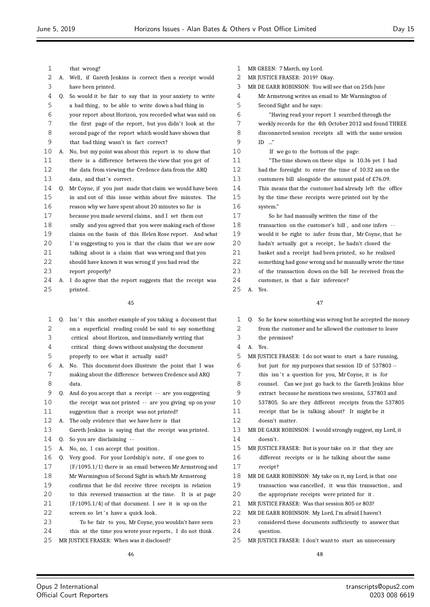| $\mathbf{1}$ |    | that wrong?                                                                                                     | 1        | MR GREEN: 7 March, my Lord.                                         |
|--------------|----|-----------------------------------------------------------------------------------------------------------------|----------|---------------------------------------------------------------------|
| 2            |    | A. Well, if Gareth Jenkins is correct then a receipt would                                                      | 2        | MR JUSTICE FRASER: 2019? Okay.                                      |
| 3            |    | have been printed.                                                                                              | 3        | MR DE GARR ROBINSON: You will see that on 25th June                 |
| 4            | Q. | So would it be fair to say that in your anxiety to write                                                        | 4        | Mr Armstrong writes an email to Mr Warmington of                    |
| 5            |    | a bad thing, to be able to write down a bad thing in                                                            | 5        | Second Sight and he says:                                           |
| 6            |    | your report about Horizon, you recorded what was said on                                                        | 6        | "Having read your report I searched through the                     |
| 7            |    | the first page of the report, but you didn't look at the                                                        | 7        | weekly records for the 4th October 2012 and found THREE             |
| 8            |    | second page of the report which would have shown that                                                           | 8        | disconnected session receipts all with the same session             |
| 9            |    | that bad thing wasn't in fact correct?                                                                          | 9        | $ID \dots$ "                                                        |
| 10           |    | A. No, but my point was about this report is to show that                                                       | 10       | If we go to the bottom of the page:                                 |
| 11           |    | there is a difference between the view that you get of                                                          | 11       | "The time shown on these slips is 10.36 yet I had                   |
| 12           |    | the data from viewing the Credence data from the ARQ                                                            | 12       | had the foresight to enter the time of 10.32 am on the              |
| 13           |    | data, and that's correct.                                                                                       | 13       | customers bill alongside the amount paid of £76.09.                 |
| 14           | 0. | Mr Coyne, if you just made that claim we would have been                                                        | 14       | This means that the customer had already left the office            |
| 15           |    | in and out of this issue within about five minutes. The                                                         | 15       | by the time these receipts were printed out by the                  |
| 16           |    | reason why we have spent about 20 minutes so far is                                                             | 16       | system."                                                            |
| 17           |    | because you made several claims, and I set them out                                                             | 17       | So he had manually written the time of the                          |
| 18           |    | orally and you agreed that you were making each of those                                                        | 18       | transaction on the customer's bill, and one infers --               |
| 19           |    | claims on the basis of this Helen Rose report. And what                                                         | 19       | would it be right to infer from that, Mr Coyne, that he             |
| 20           |    | I'm suggesting to you is that the claim that we are now                                                         | 20       | hadn't actually got a receipt, he hadn't closed the                 |
| 21           |    | talking about is a claim that was wrong and that you                                                            | 21       | basket and a receipt had been printed, so he realised               |
| 22           |    | should have known it was wrong if you had read the                                                              | 22       | something had gone wrong and he manually wrote the time             |
| 23           |    | report properly?                                                                                                | 23       | of the transaction down on the bill he received from the            |
| 24           |    | A. I do agree that the report suggests that the receipt was                                                     | 24       | customer, is that a fair inference?                                 |
| 25           |    | printed.                                                                                                        | 25       | A. Yes.                                                             |
|              |    | 45                                                                                                              |          | 47                                                                  |
|              |    |                                                                                                                 |          |                                                                     |
| 1            | Q. | Isn't this another example of you taking a document that                                                        | 1        | Q. So he knew something was wrong but he accepted the money         |
| 2            |    | on a superficial reading could be said to say something                                                         | 2        | from the customer and he allowed the customer to leave              |
| 3            |    | critical about Horizon, and immediately writing that                                                            | 3        | the premises?                                                       |
| 4            |    | critical thing down without analysing the document                                                              | 4        | A. Yes.                                                             |
| 5            |    | properly to see what it actually said?                                                                          | 5        | MR JUSTICE FRASER: I do not want to start a hare running,           |
| 6            |    | A. No. This document does illustrate the point that I was                                                       | 6        | but just for my purposes that session ID of 537803 --               |
| 7            |    | making about the difference between Credence and ARQ                                                            | 7        | this isn't a question for you, Mr Coyne, it is for                  |
| 8            |    | data.                                                                                                           | 8        | counsel. Can we just go back to the Gareth Jenkins blue             |
| 9            | Q. | And do you accept that a receipt -- are you suggesting                                                          | 9        | extract because he mentions two sessions, 537803 and                |
| 10           |    | the receipt was not printed -- are you giving up on your                                                        | 10       | 537805. So are they different receipts from the 537805              |
| 11           |    | suggestion that a receipt was not printed?                                                                      | 11       | receipt that he is talking about? It might be it                    |
| 12           | А. | The only evidence that we have here is that                                                                     | 12       | doesn't matter.                                                     |
| 13           |    | Gareth Jenkins is saying that the receipt was printed.                                                          | 13       | MR DE GARR ROBINSON: I would strongly suggest, my Lord, it          |
| 14           | Q. | So you are disclaiming --                                                                                       | 14       | doesn't.                                                            |
| 15           | А. | No, no, I can accept that position.                                                                             | 15       | MR JUSTICE FRASER: But is your take on it that they are             |
| 16           | Q. | Very good. For your Lordship's note, if one goes to                                                             | 16       | different receipts or is he talking about the same                  |
| 17           |    | $(F/1095.1/1)$ there is an email between Mr Armstrong and                                                       | 17       | receipt?                                                            |
| 18           |    | Mr Warmington of Second Sight in which Mr Armstrong                                                             | 18       | MR DE GARR ROBINSON: My take on it, my Lord, is that one            |
| 19           |    | confirms that he did receive three receipts in relation                                                         | 19       | transaction was cancelled, it was this transaction, and             |
| 20           |    | to this reversed transaction at the time. It is at page                                                         | 20       | the appropriate receipts were printed for it.                       |
| 21<br>22     |    | $[F/1095.1/4]$ of that document. I see it is up on the                                                          | 21<br>22 | MR JUSTICE FRASER: Was that session 805 or 803?                     |
| 23           |    | screen so let's have a quick look.                                                                              |          | MR DE GARR ROBINSON: My Lord, I'm afraid I haven't                  |
|              |    | To be fair to you, Mr Coyne, you wouldn't have seen<br>this at the time you wrote your reports, I do not think. | 23<br>24 | considered these documents sufficiently to answer that<br>question. |
| 24           |    |                                                                                                                 |          |                                                                     |

- 24 this at the time you wrote your reports, I do not think.
- MR JUSTICE FRASER: When was it disclosed?

MR JUSTICE FRASER: I don't want to start an unnecessary

 $\equiv$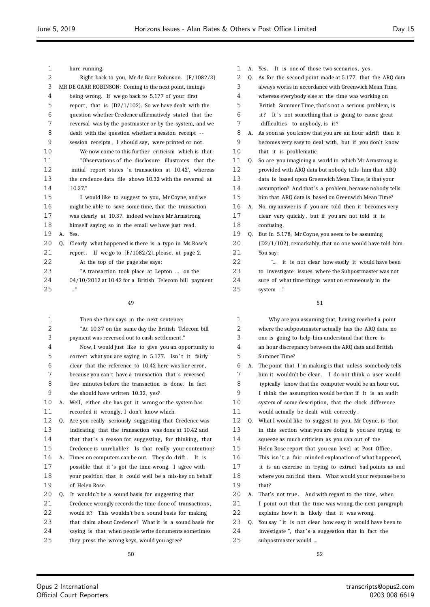| 1        |                                                          | hare running.                                                                                                  | 1        |    | A. Yes. It is one of those two scenarios, yes.                                                             |
|----------|----------------------------------------------------------|----------------------------------------------------------------------------------------------------------------|----------|----|------------------------------------------------------------------------------------------------------------|
| 2        |                                                          | Right back to you, Mr de Garr Robinson. {F/1082/3}                                                             | 2        | Q. | As for the second point made at 5.177, that the ARQ data                                                   |
| 3        |                                                          | MR DE GARR ROBINSON: Coming to the next point, timings                                                         | 3        |    | always works in accordance with Greenwich Mean Time,                                                       |
| 4        |                                                          | being wrong. If we go back to 5.177 of your first                                                              | 4        |    | whereas everybody else at the time was working on                                                          |
| 5        | report, that is $(D2/1/102)$ . So we have dealt with the |                                                                                                                |          |    | British Summer Time, that's not a serious problem, is                                                      |
| 6        |                                                          | question whether Credence affirmatively stated that the                                                        | 5<br>6   |    | it? It's not something that is going to cause great                                                        |
| 7        |                                                          | reversal was by the postmaster or by the system, and we                                                        | 7        |    | difficulties to anybody, is it?                                                                            |
| 8        |                                                          | dealt with the question whether a session receipt --                                                           | 8        |    | A. As soon as you know that you are an hour adrift then it                                                 |
| 9        |                                                          | session receipts, I should say, were printed or not.                                                           | 9        |    | becomes very easy to deal with, but if you don't know                                                      |
| 10       |                                                          | We now come to this further criticism which is that:                                                           | 10       |    | that it is problematic.                                                                                    |
| 11       |                                                          | "Observations of the disclosure) illustrates) that the                                                         | 11       | 0. | So are you imagining a world in which Mr Armstrong is                                                      |
| 12       |                                                          | initial report states 'a transaction at 10.42', whereas                                                        | 12       |    | provided with ARQ data but nobody tells him that ARQ                                                       |
| 13       |                                                          | the credence data file shows 10.32 with the reversal at                                                        | 13       |    | data is based upon Greenwich Mean Time, is that your                                                       |
| 14       |                                                          | 10.37."                                                                                                        | 14       |    | assumption? And that's a problem, because nobody tells                                                     |
| 15       |                                                          | I would like to suggest to you, Mr Coyne, and we                                                               | 15       |    | him that ARQ data is based on Greenwich Mean Time?                                                         |
| 16       |                                                          | might be able to save some time, that the transaction                                                          | 16       | А. | No, my answer is if you are told then it becomes very                                                      |
| 17       |                                                          | was clearly at 10.37, indeed we have Mr Armstrong                                                              | 17       |    | clear very quickly, but if you are not told it is                                                          |
| 18       |                                                          | himself saying so in the email we have just read.                                                              | 18       |    | confusing.                                                                                                 |
| 19       | А.                                                       | Yes.                                                                                                           | 19       | Q. | But in 5.178, Mr Coyne, you seem to be assuming                                                            |
| 20       | 0.                                                       | Clearly what happened is there is a typo in Ms Rose's                                                          | 20       |    | {D2/1/102}, remarkably, that no one would have told him.                                                   |
| 21       |                                                          | report. If we go to ${F/1082/2}$ , please, at page 2.                                                          | 21       |    | You say:                                                                                                   |
| 22       |                                                          | At the top of the page she says:                                                                               | 22       |    | " it is not clear how easily it would have been                                                            |
| 23       |                                                          | "A transaction took place at Lepton  on the                                                                    | 23       |    | to investigate issues where the Subpostmaster was not                                                      |
| 24       |                                                          | 04/10/2012 at 10.42 for a British Telecom bill payment                                                         | 24       |    | sure of what time things went on erroneously in the                                                        |
| 25       |                                                          | $\cdot$ ."                                                                                                     | 25       |    | system "                                                                                                   |
|          |                                                          | 49                                                                                                             |          |    | 51                                                                                                         |
| 1        |                                                          | Then she then says in the next sentence:                                                                       | 1        |    | Why are you assuming that, having reached a point                                                          |
| 2        |                                                          | "At 10.37 on the same day the British Telecom bill                                                             | 2        |    | where the subpostmaster actually has the ARQ data, no                                                      |
| 3        |                                                          | payment was reversed out to cash settlement."                                                                  | 3        |    | one is going to help him understand that there is                                                          |
| 4        |                                                          | Now, I would just like to give you an opportunity to                                                           | 4        |    | an hour discrepancy between the ARQ data and British                                                       |
| 5        |                                                          | correct what you are saying in 5.177. Isn't it fairly                                                          | 5        |    | Summer Time?                                                                                               |
| 6        |                                                          | clear that the reference to 10.42 here was her error,                                                          | 6        | А. | The point that I'm making is that unless somebody tells                                                    |
| 7        |                                                          | because you can't have a transaction that's reversed                                                           | 7        |    | him it wouldn't be clear. I do not think a user would                                                      |
| 8        |                                                          | five minutes before the transaction is done. In fact                                                           | 8        |    | typically know that the computer would be an hour out.                                                     |
| 9        |                                                          | she should have written 10.32, yes?                                                                            | 9        |    | I think the assumption would be that if it is an audit                                                     |
| 10       | А.                                                       | Well, either she has got it wrong or the system has                                                            | 10       |    | system of some description, that the clock difference                                                      |
| 11       |                                                          | recorded it wrongly, I don't know which.                                                                       | 11       |    | would actually be dealt with correctly.                                                                    |
| 12       |                                                          | Q. Are you really seriously suggesting that Credence was                                                       | 12       | Q. | What I would like to suggest to you, Mr Coyne, is that                                                     |
| 13       |                                                          | indicating that the transaction was done at 10.42 and                                                          | 13       |    | in this section what you are doing is you are trying to                                                    |
| 14       |                                                          | that that's a reason for suggesting, for thinking, that                                                        | 14       |    | squeeze as much criticism as you can out of the                                                            |
| 15       |                                                          | Credence is unreliable? Is that really your contention?                                                        | 15       |    | Helen Rose report that you can level at Post Office.                                                       |
|          |                                                          | A. Times on computers can be out. They do drift. It is                                                         | 16       |    | This isn't a fair-minded explanation of what happened,                                                     |
| 16       |                                                          |                                                                                                                |          |    |                                                                                                            |
| 17       |                                                          | possible that it's got the time wrong. I agree with                                                            | 17       |    | it is an exercise in trying to extract bad points as and                                                   |
| 18       |                                                          | your position that it could well be a mis-key on behalf                                                        | 18       |    | where you can find them. What would your response be to                                                    |
| 19       |                                                          | of Helen Rose.                                                                                                 | 19       |    | that?                                                                                                      |
| 20       | Q.                                                       | It wouldn't be a sound basis for suggesting that                                                               | 20       | А. | That's not true. And with regard to the time, when                                                         |
| 21       |                                                          | Credence wrongly records the time done of transactions,                                                        | 21       |    | I point out that the time was wrong, the next paragraph                                                    |
| 22<br>23 |                                                          | would it? This wouldn't be a sound basis for making<br>that claim about Credence? What it is a sound basis for | 22<br>23 |    | explains how it is likely that it was wrong.<br>Q. You say "it is not clear how easy it would have been to |

 Q. You say " it is not clear how easy it would have been to 24 investigate ", that's a suggestion that in fact the subpostmaster would ...

saying is that when people write documents sometimes

they press the wrong keys, would you agree?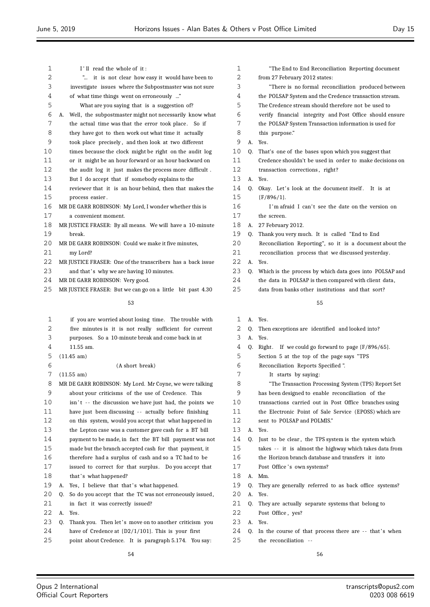| $\mathbf 1$ | I'll read the whole of it:                                              |
|-------------|-------------------------------------------------------------------------|
| 2           | it is not clear how easy it would have been to<br>$\mathbf{r}_{\ldots}$ |
| 3           | investigate issues where the Subpostmaster was not sure                 |
| 4           | of what time things went on erroneously "                               |
| 5           | What are you saying that is a suggestion of?                            |
| 6           | A. Well, the subpostmaster might not necessarily know what              |
| 7           | the actual time was that the error took place. So if                    |
| 8           | they have got to then work out what time it actually                    |
| 9           | took place precisely, and then look at two different                    |
| 10          | times because the clock might be right on the audit log                 |
| 11          | or it might be an hour forward or an hour backward on                   |
| 12          | the audit log it just makes the process more difficult.                 |
| 13          | But I do accept that if somebody explains to the                        |
| 14          | reviewer that it is an hour behind, then that makes the                 |
| 15          | process easier.                                                         |
| 16          | MR DE GARR ROBINSON: My Lord, I wonder whether this is                  |
| 17          | a convenient moment.                                                    |
| 18          | MR JUSTICE FRASER: By all means. We will have a 10-minute               |
| 19          | hreak.                                                                  |
| 20          | MR DE GARR ROBINSON: Could we make it five minutes,                     |
| 21          | my Lord?                                                                |
| 22          | MR JUSTICE FRASER: One of the transcribers has a back issue             |
| 23          | and that's why we are having 10 minutes.                                |
| 24          | MR DE GARR ROBINSON: Very good.                                         |
| 25          | MR JUSTICE FRASER: But we can go on a little bit past 4.30              |
|             |                                                                         |

| 1                 |    | if you are worried about losing time. The trouble with   |
|-------------------|----|----------------------------------------------------------|
| 2                 |    | five minutes is it is not really sufficient for current  |
| 3                 |    | purposes. So a 10-minute break and come back in at       |
| 4                 |    | 11.55 am.                                                |
| 5                 |    | $(11.45 \text{ am})$                                     |
| 6                 |    | (A short break)                                          |
| 7                 |    | (11.55 am)                                               |
| 8                 |    | MR DE GARR ROBINSON: My Lord. Mr Coyne, we were talking  |
| 9                 |    | about your criticisms of the use of Credence. This       |
| 10                |    | isn't -- the discussion we have just had, the points we  |
| 11                |    | have just been discussing -- actually before finishing   |
| $12 \overline{)}$ |    | on this system, would you accept that what happened in   |
| 13                |    | the Lepton case was a customer gave cash for a BT bill   |
| 14                |    | payment to be made, in fact the BT bill payment was not  |
| 15                |    | made but the branch accepted cash for that payment, it   |
| 16                |    | therefore had a surplus of cash and so a TC had to be    |
| 17                |    | issued to correct for that surplus. Do you accept that   |
| 18                |    | that's what happened?                                    |
| 19                | А. | Yes, I believe that that's what happened.                |
| 20                | 0. | So do you accept that the TC was not erroneously issued, |
| 21                |    | in fact it was correctly issued?                         |
| 22                | А. | Yes.                                                     |
| 23                | Q. | Thank you. Then let's move on to another criticism you   |
| 24                |    | have of Credence at $(D2/1/101)$ . This is your first    |
| 25                |    | point about Credence. It is paragraph 5.174. You say:    |
|                   |    | 54                                                       |

| 1              |    | "The End to End Reconciliation Reporting document        |
|----------------|----|----------------------------------------------------------|
| 2              |    | from 27 February 2012 states:                            |
| 3              |    | "There is no formal reconciliation produced between      |
| 4              |    | the POLSAP System and the Credence transaction stream.   |
| 5              |    | The Credence stream should therefore not be used to      |
| 6              |    | verify financial integrity and Post Office should ensure |
| 7              |    | the POLSAP System Transaction information is used for    |
| 8              |    | this purpose."                                           |
| 9              | А. | Yes.                                                     |
| 10             | Q. | That's one of the bases upon which you suggest that      |
| 11             |    | Credence shouldn't be used in order to make decisions on |
| 12             |    | transaction corrections, right?                          |
| 13             | А. | Yes.                                                     |
| 14             | Q. | Okay. Let's look at the document itself. It is at        |
| 15             |    | ${F/896/1}.$                                             |
| 16             |    | I'm afraid I can't see the date on the version on        |
| 17             |    | the screen.                                              |
| 18             | А. | 27 February 2012.                                        |
| 19             | 0. | Thank you very much. It is called "End to End            |
| 20             |    | Reconciliation Reporting", so it is a document about the |
| 21             |    | reconciliation process that we discussed yesterday.      |
| 22             | А. | Yes.                                                     |
| 23             | Q. | Which is the process by which data goes into POLSAP and  |
| 24             |    | the data in POLSAP is then compared with client data,    |
| 25             |    | data from banks other institutions and that sort?        |
|                |    | 55                                                       |
| $\mathbf 1$    | A. | Yes.                                                     |
| $\overline{2}$ | Q. | Then exceptions are identified and looked into?          |
|                |    |                                                          |

|  | YPS.   |
|--|--------|
|  | $\sim$ |

- 4 Q. Right. If we could go forward to page  $\{F/896/65\}$ .
- Section 5 at the top of the page says "TPS
- Reconciliation Reports Specified ".
- It starts by saying:
- "The Transaction Processing System (TPS) Report Set
- has been designed to enable reconciliation of the
- transactions carried out in Post Office branches using
- the Electronic Point of Sale Service (EPOSS) which are
- sent to POLSAP and POLMIS."
- A. Yes.
- 14 O. Just to be clear, the TPS system is the system which
- takes - it is almost the highway which takes data from
- the Horizon branch database and transfers it into
- 17 Post Office's own systems?
- A. Mm.
- Q. They are generally referred to as back office systems?
- A. Yes.
- Q. They are actually separate systems that belong to
- Post Office , yes?
- A. Yes.
- 24 Q. In the course of that process there are -- that's when the reconciliation - -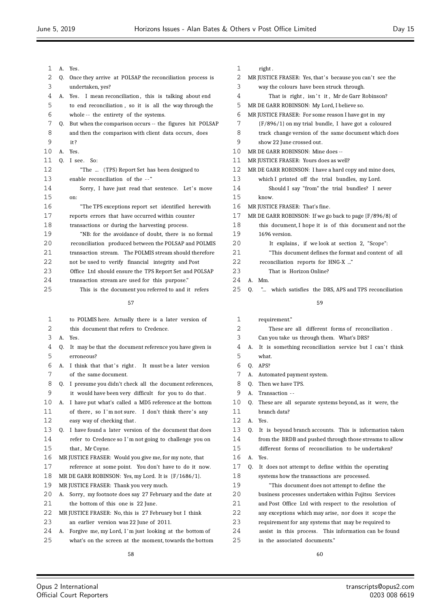$\equiv$ 

| 1      | А. | Yes.                                                                                                             |
|--------|----|------------------------------------------------------------------------------------------------------------------|
| 2      | 0. | Once they arrive at POLSAP the reconciliation process is                                                         |
| 3      |    | undertaken, yes?                                                                                                 |
| 4      | А. | I mean reconciliation, this is talking about end<br>Yes.                                                         |
| 5      |    | to end reconciliation, so it is all the way through the                                                          |
| 6      |    | whole -- the entirety of the systems.                                                                            |
| 7      | Q. | But when the comparison occurs -- the figures hit POLSAP                                                         |
| 8      |    | and then the comparison with client data occurs, does                                                            |
| 9      |    | it?                                                                                                              |
| 10     | А. | Yes.                                                                                                             |
| 11     | 0. | I see. So:                                                                                                       |
| 12     |    | "The  (TPS) Report Set has been designed to                                                                      |
| 13     |    | enable reconciliation of the --"                                                                                 |
| 14     |    | Sorry, I have just read that sentence. Let's move                                                                |
| 15     |    | on:                                                                                                              |
| 16     |    | "The TPS exceptions report set identified herewith                                                               |
| 17     |    | reports errors that have occurred within counter                                                                 |
| 18     |    | transactions or during the harvesting process.                                                                   |
| 19     |    | "NB: for the avoidance of doubt, there is no formal                                                              |
| 20     |    | reconciliation produced between the POLSAP and POLMIS                                                            |
| 21     |    | transaction stream. The POLMIS stream should therefore                                                           |
| 22     |    | not be used to verify financial integrity and Post                                                               |
| 23     |    | Office Ltd should ensure the TPS Report Set and POLSAP                                                           |
| 24     |    | transaction stream are used for this purpose."                                                                   |
| 25     |    | This is the document you referred to and it refers                                                               |
|        |    | 57                                                                                                               |
|        |    |                                                                                                                  |
| 1      |    | to POLMIS here. Actually there is a later version of                                                             |
| 2      |    | this document that refers to Credence.                                                                           |
| 3      | А. | Yes.                                                                                                             |
| 4      | Q. | It may be that the document reference you have given is                                                          |
| 5<br>6 |    | erroneous?                                                                                                       |
| 7      | А. | I think that that's right. It must be a later version<br>of the same document.                                   |
| 8      |    |                                                                                                                  |
| 9      | Q. | I presume you didn't check all the document references,<br>it would have been very difficult for you to do that. |
| 10     | А. | I have put what's called a MD5 reference at the bottom                                                           |
| 11     |    | of there, so I'm not sure. I don't think there's any                                                             |
| 12     |    | easy way of checking that.                                                                                       |
| 13     | Q. | I have found a later version of the document that does                                                           |
| 14     |    | refer to Credence so I'm not going to challenge you on                                                           |
| 15     |    | that, Mr Coyne.                                                                                                  |
| 16     |    | MR JUSTICE FRASER: Would you give me, for my note, that                                                          |
| 17     |    | reference at some point. You don't have to do it now.                                                            |
| 18     |    | MR DE GARR ROBINSON: Yes, my Lord. It is {F/1686/1}.                                                             |
| 19     |    | MR JUSTICE FRASER: Thank you very much.                                                                          |
| 20     | А. | Sorry, my footnote does say 27 February and the date at                                                          |
| 21     |    | the bottom of this one is 22 June.                                                                               |
| 22     |    | MR JUSTICE FRASER: No, this is 27 February but I think                                                           |
| 23     |    | an earlier version was 22 June of 2011.                                                                          |
| 24     | А. | Forgive me, my Lord, I'm just looking at the bottom of                                                           |
| 25     |    | what's on the screen at the moment, towards the bottom                                                           |
|        |    |                                                                                                                  |

# 1 right.

| 2        |    | MR JUSTICE FRASER: Yes, that's because you can't see the                               |
|----------|----|----------------------------------------------------------------------------------------|
| 3        |    | way the colours have been struck through.                                              |
| 4        |    | That is right, isn't it, Mr de Garr Robinson?                                          |
| 5        |    | MR DE GARR ROBINSON: My Lord, I believe so.                                            |
| 6        |    | MR JUSTICE FRASER: For some reason I have got in my                                    |
| 7        |    | $(F/896/1)$ on my trial bundle, I have got a coloured                                  |
| 8        |    | track change version of the same document which does                                   |
| 9        |    | show 22 June crossed out.                                                              |
| 10       |    | MR DE GARR ROBINSON: Mine does --                                                      |
|          |    |                                                                                        |
| 11       |    | MR JUSTICE FRASER: Yours does as well?                                                 |
| 12       |    | MR DE GARR ROBINSON: I have a hard copy and mine does,                                 |
| 13       |    | which I printed off the trial bundles, my Lord.                                        |
| 14       |    | Should I say "from" the trial bundles? I never                                         |
| 15       |    | know.                                                                                  |
| 16       |    | MR JUSTICE FRASER: That's fine.                                                        |
| 17       |    | MR DE GARR ROBINSON: If we go back to page {F/896/8} of                                |
| 18       |    | this document, I hope it is of this document and not the                               |
| 19       |    | 1696 version.                                                                          |
| 20       |    | It explains, if we look at section 2, "Scope":                                         |
| 21       |    | "This document defines the format and content of all                                   |
| 22       |    | reconciliation reports for HNG-X "                                                     |
| 23       |    | That is Horizon Online?                                                                |
| 24       | А. | Mm.                                                                                    |
| 25       | Q. | " which satisfies the DRS, APS and TPS reconciliation                                  |
|          |    |                                                                                        |
|          |    | 59                                                                                     |
|          |    |                                                                                        |
|          |    |                                                                                        |
| 1        |    | requirement."                                                                          |
| 2        |    | These are all different forms of reconciliation.                                       |
| 3        |    | Can you take us through them. What's DRS?                                              |
| 4        | A. | It is something reconciliation service but I can't think                               |
| 5        |    | what.                                                                                  |
| 6        | 0. | APS?                                                                                   |
| 7        | А. | Automated payment system.                                                              |
| 8        | 0. | Then we have TPS.                                                                      |
| 9        | A. | Transaction --                                                                         |
| 10       | Q. | These are all separate systems beyond, as it were, the                                 |
| 11       |    | branch data?                                                                           |
| 12       | А. | Yes.                                                                                   |
| 13       | 0. | It is beyond branch accounts. This is information taken                                |
| 14       |    | from the BRDB and pushed through those streams to allow                                |
| 15       |    | different forms of reconciliation to be undertaken?                                    |
| 16       | А. | Yes.                                                                                   |
| 17       |    |                                                                                        |
|          | Q. | It does not attempt to define within the operating                                     |
| 18       |    | systems how the transactions are processed.                                            |
| 19       |    | "This document does not attempt to define the                                          |
| 20       |    | business processes undertaken within Fujitsu Services                                  |
| 21       |    | and Post Office Ltd with respect to the resolution of                                  |
| 22       |    | any exceptions which may arise, nor does it scope the                                  |
| 23       |    | requirement for any systems that may be required to                                    |
| 24<br>25 |    | assist in this process. This information can be found<br>in the associated documents." |

 $\equiv$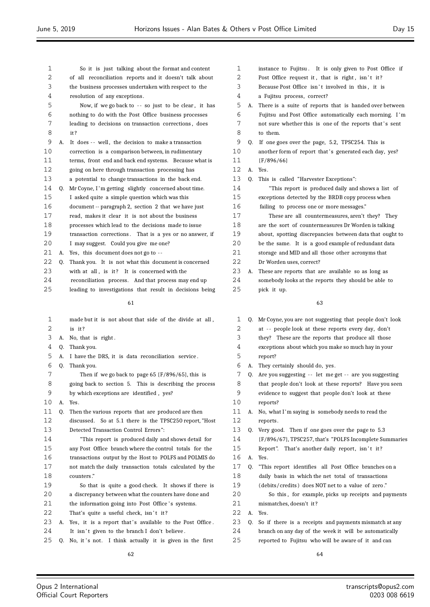| 1  |    | So it is just talking about the format and content       |                |
|----|----|----------------------------------------------------------|----------------|
| 2  |    | of all reconciliation reports and it doesn't talk about  |                |
| 3  |    | the business processes undertaken with respect to the    |                |
| 4  |    | resolution of any exceptions.                            |                |
| 5  |    | Now, if we go back to -- so just to be clear, it has     |                |
| 6  |    | nothing to do with the Post Office business processes    |                |
| 7  |    | leading to decisions on transaction corrections, does    |                |
| 8  |    | it?                                                      |                |
| 9  | A. | It does -- well, the decision to make a transaction      |                |
| 10 |    | correction is a comparison between, in rudimentary       | 1              |
| 11 |    | terms, front end and back end systems. Because what is   | $\mathbf{1}$   |
| 12 |    | going on here through transaction processing has         | $\mathbf{1}$   |
| 13 |    | a potential to change transactions in the back end.      | $\mathbf{1}$   |
| 14 | Q. | Mr Coyne, I'm getting slightly concerned about time.     | $\mathbf{1}$   |
| 15 |    | I asked quite a simple question which was this           | 1              |
| 16 |    | document -- paragraph 2, section 2 that we have just     | 1              |
| 17 |    | read, makes it clear it is not about the business        | $\mathbf{1}$   |
| 18 |    | processes which lead to the decisions made to issue      | 1              |
| 19 |    | transaction corrections. That is a yes or no answer, if  | $\mathbf{1}$   |
| 20 |    | I may suggest. Could you give me one?                    | 2              |
| 21 | А. | Yes, this document does not go to --                     | 2              |
| 22 | Q. | Thank you. It is not what this document is concerned     | $\overline{2}$ |
| 23 |    | with at all, is it? It is concerned with the             | 2              |
| 24 |    | reconciliation process. And that process may end up      | 2              |
| 25 |    | leading to investigations that result in decisions being | 2              |
|    |    | 61                                                       |                |
|    |    |                                                          |                |
| 1  |    | made but it is not about that side of the divide at all, |                |
| 2  |    | is it?                                                   |                |
| 3  | А. | No, that is right.                                       |                |
| 4  | Q. | Thank you.                                               |                |
| 5  | A. | I have the DRS, it is data reconciliation service.       |                |
| 6  | 0. | Thank you.                                               |                |
| 7  |    | Then if we do hack to nade $65$ ( $F/896/65$ ) this is   |                |

- Then if we go back to page  $65$  {F/896/65}, this is going back to section 5. This is describing the process
- by which exceptions are identified , yes?
- A. Yes.
- Q. Then the various reports that are produced are then

 discussed. So at 5.1 there is the TPSC250 report, "Host Detected Transaction Control Errors ":

 "This report is produced daily and shows detail for any Post Office branch where the control totals for the transactions output by the Host to POLFS and POLMIS do not match the daily transaction totals calculated by the counters ."

- So that is quite a good check. It shows if there is a discrepancy between what the counters have done and
- 21 the information going into Post Office's systems.
- 22 That's quite a useful check, isn't it?
- 23 A. Yes, it is a report that's available to the Post Office.
- 24 It isn't given to the branch I don't believe.
- 25 Q. No, it's not. I think actually it is given in the first
- instance to Fujitsu . It is only given to Post Office if 2 Post Office request it, that is right, isn't it? 3 Because Post Office isn't involved in this, it is a Fujitsu process, correct? A. There is a suite of reports that is handed over between Fujitsu and Post Office automatically each morning. I 'm 7 not sure whether this is one of the reports that's sent to them. Q. If one goes over the page, 5.2, TPSC254. This is 0 another form of report that's generated each day, yes? {F/896/66} A. Yes. Q. This is called "Harvester Exceptions": "This report is produced daily and shows a list of exceptions detected by the BRDB copy process when failing to process one or more messages." These are all countermeasures, aren't they? They are the sort of countermeasures Dr Worden is talking about, spotting discrepancies between data that ought to be the same. It is a good example of redundant data storage and MID and all those other acronyms that Dr Worden uses, correct? A. These are reports that are available so as long as somebody looks at the reports they should be able to
	-

pick it up.

| 1  |    | Q. Mr Coyne, you are not suggesting that people don't look |
|----|----|------------------------------------------------------------|
| 2  |    | at -- people look at these reports every day, don't        |
| 3  |    | they? These are the reports that produce all those         |
| 4  |    | exceptions about which you make so much hay in your        |
| 5  |    | report?                                                    |
| 6  | А. | They certainly should do, yes.                             |
| 7  | 0. | Are you suggesting -- let me get -- are you suggesting     |
| 8  |    | that people don't look at these reports? Have you seen     |
| 9  |    | evidence to suggest that people don't look at these        |
| 10 |    | reports?                                                   |
| 11 | А. | No, what I'm saying is somebody needs to read the          |
| 12 |    | reports.                                                   |
| 13 | 0. | Very good. Then if one goes over the page to 5.3           |
| 14 |    | {F/896/67}, TPSC257, that's "POLFS Incomplete Summaries    |
| 15 |    | Report". That's another daily report, isn't it?            |
| 16 | A. | Yes.                                                       |
| 17 | 0. | "This report identifies all Post Office branches on a      |
| 18 |    | daily basis in which the net total of transactions         |
| 19 |    | (debits/credits) does NOT net to a value of zero."         |
| 20 |    | So this, for example, picks up receipts and payments       |
| 21 |    | mismatches, doesn't it?                                    |
| 22 | А. | Yes.                                                       |
| 23 | 0. | So if there is a receipts and payments mismatch at any     |
| 24 |    | branch on any day of the week it will be automatically     |
| 25 |    | reported to Fujitsu who will be aware of it and can        |
|    |    |                                                            |
|    |    | 64                                                         |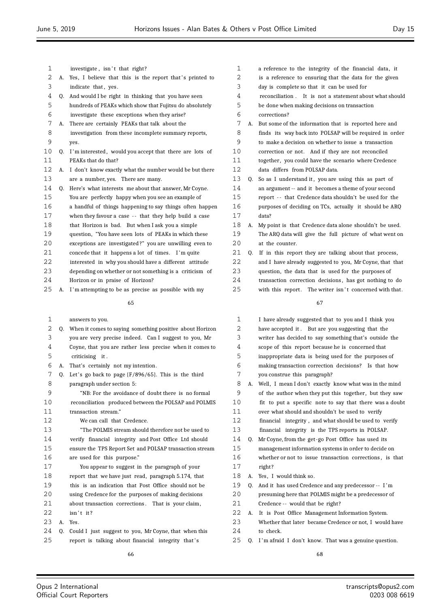| 1  |    | investigate, isn't that right?                           |
|----|----|----------------------------------------------------------|
| 2  | А. | Yes, I believe that this is the report that's printed to |
| 3  |    | indicate that, yes.                                      |
| 4  | 0. | And would I be right in thinking that you have seen      |
| 5  |    | hundreds of PEAKs which show that Fujitsu do absolutely  |
| 6  |    | investigate these exceptions when they arise?            |
| 7  | А. | There are certainly PEAKs that talk about the            |
| 8  |    | investigation from these incomplete summary reports,     |
| 9  |    | yes.                                                     |
| 10 | Q. | I'm interested, would you accept that there are lots of  |
| 11 |    | PEAKs that do that?                                      |
| 12 | А. | I don't know exactly what the number would be but there  |
| 13 |    | are a number, yes. There are many.                       |
| 14 | 0. | Here's what interests me about that answer, Mr Coyne.    |
| 15 |    | You are perfectly happy when you see an example of       |
| 16 |    | a handful of things happening to say things often happen |
| 17 |    | when they favour a case -- that they help build a case   |
| 18 |    | that Horizon is bad. But when I ask you a simple         |
| 19 |    | question, "You have seen lots of PEAKs in which these    |
| 20 |    | exceptions are investigated?" you are unwilling even to  |
| 21 |    | concede that it happens a lot of times. I'm quite        |
| 22 |    | interested in why you should have a different attitude   |
| 23 |    | depending on whether or not something is a criticism of  |
| 24 |    | Horizon or in praise of Horizon?                         |
| 25 | А. | I'm attempting to be as precise as possible with my      |
|    |    | 65                                                       |
| 1  |    | answers to you.                                          |
| 2  | 0. | When it comes to saying something positive about Horizon |
|    |    |                                                          |

| ∠  | v. | when it comes to saying something positive about Horizon |
|----|----|----------------------------------------------------------|
| 3  |    | you are very precise indeed. Can I suggest to you, Mr    |
| 4  |    | Coyne, that you are rather less precise when it comes to |
| 5  |    | criticising it.                                          |
| 6  | А. | That's certainly not my intention.                       |
| 7  | 0. | Let's go back to page $\{F/896/65\}$ . This is the third |
| 8  |    | paragraph under section 5:                               |
| 9  |    | "NB: For the avoidance of doubt there is no formal       |
| 10 |    | reconciliation produced between the POLSAP and POLMIS    |
| 11 |    | transaction stream."                                     |
| 12 |    | We can call that Credence.                               |
| 13 |    | "The POLMIS stream should therefore not be used to       |
| 14 |    | verify financial integrity and Post Office Ltd should    |
| 15 |    | ensure the TPS Report Set and POLSAP transaction stream  |
| 16 |    | are used for this purpose."                              |
| 17 |    | You appear to suggest in the paragraph of your           |
| 18 |    | report that we have just read, paragraph 5.174, that     |
| 19 |    | this is an indication that Post Office should not be     |
| 20 |    | using Credence for the purposes of making decisions      |
| 21 |    | about transaction corrections. That is your claim,       |
| 22 |    | isn't it?                                                |
| 23 | A. | Yes.                                                     |
| 24 | Q. | Could I just suggest to you, Mr Coyne, that when this    |
| 25 |    | report is talking about financial integrity that's       |
|    |    |                                                          |

- a reference to the integrity of the financial data, it is a reference to ensuring that the data for the given
- day is complete so that it can be used for
- reconciliation . It is not a statement about what should
- be done when making decisions on transaction

# corrections?

- A. But some of the information that is reported here and finds its way back into POLSAP will be required in order to make a decision on whether to issue a transaction
- correction or not. And if they are not reconciled
- 11 together, you could have the scenario where Credence data differs from POLSAP data.
- 13 Q. So as I understand it, you are using this as part of
- an argument -- and it becomes a theme of your second
- report - that Credence data shouldn't be used for the
- purposes of deciding on TCs, actually it should be ARQ data?
- A. My point is that Credence data alone shouldn't be used. The ARQ data will give the full picture of what went on at the counter.
- Q. If in this report they are talking about that process, and I have already suggested to you, Mr Coyne, that that question, the data that is used for the purposes of transaction correction decisions , has got nothing to do 25 with this report. The writer isn't concerned with that.

### 

| 1  |    | I have already suggested that to you and I think you     |
|----|----|----------------------------------------------------------|
| 2  |    | have accepted it. But are you suggesting that the        |
| 3  |    | writer has decided to say something that's outside the   |
| 4  |    | scope of this report because he is concerned that        |
| 5  |    | inappropriate data is being used for the purposes of     |
| 6  |    | making transaction correction decisions? Is that how     |
| 7  |    | you construe this paragraph?                             |
| 8  | А. | Well, I mean I don't exactly know what was in the mind   |
| 9  |    | of the author when they put this together, but they saw  |
| 10 |    | fit to put a specific note to say that there was a doubt |
| 11 |    | over what should and shouldn't be used to verify         |
| 12 |    | financial integrity, and what should be used to verify   |
| 13 |    | financial integrity is the TPS reports in POLSAP.        |
| 14 | 0. | Mr Coyne, from the get-go Post Office has used its       |
| 15 |    | management information systems in order to decide on     |
| 16 |    | whether or not to issue transaction corrections, is that |
| 17 |    | right?                                                   |
| 18 | А. | Yes, I would think so.                                   |
| 19 | 0. | And it has used Credence and any predecessor -- I'm      |
| 20 |    | presuming here that POLMIS might be a predecessor of     |
| 21 |    | Credence -- would that be right?                         |
| 22 | А. | It is Post Office Management Information System.         |
| 23 |    | Whether that later became Credence or not, I would have  |
| 24 |    | to check.                                                |

Q. I 'm afraid I don't know. That was a genuine question.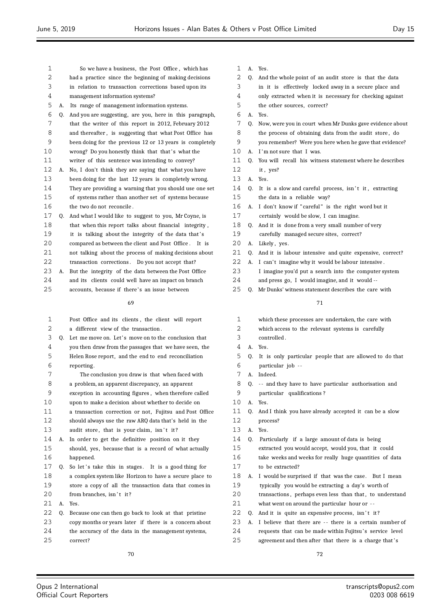- So we have a business, the Post Office , which has had a practice since the beginning of making decisions in relation to transaction corrections based upon its management information systems? A. Its range of management information systems. Q. And you are suggesting, are you, here in this paragraph, that the writer of this report in 2012, February 2012 and thereafter , is suggesting that what Post Office has been doing for the previous 12 or 13 years is completely 10 wrong? Do you honestly think that that's what the writer of this sentence was intending to convey? A. No, I don't think they are saying that what you have been doing for the last 12 years is completely wrong. They are providing a warning that you should use one set of systems rather than another set of systems because the two do not reconcile . Q. And what I would like to suggest to you, Mr Coyne, is that when this report talks about financial integrity , 19 it is talking about the integrity of the data that's 20 compared as between the client and Post Office . It is not talking about the process of making decisions about 22 transaction corrections. Do you not accept that? A. But the integrity of the data between the Post Office and its clients could well have an impact on branch 25 accounts, because if there's an issue between Post Office and its clients , the client will report a different view of the transaction . 3 Q. Let me move on. Let's move on to the conclusion that you then draw from the passages that we have seen, the Helen Rose report, and the end to end reconciliation reporting . The conclusion you draw is that when faced with a problem, an apparent discrepancy, an apparent exception in accounting figures , when therefore called upon to make a decision about whether to decide on a transaction correction or not, Fujitsu and Post Office
- should always use the raw ARQ data that's held in the 13 audit store, that is your claim, isn't it?
- A. In order to get the definitive position on it they should, yes, because that is a record of what actually happened.
- 17 Q. So let's take this in stages. It is a good thing for a complex system like Horizon to have a secure place to store a copy of all the transaction data that comes in 20 from branches, isn't it?
- A. Yes.
- Q. Because one can then go back to look at that pristine
- copy months or years later if there is a concern about the accuracy of the data in the management systems,
- correct?

- A. Yes.
- Q. And the whole point of an audit store is that the data
- in it is effectively locked away in a secure place and
- only extracted when it is necessary for checking against
- the other sources, correct?
- A. Yes.
- Q. Now, were you in court when Mr Dunks gave evidence about 8 the process of obtaining data from the audit store, do you remember? Were you here when he gave that evidence?
- 10 A. I'm not sure that I was.
- Q. You will recall his witness statement where he describes it , yes?
- A. Yes.
- Q. It is a slow and careful process, isn't it, extracting the data in a reliable way?
- A. I don't know if " careful " is the right word but it
- certainly would be slow, I can imagine.
- Q. And it is done from a very small number of very
- carefully managed secure sites, correct?
- 20 A. Likely, yes.
- Q. And it is labour intensive and quite expensive, correct?
- 22 A. I can't imagine why it would be labour intensive.
- I imagine you'd put a search into the computer system and press go, I would imagine, and it would --
- Q. Mr Dunks' witness statement describes the care with

| 1                 |    | which these processes are undertaken, the care with      |
|-------------------|----|----------------------------------------------------------|
| 2                 |    | which access to the relevant systems is carefully        |
| 3                 |    | controlled.                                              |
| 4                 |    | A. Yes.                                                  |
| 5                 | 0. | It is only particular people that are allowed to do that |
| 6                 |    | particular job --                                        |
| 7                 | A. | Indeed.                                                  |
| 8                 | 0. | -- and they have to have particular authorisation and    |
| 9                 |    | particular qualifications?                               |
| 10                | A. | Yes.                                                     |
| 11                | 0. | And I think you have already accepted it can be a slow   |
| $12 \overline{ }$ |    | process?                                                 |
| 13                | A. | Yes.                                                     |
| 14                | 0. | Particularly if a large amount of data is being          |
| 15                |    | extracted you would accept, would you, that it could     |
| 16                |    | take weeks and weeks for really huge quantities of data  |
| 17                |    | to be extracted?                                         |
| 18                | А. | I would be surprised if that was the case. But I mean    |
| 19                |    | typically you would be extracting a day's worth of       |
| 20                |    | transactions, perhaps even less than that, to understand |
| 21                |    | what went on around the particular hour or --            |
| 22                | 0. | And it is quite an expensive process, isn't it?          |
| 23                | А. | I believe that there are -- there is a certain number of |
| 24                |    | requests that can be made within Fujitsu's service level |
| 25                |    | agreement and then after that there is a charge that's   |
|                   |    |                                                          |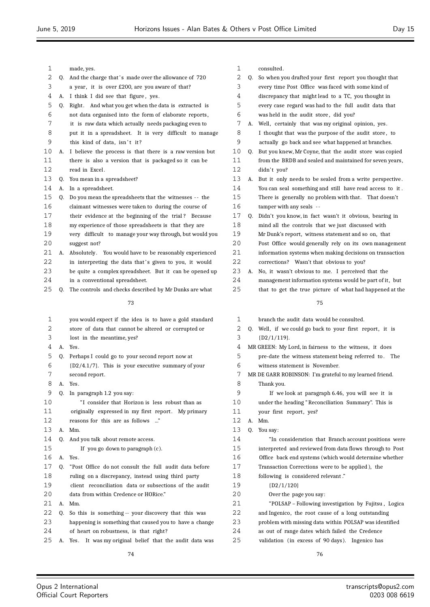| 1  |    | made, yes.                                               | 1  |    | consulted.                                                  |
|----|----|----------------------------------------------------------|----|----|-------------------------------------------------------------|
| 2  | 0. | And the charge that's made over the allowance of 720     | 2  | 0. | So when you drafted your first report you thought that      |
| 3  |    | a year, it is over £200, are you aware of that?          | 3  |    | every time Post Office was faced with some kind of          |
| 4  |    | A. I think I did see that figure, yes.                   | 4  |    | discrepancy that might lead to a TC, you thought in         |
| 5  |    | Q. Right. And what you get when the data is extracted is | 5  |    | every case regard was had to the full audit data that       |
| 6  |    | not data organised into the form of elaborate reports,   | 6  |    | was held in the audit store, did you?                       |
| 7  |    | it is raw data which actually needs packaging even to    | 7  |    | A. Well, certainly that was my original opinion, yes.       |
| 8  |    | put it in a spreadsheet. It is very difficult to manage  | 8  |    | I thought that was the purpose of the audit store, to       |
| 9  |    | this kind of data, isn't it?                             | 9  |    | actually go back and see what happened at branches.         |
| 10 | А. | I believe the process is that there is a raw version but | 10 | O. | But you knew, Mr Coyne, that the audit store was copied     |
| 11 |    | there is also a version that is packaged so it can be    | 11 |    | from the BRDB and sealed and maintained for seven years,    |
| 12 |    | read in Excel.                                           | 12 |    | didn't you?                                                 |
| 13 | Q. | You mean in a spreadsheet?                               | 13 |    | A. But it only needs to be sealed from a write perspective. |
| 14 | А. | In a spreadsheet.                                        | 14 |    | You can seal something and still have read access to it.    |
| 15 | Q. | Do you mean the spreadsheets that the witnesses -- the   | 15 |    | There is generally no problem with that. That doesn't       |
| 16 |    | claimant witnesses were taken to during the course of    | 16 |    | tamper with any seals --                                    |
| 17 |    | their evidence at the beginning of the trial? Because    | 17 | Q. | Didn't you know, in fact wasn't it obvious, bearing in      |
| 18 |    | my experience of those spreadsheets is that they are     | 18 |    | mind all the controls that we just discussed with           |
| 19 |    | very difficult to manage your way through, but would you | 19 |    | Mr Dunk's report, witness statement and so on, that         |
| 20 |    | suggest not?                                             | 20 |    | Post Office would generally rely on its own management      |
| 21 | А. | Absolutely. You would have to be reasonably experienced  | 21 |    | information systems when making decisions on transaction    |
| 22 |    | in interpreting the data that's given to you, it would   | 22 |    | corrections? Wasn't that obvious to you?                    |
| 23 |    | be quite a complex spreadsheet. But it can be opened up  | 23 |    | A. No, it wasn't obvious to me. I perceived that the        |
| 24 |    | in a conventional spreadsheet.                           | 24 |    | management information systems would be part of it, but     |
| 25 | O. | The controls and checks described by Mr Dunks are what   | 25 |    | that to get the true picture of what had happened at the    |
|    |    |                                                          |    |    |                                                             |
|    |    | 73                                                       |    |    | 75                                                          |
| 1  |    | you would expect if the idea is to have a gold standard  | 1  |    | branch the audit data would be consulted.                   |
| 2  |    | store of data that cannot be altered or corrupted or     | 2  |    | Q. Well, if we could go back to your first report, it is    |
| 3  |    | lost in the meantime, yes?                               | 3  |    | $[D2/1/119]$ .                                              |
| 4  |    | A. Yes.                                                  | 4  |    | MR GREEN: My Lord, in fairness to the witness, it does      |
| 5  | O. | Perhaps I could go to your second report now at          | 5  |    | pre-date the witness statement being referred to. The       |
| 6  |    | {D2/4.1/7}. This is your executive summary of your       | 6  |    | witness statement is November.                              |
| 7  |    | second report.                                           | 7  |    | MR DE GARR ROBINSON: I'm grateful to my learned friend.     |
| 8  |    | Yes.                                                     | 8  |    | Thank you.                                                  |
| 9  |    | Q. In paragraph 1.2 you say:                             | 9  |    | If we look at paragraph 6.46, you will see it is            |
| 10 |    | "I consider that Horizon is less robust than as          | 10 |    | under the heading "Reconciliation Summary". This is         |
| 11 |    | originally expressed in my first report. My primary      | 11 |    | your first report, yes?                                     |
| 12 |    | reasons for this are as follows "                        | 12 |    | A. Mm.                                                      |
| 13 |    | A. Mm.                                                   | 13 |    | Q. You say:                                                 |
| 14 |    |                                                          | 14 |    |                                                             |
|    | Q. | And you talk about remote access.                        |    |    | "In consideration that Branch account positions were        |
| 15 |    | If you go down to paragraph (c).                         | 15 |    | interpreted and reviewed from data flows through to Post    |
| 16 | A. | Yes.                                                     | 16 |    | Office back end systems (which would determine whether      |
| 17 | Q. | "Post Office do not consult the full audit data before   | 17 |    | Transaction Corrections were to be applied), the            |
| 18 |    | ruling on a discrepancy, instead using third party       | 18 |    | following is considered relevant."                          |
| 19 |    | client reconciliation data or subsections of the audit   | 19 |    | (D2/1/120)                                                  |
| 20 |    | data from within Credence or HORice."                    | 20 |    | Over the page you say:                                      |
| 21 | А. | Mm.                                                      | 21 |    | "POLSAP – Following investigation by Fujitsu, Logica        |
| 22 | Q. | So this is something -- your discovery that this was     | 22 |    | and Ingenico, the root cause of a long outstanding          |
| 23 |    | happening is something that caused you to have a change  | 23 |    | problem with missing data within POLSAP was identified      |
| 24 |    | of heart on robustness, is that right?                   | 24 |    | as out of range dates which failed the Credence             |
| 25 | А. | Yes. It was my original belief that the audit data was   | 25 |    | validation (in excess of 90 days). Ingenico has             |

76

74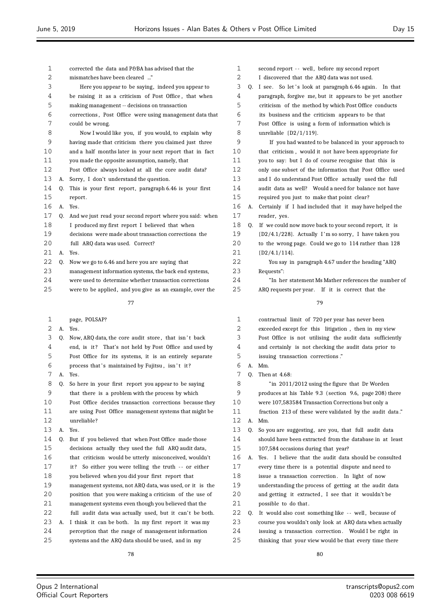| 1        |    | corrected the data and P&BA has advised that the         | 1  |    | second report -- well, before my second report            |
|----------|----|----------------------------------------------------------|----|----|-----------------------------------------------------------|
| 2        |    | mismatches have been cleared "                           | 2  |    | I discovered that the ARQ data was not used.              |
| 3        |    | Here you appear to be saying, indeed you appear to       | 3  | Q. | I see. So let's look at paragraph 6.46 again. In that     |
| 4        |    | be raising it as a criticism of Post Office, that when   | 4  |    | paragraph, forgive me, but it appears to be yet another   |
| 5        |    | making management -- decisions on transaction            | 5  |    | criticism of the method by which Post Office conducts     |
| 6        |    | corrections, Post Office were using management data that | 6  |    | its business and the criticism appears to be that         |
| 7        |    | could be wrong.                                          | 7  |    | Post Office is using a form of information which is       |
| 8        |    | Now I would like you, if you would, to explain why       | 8  |    | unreliable $[D2/1/119]$ .                                 |
| 9        |    | having made that criticism there you claimed just three  | 9  |    | If you had wanted to be balanced in your approach to      |
| 10       |    | and a half months later in your next report that in fact | 10 |    | that criticism, would it not have been appropriate for    |
| 11       |    | you made the opposite assumption, namely, that           | 11 |    | you to say: but I do of course recognise that this is     |
| 12       |    | Post Office always looked at all the core audit data?    | 12 |    | only one subset of the information that Post Office used  |
| 13       | А. | Sorry, I don't understand the question.                  | 13 |    | and I do understand Post Office actually used the full    |
| 14       | 0. | This is your first report, paragraph 6.46 is your first  | 14 |    | audit data as well? Would a need for balance not have     |
| 15       |    | report.                                                  | 15 |    | required you just to make that point clear?               |
| 16       |    | A. Yes.                                                  | 16 | А. | Certainly if I had included that it may have helped the   |
| 17       | 0. | And we just read your second report where you said: when | 17 |    | reader, yes.                                              |
| 18       |    | I produced my first report I believed that when          | 18 | Q. | If we could now move back to your second report, it is    |
| 19       |    | decisions were made about transaction corrections the    | 19 |    | {D2/4.1/228}. Actually I'm so sorry, I have taken you     |
| 20       |    | full ARQ data was used. Correct?                         | 20 |    | to the wrong page. Could we go to 114 rather than 128     |
| 21       | А. | Yes.                                                     | 21 |    | $\{D2/4.1/114\}.$                                         |
| 22       | Q. | Now we go to 6.46 and here you are saying that           | 22 |    | You say in paragraph 4.67 under the heading "ARQ          |
| 23       |    | management information systems, the back end systems,    | 23 |    | Requests":                                                |
| 24       |    | were used to determine whether transaction corrections   | 24 |    | "In her statement Ms Mather references the number of      |
| 25       |    | were to be applied, and you give as an example, over the | 25 |    | ARQ requests per year. If it is correct that the          |
|          |    |                                                          |    |    |                                                           |
|          |    | 77                                                       |    |    | 79                                                        |
| 1        |    | page, POLSAP?                                            | 1  |    | contractual limit of 720 per year has never been          |
| 2        |    | A. Yes.                                                  | 2  |    | exceeded except for this litigation, then in my view      |
| 3        | Q. | Now, ARQ data, the core audit store, that isn't back     | 3  |    | Post Office is not utilising the audit data sufficiently  |
| 4        |    | end, is it? That's not held by Post Office and used by   | 4  |    | and certainly is not checking the audit data prior to     |
| 5        |    | Post Office for its systems, it is an entirely separate  | 5  |    | issuing transaction corrections."                         |
| 6        |    | process that's maintained by Fujitsu, isn't it?          | 6  |    | A. Mm.                                                    |
| 7        |    | A. Yes.                                                  | 7  | 0. | Then at 4.68:                                             |
| 8        |    | Q. So here in your first report you appear to be saying  | 8  |    | "in 2011/2012 using the figure that Dr Worden             |
| 9        |    | that there is a problem with the process by which        | 9  |    | produces at his Table 9.3 (section 9.6, page 208) there   |
| 10       |    | Post Office decides transaction corrections because they | 10 |    | were 107,583584 Transaction Corrections but only a        |
| 11       |    | are using Post Office management systems that might be   | 11 |    | fraction 213 of these were validated by the audit data."  |
| 12       |    | unreliable?                                              | 12 | A. | Mm.                                                       |
| 13       | А. | Yes.                                                     | 13 | Q. | So you are suggesting, are you, that full audit data      |
| 14       | Q. | But if you believed that when Post Office made those     | 14 |    | should have been extracted from the database in at least  |
| 15       |    | decisions actually they used the full ARQ audit data,    | 15 |    | 107,584 occasions during that year?                       |
| 16       |    | that criticism would be utterly misconceived, wouldn't   | 16 |    | A. Yes. I believe that the audit data should be consulted |
| 17       |    | it? So either you were telling the truth -- or either    | 17 |    | every time there is a potential dispute and need to       |
| 18       |    | you believed when you did your first report that         | 18 |    | issue a transaction correction. In light of now           |
| 19       |    | management systems, not ARQ data, was used, or it is the | 19 |    | understanding the process of getting at the audit data    |
| 20       |    | position that you were making a criticism of the use of  | 20 |    | and getting it extracted, I see that it wouldn't be       |
| 21       |    | management systems even though you believed that the     | 21 |    | possible to do that.                                      |
| 22       |    | full audit data was actually used, but it can't be both. | 22 | Q. | It would also cost something like -- well, because of     |
| 23       | А. | I think it can be both. In my first report it was my     | 23 |    | course you wouldn't only look at ARQ data when actually   |
| 24<br>25 |    | perception that the range of management information      | 24 |    | issuing a transaction correction. Would I be right in     |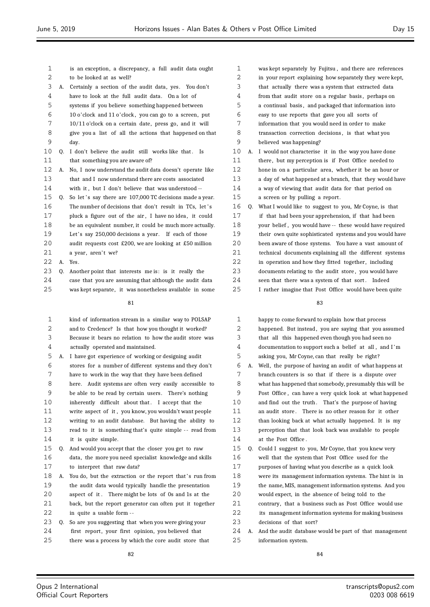| 1        |    | is an exception, a discrepancy, a full audit data ought                           |
|----------|----|-----------------------------------------------------------------------------------|
| 2        |    | to be looked at as well?                                                          |
| 3        | А. | Certainly a section of the audit data, yes. You don't                             |
| 4        |    | have to look at the full audit data. On a lot of                                  |
| 5        |    | systems if you believe something happened between                                 |
| 6        |    | 10 o'clock and 11 o'clock, you can go to a screen, put                            |
| 7        |    | 10/11 o'clock on a certain date, press go, and it will                            |
| 8        |    | give you a list of all the actions that happened on that                          |
| 9        |    | day.                                                                              |
| 10       | Q. | I don't believe the audit still works like that.<br>Is                            |
| 11       |    | that something you are aware of?                                                  |
| 12       | А. | No, I now understand the audit data doesn't operate like                          |
| 13       |    | that and I now understand there are costs associated                              |
| 14       |    | with it, but I don't believe that was understood --                               |
| 15       | Q. | So let's say there are 107,000 TC decisions made a year.                          |
| 16       |    | The number of decisions that don't result in TCs, let's                           |
| 17       |    | pluck a figure out of the air, I have no idea, it could                           |
| 18       |    | be an equivalent number, it could be much more actually.                          |
| 19       |    | Let's say 250,000 decisions a year. If each of those                              |
| 20       |    | audit requests cost £200, we are looking at £50 million                           |
| 21       |    | a year, aren't we?                                                                |
| 22       | А. | Yes.                                                                              |
| 23       | Q. | Another point that interests me is: is it really the                              |
| 24       |    | case that you are assuming that although the audit data                           |
| 25       |    | was kept separate, it was nonetheless available in some                           |
|          |    |                                                                                   |
|          |    | 81                                                                                |
|          |    |                                                                                   |
| 1        |    | kind of information stream in a similar way to POLSAP                             |
| 2        |    | and to Credence? Is that how you thought it worked?                               |
| 3        |    | Because it bears no relation to how the audit store was                           |
| 4        |    | actually operated and maintained.                                                 |
| 5        | А. | I have got experience of working or designing audit                               |
| 6        |    | stores for a number of different systems and they don't                           |
| 7        |    | have to work in the way that they have been defined                               |
| 8        |    | here. Audit systems are often very easily accessible to                           |
| 9        |    | be able to be read by certain users. There's nothing                              |
| 10       |    | inherently difficult about that. I accept that the                                |
| 11       |    | write aspect of it, you know, you wouldn't want people                            |
| 12       |    | writing to an audit database. But having the ability to                           |
| 13       |    | read to it is something that's quite simple -- read from                          |
| 14       |    | it is quite simple.                                                               |
| 15       | Q. | And would you accept that the closer you get to raw                               |
| 16       |    | data, the more you need specialist knowledge and skills                           |
| 17       |    | to interpret that raw data?                                                       |
| 18       | А. | You do, but the extraction or the report that's run from                          |
| 19       |    | the audit data would typically handle the presentation                            |
| 20       |    | aspect of it. There might be lots of Os and 1s at the                             |
| 21       |    | back, but the report generator can often put it together                          |
| 22<br>23 | Q. | in quite a usable form --<br>So are you suggesting that when you were giving your |

24 first report, your first opinion, you believed that

there was a process by which the core audit store that

 was kept separately by Fujitsu , and there are references in your report explaining how separately they were kept, that actually there was a system that extracted data 4 from that audit store on a regular basis, perhaps on a continual basis , and packaged that information into easy to use reports that gave you all sorts of information that you would need in order to make 8 transaction correction decisions, is that what you believed was happening? A. I would not characterise it in the way you have done 11 there, but my perception is if Post Office needed to hone in on a particular area, whether it be an hour or a day of what happened at a branch, that they would have a way of viewing that audit data for that period on a screen or by pulling a report . Q. What I would like to suggest to you, Mr Coyne, is that if that had been your apprehension, if that had been your belief , you would have -- these would have required their own quite sophisticated systems and you would have been aware of those systems. You have a vast amount of technical documents explaining all the different systems 22 in operation and how they fitted together, including 23 documents relating to the audit store, you would have 24 seen that there was a system of that sort. Indeed I rather imagine that Post Office would have been quite

| $\mathbf{1}$ |    |                                                          |
|--------------|----|----------------------------------------------------------|
|              |    | happy to come forward to explain how that process        |
| 2            |    | happened. But instead, you are saying that you assumed   |
| 3            |    | that all this happened even though you had seen no       |
| 4            |    | documentation to support such a belief at all, and I'm   |
| 5            |    | asking you, Mr Coyne, can that really be right?          |
| 6            | А. | Well, the purpose of having an audit of what happens at  |
| 7            |    | branch counters is so that if there is a dispute over    |
| 8            |    | what has happened that somebody, presumably this will be |
| 9            |    | Post Office, can have a very quick look at what happened |
| 10           |    | and find out the truth. That's the purpose of having     |
| 11           |    | an audit store. There is no other reason for it other    |
| 12           |    | than looking back at what actually happened. It is my    |
| 13           |    | perception that that look back was available to people   |
| 14           |    | at the Post Office.                                      |
| 15           |    | Q. Could I suggest to you, Mr Coyne, that you knew very  |
| 16           |    | well that the system that Post Office used for the       |
| 17           |    | purposes of having what you describe as a quick look     |
| 18           |    | were its management information systems. The hint is in  |
| 19           |    | the name, MIS, management information systems. And you   |
| 20           |    | would expect, in the absence of being told to the        |
| 21           |    | contrary, that a business such as Post Office would use  |
| 22           |    | its management information systems for making business   |
| 23           |    | decisions of that sort?                                  |
| 24           | А. | And the audit database would be part of that management  |
| 25           |    | information system.                                      |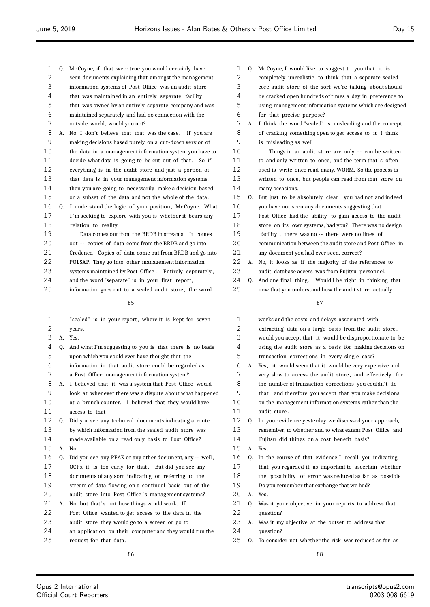| 1  | Q. | Mr Coyne, if that were true you would certainly have      |
|----|----|-----------------------------------------------------------|
| 2  |    | seen documents explaining that amongst the management     |
| 3  |    | information systems of Post Office was an audit store     |
| 4  |    | that was maintained in an entirely separate facility      |
| 5  |    | that was owned by an entirely separate company and was    |
| 6  |    | maintained separately and had no connection with the      |
| 7  |    | outside world, would you not?                             |
| 8  | А. | No, I don't believe that that was the case.<br>If you are |
| 9  |    | making decisions based purely on a cut-down version of    |
| 10 |    | the data in a management information system you have to   |
| 11 |    | decide what data is going to be cut out of that. So if    |
| 12 |    | everything is in the audit store and just a portion of    |
| 13 |    | that data is in your management information systems,      |
| 14 |    | then you are going to necessarily make a decision based   |
| 15 |    | on a subset of the data and not the whole of the data.    |
| 16 | 0. | I understand the logic of your position, Mr Coyne. What   |
| 17 |    | I'm seeking to explore with you is whether it bears any   |
| 18 |    | relation to reality.                                      |
| 19 |    | Data comes out from the BRDB in streams. It comes         |
| 20 |    | out -- copies of data come from the BRDB and go into      |
| 21 |    | Credence. Copies of data come out from BRDB and go into   |
| 22 |    | POLSAP. They go into other management information         |
| 23 |    | systems maintained by Post Office. Entirely separately,   |
| 24 |    | and the word "separate" is in your first report,          |
| 25 |    | information goes out to a sealed audit store, the word    |
|    |    | 85                                                        |
| 1  |    | "sealed" is in your report where it is kent for seven     |

| 1  |    | "sealed" is in your report, where it is kept for seven   |
|----|----|----------------------------------------------------------|
| 2  |    | years.                                                   |
| 3  | A. | Yes.                                                     |
| 4  | 0. | And what I'm suggesting to you is that there is no basis |
| 5  |    | upon which you could ever have thought that the          |
| 6  |    | information in that audit store could be regarded as     |
| 7  |    | a Post Office management information system?             |
| 8  | A. | I believed that it was a system that Post Office would   |
| 9  |    | look at whenever there was a dispute about what happened |
| 10 |    | at a branch counter. I believed that they would have     |
| 11 |    | access to that.                                          |
| 12 | Q. | Did you see any technical documents indicating a route   |
| 13 |    | by which information from the sealed audit store was     |
| 14 |    | made available on a read only basis to Post Office?      |
| 15 | A. | No.                                                      |
| 16 | 0. | Did you see any PEAK or any other document, any -- well, |
| 17 |    | OCPs, it is too early for that. But did you see any      |
| 18 |    | documents of any sort indicating or referring to the     |
| 19 |    | stream of data flowing on a continual basis out of the   |
| 20 |    | audit store into Post Office's management systems?       |
| 21 | А. | No, but that's not how things would work. If             |
| 22 |    | Post Office wanted to get access to the data in the      |
| 23 |    | audit store they would go to a screen or go to           |
| 24 |    | an application on their computer and they would run the  |
| 25 |    | request for that data.                                   |

| 1  |    | Q. Mr Coyne, I would like to suggest to you that it is   |
|----|----|----------------------------------------------------------|
| 2  |    | completely unrealistic to think that a separate sealed   |
| 3  |    | core audit store of the sort we're talking about should  |
| 4  |    | be cracked open hundreds of times a day in preference to |
| 5  |    | using management information systems which are designed  |
| 6  |    | for that precise purpose?                                |
| 7  | А. | I think the word "sealed" is misleading and the concept  |
| 8  |    | of cracking something open to get access to it I think   |
| 9  |    | is misleading as well.                                   |
| 10 |    | Things in an audit store are only -- can be written      |
| 11 |    | to and only written to once, and the term that's often   |
| 12 |    | used is write once read many, WORM. So the process is    |
| 13 |    | written to once, but people can read from that store on  |
| 14 |    | many occasions.                                          |
| 15 | Q. | But just to be absolutely clear, you had not and indeed  |
| 16 |    | you have not seen any documents suggesting that          |
| 17 |    | Post Office had the ability to gain access to the audit  |
| 18 |    | store on its own systems, had you? There was no design   |
| 19 |    | facility, there was no -- there were no lines of         |
| 20 |    | communication between the audit store and Post Office in |
| 21 |    | any document you had ever seen, correct?                 |
| 22 | А. | No, it looks as if the majority of the references to     |
| 23 |    | audit database access was from Fujitsu personnel.        |
| 24 | 0. | And one final thing. Would I be right in thinking that   |
| 25 |    | now that you understand how the audit store actually     |
|    |    | 87                                                       |
| 1  |    | works and the costs and delays associated with           |
| 2  |    | extracting data on a large basis from the audit store,   |
|    |    |                                                          |

| ᅩ          |                | works and the costs and delays associated with                                                                  |
|------------|----------------|-----------------------------------------------------------------------------------------------------------------|
| 2          |                | extracting data on a large basis from the audit store,                                                          |
| 3          |                | would you accept that it would be disproportionate to be                                                        |
| 4          |                | using the audit store as a basis for making decisions on                                                        |
| 5          |                | transaction corrections in every single case?                                                                   |
| 6          | A.             | Yes, it would seem that it would be very expensive and                                                          |
| 7          |                | very slow to access the audit store, and effectively for                                                        |
| 8          |                | the number of transaction corrections you couldn't do                                                           |
| 9          |                | that, and therefore you accept that you make decisions                                                          |
| $10 \,$    |                | on the management information systems rather than the                                                           |
| 11         |                | audit store.                                                                                                    |
| $12 \,$    | Q.             | In your evidence yesterday we discussed your approach,                                                          |
| 13         |                | remember, to whether and to what extent Post Office and                                                         |
| 14         |                | Fujitsu did things on a cost benefit basis?                                                                     |
| 15         | A <sub>1</sub> | Yes.                                                                                                            |
| 16         | Q.             | In the course of that evidence I recall you indicating                                                          |
| 17         |                | that you regarded it as important to ascertain whether                                                          |
| 18         |                | the possibility of error was reduced as far as possible.                                                        |
| 19         |                | Do you remember that exchange that we had?                                                                      |
| 20         | A.             | Yes.                                                                                                            |
| 21         | 0.             | Was it your objective in your reports to address that                                                           |
| 22         |                | question?                                                                                                       |
| 23         | А.             | Was it my objective at the outset to address that                                                               |
| 24         |                | question?                                                                                                       |
| $\sim$ $-$ |                | the contract of the contract of the contract of the contract of the contract of the contract of the contract of |

Q. To consider not whether the risk was reduced as far as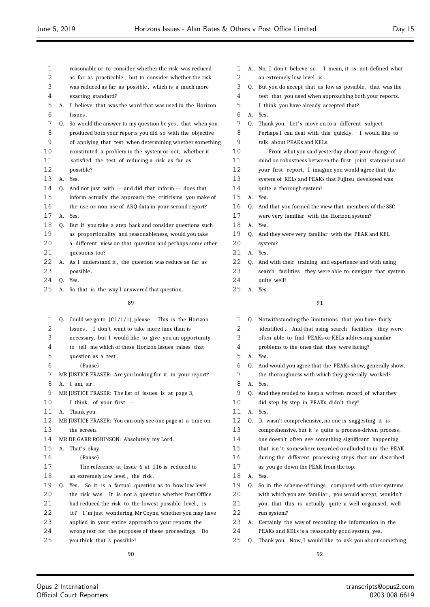| 1            | reasonable or to consider whether the risk was reduced       | 1  |    | A. No, I don't believe so. I   |
|--------------|--------------------------------------------------------------|----|----|--------------------------------|
| 2            | as far as practicable, but to consider whether the risk      | 2  |    | an extremely low level is.     |
| 3            | was reduced as far as possible, which is a much more         | 3  |    | Q. But you do accept that as 1 |
| 4            | exacting standard?                                           | 4  |    | test that you used when ap     |
| 5            | A. I believe that was the word that was used in the Horizon  | 5  |    | I think you have already a     |
| 6            | Issues.                                                      | 6  |    | A. Yes.                        |
| 7            | Q. So would the answer to my question be yes, that when you  | 7  | 0. | Thank you. Let's move on       |
| 8            | produced both your reports you did so with the objective     | 8  |    | Perhaps I can deal with th     |
| 9            | of applying that test when determining whether something     | 9  |    | talk about PEAKs and KELs      |
| 10           | constituted a problem in the system or not, whether it       | 10 |    | From what you said yes         |
| 11           | satisfied the test of reducing a risk as far as              | 11 |    | mind on robustness betwee      |
| 12           | possible?                                                    | 12 |    | your first report, I imagi     |
| 13           | A. Yes.                                                      | 13 |    | system of KELs and PEAKs       |
| 14           | Q. And not just with -- and did that inform -- does that     | 14 |    | quite a thorough system?       |
| 15           | inform actually the approach, the criticisms you make of     | 15 |    | A. Yes.                        |
| 16           | the use or non-use of ARQ data in your second report?        | 16 |    | Q. And that you formed the vie |
| 17           | A. Yes.                                                      | 17 |    | were very familiar with the    |
| 18           | Q. But if you take a step back and consider questions such   | 18 |    | A. Yes.                        |
| 19           | as proportionality and reasonableness, would you take        | 19 |    | Q. And they were very familiar |
| 20           | a different view on that question and perhaps some other     | 20 |    | system?                        |
| 21           | questions too?                                               | 21 |    | A. Yes.                        |
| 22           | A. As I understand it, the question was reduce as far as     | 22 |    | Q. And with their training an  |
| 23           | possible.                                                    | 23 |    | search facilities they were    |
| 24           | O. Yes.                                                      | 24 |    | quite well?                    |
| 25           | A. So that is the way I answered that question.              | 25 |    | A. Yes.                        |
|              | 89                                                           |    |    | 91                             |
|              |                                                              |    |    |                                |
| $\mathbf{1}$ | Q. Could we go to $\{C1/1/1\}$ , please. This is the Horizon | 1  |    | Q. Notwithstanding the limitat |
| 2            | Issues. I don't want to take more time than is               | 2  |    | identified. And that using     |
| 3            | necessary, but I would like to give you an opportunity       | 3  |    | often able to find PEAKs o     |
| 4            | to tell me which of these Horizon Issues raises that         | 4  |    | problems to the ones that      |
| 5            | question as a test.                                          | 5  |    | A. Yes.                        |
| 6            | (Pause)                                                      | 6  | 0. | And would you agree that th    |
| 7            | MR JUSTICE FRASER: Are you looking for it in your report?    | 7  |    | the thoroughness with whic     |
| 8            | A. I am, sir.                                                | 8  |    | A. Yes.                        |
| 9            | MR JUSTICE FRASER: The list of issues is at page 3,          | 9  |    | Q. And they tended to keep a   |
| 10           | I think, of your first --                                    | 10 |    | did step by step in PEAKs      |
| 11           | A. Thank you.                                                | 11 |    | A. Yes.                        |
| 12           | MR JUSTICE FRASER: You can only see one page at a time on    | 12 |    | Q. It wasn't comprehensive, n  |
| 13           | the screen.                                                  | 13 |    | comprehensive, but it's qu     |
| 14           | MR DE GARR ROBINSON: Absolutely, my Lord.                    | 14 |    | one doesn't often see some     |
| 15           | A. That's okay.                                              | 15 |    | that isn't somewhere reco      |
| 16           | (Pause)                                                      | 16 |    | during the different proce     |
| 17           | The reference at Issue 6 at 116 is reduced to                | 17 |    | as you go down the PEAK fi     |
| 18           | an extremely low level, the risk.                            | 18 | A. | Yes.                           |
| 19           | Q. Yes. So it is a factual question as to how low level      | 19 |    | Q. So in the scheme of things  |
| 20           | the risk was. It is not a question whether Post Office       | 20 |    | with which you are familiar    |
| 21           | had reduced the risk to the lowest possible level, is        | 21 |    | you, that this is actually     |
| 22           | it? I'm just wondering, Mr Coyne, whether you may have       | 22 |    | run system?                    |
| 23           | applied in your entire approach to your reports the          | 23 | А. | Certainly the way of recore    |
|              |                                                              |    |    |                                |

 wrong test for the purposes of these proceedings. Do 25 you think that's possible?

- I mean, it is not defined what s low as possible, that was the approaching both your reports. accepted that? n to a different subject. this quickly. I would like to talk about PEAKs and KELs. esterday about your change of een the first joint statement and gine you would agree that the is that Fujitsu developed was
- view that members of the SSC
- the Horizon system?
- iar with the PEAK and KEL
- and experience and with using
- ere able to navigate that system

| 1  | Q. | Notwithstanding the limitations that you have fairly     |
|----|----|----------------------------------------------------------|
| 2  |    | identified. And that using search facilities they were   |
| 3  |    | often able to find PEAKs or KELs addressing similar      |
| 4  |    | problems to the ones that they were facing?              |
| 5  | A. | Yes.                                                     |
| 6  | 0. | And would you agree that the PEAKs show, generally show, |
| 7  |    | the thoroughness with which they generally worked?       |
| 8  | A. | Yes.                                                     |
| 9  | 0. | And they tended to keep a written record of what they    |
| 10 |    | did step by step in PEAKs, didn't they?                  |
| 11 | А. | Yes.                                                     |
| 12 | Q. | It wasn't comprehensive, no one is suggesting it is      |
| 13 |    | comprehensive, but it's quite a process-driven process,  |
| 14 |    | one doesn't often see something significant happening    |
| 15 |    | that isn't somewhere recorded or alluded to in the PEAK  |
| 16 |    | during the different processing steps that are described |
| 17 |    | as you go down the PEAK from the top.                    |
| 18 | A. | Yes.                                                     |
| 19 | Q. | So in the scheme of things, compared with other systems  |
| 20 |    | with which you are familiar, you would accept, wouldn't  |
| 21 |    | you, that this is actually quite a well organised, well  |
| 22 |    | run system?                                              |
| 23 | А. | Certainly the way of recording the information in the    |
| 24 |    | PEAKs and KELs is a reasonably good system, yes.         |
| 25 | 0. | Thank you. Now, I would like to ask you about something  |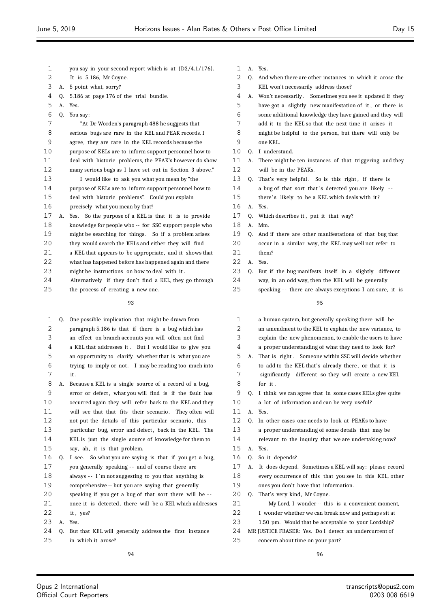- you say in your second report which is at {D2/4.1/176}.
- It is 5.186, Mr Coyne.
- A. 5 point what, sorry?
- Q. 5.186 at page 176 of the trial bundle.
- A. Yes.
- Q. You say:

| 7  |    | "At Dr Worden's paragraph 488 he suggests that           |
|----|----|----------------------------------------------------------|
| 8  |    | serious bugs are rare in the KEL and PEAK records. I     |
| 9  |    | agree, they are rare in the KEL records because the      |
| 10 |    | purpose of KELs are to inform support personnel how to   |
| 11 |    | deal with historic problems, the PEAK's however do show  |
| 12 |    | many serious bugs as I have set out in Section 3 above." |
| 13 |    | I would like to ask you what you mean by "the            |
| 14 |    | purpose of KELs are to inform support personnel how to   |
| 15 |    | deal with historic problems". Could you explain          |
| 16 |    | precisely what you mean by that?                         |
| 17 | A. | Yes. So the purpose of a KEL is that it is to provide    |
| 18 |    | knowledge for people who -- for SSC support people who   |
| 19 |    | might be searching for things. So if a problem arises    |
| 20 |    | they would search the KELs and either they will find     |
| 21 |    | a KEL that appears to be appropriate, and it shows that  |
| 22 |    | what has happened before has happened again and there    |
| 23 |    | might be instructions on how to deal with it.            |
| 24 |    | Alternatively if they don't find a KEL, they go through  |

the process of creating a new one.

- Q. One possible implication that might be drawn from paragraph 5.186 is that if there is a bug which has an effect on branch accounts you will often not find a KEL that addresses it . But I would like to give you an opportunity to clarify whether that is what you are
- trying to imply or not. I may be reading too much into it .
- A. Because a KEL is a single source of a record of a bug, error or defect , what you will find is if the fault has occurred again they will refer back to the KEL and they will see that that fits their scenario . They often will 12 not put the details of this particular scenario, this
- particular bug, error and defect , back in the KEL. The KEL is just the single source of knowledge for them to
- say, ah, it is that problem.
- Q. I see. So what you are saying is that if you get a bug, you generally speaking - - and of course there are 18 always -- I'm not suggesting to you that anything is
- comprehensive -- but you are saying that generally
- speaking if you get a bug of that sort there will be -
- once it is detected, there will be a KEL which addresses
- it , yes?
- A. Yes.

 Q. But that KEL will generally address the first instance in which it arose?

- A. Yes.
- 2 Q. And when there are other instances in which it arose the KEL won't necessarily address those?
- A. Won't necessarily . Sometimes you see it updated if they have got a slightly new manifestation of it , or there is some additional knowledge they have gained and they will add it to the KEL so that the next time it arises it might be helpful to the person, but there will only be one KEL. Q. I understand. A. There might be ten instances of that triggering and they will be in the PEAKs. 13 Q. That's very helpful. So is this right, if there is 14 a bug of that sort that's detected you are likely --15 there's likely to be a KEL which deals with it? A. Yes. Q. Which describes it , put it that way? A. Mm. Q. And if there are other manifestations of that bug that occur in a similar way, the KEL may well not refer to them? A. Yes. Q. But if the bug manifests itself in a slightly different way, in an odd way, then the KEL will be generally speaking - - there are always exceptions I am sure, it is

| 1  |    | a human system, but generally speaking there will be     |
|----|----|----------------------------------------------------------|
| 2  |    | an amendment to the KEL to explain the new variance, to  |
| 3  |    | explain the new phenomenon, to enable the users to have  |
| 4  |    | a proper understanding of what they need to look for?    |
| 5  | А. | That is right. Someone within SSC will decide whether    |
| 6  |    | to add to the KEL that's already there, or that it is    |
| 7  |    | significantly different so they will create a new KEL    |
| 8  |    | for it.                                                  |
| 9  | 0. | I think we can agree that in some cases KELs give quite  |
| 10 |    | a lot of information and can be very useful?             |
| 11 | A. | Yes.                                                     |
| 12 | 0. | In other cases one needs to look at PEAKs to have        |
| 13 |    | a proper understanding of some details that may be       |
| 14 |    | relevant to the inquiry that we are undertaking now?     |
| 15 | A. | Yes.                                                     |
| 16 | 0. | So it depends?                                           |
| 17 | А. | It does depend. Sometimes a KEL will say: please record  |
| 18 |    | every occurrence of this that you see in this KEL, other |
| 19 |    | ones you don't have that information.                    |
| 20 | 0. | That's very kind, Mr Coyne.                              |
| 21 |    | My Lord, I wonder -- this is a convenient moment,        |
| 22 |    | I wonder whether we can break now and perhaps sit at     |
| 23 |    | 1.50 pm. Would that be acceptable to your Lordship?      |
| 24 |    | MR JUSTICE FRASER: Yes. Do I detect an undercurrent of   |
|    |    |                                                          |

concern about time on your part?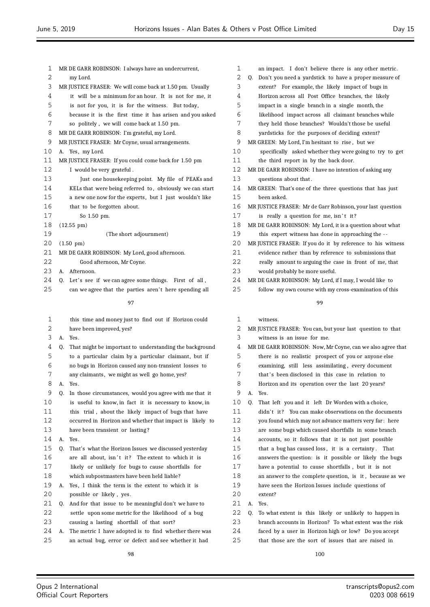| 1  | MR DE GARR ROBINSON: I always have an undercurrent,           | 1       | an impact. I don't believe there is any other metric.        |
|----|---------------------------------------------------------------|---------|--------------------------------------------------------------|
| 2  | my Lord.                                                      | 2       | Don't you need a yardstick to have a proper measure of<br>0. |
| 3  | MR JUSTICE FRASER: We will come back at 1.50 pm. Usually      | 3       | extent? For example, the likely impact of bugs in            |
| 4  | it will be a minimum for an hour. It is not for me, it        | 4       | Horizon across all Post Office branches, the likely          |
| 5  | is not for you, it is for the witness. But today,             | 5       | impact in a single branch in a single month, the             |
| 6  | because it is the first time it has arisen and you asked      | 6       | likelihood impact across all claimant branches while         |
| 7  | so politely, we will come back at 1.50 pm.                    | 7       | they held those branches? Wouldn't those be useful           |
| 8  | MR DE GARR ROBINSON: I'm grateful, my Lord.                   | 8       | yardsticks for the purposes of deciding extent?              |
| 9  | MR JUSTICE FRASER: Mr Coyne, usual arrangements.              | 9       | MR GREEN: My Lord, I'm hesitant to rise, but we              |
| 10 | A. Yes, my Lord.                                              | 10      | specifically asked whether they were going to try to ge      |
| 11 | MR JUSTICE FRASER: If you could come back for 1.50 pm         | 11      | the third report in by the back door.                        |
| 12 | I would be very grateful.                                     | 12      | MR DE GARR ROBINSON: I have no intention of asking any       |
| 13 | Just one housekeeping point. My file of PEAKs and             | 13      | questions about that.                                        |
| 14 | KELs that were being referred to, obviously we can start      | 14      | MR GREEN: That's one of the three questions that has just    |
| 15 | a new one now for the experts, but I just wouldn't like       | 15      | been asked.                                                  |
| 16 | that to be forgotten about.                                   | 16      | MR JUSTICE FRASER: Mr de Garr Robinson, your last question   |
| 17 | So 1.50 pm.                                                   | 17      | is really a question for me, isn't it?                       |
| 18 | $(12.55 \text{ pm})$                                          | 18      | MR DE GARR ROBINSON: My Lord, it is a question about what    |
| 19 | (The short adjournment)                                       | 19      | this expert witness has done in approaching the --           |
| 20 | $(1.50 \text{ pm})$                                           | 20      | MR JUSTICE FRASER: If you do it by reference to his witnes   |
| 21 | MR DE GARR ROBINSON: My Lord, good afternoon.                 | 21      | evidence rather than by reference to submissions that        |
| 22 | Good afternoon, Mr Coyne.                                     | 22      | really amount to arguing the case in front of me, that       |
| 23 | A. Afternoon.                                                 | 23      | would probably be more useful.                               |
| 24 | Q. Let's see if we can agree some things. First of all,       | 24      | MR DE GARR ROBINSON: My Lord, if I may, I would like to      |
| 25 | can we agree that the parties aren't here spending all        | 25      | follow my own course with my cross-examination of this       |
|    |                                                               |         |                                                              |
|    | 97                                                            |         | 99                                                           |
| 1  | this time and money just to find out if Horizon could         | 1       | witness.                                                     |
| 2  | have been improved, yes?                                      | 2       | MR JUSTICE FRASER: You can, but your last question to that   |
| 3  | A. Yes.                                                       | 3       | witness is an issue for me.                                  |
| 4  | That might be important to understanding the background<br>Q. | 4       | MR DE GARR ROBINSON: Now, Mr Coyne, can we also agree th     |
| 5  | to a particular claim by a particular claimant, but if        | 5       | there is no realistic prospect of you or anyone else         |
| 6  | no bugs in Horizon caused any non-transient losses to         | 6       | examining, still less assimilating, every document           |
| 7  | any claimants, we might as well go home, yes?                 | 7       | that's been disclosed in this case in relation to            |
| 8  | Yes.<br>Α.                                                    | $\,8\,$ | Horizon and its operation over the last 20 years?            |
| 9  | 0.<br>In those circumstances, would you agree with me that it | 9       | А.<br>Yes.                                                   |
| 10 | is useful to know, in fact it is necessary to know, in        | 10      | Q.<br>That left you and it left Dr Worden with a choice,     |
| 11 | this trial, about the likely impact of bugs that have         | 11      | didn't it? You can make observations on the documents        |
| 12 | occurred in Horizon and whether that impact is likely to      | 12      | you found which may not advance matters very far: here       |
| 13 | have been transient or lasting?                               | 13      | are some bugs which caused shortfalls in some branch         |
| 14 | A.<br>Yes.                                                    | 14      | accounts, so it follows that it is not just possible         |
| 15 | That's what the Horizon Issues we discussed yesterday<br>0.   | 15      | that a bug has caused loss, it is a certainty. That          |
| 16 | are all about, isn't it? The extent to which it is            | 16      | answers the question: is it possible or likely the bugs      |
| 17 | likely or unlikely for bugs to cause shortfalls for           | 17      | have a potential to cause shortfalls, but it is not          |
| 18 | which subpostmasters have been held liable?                   | 18      | an answer to the complete question, is it, because as v      |
| 19 | A. Yes, I think the term is the extent to which it is         | 19      |                                                              |
| 20 |                                                               | 20      | have seen the Horizon Issues include questions of            |
|    | possible or likely, yes.                                      |         | extent?                                                      |
| 21 | Q. And for that issue to be meaningful don't we have to       | 21      | А.<br>Yes.                                                   |
| 22 | settle upon some metric for the likelihood of a bug           | 22      | To what extent is this likely or unlikely to happen in<br>0. |
| 23 | causing a lasting shortfall of that sort?                     | 23      | branch accounts in Horizon? To what extent was the risl      |

24 A. The metric I have adopted is to find whether there was

### 25 an actual bug, error or defect and see whether it had

- d its operation over the last 20 years?
- you and it left Dr Worden with a choice, You can make observations on the documents which may not advance matters very far: here  $\log$ s which caused shortfalls  $\,$  in  $\,$  some branch so it follows that it is not just possible that caused loss, it is a certainty . That 16 answers the question: is it possible or likely the bugs ential to cause shortfalls, but it is not to the complete question, is it, because as we the Horizon Issues include questions of tent is this likely or unlikely to happen in ounts in Horizon? To what extent was the risk
- 24 faced by a user in Horizon high or low? Do you accept 25 that those are the sort of issues that are raised in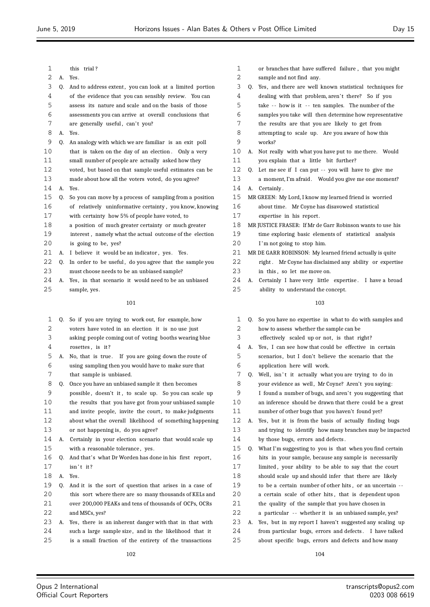| 1  |    | this trial?                                              | 1  |
|----|----|----------------------------------------------------------|----|
| 2  | А. | Yes.                                                     | 2  |
| 3  | Q. | And to address extent, you can look at a limited portion | 3  |
| 4  |    | of the evidence that you can sensibly review. You can    | 4  |
| 5  |    | assess its nature and scale and on the basis of those    | 5  |
| 6  |    | assessments you can arrive at overall conclusions that   | 6  |
| 7  |    | are generally useful, can't you?                         | 7  |
| 8  | А. | Yes.                                                     | 8  |
| 9  | Q. | An analogy with which we are familiar is an exit poll    | 9  |
| 10 |    | that is taken on the day of an election. Only a very     | 10 |
| 11 |    | small number of people are actually asked how they       | 11 |
| 12 |    | voted, but based on that sample useful estimates can be  | 12 |
| 13 |    | made about how all the voters voted, do you agree?       | 13 |
| 14 | А. | Yes.                                                     | 14 |
| 15 | 0. | So you can move by a process of sampling from a position | 15 |
| 16 |    | of relatively uninformative certainty, you know, knowing | 16 |
| 17 |    | with certainty how 5% of people have voted, to           | 17 |
| 18 |    | a position of much greater certainty or much greater     | 18 |
| 19 |    | interest, namely what the actual outcome of the election | 19 |
| 20 |    | is going to be, yes?                                     | 20 |
| 21 | А. | I believe it would be an indicator, yes.<br>Yes.         | 21 |
| 22 | 0. | In order to be useful, do you agree that the sample you  | 22 |
| 23 |    | must choose needs to be an unbiased sample?              | 23 |
| 24 | А. | Yes, in that scenario it would need to be an unbiased    | 24 |
| 25 |    | sample, yes.                                             | 25 |
|    |    | 101                                                      |    |
|    |    |                                                          |    |
| 1  | Q. | So if you are trying to work out, for example, how       | 1  |
| 2  |    | voters have voted in an election it is no use just       | 2  |
| 3  |    | asking people coming out of voting booths wearing blue   | 3  |
| 4  |    | rosettes, is it?                                         | 4  |
| 5  | А. | No, that is true. If you are going down the route of     | 5  |
| 6  |    | using sampling then you would have to make sure that     | 6  |
| 7  |    | that sample is unbiased.                                 | 7  |
| 8  | 0. | Once you have an unbiased sample it then becomes         | 8  |
|    |    |                                                          |    |

 possible , doesn't it , to scale up. So you can scale up the results that you have got from your unbiased sample 11 and invite people, invite the court, to make judgments about what the overall likelihood of something happening or not happening is, do you agree? A. Certainly in your election scenario that would scale up with a reasonable tolerance , yes. Q. And that's what Dr Worden has done in his first report , 17 isn't it? A. Yes. Q. And it is the sort of question that arises in a case of

- this sort where there are so many thousands of KELs and over 200,000 PEAKs and tens of thousands of OCPs, OCRs 22 and MSCs, yes?
- A. Yes, there is an inherent danger with that in that with

such a large sample size , and in the likelihood that it

is a small fraction of the entirety of the transactions

| 1   |    | or branches that have suffered failure, that you might     |
|-----|----|------------------------------------------------------------|
| 2   |    | sample and not find any.                                   |
| 3   | 0. | Yes, and there are well known statistical techniques for   |
| 4   |    | dealing with that problem, aren't there? So if you         |
| 5   |    | take -- how is it -- ten samples. The number of the        |
| 6   |    | samples you take will then determine how representative    |
| 7   |    | the results are that you are likely to get from            |
| 8   |    | attempting to scale up. Are you aware of how this          |
| 9   |    | works?                                                     |
| 10  | А. | Not really with what you have put to me there. Would       |
| 11  |    | you explain that a little bit further?                     |
| 12  | O. | Let me see if I can put -- you will have to give me        |
| 13  |    | a moment, I'm afraid. Would you give me one moment?        |
| 14  | А. | Certainly.                                                 |
| 15  |    | MR GREEN: My Lord, I know my learned friend is worried     |
| 16  |    | about time. Mr Coyne has disavowed statistical             |
| 17  |    | expertise in his report.                                   |
| 18  |    | MR JUSTICE FRASER: If Mr de Garr Robinson wants to use his |
| 19  |    | time exploring basic elements of statistical analysis      |
| 2.0 |    | I'm not going to stop him.                                 |
| 21  |    | MR DE GARR ROBINSON: My learned friend actually is quite   |
| 22  |    | right. Mr Coyne has disclaimed any ability or expertise    |
| 23  |    | in this, so let me move on.                                |
| 24  | A. | Certainly I have very little expertise. I have a broad     |
| 25  |    | ability to understand the concept.                         |
|     |    | 103                                                        |
| 1   | 0. | So you have no expertise in what to do with samples and    |
| 2   |    | how to assess whether the sample can be                    |
|     |    |                                                            |

- effectively scaled up or not, is that right?
- A. Yes, I can see how that could be effective in certain scenarios, but I don't believe the scenario that the application here will work.
- Q. Well, isn't it actually what you are trying to do in
- your evidence as well, Mr Coyne? Aren't you saying: 9 I found a number of bugs, and aren't you suggesting that
- an inference should be drawn that there could be a great
- number of other bugs that you haven't found yet?
- A. Yes, but it is from the basis of actually finding bugs and trying to identify how many branches may be impacted by those bugs, errors and defects .
- Q. What I'm suggesting to you is that when you find certain
- hits in your sample, because any sample is necessarily
- 17 limited, your ability to be able to say that the court
- should scale up and should infer that there are likely
- to be a certain number of other hits , or an uncertain -
- 20 a certain scale of other hits, that is dependent upon
- the quality of the sample that you have chosen in
- 22 a particular -- whether it is an unbiased sample, yes?
- A. Yes, but in my report I haven't suggested any scaling up from particular bugs, errors and defects . I have talked about specific bugs, errors and defects and how many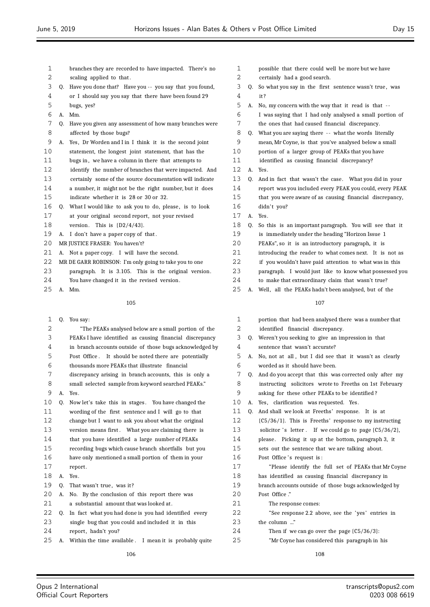| 1  |    | branches they are recorded to have impacted. There's no    |                |
|----|----|------------------------------------------------------------|----------------|
| 2  |    | scaling applied to that.                                   |                |
| 3  |    | Q. Have you done that? Have you -- you say that you found, |                |
| 4  |    | or I should say you say that there have been found 29      |                |
| 5  |    | bugs, yes?                                                 |                |
| 6  | А. | Mm.                                                        |                |
| 7  | 0. | Have you given any assessment of how many branches were    |                |
| 8  |    | affected by those bugs?                                    |                |
| 9  | А. | Yes, Dr Worden and I in I think it is the second joint     |                |
| 10 |    | statement, the longest joint statement, that has the       | 1              |
| 11 |    | bugs in, we have a column in there that attempts to        | 1              |
| 12 |    | identify the number of branches that were impacted. And    | $\mathbf{1}$   |
| 13 |    | certainly some of the source documentation will indicate   | $\mathbf{1}$   |
| 14 |    | a number, it might not be the right number, but it does    | 1              |
| 15 |    | indicate whether it is 28 or 30 or 32.                     | $\mathbf{1}$   |
| 16 |    | Q. What I would like to ask you to do, please, is to look  | $\mathbf{1}$   |
| 17 |    | at your original second report, not your revised           | $\mathbf{1}$   |
| 18 |    | version.<br>This is $[D2/4/43]$ .                          | 1              |
| 19 | А. | I don't have a paper copy of that.                         | 1              |
| 20 |    | MR JUSTICE FRASER: You haven't?                            | $\overline{2}$ |
| 21 | А. | Not a paper copy. I will have the second.                  | 2              |
| 22 |    | MR DE GARR ROBINSON: I'm only going to take you to one     | $\overline{2}$ |
| 23 |    | paragraph. It is 3.105. This is the original version.      | 2              |
| 24 |    | You have changed it in the revised version.                | 2              |
| 25 | А. | Mm.                                                        | 2              |
|    |    | 105                                                        |                |
| 1  |    | Q. You say:                                                |                |
| 2  |    | "The PEAKs analysed below are a small portion of the       |                |
| 3  |    | PEAKs I have identified as causing financial discrepancy   |                |
| 4  |    | in branch accounts outside of those bugs acknowledged by   |                |
| 5  |    | Post Office. It should be noted there are potentially      |                |
| 6  |    | thousands more PEAKs that illustrate financial             |                |
| 7  |    | discrepancy arising in branch accounts, this is only a     |                |
| 8  |    | small selected sample from keyword searched PEAKs."        |                |
| 9  | А. | Yes.                                                       |                |
| 10 | Q. | Now let's take this in stages. You have changed the        | 1              |
| 11 |    | wording of the first sentence and I will go to that        | 1              |
| 12 |    | change but I want to ask you about what the original       | $\mathbf{1}$   |
| 13 |    | version means first. What you are claiming there is        | $\mathbf{1}$   |
| 14 |    | that you have identified a large number of PEAKs           | 1              |
| 15 |    | recording bugs which cause branch shortfalls but you       | 1              |
| 16 |    | have only mentioned a small portion of them in your        | $\mathbf{1}$   |
|    |    |                                                            |                |

- 17 report. A. Yes.
- 
- 19 Q. That wasn't true, was it? A. No. By the conclusion of this report there was
- a substantial amount that was looked at .
- Q. In fact what you had done is you had identified every
- single bug that you could and included it in this
- 24 report, hadn't you?
- A. Within the time available . I mean it is probably quite
	-

| 1  |    | possible that there could well be more but we have       |
|----|----|----------------------------------------------------------|
| 2  |    | certainly had a good search.                             |
| 3  | Q. | So what you say in the first sentence wasn't true, was   |
| 4  |    | it?                                                      |
| 5  | А. | No, my concern with the way that it read is that --      |
| 6  |    | I was saying that I had only analysed a small portion of |
| 7  |    | the ones that had caused financial discrepancy.          |
| 8  | Q. | What you are saying there -- what the words literally    |
| 9  |    | mean, Mr Coyne, is that you've analysed below a small    |
| 10 |    | portion of a larger group of PEAKs that you have         |
| 11 |    | identified as causing financial discrepancy?             |
| 12 | А. | Yes.                                                     |
| 13 | 0. | And in fact that wasn't the case. What you did in your   |
| 14 |    | report was you included every PEAK you could, every PEAK |
| 15 |    | that you were aware of as causing financial discrepancy, |
| 16 |    | didn't you?                                              |
| 17 | A. | Yes.                                                     |
| 18 | Q. | So this is an important paragraph. You will see that it  |
| 19 |    | is immediately under the heading "Horizon Issue 1        |
| 20 |    | PEAKs", so it is an introductory paragraph, it is        |
| 21 |    | introducing the reader to what comes next. It is not as  |
| 22 |    | if you wouldn't have paid attention to what was in this  |
| 23 |    | paragraph. I would just like to know what possessed you  |
| 24 |    | to make that extraordinary claim that wasn't true?       |
| 25 | А. | Well, all the PEAKs hadn't been analysed, but of the     |
|    |    | 107                                                      |
| 1  |    | portion that had been analysed there was a number that   |

| $\mathbf{1}$ |    | portion that had been analysed there was a number that    |
|--------------|----|-----------------------------------------------------------|
| 2            |    | identified financial discrepancy.                         |
| 3            |    | Q. Weren't you seeking to give an impression in that      |
| 4            |    | sentence that wasn't accurate?                            |
| 5            | А. | No, not at all, but I did see that it wasn't as clearly   |
| 6            |    | worded as it should have been.                            |
| 7            | 0. | And do you accept that this was corrected only after my   |
| 8            |    | instructing solicitors wrote to Freeths on 1st February   |
| 9            |    | asking for these other PEAKs to be identified?            |
| 10           | А. | Yes, clarification was requested. Yes.                    |
| 11           | 0. | And shall we look at Freeths' response. It is at          |
| 12           |    | $(C5/36/1)$ . This is Freeths' response to my instructing |
| 13           |    | solicitor 's letter. If we could go to page $(C5/36/2)$ , |
| 14           |    | please. Picking it up at the bottom, paragraph 3, it      |
| 15           |    | sets out the sentence that we are talking about.          |
| 16           |    | Post Office's request is:                                 |
| 17           |    | "Please identify the full set of PEAKs that Mr Coyne      |
| 18           |    | has identified as causing financial discrepancy in        |
| 19           |    | branch accounts outside of those bugs acknowledged by     |
| 20           |    | Post Office."                                             |
| 21           |    | The response comes:                                       |
| 22           |    | "See response 2.2 above, see the 'yes' entries in         |
| 23           |    | the column "                                              |
| 24           |    | Then if we can go over the page $(C5/36/3)$ :             |
| 25           |    | "Mr Coyne has considered this paragraph in his            |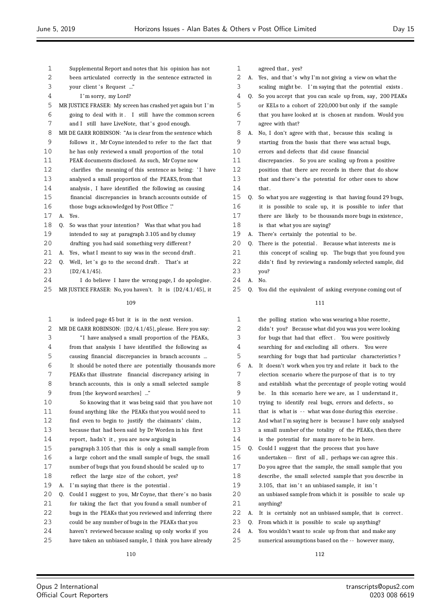| 1  |    | Supplemental Report and notes that his opinion has not         |
|----|----|----------------------------------------------------------------|
| 2  |    | been articulated correctly in the sentence extracted in        |
| 3  |    | your client's Request "                                        |
| 4  |    | I'm sorry, my Lord?                                            |
| 5  |    | MR JUSTICE FRASER: My screen has crashed yet again but I'm     |
| 6  |    | going to deal with it. I still have the common screen          |
| 7  |    | and I still have LiveNote, that's good enough.                 |
| 8  |    | MR DE GARR ROBINSON: "As is clear from the sentence which      |
| 9  |    | follows it, Mr Coyne intended to refer to the fact that        |
| 10 |    | he has only reviewed a small proportion of the total           |
| 11 |    | PEAK documents disclosed. As such, Mr Coyne now                |
| 12 |    | clarifies the meaning of this sentence as being: 'I have       |
| 13 |    | analysed a small proportion of the PEAKS, from that            |
| 14 |    | analysis, I have identified the following as causing           |
| 15 |    | financial discrepancies in branch accounts outside of          |
| 16 |    | those bugs acknowledged by Post Office "                       |
| 17 | А. | Yes.                                                           |
| 18 | 0. | So was that your intention? Was that what you had              |
| 19 |    | intended to say at paragraph 3.105 and by clumsy               |
| 20 |    | drafting you had said something very different?                |
| 21 | А. | Yes, what I meant to say was in the second draft.              |
| 22 | 0. | Well, let's go to the second draft. That's at                  |
| 23 |    | $[D2/4.1/45]$ .                                                |
| 24 |    | I do believe I have the wrong page, I do apologise.            |
| 25 |    | MR JUSTICE FRASER: No, you haven't. It is $\{D2/4.1/45\}$ , it |
|    |    |                                                                |

| 1  |    | is indeed page 45 but it is in the next version.        |
|----|----|---------------------------------------------------------|
| 2  |    | MR DE GARR ROBINSON: {D2/4.1/45}, please. Here you say: |
| 3  |    | "I have analysed a small proportion of the PEAKs,       |
| 4  |    | from that analysis I have identified the following as   |
| 5  |    | causing financial discrepancies in branch accounts      |
| 6  |    | It should be noted there are potentially thousands more |
| 7  |    | PEAKs that illustrate financial discrepancy arising in  |
| 8  |    | branch accounts, this is only a small selected sample   |
| 9  |    | from [the keyword searches] "                           |
| 10 |    | So knowing that it was being said that you have not     |
| 11 |    | found anything like the PEAKs that you would need to    |
| 12 |    | find even to begin to justify the claimants' claim,     |
| 13 |    | because that had been said by Dr Worden in his first    |
| 14 |    | report, hadn't it, you are now arguing in               |
| 15 |    | paragraph 3.105 that this is only a small sample from   |
| 16 |    | a large cohort and the small sample of bugs, the small  |
| 17 |    | number of bugs that you found should be scaled up to    |
| 18 |    | reflect the large size of the cohort, yes?              |
| 19 | А. | I'm saying that there is the potential.                 |
| 20 | Q. | Could I suggest to you, Mr Coyne, that there's no basis |
| 21 |    | for taking the fact that you found a small number of    |
| 22 |    | bugs in the PEAKs that you reviewed and inferring there |
| 23 |    | could be any number of bugs in the PEAKs that you       |
| 24 |    | haven't reviewed because scaling up only works if you   |
| 25 |    | have taken an unbiased sample, I think you have already |

| 1          |    | agreed that, yes?                                        |
|------------|----|----------------------------------------------------------|
| 2          | А. | Yes, and that's why I'm not giving a view on what the    |
| 3          |    | scaling might be. I'm saying that the potential exists.  |
| 4          | 0. | So you accept that you can scale up from, say, 200 PEAKs |
| 5          |    | or KELs to a cohort of 220,000 but only if the sample    |
| 6          |    | that you have looked at is chosen at random. Would you   |
| 7          |    | agree with that?                                         |
| 8          | А. | No, I don't agree with that, because this scaling is     |
| 9          |    | starting from the basis that there was actual bugs,      |
| 10         |    | errors and defects that did cause financial              |
| 11         |    | discrepancies. So you are scaling up from a positive     |
| 12         |    | position that there are records in there that do show    |
| 13         |    | that and there's the potential for other ones to show    |
| 14         |    | that.                                                    |
| 15         | 0. | So what you are suggesting is that having found 29 bugs, |
| 16         |    | it is possible to scale up, it is possible to infer that |
| $17 \,$    |    | there are likely to be thousands more bugs in existence, |
| 18         |    | is that what you are saying?                             |
| 19         | А. | There's certainly the potential to be.                   |
| 20         | 0. | There is the potential. Because what interests me is     |
| 21         |    | this concept of scaling up. The bugs that you found you  |
| 22         |    | didn't find by reviewing a randomly selected sample, did |
| 23         |    | you?                                                     |
| 24         | A. | No.                                                      |
| $\sim$ $-$ |    |                                                          |

Q. You did the equivalent of asking everyone coming out of

### 

| $\mathbf{1}$ |    | the polling station who was wearing a blue rosette,      |
|--------------|----|----------------------------------------------------------|
| 2            |    | didn't you? Because what did you was you were looking    |
| 3            |    | for bugs that had that effect. You were positively       |
| 4            |    | searching for and excluding all others. You were         |
| 5            |    | searching for bugs that had particular characteristics?  |
| 6            | А. | It doesn't work when you try and relate it back to the   |
| 7            |    | election scenario where the purpose of that is to try    |
| 8            |    | and establish what the percentage of people voting would |
| 9            |    | be. In this scenario here we are, as I understand it,    |
| 10           |    | trying to identify real bugs, errors and defects, so     |
| 11           |    | that is what is -- what was done during this exercise.   |
| 12           |    | And what I'm saying here is because I have only analysed |
| 13           |    | a small number of the totality of the PEAKs, then there  |
| 14           |    | is the potential for many more to be in here.            |
| 15           | Q. | Could I suggest that the process that you have           |
| 16           |    | undertaken -- first of all, perhaps we can agree this.   |
| 17           |    | Do you agree that the sample, the small sample that you  |
| 18           |    | describe, the small selected sample that you describe in |
| 19           |    | 3.105, that isn't an unbiased sample, it isn't           |
| 20           |    | an unbiased sample from which it is possible to scale up |
| 21           |    | anything?                                                |
| 22           | А. | It is certainly not an unbiased sample, that is correct. |
| 23           | 0. | From which it is possible to scale up anything?          |
| 24           | А. | You wouldn't want to scale up from that and make any     |

numerical assumptions based on the - - however many,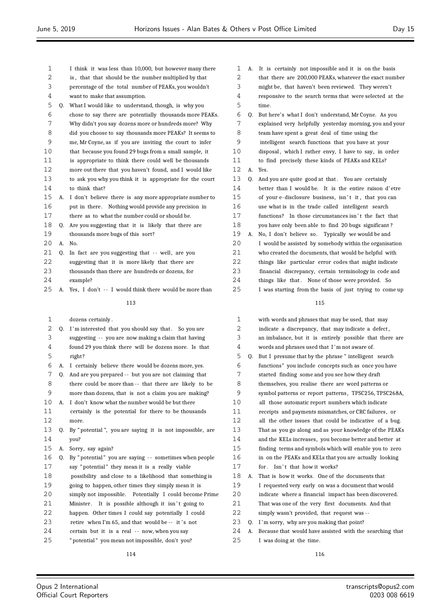| 1  |    | I think it was less than 10,000, but however many there  |
|----|----|----------------------------------------------------------|
| 2  |    | is, that that should be the number multiplied by that    |
| 3  |    | percentage of the total number of PEAKs, you wouldn't    |
| 4  |    | want to make that assumption.                            |
| 5  | Q. | What I would like to understand, though, is why you      |
| 6  |    | chose to say there are potentially thousands more PEAKs. |
| 7  |    | Why didn't you say dozens more or hundreds more? Why     |
| 8  |    | did you choose to say thousands more PEAKs? It seems to  |
| 9  |    | me, Mr Coyne, as if you are inviting the court to infer  |
| 10 |    | that because you found 29 bugs from a small sample, it   |
| 11 |    | is appropriate to think there could well be thousands    |
| 12 |    | more out there that you haven't found, and I would like  |
| 13 |    | to ask you why you think it is appropriate for the court |
| 14 |    | to think that?                                           |
| 15 | А. | I don't believe there is any more appropriate number to  |
| 16 |    | put in there. Nothing would provide any precision in     |
| 17 |    | there as to what the number could or should be.          |
| 18 | Q. | Are you suggesting that it is likely that there are      |
| 19 |    | thousands more bugs of this sort?                        |
| 20 | А. | No.                                                      |
| 21 | 0. | In fact are you suggesting that -- well, are you         |
| 22 |    | suggesting that it is more likely that there are         |
| 23 |    | thousands than there are hundreds or dozens, for         |
| 24 |    | example?                                                 |
| 25 | А. | Yes, I don't -- I would think there would be more than   |
|    |    | 113                                                      |
|    |    |                                                          |
| 1  |    | dozens certainly.                                        |
| 2  | Q. | I'm interested that you should say that. So you are      |
| 3  |    | suggesting -- you are now making a claim that having     |
| 4  |    | found 29 you think there will be dozens more. Is that    |
| 5  |    | right?                                                   |
| 6  | А. | I certainly believe there would be dozens more, yes.     |
| 7  | Q. | And are you prepared -- but you are not claiming that    |
| 8  |    | there could be more than -- that there are likely to be  |
| 9  |    | more than dozens, that is not a claim you are making?    |
| 10 | А. | I don't know what the number would be but there          |
| 11 |    | certainly is the potential for there to be thousands     |
| 12 |    | more.                                                    |
| 13 | Q. | By "potential", you are saying it is not impossible, are |
| 14 |    | vou?                                                     |
| 15 | А. | Sorry, say again?                                        |
| 16 | 0. | By "potential" you are saying -- sometimes when people   |
| 17 |    | say "potential" they mean it is a really viable          |
| 18 |    | possibility and close to a likelihood that something is  |
| 19 |    | going to happen, other times they simply mean it is      |
| 20 |    | simply not impossible.  Potentially I could become Prime |
| 21 |    | Minister.<br>It is possible although it isn't going to   |
| 22 |    | happen. Other times I could say potentially I could      |
| 23 |    | retire when I'm 65, and that would be -- it's not        |
| 24 |    | certain but it is a real -- now, when you say            |

" potential " you mean not impossible, don't you?

- A. It is certainly not impossible and it is on the basis
- that there are 200,000 PEAKs, whatever the exact number
- might be, that haven't been reviewed. They weren't
- responsive to the search terms that were selected at the time.
- Q. But here's what I don't understand, Mr Coyne. As you explained very helpfully yesterday morning, you and your team have spent a great deal of time using the
- intelligent search functions that you have at your
- 10 disposal, which I rather envy, I have to say, in order
- to find precisely these kinds of PEAKs and KELs?
- A. Yes.
- 13 Q. And you are quite good at that. You are certainly
- better than I would be. It is the entire raison d'etre
- 15 of your e-disclosure business, isn't it, that you can
- use what is in the trade called intelligent search
- 17 functions? In those circumstances isn't the fact that
- you have only been able to find 20 bugs significant ?
- A. No, I don't believe so. Typically we would be and I would be assisted by somebody within the organisation who created the documents, that would be helpful with
- things like particular error codes that might indicate
- financial discrepancy, certain terminology in code and
- 24 things like that. None of those were provided. So
- I was starting from the basis of just trying to come up

### 

| $\mathbf{1}$   |    | with words and phrases that may be used, that may        |
|----------------|----|----------------------------------------------------------|
| $\overline{2}$ |    | indicate a discrepancy, that may indicate a defect,      |
| 3              |    | an imbalance, but it is entirely possible that there are |
| 4              |    | words and phrases used that I'm not aware of.            |
| 5              | Q. | But I presume that by the phrase " intelligent search    |
| 6              |    | functions" you include concepts such as once you have    |
| 7              |    | started finding some and you see how they draft          |
| 8              |    | themselves, you realise there are word patterns or       |
| 9              |    | symbol patterns or report patterns, TPSC256, TPSC268A,   |
| 10             |    | all those automatic report numbers which indicate        |
| 11             |    | receipts and payments mismatches, or CRC failures, or    |
| 12             |    | all the other issues that could be indicative of a bug.  |
| 13             |    | That as you go along and as your knowledge of the PEAKs  |
| 14             |    | and the KELs increases, you become better and better at  |
| 15             |    | finding terms and symbols which will enable you to zero  |
| 16             |    | in on the PEAKs and KELs that you are actually looking   |
| 17             |    | for. Isn't that how it works?                            |
| 18             | А. | That is how it works. One of the documents that          |
| 19             |    | I requested very early on was a document that would      |
| 20             |    | indicate where a financial impact has been discovered.   |
| 21             |    | That was one of the very first documents. And that       |
| 22             |    | simply wasn't provided, that request was --              |
| 23             | 0. | I'm sorry, why are you making that point?                |
| 24             | А. | Because that would have assisted with the searching that |
| 25             |    | I was doing at the time.                                 |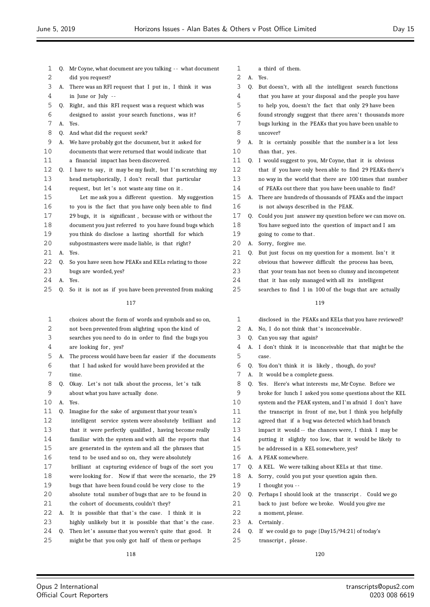| 1  |    | Q. Mr Coyne, what document are you talking -- what document |
|----|----|-------------------------------------------------------------|
| 2  |    | did you request?                                            |
| 3  | А. | There was an RFI request that I put in, I think it was      |
| 4  |    | in June or July --                                          |
| 5  | Q. | Right, and this RFI request was a request which was         |
| 6  |    | designed to assist your search functions, was it?           |
| 7  | А. | Yes.                                                        |
| 8  | 0. | And what did the request seek?                              |
| 9  | А. | We have probably got the document, but it asked for         |
| 10 |    | documents that were returned that would indicate that       |
| 11 |    | a financial impact has been discovered.                     |
| 12 | Q. | I have to say, it may be my fault, but I'm scratching my    |
| 13 |    | head metaphorically, I don't recall that particular         |
| 14 |    | request, but let's not waste any time on it.                |
| 15 |    | Let me ask you a different question. My suggestion          |
| 16 |    | to you is the fact that you have only been able to find     |
| 17 |    | 29 bugs, it is significant, because with or without the     |
| 18 |    | document you just referred to you have found bugs which     |
| 19 |    | you think do disclose a lasting shortfall for which         |
| 20 |    | subpostmasters were made liable, is that right?             |
| 21 | А. | Yes.                                                        |
| 22 | 0. | So you have seen how PEAKs and KELs relating to those       |
| 23 |    | bugs are worded, yes?                                       |
| 24 | А. | Yes.                                                        |
| 25 | Q. | So it is not as if you have been prevented from making      |
|    |    | 117                                                         |
|    |    |                                                             |
| 1  |    | choices about the form of words and symbols and so on,      |
| 2  |    | not been prevented from alighting upon the kind of          |
| 3  |    | searches you need to do in order to find the bugs you       |
| 4  |    | are looking for, yes?                                       |
| 5  | А. | The process would have been far easier if the documents     |
| 6  |    | that I had asked for would have been provided at the        |
| 7  |    | time.                                                       |
| 8  | Q. | Okay. Let's not talk about the process, let's talk          |
| 9  |    | about what you have actually done.                          |
| 10 | A. | Yes.                                                        |
| 11 | Q. | Imagine for the sake of argument that your team's           |
| 12 |    | intelligent service system were absolutely brilliant and    |
| 13 |    | that it were perfectly qualified, having become really      |
| 14 |    | familiar with the system and with all the reports that      |
| 15 |    | are generated in the system and all the phrases that        |
| 16 |    | tend to be used and so on, they were absolutely             |
| 17 |    | brilliant at capturing evidence of bugs of the sort you     |
| 18 |    | were looking for. Now if that were the scenario, the 29     |

 bugs that have been found could be very close to the absolute total number of bugs that are to be found in

22 A. It is possible that that's the case. I think it is 23 highly unlikely but it is possible that that's the case. 24 Q. Then let's assume that you weren't quite that good. It might be that you only got half of them or perhaps

21 the cohort of documents, couldn't they?

- a third of them.
- A. Yes.

| 3  | Q. But doesn't, with all the intelligent search functions |
|----|-----------------------------------------------------------|
| 4  | that you have at your disposal and the people you have    |
| 5. | to help you, doesn't the fact that only 29 have been      |
| 6  | found strongly suggest that there aren't thousands more   |
| 7  | bugs lurking in the PEAKs that you have been unable to    |
| 8  | uncover?                                                  |
|    |                                                           |

- A. It is certainly possible that the number is a lot less 10 than that, yes.
- Q. I would suggest to you, Mr Coyne, that it is obvious that if you have only been able to find 29 PEAKs there's no way in the world that there are 100 times that number of PEAKs out there that you have been unable to find?
- A. There are hundreds of thousands of PEAKs and the impact
- is not always described in the PEAK.
- Q. Could you just answer my question before we can move on. You have segued into the question of impact and I am 19 going to come to that.
- A. Sorry, forgive me.
- 21 Q. But just focus on my question for a moment. Isn't it
- obvious that however difficult the process has been,
- that your team has not been so clumsy and incompetent
- that it has only managed with all its intelligent
- searches to find 1 in 100 of the bugs that are actually

### 

- disclosed in the PEAKs and KELs that you have reviewed?
- 2 A. No, I do not think that's inconceivable.
- Q. Can you say that again?
- A. I don't think it is inconceivable that that might be the case.
- Q. You don't think it is likely , though, do you?
- A. It would be a complete guess.
- Q. Yes. Here's what interests me, Mr Coyne. Before we
- broke for lunch I asked you some questions about the KEL
- system and the PEAK system, and I'm afraid I don't have
- the transcript in front of me, but I think you helpfully
- agreed that if a bug was detected which had branch
- impact it would -- the chances were, I think I may be
- putting it slightly too low, that it would be likely to
- be addressed in a KEL somewhere, yes?
- A. A PEAK somewhere.
- Q. A KEL. We were talking about KELs at that time.
- A. Sorry, could you put your question again then.
- I thought you -
- Q. Perhaps I should look at the transcript . Could we go back to just before we broke. Would you give me
- a moment, please.
- A. Certainly .
- Q. If we could go to page {Day15/94:21} of today's
- 25 transcript, please.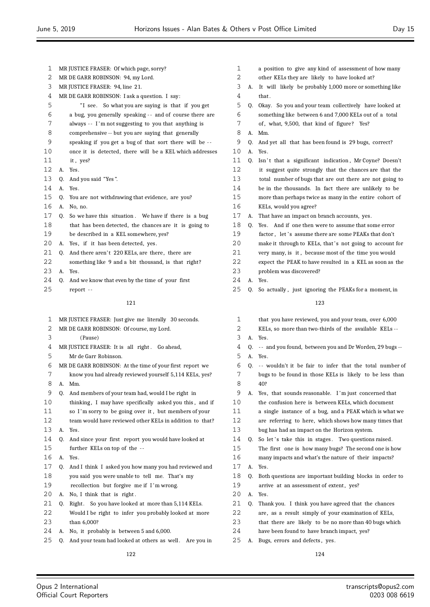| 1  |                                 | MR JUSTICE FRASER: Of which page, sorry?                 |  |  |
|----|---------------------------------|----------------------------------------------------------|--|--|
| 2  |                                 | MR DE GARR ROBINSON: 94, my Lord.                        |  |  |
| 3  | MR JUSTICE FRASER: 94, line 21. |                                                          |  |  |
| 4  |                                 | MR DE GARR ROBINSON: I ask a question. I say:            |  |  |
| 5  |                                 | So what you are saying is that if you get<br>"I see.     |  |  |
| 6  |                                 | a bug, you generally speaking -- and of course there are |  |  |
| 7  |                                 | always -- I'm not suggesting to you that anything is     |  |  |
| 8  |                                 | comprehensive -- but you are saying that generally       |  |  |
| 9  |                                 | speaking if you get a bug of that sort there will be --  |  |  |
| 10 |                                 | once it is detected, there will be a KEL which addresses |  |  |
| 11 |                                 | it, yes?                                                 |  |  |
| 12 | А.                              | Yes.                                                     |  |  |
| 13 | Q.                              | And you said "Yes".                                      |  |  |
| 14 | А.                              | Yes.                                                     |  |  |
| 15 | Q.                              | You are not withdrawing that evidence, are you?          |  |  |
| 16 | А.                              | No, no.                                                  |  |  |
| 17 | Q.                              | So we have this situation. We have if there is a bug     |  |  |
| 18 |                                 | that has been detected, the chances are it is going to   |  |  |
| 19 |                                 | be described in a KEL somewhere, yes?                    |  |  |
| 20 | А.                              | Yes, if it has been detected, yes.                       |  |  |
| 21 | Q.                              | And there aren't 220 KELs, are there, there are          |  |  |
| 22 |                                 | something like 9 and a bit thousand, is that right?      |  |  |
| 23 | А.                              | Yes.                                                     |  |  |
| 24 | Q.                              | And we know that even by the time of your first          |  |  |
| 25 |                                 | report --                                                |  |  |
|    |                                 | 121                                                      |  |  |
| 1  |                                 | MR JUSTICE FRASER: Just give me literally 30 seconds.    |  |  |
| 2  |                                 | MR DE GARR ROBINSON: Of course, my Lord.                 |  |  |
| 3  |                                 | (Pause)                                                  |  |  |
| 4  |                                 | MR JUSTICE FRASER: It is all right. Go ahead,            |  |  |
| 5  |                                 | Mr de Garr Robinson.                                     |  |  |
| 6  |                                 | MR DE GARR ROBINSON: At the time of your first report we |  |  |
| 7  |                                 | know you had already reviewed yourself 5,114 KELs, yes?  |  |  |
| 8  | А.                              | Mm.                                                      |  |  |
| 9  | Q.                              | And members of your team had, would I be right in        |  |  |
| 10 |                                 | thinking, I may have specifically asked you this, and if |  |  |
| 11 |                                 | so I'm sorry to be doing over it but members of your     |  |  |

- orry to be going over it, but members of your team would have reviewed other KELs in addition to that?
- A. Yes.
- Q. And since your first report you would have looked at further KELs on top of the - -
- A. Yes.
- Q. And I think I asked you how many you had reviewed and you said you were unable to tell me. That's my recollection but forgive me if I 'm wrong.
- 20 A. No. I think that is right.
- 21 Q. Right. So you have looked at more than 5,114 KELs.
- Would I be right to infer you probably looked at more
- than 6,000?
- A. No, it probably is between 5 and 6,000.

25 Q. And your team had looked at others as well. Are you in

- a position to give any kind of assessment of how many other KELs they are likely to have looked at? A. It will likely be probably 1,000 more or something like that . Q. Okay. So you and your team collectively have looked at something like between 6 and 7,000 KELs out of a total 7 of, what, 9,500, that kind of figure? Yes? A. Mm. Q. And yet all that has been found is 29 bugs, correct? A. Yes. 11 Q. Isn't that a significant indication, Mr Coyne? Doesn't it suggest quite strongly that the chances are that the total number of bugs that are out there are not going to be in the thousands. In fact there are unlikely to be more than perhaps twice as many in the entire cohort of KELs, would you agree? A. That have an impact on branch accounts, yes. Q. Yes. And if one then were to assume that some error 19 factor, let's assume there are some PEAKs that don't 20 make it through to KELs, that's not going to account for very many, is it , because most of the time you would expect the PEAK to have resulted in a KEL as soon as the problem was discovered? A. Yes. Q. So actually , just ignoring the PEAKs for a moment, in that you have reviewed, you and your team, over 6,000 KELs, so more than two-thirds of the available KELs -- A. Yes. Q. - - and you found, between you and Dr Worden, 29 bugs -- A. Yes. Q. - - wouldn't it be fair to infer that the total number of bugs to be found in those KELs is likely to be less than 40? A. Yes, that sounds reasonable. I 'm just concerned that the confusion here is between KELs, which document a single instance of a bug, and a PEAK which is what we are referring to here, which shows how many times that bug has had an impact on the Horizon system. 14 O. So let 's take this in stages. Two questions raised.
- The first one is how many bugs? The second one is how
- many impacts and what's the nature of their impacts?
- A. Yes.
- Q. Both questions are important building blocks in order to 19 arrive at an assessment of extent, yes?
- A. Yes.
- Q. Thank you. I think you have agreed that the chances
- 22 are, as a result simply of your examination of KELs,
- that there are likely to be no more than 40 bugs which
- have been found to have branch impact, yes?
- A. Bugs, errors and defects , yes.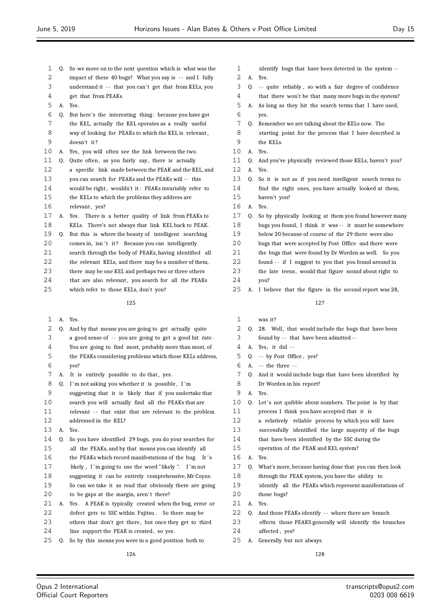Q. So we move on to the next question which is what was the 2 impact of these 40 bugs? What you say is -- and I fully 3 understand it -- that you can't get that from KELs, you get that from PEAKs. A. Yes. Q. But here's the interesting thing: because you have got the KEL, actually the KEL operates as a really useful way of looking for PEAKs to which the KEL is relevant , doesn't it ? A. Yes, you will often see the link between the two. 11 Q. Quite often, as you fairly say, there is actually a specific link made between the PEAK and the KEL, and you can search for PEAKs and the PEAKs will - - this 14 would be right, wouldn't it: PEAKs invariably refer to the KELs to which the problems they address are 16 relevant, yes? A. Yes. There is a better quality of link from PEAKs to KELs. There's not always that link KEL back to PEAK. Q. But this is where the beauty of intelligent searching 20 comes in, isn't it? Because you can intelligently search through the body of PEAKs, having identified all the relevant KELs, and there may be a number of them, 23 there may be one KEL and perhaps two or three others 24 that are also relevant, you search for all the PEAKs which refer to those KELs, don't you?

### 

A. Yes.

| 2  | 0. | And by that means you are going to get actually quite    |
|----|----|----------------------------------------------------------|
| 3  |    | a good sense of -- you are going to get a good hit rate. |
| 4  |    | You are going to find most, probably more than most, of  |
| 5  |    | the PEAKs considering problems which those KELs address, |
| 6  |    | yes?                                                     |
| 7  | А. | It is entirely possible to do that, yes.                 |
| 8  | 0. | I'm not asking you whether it is possible, I'm           |
| 9  |    | suggesting that it is likely that if you undertake that  |
| 10 |    | search you will actually find all the PEAKs that are     |
| 11 |    | relevant -- that exist that are relevant to the problem  |
| 12 |    | addressed in the KEL?                                    |
| 13 | A. | Yes.                                                     |
| 14 | 0. | So you have identified 29 bugs, you do your searches for |
| 15 |    | all the PEAKs, and by that means you can identify all    |
| 16 |    | the PEAKs which record manifestations of the bug. It's   |
| 17 |    | likely, I'm going to use the word "likely". I'm not      |
| 18 |    | suggesting it can be entirely comprehensive, Mr Coyne.   |
| 19 |    | So can we take it as read that obviously there are going |
| 20 |    | to be gaps at the margin, aren't there?                  |
| 21 | А. | Yes. A PEAK is typically created when the bug, error or  |
| 22 |    | defect gets to SSC within Fujitsu. So there may be       |
| 23 |    | others that don't get there, but once they get to third  |
| 24 |    | line support the PEAK is created, so yes.                |
| 25 | 0. | So by this means you were in a good position both to     |
|    |    |                                                          |

- 1 identify bugs that have been detected in the system --A. Yes.
- Q. - quite reliably , so with a fair degree of confidence
- that there won't be that many more bugs in the system? A. As long as they hit the search terms that I have used,
- yes.
- Q. Remember we are talking about the KELs now. The
- starting point for the process that I have described is the KELs.
- A. Yes.
- Q. And you've physically reviewed those KELs, haven't you?
- A. Yes.
- Q. So it is not as if you need intelligent search terms to find the right ones, you have actually looked at them,
- haven't you?
- A. Yes.
- Q. So by physically looking at them you found however many bugs you found, I think it was -- it must be somewhere
- below 20 because of course of the 29 there were also
- bugs that were accepted by Post Office and there were
- the bugs that were found by Dr Worden as well. So you
- found - if I suggest to you that you found around in
- the late teens, would that figure sound about right to you?
- A. I believe that the figure in the second report was 28,

- was it ?
- Q. 28. Well, that would include the bugs that have been found by - - that have been admitted --
- A. Yes, it did -
- Q. - by Post Office , yes?
- A. - the three -
- Q. And it would include bugs that have been identified by
- Dr Worden in his report?
- A. Yes.
- 10 Q. Let's not quibble about numbers. The point is by that
- process I think you have accepted that it is
- a relatively reliable process by which you will have
- successfully identified the large majority of the bugs
- that have been identified by the SSC during the
- operation of the PEAK and KEL system?
- A. Yes.
- Q. What's more, because having done that you can then look through the PEAK system, you have the ability to
- identify all the PEAKs which represent manifestations of
- 2.0 those bugs?
- A. Yes.
- 22 Q. And those PEAKs identify -- where there are branch
- effects those PEAKS generally will identify the branches 24 affected, yes?
- A. Generally but not always.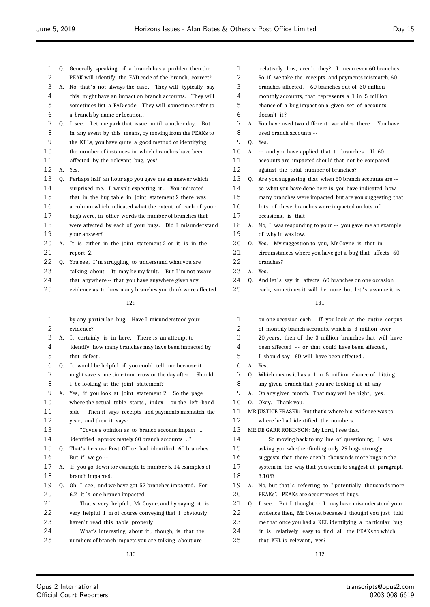| 1  |    | Q. Generally speaking, if a branch has a problem then the  | 1  |    | relatively low, aren't they? I mean even 60 branches.    |
|----|----|------------------------------------------------------------|----|----|----------------------------------------------------------|
| 2  |    | PEAK will identify the FAD code of the branch, correct?    | 2  |    | So if we take the receipts and payments mismatch, 60     |
| 3  |    | A. No, that's not always the case. They will typically say | 3  |    | branches affected. 60 branches out of 30 million         |
| 4  |    | this might have an impact on branch accounts. They will    | 4  |    | monthly accounts, that represents a 1 in 5 million       |
| 5  |    | sometimes list a FAD code. They will sometimes refer to    | 5  |    | chance of a bug impact on a given set of accounts,       |
| 6  |    | a branch by name or location.                              | 6  |    | doesn't it?                                              |
| 7  |    | Q. I see. Let me park that issue until another day. But    | 7  | А. | You have used two different variables there. You have    |
| 8  |    | in any event by this means, by moving from the PEAKs to    | 8  |    | used branch accounts --                                  |
| 9  |    | the KELs, you have quite a good method of identifying      | 9  | Q. | Yes.                                                     |
| 10 |    | the number of instances in which branches have been        | 10 | А. | -- and you have applied that to branches. If 60          |
| 11 |    | affected by the relevant bug, yes?                         | 11 |    | accounts are impacted should that not be compared        |
| 12 |    | A. Yes.                                                    | 12 |    | against the total number of branches?                    |
| 13 | Q. | Perhaps half an hour ago you gave me an answer which       | 13 | Q. | Are you suggesting that when 60 branch accounts are --   |
| 14 |    | surprised me. I wasn't expecting it. You indicated         | 14 |    | so what you have done here is you have indicated how     |
| 15 |    | that in the bug table in joint statement 2 there was       | 15 |    | many branches were impacted, but are you suggesting that |
| 16 |    | a column which indicated what the extent of each of your   | 16 |    | lots of these branches were impacted on lots of          |
| 17 |    | bugs were, in other words the number of branches that      | 17 |    | occasions, is that --                                    |
| 18 |    | were affected by each of your bugs. Did I misunderstand    | 18 | А. | No, I was responding to your -- you gave me an example   |
| 19 |    | your answer?                                               | 19 |    | of why it was low.                                       |
| 20 |    | A. It is either in the joint statement 2 or it is in the   | 20 |    | Q. Yes. My suggestion to you, Mr Coyne, is that in       |
| 21 |    | report 2.                                                  | 21 |    | circumstances where you have got a bug that affects 60   |
| 22 | Q. | You see, I'm struggling to understand what you are         | 22 |    | branches?                                                |
| 23 |    | talking about. It may be my fault. But I'm not aware       | 23 |    | A. Yes.                                                  |
| 24 |    | that anywhere -- that you have anywhere given any          | 24 | 0. | And let's say it affects 60 branches on one occasion     |
| 25 |    | evidence as to how many branches you think were affected   | 25 |    | each, sometimes it will be more, but let's assume it is  |
|    |    | 129                                                        |    |    | 131                                                      |
|    |    |                                                            |    |    |                                                          |
| 1  |    | by any particular bug. Have I misunderstood your           | 1  |    | on one occasion each. If you look at the entire corpus   |
| 2  |    | evidence?                                                  | 2  |    | of monthly branch accounts, which is 3 million over      |
| 3  | A. | It certainly is in here. There is an attempt to            | 3  |    | 20 years, then of the 3 million branches that will have  |
| 4  |    | identify how many branches may have been impacted by       | 4  |    | been affected -- or that could have been affected,       |
| 5  |    | that defect.                                               | 5  |    | I should say, 60 will have been affected.                |
| 6  | Q. | It would be helpful if you could tell me because it        | 6  |    | A. Yes.                                                  |
| 7  |    | might save some time tomorrow or the day after. Should     | 7  |    | Q. Which means it has a 1 in 5 million chance of hitting |
| 8  |    | I be looking at the joint statement?                       |    |    |                                                          |
| 9  |    |                                                            | 8  |    | any given branch that you are looking at at any -        |
|    |    | A. Yes, if you look at joint statement 2. So the page      | 9  |    | A. On any given month. That may well be right, yes.      |
| 10 |    | where the actual table starts, index 1 on the left-hand    | 10 |    | Q. Okay. Thank you.                                      |
| 11 |    | side. Then it says receipts and payments mismatch, the     | 11 |    | MR JUSTICE FRASER: But that's where his evidence was to  |
| 12 |    | year, and then it says:                                    | 12 |    | where he had identified the numbers.                     |
| 13 |    | "Coyne's opinion as to branch account impact               | 13 |    | MR DE GARR ROBINSON: My Lord, I see that.                |
| 14 |    | identified approximately 60 branch accounts "              | 14 |    | So moving back to my line of questioning, I was          |
| 15 | Q. | That's because Post Office had identified 60 branches.     | 15 |    | asking you whether finding only 29 bugs strongly         |
| 16 |    | But if we go --                                            | 16 |    | suggests that there aren't thousands more bugs in the    |
| 17 | А. | If you go down for example to number 5, 14 examples of     | 17 |    | system in the way that you seem to suggest at paragraph  |
| 18 |    | branch impacted.                                           | 18 |    | 3.105?                                                   |
| 19 | Q. | Oh, I see, and we have got 57 branches impacted. For       | 19 | A. | No, but that's referring to "potentially thousands more  |
| 20 |    | 6.2 it's one branch impacted.                              | 20 |    | PEAKs". PEAKs are occurrences of bugs.                   |
| 21 |    | That's very helpful, Mr Coyne, and by saying it is         | 21 |    | Q. I see. But I thought -- I may have misunderstood your |
| 22 |    | very helpful I'm of course conveying that I obviously      | 22 |    | evidence then, Mr Coyne, because I thought you just told |
| 23 |    | haven't read this table properly.                          | 23 |    | me that once you had a KEL identifying a particular bug  |
| 24 |    | What's interesting about it, though, is that the           | 24 |    | it is relatively easy to find all the PEAKs to which     |
| 25 |    | numbers of branch impacts you are talking about are        | 25 |    | that KEL is relevant, yes?                               |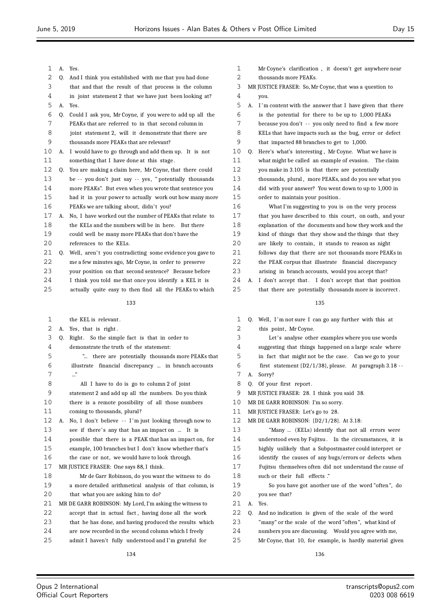| 1      |    | A. Yes.                                                                            |
|--------|----|------------------------------------------------------------------------------------|
| 2      | 0. | And I think you established with me that you had done                              |
| 3      |    | that and that the result of that process is the column                             |
| 4      |    | in joint statement 2 that we have just been looking at?                            |
| 5      | А. | Yes.                                                                               |
| 6      | 0. | Could I ask you, Mr Coyne, if you were to add up all the                           |
| 7      |    | PEAKs that are referred to in that second column in                                |
| 8      |    | joint statement 2, will it demonstrate that there are                              |
| 9      |    | thousands more PEAKs that are relevant?                                            |
| 10     | А. | I would have to go through and add them up. It is not                              |
| 11     |    | something that I have done at this stage.                                          |
| 12     | Q. | You are making a claim here, Mr Coyne, that there could                            |
| 13     |    | be -- you don't just say -- yes, "potentially thousands                            |
| 14     |    | more PEAKs". But even when you wrote that sentence you                             |
| 15     |    | had it in your power to actually work out how many more                            |
| 16     |    | PEAKs we are talking about, didn't you?                                            |
| 17     | А. | No, I have worked out the number of PEAKs that relate to                           |
| 18     |    | the KELs and the numbers will be in here. But there                                |
| 19     |    | could well be many more PEAKs that don't have the                                  |
| 20     |    | references to the KELs.                                                            |
| 21     |    | Q. Well, aren't you contradicting some evidence you gave to                        |
| 22     |    | me a few minutes ago, Mr Coyne, in order to preserve                               |
| 23     |    | your position on that second sentence? Because before                              |
| 24     |    | I think you told me that once you identify a KEL it is                             |
| 25     |    | actually quite easy to then find all the PEAKs to which                            |
|        |    | 133                                                                                |
|        |    |                                                                                    |
| 1      |    | the KEL is relevant.                                                               |
| 2      | А. | Yes, that is right.                                                                |
| 3      | 0. | Right. So the simple fact is that in order to                                      |
| 4      |    | demonstrate the truth of the statement:                                            |
| 5      |    | " there are potentially thousands more PEAKs that                                  |
| 6<br>7 |    | financial discrepancy  in branch accounts<br>illustrate                            |
|        |    | "                                                                                  |
| 8<br>9 |    | All I have to do is go to column 2 of joint                                        |
| 10     |    | statement 2 and add up all the numbers. Do you think                               |
| 11     |    | there is a remote possibility of all those numbers<br>coming to thousands, plural? |
| 12     |    | A. No, I don't believe -- I'm just looking through now to                          |
| 13     |    |                                                                                    |
|        |    | see if there's any that has an impact on  It is                                    |
| 14     |    | possible that there is a PEAK that has an impact on, for                           |
| 15     |    | example, 100 branches but I don't know whether that's                              |
| 16     |    | the case or not, we would have to look through.                                    |
| 17     |    | MR JUSTICE FRASER: One says 88, I think.                                           |
| 18     |    | Mr de Garr Robinson, do you want the witness to do                                 |
| 19     |    | a more detailed arithmetical analysis of that column, is                           |

| 1  |    | Mr Coyne's clarification, it doesn't get anywhere near   |
|----|----|----------------------------------------------------------|
| 2  |    | thousands more PEAKs.                                    |
| 3  |    | MR JUSTICE FRASER: So, Mr Coyne, that was a question to  |
| 4  |    | you.                                                     |
| 5  | А. | I'm content with the answer that I have given that there |
| 6  |    | is the potential for there to be up to 1,000 PEAKs       |
| 7  |    | because you don't -- you only need to find a few more    |
| 8  |    | KELs that have impacts such as the bug, error or defect  |
| 9  |    | that impacted 88 branches to get to 1,000.               |
| 10 | Q. | Here's what's interesting, Mr Coyne. What we have is     |
| 11 |    | what might be called an example of evasion.<br>The claim |
| 12 |    | you make in 3.105 is that there are potentially          |
| 13 |    | thousands, plural, more PEAKs, and do you see what you   |
| 14 |    | did with your answer? You went down to up to 1,000 in    |
| 15 |    | order to maintain your position.                         |
| 16 |    | What I'm suggesting to you is on the very process        |
| 17 |    | that you have described to this court, on oath, and your |
| 18 |    | explanation of the documents and how they work and the   |
| 19 |    | kind of things that they show and the things that they   |
| 20 |    | are likely to contain, it stands to reason as night      |
| 21 |    | follows day that there are not thousands more PEAKs in   |
| 22 |    | the PEAK corpus that illustrate financial discrepancy    |
| 23 |    | arising in branch accounts, would you accept that?       |
| 24 | А. | I don't accept that. I don't accept that that position   |
| 25 |    | that there are potentially thousands more is incorrect.  |
|    |    |                                                          |
|    |    | 135                                                      |
| 1  |    | Q. Well, I'm not sure I can go any further with this at  |
| 2  |    | this point, Mr Coyne.                                    |
| 3  |    | Let's analyse other examples where you use words         |
| 4  |    | suggesting that things happened on a large scale where   |
| 5  |    | in fact that might not be the case. Can we go to your    |
| 6  |    | first statement {D2/1/38}, please. At paragraph 3.18 --  |
| 7  | А. | Sorry?                                                   |
| 8  | 0. | Of your first report.                                    |
| 9  |    | MR JUSTICE FRASER: 28. I think you said 38.              |
|    |    |                                                          |

- MR DE GARR ROBINSON: I'm so sorry.
- MR JUSTICE FRASER: Let's go to 28.
- MR DE GARR ROBINSON: {D2/1/28}. At 3.18:

| 13 |    | "Many  (KELs) identify that not all errors were          |
|----|----|----------------------------------------------------------|
| 14 |    | understood even by Fujitsu. In the circumstances, it is  |
| 15 |    | highly unlikely that a Subpostmaster could interpret or  |
| 16 |    | identify the causes of any bugs/errors or defects when   |
| 17 |    | Fujitsu themselves often did not understand the cause of |
| 18 |    | such or their full effects."                             |
| 19 |    | So you have got another use of the word "often", do      |
| 20 |    | you see that?                                            |
| 21 |    | A. Yes.                                                  |
| 22 | 0. | And no indication is given of the scale of the word      |
| 23 |    | "many" or the scale of the word "often", what kind of    |
| 24 |    | numbers you are discussing. Would you agree with me,     |
| 25 |    | Mr Coyne, that 10, for example, is hardly material given |

 MR DE GARR ROBINSON: My Lord, I'm asking the witness to accept that in actual fact , having done all the work that he has done, and having produced the results which are now recorded in the second column which I freely admit I haven't fully understood and I'm grateful for

that what you are asking him to do?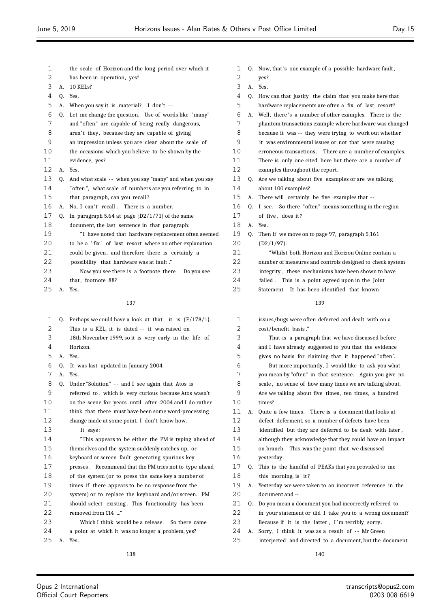| 1  |    | the scale of Horizon and the long period over which it      |
|----|----|-------------------------------------------------------------|
| 2  |    | has been in operation, yes?                                 |
| 3  | А. | 10 KELs?                                                    |
| 4  | 0. | Yes.                                                        |
| 5  | А. | When you say it is material? I don't $-$                    |
| 6  | 0. | Let me change the question. Use of words like "many"        |
| 7  |    | and "often" are capable of being really dangerous,          |
| 8  |    | aren't they, because they are capable of giving             |
| 9  |    | an impression unless you are clear about the scale of       |
| 10 |    | the occasions which you believe to be shown by the          |
| 11 |    | evidence, yes?                                              |
| 12 | А. | Yes.                                                        |
| 13 | 0. | And what scale -- when you say "many" and when you say      |
| 14 |    | "often", what scale of numbers are you referring to in      |
| 15 |    | that paragraph, can you recall?                             |
| 16 | А. | No, I can't recall. There is a number.                      |
| 17 | Q. | In paragraph 5.64 at page $(D2/1/71)$ of the same           |
| 18 |    | document, the last sentence in that paragraph:              |
| 19 |    | "I have noted that hardware replacement often seemed        |
| 20 |    | to be a 'fix' of last resort where no other explanation     |
| 21 |    | could be given, and therefore there is certainly a          |
| 22 |    | possibility that hardware was at fault."                    |
| 23 |    | Now you see there is a footnote there. Do you see           |
| 24 |    | that, footnote 88?                                          |
| 25 | А. | Yes.                                                        |
|    |    |                                                             |
|    |    | 137                                                         |
| 1  | Q. | Perhaps we could have a look at that, it is $\{F/178/1\}$ . |
| 2  |    | This is a KEL, it is dated -- it was raised on              |
| 3  |    | 18th November 1999, so it is very early in the life of      |
| 4  |    | Horizon.                                                    |
| 5  | А. | Yes.                                                        |
| 6  | Q. | It was last updated in January 2004.                        |
| 7  | A. | Yes.                                                        |
| 8  | Q. | Under "Solution" -- and I see again that Atos is            |
| 9  |    | referred to, which is very curious because Atos wasn't      |
| 10 |    | on the scene for years until after 2004 and I do rather     |
| 11 |    | think that there must have been some word-processing        |

|    | Now you see there is a footnote there. Do you see       | 23                                                                 |    |
|----|---------------------------------------------------------|--------------------------------------------------------------------|----|
|    | that, footnote 88?                                      | 24                                                                 |    |
| А. | Yes.                                                    | 25                                                                 |    |
|    | 137                                                     |                                                                    |    |
|    |                                                         | 1                                                                  |    |
|    | This is a KEL, it is dated -- it was raised on          | 2                                                                  |    |
|    | 18th November 1999, so it is very early in the life of  | 3                                                                  |    |
|    | Horizon.                                                | 4                                                                  |    |
| А. | Yes.                                                    | 5                                                                  |    |
| 0. | It was last updated in January 2004.                    | 6                                                                  |    |
|    | Yes.                                                    | 7                                                                  |    |
| 0. | Under "Solution" -- and I see again that Atos is        | 8                                                                  |    |
|    | referred to, which is very curious because Atos wasn't  | 9                                                                  |    |
|    | on the scene for years until after 2004 and I do rather | 10                                                                 |    |
|    | think that there must have been some word-processing    | 11                                                                 | A. |
|    | change made at some point, I don't know how.            | 12                                                                 |    |
|    | It says:                                                | 13                                                                 |    |
|    | "This appears to be either the PM is typing ahead of    | 14                                                                 |    |
|    | themselves and the system suddenly catches up, or       | 15                                                                 |    |
|    | keyboard or screen fault generating spurious key        | 16                                                                 |    |
|    | presses. Recommend that the PM tries not to type ahead  | 17                                                                 | Q. |
|    | of the system (or to press the same key a number of     | 18                                                                 |    |
|    | times if there appears to be no response from the       | 19                                                                 | A. |
|    | system) or to replace the keyboard and/or screen. PM    | 20                                                                 |    |
|    | should select existing. This functionality has been     | 21                                                                 | Q. |
|    | removed from CI4 "                                      | 22                                                                 |    |
|    | Which I think would be a release. So there came         | 23                                                                 |    |
|    | a point at which it was no longer a problem, yes?       | 24                                                                 | А. |
|    |                                                         | Q. Perhaps we could have a look at that, it is $(F/178/1)$ .<br>A. |    |

A. Yes.

 $\equiv$ 

|  | 1 Q. Now, that's one example of a possible hardware fault, |
|--|------------------------------------------------------------|
|  | 2 ves?                                                     |
|  |                                                            |

| ▵                 |                | yco:                                                      |
|-------------------|----------------|-----------------------------------------------------------|
| 3                 | А.             | Yes.                                                      |
| 4                 | 0.             | How can that justify the claim that you make here that    |
| 5                 |                | hardware replacements are often a fix of last resort?     |
| 6                 |                | A. Well, there's a number of other examples. There is the |
| 7                 |                | phantom transactions example where hardware was changed   |
| 8                 |                | because it was -- they were trying to work out whether    |
| 9                 |                | it was environmental issues or not that were causing      |
| 10                |                | erroneous transactions. There are a number of examples.   |
| 11                |                | There is only one cited here but there are a number of    |
| $12 \overline{ }$ |                | examples throughout the report.                           |
| 13 <sup>°</sup>   | 0.             | Are we talking about five examples or are we talking      |
| 14                |                | about 100 examples?                                       |
| 15                | A <sub>1</sub> | There will certainly be five examples that --             |
| 16                | 0.             | I see. So there "often" means something in the region     |
| 17                |                | of five, does it?                                         |
| 18                | A.             | Yes.                                                      |
| 19                | Q.             | Then if we move on to page 97, paragraph 5.161            |
| $20 \,$           |                | [D2/1/97]:                                                |
| 21                |                | "Whilst both Horizon and Horizon Online contain a         |
| 22                |                | number of measures and controls designed to check system  |
| 23                |                | integrity, these mechanisms have been shown to have       |
| 24                |                | failed. This is a point agreed upon in the Joint          |
| 25                |                | Statement. It has been identified that known              |
|                   |                | 100                                                       |

| $\mathbf{1}$ |    | issues/bugs were often deferred and dealt with on a      |
|--------------|----|----------------------------------------------------------|
| 2            |    | cost/benefit basis."                                     |
| 3            |    | That is a paragraph that we have discussed before        |
| 4            |    | and I have already suggested to you that the evidence    |
| 5            |    | gives no basis for claiming that it happened "often".    |
| 6            |    | But more importantly, I would like to ask you what       |
| 7            |    | you mean by "often" in that sentence. Again you give no  |
| 8            |    | scale, no sense of how many times we are talking about.  |
| 9            |    | Are we talking about five times, ten times, a hundred    |
| 10           |    | times?                                                   |
| 11           | А. | Quite a few times. There is a document that looks at     |
| 12           |    | defect deferment, so a number of defects have been       |
| 13           |    | identified but they are deferred to be dealt with later, |
| 14           |    | although they acknowledge that they could have an impact |
| 15           |    | on branch. This was the point that we discussed          |
| 16           |    | yesterday.                                               |
| 17           | Q. | This is the handful of PEAKs that you provided to me     |
| 18           |    | this morning, is it?                                     |
| 19           | А. | Yesterday we were taken to an incorrect reference in the |
| 20           |    | document and --                                          |
| 21           | Q. | Do you mean a document you had incorrectly referred to   |
| 22           |    | in your statement or did I take you to a wrong document? |
| 23           |    | Because if it is the latter, I'm terribly sorry.         |
| 24           | А. | Sorry, I think it was as a result of -- Mr Green         |
| 25           |    | interjected and directed to a document, but the document |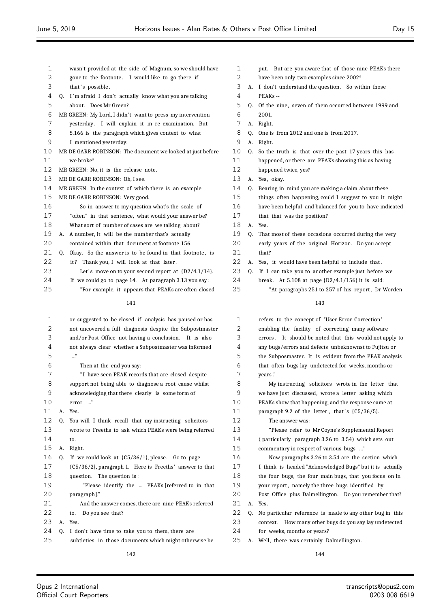| 1          | wasn't provided at the side of Magnum, so we should have                                                         | 1          |      | ľ            |
|------------|------------------------------------------------------------------------------------------------------------------|------------|------|--------------|
| 2          | gone to the footnote. I would like to go there if                                                                | 2          |      | $\mathbf{r}$ |
| 3          | that's possible.                                                                                                 | 3          | А.   | $\mathbf I$  |
| 4          | I'm afraid I don't actually know what you are talking<br>Q.                                                      | 4          |      | I            |
| 5          | about. Does Mr Green?                                                                                            | 5          | Q.   | $\mathsf{C}$ |
| 6          | MR GREEN: My Lord, I didn't want to press my intervention                                                        | 6          |      | 2            |
| 7          | yesterday. I will explain it in re-examination. But                                                              | 7          | А.   | $\mathbf{F}$ |
| 8          | 5.166 is the paragraph which gives context to what                                                               | 8          | Q.   | $\mathsf{C}$ |
| 9          | I mentioned yesterday.                                                                                           | 9          | A. F |              |
| 10         | MR DE GARR ROBINSON: The document we looked at just before                                                       | 10         | Q. S |              |
| 11         | we broke?                                                                                                        | 11         |      | $\mathbf{r}$ |
| 12         | MR GREEN: No, it is the release note.                                                                            | 12         |      | ŀ.           |
| 13         | MR DE GARR ROBINSON: Oh, I see.                                                                                  | 13         | A. Y |              |
| 14         | MR GREEN: In the context of which there is an example.                                                           | 14         | Q. I |              |
| 15         | MR DE GARR ROBINSON: Very good.                                                                                  | 15         |      | t            |
| 16         | So in answer to my question what's the scale of                                                                  | 16         |      | $\mathbf{r}$ |
| 17         | "often" in that sentence, what would your answer be?                                                             | 17         |      | t            |
| 18         | What sort of number of cases are we talking about?                                                               | 18         | А.   | Y            |
| 19         | A number, it will be the number that's actually<br>A.                                                            | 19         | Q.   | I            |
| 20         | contained within that document at footnote 156.                                                                  | 20         |      | $\epsilon$   |
| 21         | Okay. So the answer is to be found in that footnote, is<br>Q.                                                    | 21         |      | t            |
| 22         | it? Thank you, I will look at that later.                                                                        | 22         | A. Y |              |
| 23         | Let's move on to your second report at $[D2/4.1/14]$ .                                                           | 23         | Q.   | $\mathbf{I}$ |
| 24         | If we could go to page 14. At paragraph 3.13 you say:                                                            | 24         |      | ŀ            |
| 25         | "For example, it appears that PEAKs are often closed                                                             | 25         |      |              |
|            | 141                                                                                                              |            |      |              |
| 1          | or suggested to be closed if analysis has paused or has                                                          | 1          |      | I            |
| 2          | not uncovered a full diagnosis despite the Subpostmaster                                                         | 2          |      | $\epsilon$   |
| 3          | and/or Post Office not having a conclusion. It is also                                                           | 3          |      | $\epsilon$   |
| $\sqrt{ }$ | $\mathbf{C}$ . The set of the contract of $\mathbf{C}$ . The set of the contract of the contract of $\mathbf{C}$ | $\sqrt{ }$ |      |              |

 not always clear whether a Subpostmaster was informed ..." Then at the end you say: " I have seen PEAK records that are closed despite support not being able to diagnose a root cause whilst acknowledging that there clearly is some form of error ..." A. Yes. Q. You will I think recall that my instructing solicitors wrote to Freeths to ask which PEAKs were being referred to . A. Right . Q. If we could look at {C5/36/1}, please. Go to page {C5/36/2}, paragraph 1. Here is Freeths' answer to that question. The question is : "Please identify the ... PEAKs [referred to in that paragraph]." And the answer comes, there are nine PEAKs referred 22 to. Do you see that? A. Yes. Q. I don't have time to take you to them, there are subtleties in those documents which might otherwise be

out. But are you aware that of those nine PEAKs there have been only two examples since 2002? don't understand the question. So within those PEAKs --Of the nine, seven of them occurred between 1999 and 2001. Right. One is from 2012 and one is from 2017. Right. o the truth is that over the past 17 years this has 12 appened, or there are PEAKs showing this as having 12 happened twice, yes? les, okay. Bearing in mind you are making a claim about these hings often happening, could I suggest to you it might 14 have been helpful and balanced for you to have indicated that that was the position?  $7es.$ That most of these occasions occurred during the very early years of the original Horizon. Do you accept hat? les, it would have been helpful to include that. If I can take you to another example just before we

break. At  $5.108$  at page  $\{D2/4.1/156\}$  it is said: "At paragraphs 251 to 257 of his report, Dr Worden

### 

| 1  |    | refers to the concept of 'User Error Correction'         |
|----|----|----------------------------------------------------------|
| 2  |    | enabling the facility of correcting many software        |
| 3  |    | errors. It should be noted that this would not apply to  |
| 4  |    | any bugs/errors and defects unbeknownst to Fujitsu or    |
| 5  |    | the Subposmaster. It is evident from the PEAK analysis   |
| 6  |    | that often bugs lay undetected for weeks, months or      |
| 7  |    | vears."                                                  |
| 8  |    | My instructing solicitors wrote in the letter that       |
| 9  |    | we have just discussed, wrote a letter asking which      |
| 10 |    | PEAKs show that happening, and the response came at      |
| 11 |    | paragraph 9.2 of the letter, that's $(C5/36/5)$ .        |
| 12 |    | The answer was:                                          |
| 13 |    | "Please refer to Mr Coyne's Supplemental Report          |
| 14 |    | (particularly paragraph 3.26 to 3.54) which sets out     |
| 15 |    | commentary in respect of various bugs "                  |
| 16 |    | Now paragraphs 3.26 to 3.54 are the section which        |
| 17 |    | I think is headed "Acknowledged Bugs" but it is actually |
| 18 |    | the four bugs, the four main bugs, that you focus on in  |
| 19 |    | your report, namely the three bugs identified by         |
| 20 |    | Post Office plus Dalmellington. Do you remember that?    |
| 21 | A. | Yes.                                                     |
| 22 | 0. | No particular reference is made to any other bug in this |
| 23 |    | context. How many other bugs do you say lay undetected   |
| 24 |    | for weeks, months or years?                              |
| 25 | А. | Well, there was certainly Dalmellington.                 |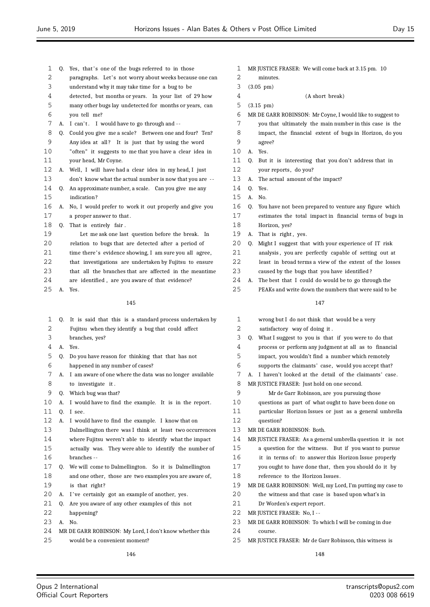- 1 Q. Yes, that's one of the bugs referred to in those
- 2 paragraphs. Let's not worry about weeks because one can
- understand why it may take time for a bug to be
- detected, but months or years. In your list of 29 how many other bugs lay undetected for months or years, can you tell me?
- 7 A. I can't. I would have to go through and --
- Q. Could you give me a scale? Between one and four? Ten? 9 Any idea at all? It is just that by using the word
- "often" it suggests to me that you have a clear idea in your head, Mr Coyne.
- A. Well, I will have had a clear idea in my head, I just
- 13 don't know what the actual number is now that you are --
- Q. An approximate number, a scale. Can you give me any indication ?
- A. No, I would prefer to work it out properly and give you a proper answer to that .
- Q. That is entirely fair .
- Let me ask one last question before the break. In
- relation to bugs that are detected after a period of
- 21 time there's evidence showing, I am sure you all agree,
- that investigations are undertaken by Fujitsu to ensure
- that all the branches that are affected in the meantime
- are identified , are you aware of that evidence?
- A. Yes.

 Q. It is said that this is a standard process undertaken by Fujitsu when they identify a bug that could affect branches, yes? A. Yes. Q. Do you have reason for thinking that that has not happened in any number of cases? A. I am aware of one where the data was no longer available to investigate it . Q. Which bug was that? 10 A. I would have to find the example. It is in the report. Q. I see. A. I would have to find the example. I know that on Dalmellington there was I think at least two occurrences where Fujitsu weren't able to identify what the impact actually was. They were able to identify the number of branches -- Q. We will come to Dalmellington. So it is Dalmellington and one other, those are two examples you are aware of, is that right? 20 A. I've certainly got an example of another, yes. Q. Are you aware of any other examples of this not happening? A. No. MR DE GARR ROBINSON: My Lord, I don't know whether this would be a convenient moment?

- MR JUSTICE FRASER: We will come back at 3.15 pm. 10
- minutes.
- (3.05 pm)
- (A short break)

(3.15 pm)

- MR DE GARR ROBINSON: Mr Coyne, I would like to suggest to
- you that ultimately the main number in this case is the
- impact, the financial extent of bugs in Horizon, do you
- agree?
- A. Yes.
- Q. But it is interesting that you don't address that in
- 12 your reports, do you?
- A. The actual amount of the impact?
- $14 \quad 0 \quad$  Yes.
- A. No.
- Q. You have not been prepared to venture any figure which
- estimates the total impact in financial terms of bugs in Horizon, yes?
- 19 A. That is right, yes.
- Q. Might I suggest that with your experience of IT risk
- analysis , you are perfectly capable of setting out at
- least in broad terms a view of the extent of the losses
- caused by the bugs that you have identified ?
- A. The best that I could do would be to go through the PEAKs and write down the numbers that were said to be

| 1  | wrong but I do not think that would be a very                |
|----|--------------------------------------------------------------|
| 2  | satisfactory way of doing it.                                |
| 3  | Q. What I suggest to you is that if you were to do that      |
| 4  | process or perform any judgment at all as to financial       |
| 5  | impact, you wouldn't find a number which remotely            |
| 6  | supports the claimants' case, would you accept that?         |
| 7  | I haven't looked at the detail of the claimants' case.<br>A. |
| 8  | MR JUSTICE FRASER: Just hold on one second.                  |
| 9  | Mr de Garr Robinson, are you pursuing those                  |
| 10 | questions as part of what ought to have been done on         |
| 11 | particular Horizon Issues or just as a general umbrella      |
| 12 | question?                                                    |
| 13 | MR DE GARR ROBINSON: Both.                                   |
| 14 | MR JUSTICE FRASER: As a general umbrella question it is not  |
| 15 | a question for the witness. But if you want to pursue        |
| 16 | it in terms of: to answer this Horizon Issue properly        |
| 17 | you ought to have done that, then you should do it by        |
| 18 | reference to the Horizon Issues.                             |
| 19 | MR DE GARR ROBINSON: Well, my Lord, I'm putting my case to   |
| 20 | the witness and that case is based upon what's in            |
| 21 | Dr Worden's expert report.                                   |
| 22 | MR JUSTICE FRASER: No, I --                                  |
| 23 | MR DE GARR ROBINSON: To which I will be coming in due        |
| 24 | course.                                                      |
| 25 | MR JUSTICE FRASER: Mr de Garr Robinson, this witness is      |
|    | 148                                                          |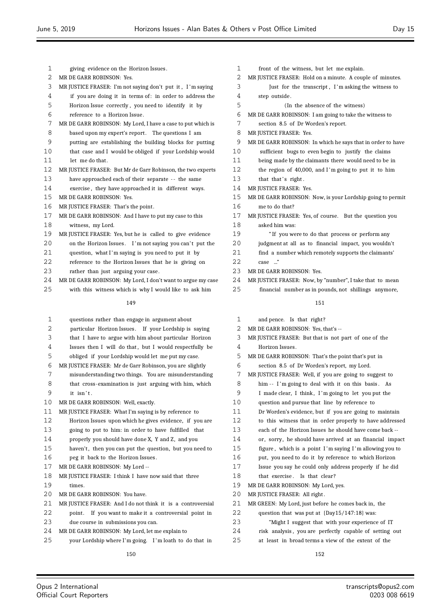| $\mathbf{1}$ | giving evidence on the Horizon Issues.                      |
|--------------|-------------------------------------------------------------|
| 2            | MR DE GARR ROBINSON: Yes.                                   |
| 3            | MR JUSTICE FRASER: I'm not saying don't put it, I'm saying  |
| 4            | if you are doing it in terms of: in order to address the    |
| 5            | Horizon Issue correctly, you need to identify it by         |
| 6            | reference to a Horizon Issue.                               |
| 7            | MR DE GARR ROBINSON: My Lord, I have a case to put which is |
| 8            | based upon my expert's report. The questions I am           |
| 9            | putting are establishing the building blocks for putting    |
| 10           | that case and I would be obliged if your Lordship would     |
| 11           | let me do that.                                             |
| 12           | MR JUSTICE FRASER: But Mr de Garr Robinson, the two experts |
| 13           | have approached each of their separate -- the same          |
| 14           | exercise, they have approached it in different ways.        |
| 15           | MR DE GARR ROBINSON: Yes.                                   |
| 16           | MR JUSTICE FRASER: That's the point.                        |
| 17           | MR DE GARR ROBINSON: And I have to put my case to this      |
| 18           | witness, my Lord.                                           |
| 19           | MR JUSTICE FRASER: Yes, but he is called to give evidence   |
| 20           | on the Horizon Issues. I'm not saying you can't put the     |
| 21           | question, what I'm saying is you need to put it by          |
| 22           | reference to the Horizon Issues that he is giving on        |
| 23           | rather than just arguing your case.                         |
| 24           | MR DE GARR ROBINSON: My Lord, I don't want to argue my case |
| 25           | with this witness which is why I would like to ask him      |
|              |                                                             |

| 1  | questions rather than engage in argument about              |
|----|-------------------------------------------------------------|
| 2  | particular Horizon Issues. If your Lordship is saying       |
| 3  | that I have to argue with him about particular Horizon      |
| 4  | Issues then I will do that, but I would respectfully be     |
| 5  | obliged if your Lordship would let me put my case.          |
| 6  | MR JUSTICE FRASER: Mr de Garr Robinson, you are slightly    |
| 7  | misunderstanding two things. You are misunderstanding       |
| 8  | that cross-examination is just arguing with him, which      |
| 9  | it isn't.                                                   |
| 10 | MR DE GARR ROBINSON: Well, exactly.                         |
| 11 | MR JUSTICE FRASER: What I'm saying is by reference to       |
| 12 | Horizon Issues upon which he gives evidence, if you are     |
| 13 | going to put to him: in order to have fulfilled that        |
| 14 | properly you should have done X, Y and Z, and you           |
| 15 | haven't, then you can put the question, but you need to     |
| 16 | peg it back to the Horizon Issues.                          |
| 17 | MR DE GARR ROBINSON: My Lord --                             |
| 18 | MR JUSTICE FRASER: I think I have now said that three       |
| 19 | times.                                                      |
| 20 | MR DE GARR ROBINSON: You have.                              |
| 21 | MR JUSTICE FRASER: And I do not think it is a controversial |
| 22 | point. If you want to make it a controversial point in      |
| 23 | due course in submissions you can.                          |
| 24 | MR DE GARR ROBINSON: My Lord, let me explain to             |
| 25 | your Lordship where I'm going. I'm loath to do that in      |

- front of the witness, but let me explain. MR JUSTICE FRASER: Hold on a minute. A couple of minutes. Just for the transcript , I 'm asking the witness to step outside . (In the absence of the witness) MR DE GARR ROBINSON: I am going to take the witness to section 8.5 of Dr Worden's report. MR JUSTICE FRASER: Yes. MR DE GARR ROBINSON: In which he says that in order to have sufficient bugs to even begin to justify the claims being made by the claimants there would need to be in the region of 40,000, and I 'm going to put it to him 13 that that's right. MR JUSTICE FRASER: Yes. MR DE GARR ROBINSON: Now, is your Lordship going to permit me to do that? MR JUSTICE FRASER: Yes, of course. But the question you asked him was: " If you were to do that process or perform any judgment at all as to financial impact, you wouldn't
- find a number which remotely supports the claimants'
- case ..."
- MR DE GARR ROBINSON: Yes.
- MR JUSTICE FRASER: Now, by "number", I take that to mean
- financial number as in pounds, not shillings anymore,

| $\mathbf 1$    | and pence. Is that right?                                |
|----------------|----------------------------------------------------------|
| 2              | MR DE GARR ROBINSON: Yes, that's --                      |
| 3              | MR JUSTICE FRASER: But that is not part of one of the    |
| 4              | Horizon Issues.                                          |
| 5              | MR DE GARR ROBINSON: That's the point that's put in      |
| 6              | section 8.5 of Dr Worden's report, my Lord.              |
| 7              | MR JUSTICE FRASER: Well, if you are going to suggest to  |
| 8              | him -- I'm going to deal with it on this basis. As       |
| 9              | I made clear, I think, I'm going to let you put the      |
| 1 <sub>0</sub> | question and pursue that line by reference to            |
| 11             | Dr Worden's evidence, but if you are going to maintain   |
| 12             | to this witness that in order properly to have addressed |
| 13             | each of the Horizon Issues he should have come back --   |
| 14             | or, sorry, he should have arrived at an financial impact |
| 15             | figure, which is a point I'm saying I'm allowing you to  |
| 16             | put, you need to do it by reference to which Horizon     |
| 17             | Issue you say he could only address properly if he did   |
| 18             | that exercise. Is that clear?                            |
| 19             | MR DE GARR ROBINSON: My Lord, yes.                       |
| 20             | MR JUSTICE FRASER: All right.                            |
| 21             | MR GREEN: My Lord, just before he comes back in, the     |
| 22             | question that was put at ${Day15/147:18}$ was:           |
| 23             | "Might I suggest that with your experience of IT         |
| 24             | risk analysis, you are perfectly capable of setting out  |
| 25             | at least in broad terms a view of the extent of the      |
|                |                                                          |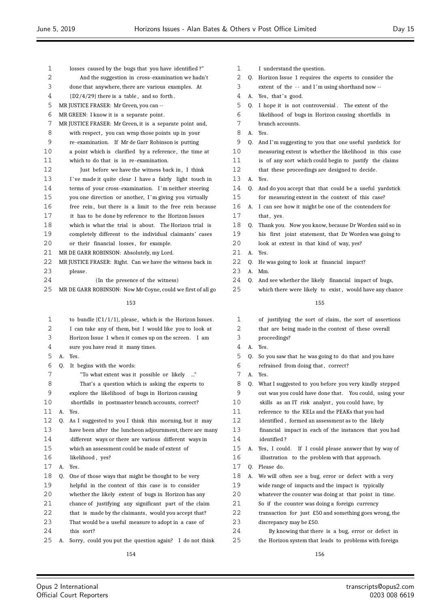| 1  |    | losses caused by the bugs that you have identified?"        | 1  |    |
|----|----|-------------------------------------------------------------|----|----|
| 2  |    | And the suggestion in cross-examination we hadn't           | 2  | Q. |
| 3  |    | done that anywhere, there are various examples. At          | 3  |    |
| 4  |    | $[D2/4/29]$ there is a table, and so forth.                 | 4  | Α. |
| 5  |    | MR JUSTICE FRASER: Mr Green, you can --                     | 5  | Q. |
| 6  |    | MR GREEN: I know it is a separate point.                    | 6  |    |
| 7  |    | MR JUSTICE FRASER: Mr Green, it is a separate point and,    | 7  |    |
| 8  |    | with respect, you can wrap those points up in your          | 8  | Α. |
| 9  |    | re-examination. If Mr de Garr Robinson is putting           | 9  | Q. |
| 10 |    | a point which is clarified by a reference, the time at      | 10 |    |
| 11 |    | which to do that is in re-examination.                      | 11 |    |
| 12 |    | Just before we have the witness back in, I think            | 12 |    |
| 13 |    | I've made it quite clear I have a fairly light touch in     | 13 | Α. |
| 14 |    | terms of your cross-examination. I'm neither steering       | 14 | Q. |
| 15 |    | you one direction or another, I'm giving you virtually      | 15 |    |
| 16 |    | free rein, but there is a limit to the free rein because    | 16 | Α. |
| 17 |    | it has to be done by reference to the Horizon Issues        | 17 |    |
| 18 |    | which is what the trial is about. The Horizon trial is      | 18 | Q. |
| 19 |    | completely different to the individual claimants' cases     | 19 |    |
| 20 |    | or their financial losses, for example.                     | 20 |    |
| 21 |    | MR DE GARR ROBINSON: Absolutely, my Lord.                   | 21 | А. |
| 22 |    | MR JUSTICE FRASER: Right. Can we have the witness back in   | 22 | Q. |
| 23 |    | please.                                                     | 23 | Α. |
| 24 |    | (In the presence of the witness)                            | 24 | Q. |
| 25 |    | MR DE GARR ROBINSON: Now Mr Coyne, could we first of all go | 25 |    |
|    |    | 153                                                         |    |    |
| 1  |    | to bundle $(C1/1/1)$ , please, which is the Horizon Issues. | 1  |    |
| 2  |    | I can take any of them, but I would like you to look at     | 2  |    |
| 3  |    | Horizon Issue 1 when it comes up on the screen. I am        | 3  |    |
| 4  |    | sure you have read it many times.                           | 4  | Α. |
| 5  | А. | Yes.                                                        | 5  | Q. |
| 6  | Q. | It begins with the words:                                   | 6  |    |
| 7  |    | "To what extent was it possible or likely "                 | 7  | Α. |
| 8  |    | That's a question which is asking the experts to            | 8  | Q. |
| 9  |    | explore the likelihood of bugs in Horizon causing           | 9  |    |
| 10 |    | shortfalls in postmaster branch accounts, correct?          | 10 |    |
| 11 | А. | Yes.                                                        | 11 |    |
| 12 | Q. | As I suggested to you I think this morning, but it may      | 12 |    |
| 13 |    | have been after the luncheon adjournment, there are many    | 13 |    |
| 14 |    | different ways or there are various different ways in       | 14 |    |
| 15 |    | which an assessment could be made of extent of              | 15 | А. |
| 16 |    | likelihood, yes?                                            | 16 |    |
| 17 | А. | Yes.                                                        | 17 | Q. |
| 18 | Q. | One of those ways that might be thought to be very          | 18 | A. |
| 19 |    | helpful in the context of this case is to consider          | 19 |    |
| 20 |    | whether the likely extent of bugs in Horizon has any        | 20 |    |
| 21 |    | chance of justifying any significant part of the claim      | 21 |    |
| 22 |    | that is made by the claimants, would you accept that?       | 22 |    |
| 23 |    | That would be a useful measure to adopt in a case of        | 23 |    |
| 24 |    | this sort?                                                  | 24 |    |
| 25 | А. | Sorry, could you put the question again? I do not think     | 25 |    |

- I understand the question.
- Horizon Issue 1 requires the experts to consider the
- extent of the -- and I'm using shorthand now --
- Yes, that's good.
- I hope it is not controversial. The extent of the likelihood of bugs in Horizon causing shortfalls in branch accounts.
- Yes.
- And I'm suggesting to you that one useful yardstick for
- measuring extent is whether the likelihood in this case
- is of any sort which could begin to justify the claims that these proceedings are designed to decide.
- Yes.
- And do you accept that that could be a useful yardstick for measuring extent in the context of this case?
- I can see how it might be one of the contenders for that, yes.
- Thank you. Now you know, because Dr Worden said so in his first joint statement, that Dr Worden was going to
- look at extent in that kind of way, yes?
- Yes.
- He was going to look at financial impact?
- Mm.
- And see whether the likely financial impact of bugs,
- which there were likely to exist, would have any chance

| 1       |    | of justifying the sort of claim, the sort of assertions   |
|---------|----|-----------------------------------------------------------|
| 2       |    | that are being made in the context of these overall       |
| 3       |    | proceedings?                                              |
| 4       | А. | Yes.                                                      |
| 5       | 0. | So you saw that he was going to do that and you have      |
| 6       |    | refrained from doing that, correct?                       |
| 7       | A. | Yes.                                                      |
| 8       |    | Q. What I suggested to you before you very kindly stepped |
| 9       |    | out was you could have done that. You could, using your   |
| 10      |    | skills as an IT risk analyst, you could have, by          |
| 11      |    | reference to the KELs and the PEAKs that you had          |
| 12      |    | identified, formed an assessment as to the likely         |
| 13      |    | financial impact in each of the instances that you had    |
| 14      |    | identified?                                               |
| 15      | A. | Yes, I could. If I could please answer that by way of     |
| 16      |    | illustration to the problem with that approach.           |
| 17      | 0. | Please do.                                                |
| 18      | А. | We will often see a bug, error or defect with a very      |
| 19      |    | wide range of impacts and the impact is typically         |
| $20 \,$ |    | whatever the counter was doing at that point in time.     |
| 21      |    | So if the counter was doing a foreign currency            |
| 22      |    | transaction for just £50 and something goes wrong, the    |
| 23      |    | discrepancy may be £50.                                   |
| 24      |    | By knowing that there is a bug, error or defect in        |
| 25      |    | the Horizon system that leads to problems with foreign    |
|         |    |                                                           |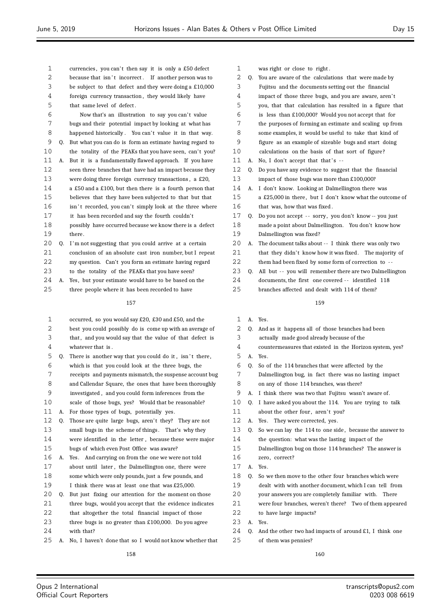| 1  |    | currencies, you can't then say it is only a £50 defect    |
|----|----|-----------------------------------------------------------|
| 2  |    | because that isn't incorrect.<br>If another person was to |
| 3  |    | be subject to that defect and they were doing a £10,000   |
| 4  |    | foreign currency transaction, they would likely have      |
| 5  |    | that same level of defect.                                |
| 6  |    | Now that's an illustration to say you can't value         |
| 7  |    | bugs and their potential impact by looking at what has    |
| 8  |    | happened historically. You can't value it in that way.    |
| 9  | Q. | But what you can do is form an estimate having regard to  |
| 10 |    | the totality of the PEAKs that you have seen, can't you?  |
| 11 | А. | But it is a fundamentally flawed approach. If you have    |
| 12 |    | seen three branches that have had an impact because they  |
| 13 |    | were doing three foreign currency transactions, a £20,    |
| 14 |    | a £50 and a £100, but then there is a fourth person that  |
| 15 |    | believes that they have been subjected to that but that   |
| 16 |    | isn't recorded, you can't simply look at the three where  |
| 17 |    | it has been recorded and say the fourth couldn't          |
| 18 |    | possibly have occurred because we know there is a defect  |
| 19 |    | there.                                                    |
| 20 | Q. | I'm not suggesting that you could arrive at a certain     |
| 21 |    | conclusion of an absolute cast iron number, but I repeat  |
| 22 |    | my question. Can't you form an estimate having regard     |
| 23 |    | to the totality of the PEAKs that you have seen?          |
| 24 | А. | Yes, but your estimate would have to be based on the      |
| 25 |    | three people where it has been recorded to have           |
|    |    | 157                                                       |
|    |    |                                                           |
| 1  |    | occurred, so you would say £20, £30 and £50, and the      |
| 2  |    | best you could possibly do is come up with an average of  |
| 3  |    | that, and you would say that the value of that defect is  |
| 4  |    | whatever that is.                                         |
| 5  | Q. | There is another way that you could do it, isn't there,   |
| 6  |    | which is that you could look at the three bugs, the       |
| 7  |    | receipts and payments mismatch, the suspense account bug  |
| 8  |    | and Callendar Square, the ones that have been thoroughly  |
| 9  |    | investigated, and you could form inferences from the      |
| 10 |    | scale of those bugs, yes? Would that be reasonable?       |
| 11 | А. | For those types of bugs, potentially yes.                 |
| 12 | Q. | Those are quite large bugs, aren't they? They are not     |
| 13 |    | small bugs in the scheme of things. That's why they       |
| 14 |    | were identified in the letter, because these were major   |
| 15 |    | bugs of which even Post Office was aware?                 |
| 16 | А. | Yes. And carrying on from the one we were not told        |
| 17 |    | about until later, the Dalmellington one, there were      |
| 18 |    | some which were only pounds, just a few pounds, and       |
| 19 |    | I think there was at least one that was £25,000.          |
| 20 | Q. | But just fixing our attention for the moment on those     |
| 21 |    | three bugs, would you accept that the evidence indicates  |
| 22 |    | that altogether the total financial impact of those       |
| 23 |    | three bugs is no greater than £100,000. Do you agree      |
| 24 |    | with that?                                                |
| 25 | А. | No, I haven't done that so I would not know whether that  |

|     | 2  | 0. | You are aware of the calculations that were made by      |
|-----|----|----|----------------------------------------------------------|
|     | 3  |    | Fujitsu and the documents setting out the financial      |
|     | 4  |    | impact of those three bugs, and you are aware, aren't    |
|     | 5  |    | you, that that calculation has resulted in a figure that |
|     | 6  |    | is less than £100,000? Would you not accept that for     |
|     | 7  |    | the purposes of forming an estimate and scaling up from  |
|     | 8  |    | some examples, it would be useful to take that kind of   |
|     | 9  |    | figure as an example of sizeable bugs and start doing    |
| 10  |    |    | calculations on the basis of that sort of figure?        |
| 11  |    | А. | No, I don't accept that that's --                        |
|     | 12 | 0. | Do you have any evidence to suggest that the financial   |
|     | 13 |    | impact of those bugs was more than £100,000?             |
| 14  |    | А. | I don't know. Looking at Dalmellington there was         |
|     | 15 |    | a £25,000 in there, but I don't know what the outcome of |
|     | 16 |    | that was, how that was fixed.                            |
| 17  |    | 0. | Do you not accept -- sorry, you don't know -- you just   |
| 18  |    |    | made a point about Dalmellington. You don't know how     |
|     | 19 |    | Dalmellington was fixed?                                 |
| 20  |    | A. | The document talks about -- I think there was only two   |
| 21  |    |    | that they didn't know how it was fixed. The majority of  |
|     | 22 |    | them had been fixed by some form of correction to --     |
| 23  |    | 0. | All but -- you will remember there are two Dalmellington |
| 2.4 |    |    | documents the first one covered -- identified 118        |

was right or close to right .

branches affected and dealt with 114 of them?

### 

- A. Yes. Q. And as it happens all of those branches had been actually made good already because of the countermeasures that existed in the Horizon system, yes? A. Yes. Q. So of the 114 branches that were affected by the Dalmellington bug, in fact there was no lasting impact on any of those 114 branches, was there? A. I think there was two that Fujitsu wasn't aware of. Q. I have asked you about the 114. You are trying to talk 11 about the other four, aren't you? A. Yes. They were corrected, yes. Q. So we can lay the 114 to one side , because the answer to the question: what was the lasting impact of the Dalmellington bug on those 114 branches? The answer is zero, correct? A. Yes. Q. So we then move to the other four branches which were dealt with with another document, which I can tell from your answers you are completely familiar with. There were four branches, weren't there? Two of them appeared to have large impacts?
	- A. Yes.
	- Q. And the other two had impacts of around £1, I think one of them was pennies?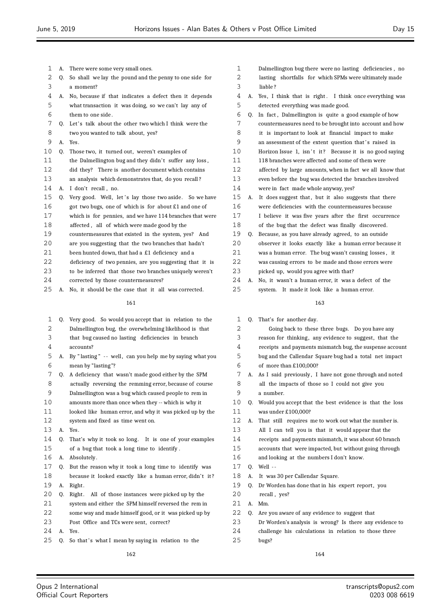| 1  | А. | There were some very small ones.                         |
|----|----|----------------------------------------------------------|
| 2  | 0. | So shall we lay the pound and the penny to one side for  |
| 3  |    | a moment?                                                |
| 4  | A. | No, because if that indicates a defect then it depends   |
| 5  |    | what transaction it was doing, so we can't lay any of    |
| 6  |    | them to one side.                                        |
| 7  | 0. | Let's talk about the other two which I think were the    |
| 8  |    | two you wanted to talk about, yes?                       |
| 9  | A. | Yes.                                                     |
| 10 | 0. | Those two, it turned out, weren't examples of            |
| 11 |    | the Dalmellington bug and they didn't suffer any loss,   |
| 12 |    | did they? There is another document which contains       |
| 13 |    | an analysis which demonstrates that, do you recall?      |
| 14 | А. | I don't recall, no.                                      |
| 15 | 0. | Very good. Well, let's lay those two aside. So we have   |
| 16 |    | got two bugs, one of which is for about £1 and one of    |
| 17 |    | which is for pennies, and we have 114 branches that were |
| 18 |    | affected, all of which were made good by the             |
| 19 |    | countermeasures that existed in the system, yes? And     |
| 20 |    | are you suggesting that the two branches that hadn't     |
| 21 |    | been hunted down, that had a £1 deficiency and a         |
| 22 |    | deficiency of two pennies, are you suggesting that it is |
| 23 |    | to be inferred that those two branches uniquely weren't  |
| 24 |    | corrected by those countermeasures?                      |
| 25 | А. | No, it should be the case that it all was corrected.     |
|    |    | 161                                                      |
|    |    |                                                          |

| 1  | Q. | Very good. So would you accept that in relation to the   |
|----|----|----------------------------------------------------------|
| 2  |    | Dalmellington bug, the overwhelming likelihood is that   |
| 3  |    | that bug caused no lasting deficiencies in branch        |
| 4  |    | accounts?                                                |
| 5  | А. | By "lasting" -- well, can you help me by saying what you |
| 6  |    | mean by "lasting"?                                       |
| 7  | 0. | A deficiency that wasn't made good either by the SPM     |
| 8  |    | actually reversing the remming error, because of course  |
| 9  |    | Dalmellington was a bug which caused people to rem in    |
| 10 |    | amounts more than once when they -- which is why it      |
| 11 |    | looked like human error, and why it was picked up by the |
| 12 |    | system and fixed as time went on.                        |
| 13 | A. | Yes.                                                     |
| 14 | 0. | That's why it took so long. It is one of your examples   |
| 15 |    | of a bug that took a long time to identify.              |
| 16 | А. | Absolutely.                                              |
| 17 | 0. | But the reason why it took a long time to identify was   |
| 18 |    | because it looked exactly like a human error, didn't it? |
| 19 | А. | Right.                                                   |
| 20 | 0. | All of those instances were picked up by the<br>Right.   |
| 21 |    | system and either the SPM himself reversed the rem in    |
| 22 |    | some way and made himself good, or it was picked up by   |
| 23 |    | Post Office and TCs were sent, correct?                  |
| 24 | А. | Yes.                                                     |
| 25 | Q. | So that's what I mean by saying in relation to the       |
|    |    | 162                                                      |

| 1 | Dalmellington bug there were no lasting deficiencies, no     |
|---|--------------------------------------------------------------|
| 2 | lasting shortfalls for which SPMs were ultimately made       |
| 3 | liable?                                                      |
|   | 4 A. Yes, I think that is right. I think once everything was |
| 5 | detected everything was made good.                           |
| 6 | Q. In fact, Dalmellington is quite a good example of how     |

- countermeasures need to be brought into account and how
- it is important to look at financial impact to make
- 9 an assessment of the extent question that's raised in
- 10 Horizon Issue 1, isn't it? Because it is no good saying
- 118 branches were affected and some of them were
- affected by large amounts, when in fact we all know that
- even before the bug was detected the branches involved
- were in fact made whole anyway, yes?
- 15 A. It does suggest that, but it also suggests that there
- were deficiencies with the countermeasures because
- I believe it was five years after the first occurrence
- of the bug that the defect was finally discovered.
- Q. Because, as you have already agreed, to an outside observer it looks exactly like a human error because it was a human error. The bug wasn't causing losses , it
- was causing errors to be made and those errors were
- picked up, would you agree with that?

 A. No, it wasn't a human error, it was a defect of the system. It made it look like a human error.

### 

Q. That's for another day.

| $\overline{2}$ |    | Going back to these three bugs. Do you have any          |
|----------------|----|----------------------------------------------------------|
| 3              |    | reason for thinking, any evidence to suggest, that the   |
| 4              |    | receipts and payments mismatch bug, the suspense account |
| 5              |    | bug and the Callendar Square bug had a total net impact  |
| 6              |    | of more than $£100,000?$                                 |
| 7              | А. | As I said previously, I have not gone through and noted  |
| 8              |    | all the impacts of those so I could not give you         |
| 9              |    | a number.                                                |
| 10             | O. | Would you accept that the best evidence is that the loss |
| 11             |    | was under £100,000?                                      |
| 12             | А. | That still requires me to work out what the number is.   |
| 13             |    | All I can tell you is that it would appear that the      |
| 14             |    | receipts and payments mismatch, it was about 60 branch   |
| 15             |    | accounts that were impacted, but without going through   |
| 16             |    | and looking at the numbers I don't know.                 |

- 
- Q. Well -
- A. It was 30 per Callendar Square.
- 19 Q. Dr Worden has done that in his expert report, you
- 20 recall, yes?
- A. Mm.

bugs?

- Q. Are you aware of any evidence to suggest that
- Dr Worden's analysis is wrong? Is there any evidence to
- challenge his calculations in relation to those three
	-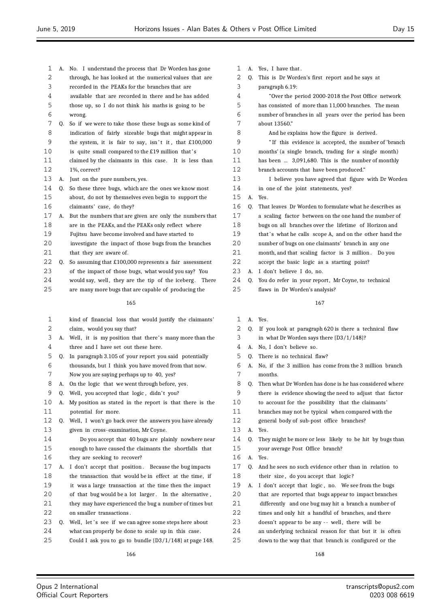- A. No. I understand the process that Dr Worden has gone
- 2 through, he has looked at the numerical values that are
- recorded in the PEAKs for the branches that are
- available that are recorded in there and he has added those up, so I do not think his maths is going to be
- wrong.
- Q. So if we were to take those these bugs as some kind of indication of fairly sizeable bugs that might appear in 9 the system, it is fair to say, isn't it, that £100,000
- 10 is quite small compared to the £19 million that's
- claimed by the claimants in this case. It is less than 1%, correct?
- A. Just on the pure numbers, yes.
- Q. So these three bugs, which are the ones we know most about, do not by themselves even begin to support the claimants' case, do they?
- A. But the numbers that are given are only the numbers that
- are in the PEAKs, and the PEAKs only reflect where
- Fujitsu have become involved and have started to
- investigate the impact of those bugs from the branches 2.1 that they are aware of
- Q. So assuming that £100,000 represents a fair assessment
- of the impact of those bugs, what would you say? You
- 24 would say, well, they are the tip of the iceberg. There
- are many more bugs that are capable of producing the

- kind of financial loss that would justify the claimants' claim, would you say that?
- 3 A. Well, it is my position that there's many more than the three and I have set out these here.
- Q. In paragraph 3.105 of your report you said potentially
- thousands, but I think you have moved from that now. Now you are saying perhaps up to 40, yes?
- A. On the logic that we went through before, yes.
- 9 Q. Well, you accepted that logic, didn't you?
- A. My position as stated in the report is that there is the potential for more.
- Q. Well, I won't go back over the answers you have already given in cross-examination, Mr Coyne.
- Do you accept that 40 bugs are plainly nowhere near enough to have caused the claimants the shortfalls that they are seeking to recover?
- 17 A. I don't accept that position. Because the bug impacts the transaction that would be in effect at the time, if it was a large transaction at the time then the impact of that bug would be a lot larger . In the alternative , 21 they may have experienced the bug a number of times but 22 on smaller transactions.
- 23 Q. Well, let's see if we can agree some steps here about
- what can properly be done to scale up in this case.
- Could I ask you to go to bundle {D3/1/148} at page 148.
- 1 A. Yes, I have that. Q. This is Dr Worden's first report and he says at paragraph 6.19:
- "Over the period 2000-2018 the Post Office network has consisted of more than 11,000 branches. The mean number of branches in all years over the period has been about 13560." And he explains how the figure is derived. " If this evidence is accepted, the number of 'branch months' (a single branch, trading for a single month) has been ... 3,091,680. This is the number of monthly branch accounts that have been produced." I believe you have agreed that figure with Dr Worden in one of the joint statements, yes? A. Yes. Q. That leaves Dr Worden to formulate what he describes as a scaling factor between on the one hand the number of bugs on all branches over the lifetime of Horizon and 19 that's what he calls scope A, and on the other hand the number of bugs on one claimants' branch in any one 21 month, and that scaling factor is 3 million. Do you
- accept the basic logic as a starting point?
- A. I don't believe I do, no.
- 24 Q. You do refer in your report, Mr Coyne, to technical flaws in Dr Worden's analysis?

- A. Yes.
- Q. If you look at paragraph 620 is there a technical flaw in what Dr Worden says there {D3/1/148}?
- A. No, I don't believe so.
- Q. There is no technical flaw?
- A. No, if the 3 million has come from the 3 million branch months.
- Q. Then what Dr Worden has done is he has considered where there is evidence showing the need to adjust that factor
- to account for the possibility that the claimants'
- branches may not be typical when compared with the
- general body of sub-post office branches?
- A. Yes.
- Q. They might be more or less likely to be hit by bugs than your average Post Office branch?
- A. Yes.
- Q. And he sees no such evidence other than in relation to 18 their size, do you accept that logic?
- A. I don't accept that logic , no. We see from the bugs
- that are reported that bugs appear to impact branches
- differently and one bug may hit a branch a number of
- times and only hit a handful of branches, and there
- 23 doesn't appear to be any -- well, there will be
- an underlying technical reason for that but it is often
- down to the way that that branch is configured or the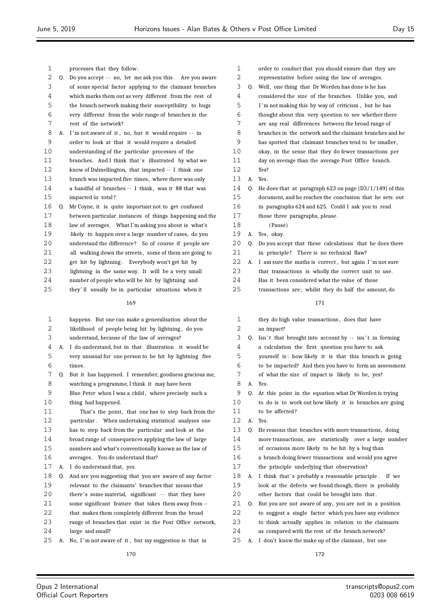| 1  |    | processes that they follow.                              |
|----|----|----------------------------------------------------------|
| 2  | Q. | Do you accept -- no, let me ask you this. Are you aware  |
| 3  |    | of some special factor applying to the claimant branches |
| 4  |    | which marks them out as very different from the rest of  |
| 5  |    | the branch network making their susceptibility to bugs   |
| 6  |    | very different from the wide range of branches in the    |
| 7  |    | rest of the network?                                     |
| 8  | А. | I'm not aware of it, no, but it would require -- in      |
| 9  |    | order to look at that it would require a detailed        |
| 10 |    | understanding of the particular processes of the         |
| 11 |    | branches. And I think that's illustrated by what we      |
| 12 |    | know of Dalmellington, that impacted -- I think one      |
| 13 |    | branch was impacted five times, where there was only     |
| 14 |    | a handful of branches -- I think, was it 88 that was     |
| 15 |    | impacted in total?                                       |
| 16 | Q. | Mr Coyne, it is quite important not to get confused      |
| 17 |    | between particular instances of things happening and the |
| 18 |    | law of averages. What I'm asking you about is what's     |
| 19 |    | likely to happen over a large number of cases, do you    |
| 20 |    | understand the difference? So of course if people are    |
| 21 |    | all walking down the streets, some of them are going to  |
| 22 |    | get hit by lightning. Everybody won't get hit by         |
| 23 |    | lightning in the same way. It will be a very small       |
| 24 |    | number of people who will be hit by lightning and        |
| 25 |    | they'll usually be in particular situations when it      |
|    |    | 169                                                      |
|    |    |                                                          |
| 1  |    | happens. But one can make a generalisation about the     |
| 2  |    | likelihood of people being hit by lightning, do you      |
| 3  |    | understand, because of the law of averages?              |
| 4  | А. | I do understand, but in that illustration it would be    |
| 5  |    | very unusual for one person to be hit by lightning five  |
| 6  |    | times.                                                   |
| 7  | O. | But it has happened. I remember, goodness gracious me,   |
| 8  |    | watching a programme, I think it may have been           |
| 9  |    | Blue Peter when I was a child, where precisely such a    |
| 10 |    | thing had happened.                                      |
| 11 |    | That's the point, that one has to step back from the     |
| 12 |    | particular. When undertaking statistical analyses one    |
| 13 |    | has to step back from the particular and look at the     |
| 14 |    | broad range of consequences applying the law of large    |
| 15 |    | numbers and what's conventionally known as the law of    |
| 16 |    | averages. You do understand that?                        |
| 17 | А. | I do understand that, yes.                               |
| 18 | Q. | And are you suggesting that you are aware of any factor  |
| 19 |    | relevant to the claimants' branches that means that      |
| 20 |    | there's some material, significant -- that they have     |
| 21 |    | some significant feature that takes them away from --    |
| 22 |    | that makes them completely different from the broad      |
| 23 |    | range of branches that exist in the Post Office network, |
| 24 |    | large and small?                                         |
| 25 | А. | No, I'm not aware of it, but my suggestion is that in    |
|    |    | 170                                                      |

| 1  |              | order to conduct that you should ensure that they are      |
|----|--------------|------------------------------------------------------------|
| 2  |              | representative before using the law of averages.           |
| 3  | 0.           | Well, one thing that Dr Worden has done is he has          |
| 4  |              | considered the size of the branches. Unlike you, and       |
| 5  |              | I'm not making this by way of criticism, but he has        |
| 6  |              | thought about this very question to see whether there      |
| 7  |              | are any real differences between the broad range of        |
| 8  |              | branches in the network and the claimant branches and he   |
| 9  |              | has spotted that claimant branches tend to be smaller,     |
| 10 |              | okay, in the sense that they do fewer transactions per     |
| 11 |              | day on average than the average Post Office branch.        |
| 12 |              | Yes?                                                       |
| 13 | $\mathbf{A}$ | Yes.                                                       |
| 14 | 0.           | He does that at paragraph 623 on page $(D3/1/149)$ of this |
| 15 |              | document, and he reaches the conclusion that he sets out   |
| 16 |              | in paragraphs 624 and 625. Could I ask you to read         |
| 17 |              | those three paragraphs, please.                            |
| 18 |              | (Pause)                                                    |
| 19 | А.           | Yes, okay.                                                 |
| 20 | 0.           | Do you accept that these calculations that he does there   |
| 21 |              | in principle? There is no technical flaw?                  |
| 22 | А.           | I am sure the maths is correct, but again I'm not sure     |
| 23 |              | that transactions is wholly the correct unit to use.       |
| 24 |              | Has it been considered what the value of those             |
|    |              |                                                            |

transactions are; whilst they do half the amount, do

- they do high value transactions , does that have an impact? 3 Q. Isn't that brought into account by  $-$  isn't in forming
- a calculation the first question you have to ask
- yourself is : how likely it is that this branch is going
- to be impacted? And then you have to form an assessment
- of what the size of impact is likely to be, yes?
- A. Yes.
- Q. At this point in the equation what Dr Worden is trying
- to do is to work out how likely it is branches are going
- 11 to be affected?
- A. Yes.
- Q. He reasons that branches with more transactions, doing more transactions, are statistically over a large number of occasions more likely to be hit by a bug than
- a branch doing fewer transactions and would you agree
- the principle underlying that observation?
- 18 A. I think that's probably a reasonable principle. If we look at the defects we found though, there is probably other factors that could be brought into that .
- Q. But you are not aware of any, you are not in a position
- to suggest a single factor which you have any evidence
- to think actually applies in relation to the claimants
- as compared with the rest of the branch network?
- A. I don't know the make up of the claimant, but one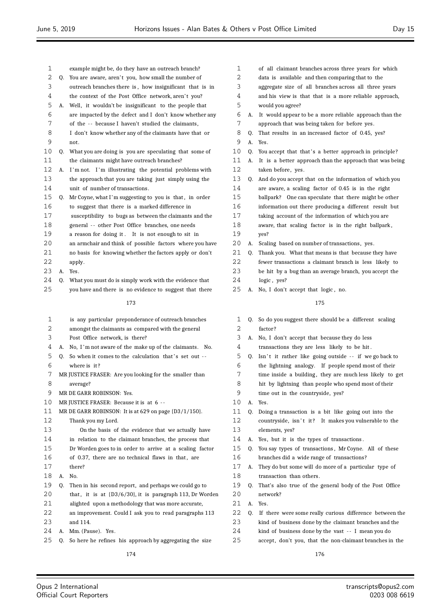- example might be, do they have an outreach branch? 2 0. You are aware, aren't you, how small the number of outreach branches there is , how insignificant that is in 4 the context of the Post Office network, aren't you? A. Well, it wouldn't be insignificant to the people that are impacted by the defect and I don't know whether any of the - - because I haven't studied the claimants, I don't know whether any of the claimants have that or not. Q. What you are doing is you are speculating that some of the claimants might have outreach branches? 12 A. I'm not. I'm illustrating the potential problems with the approach that you are taking just simply using the unit of number of transactions. 15 Q. Mr Coyne, what I'm suggesting to you is that, in order to suggest that there is a marked difference in susceptibility to bugs as between the claimants and the general - - other Post Office branches, one needs a reason for doing it . It is not enough to sit in an armchair and think of possible factors where you have no basis for knowing whether the factors apply or don't apply. A. Yes. Q. What you must do is simply work with the evidence that 25 vou have and there is no evidence to suggest that there is any particular preponderance of outreach branches amongst the claimants as compared with the general Post Office network, is there? A. No, I 'm not aware of the make up of the claimants. No. 5 0. So when it comes to the calculation that's set out -- where is it ? MR JUSTICE FRASER: Are you looking for the smaller than average? MR DE GARR ROBINSON: Yes. MR JUSTICE FRASER: Because it is at 6 - - MR DE GARR ROBINSON: It is at 629 on page {D3/1/150}. Thank you my Lord. On the basis of the evidence that we actually have in relation to the claimant branches, the process that Dr Worden goes to in order to arrive at a scaling factor
- 16 of 0.37, there are no technical flaws in that, are
- there?
- A. No.
- Q. Then in his second report, and perhaps we could go to
- 20 that, it is at  $(D3/6/30)$ , it is paragraph 113, Dr Worden
- alighted upon a methodology that was more accurate,
- an improvement. Could I ask you to read paragraphs 113 and 114.
- A. Mm. (Pause). Yes.
- Q. So here he refines his approach by aggregating the size
- of all claimant branches across three years for which
- data is available and then comparing that to the
- aggregate size of all branches across all three years
- and his view is that that is a more reliable approach,
- would you agree?
- A. It would appear to be a more reliable approach than the approach that was being taken for before yes.
- Q. That results in an increased factor of 0.45, yes? A. Yes.
- 10 Q. You accept that that's a better approach in principle?
- A. It is a better approach than the approach that was being
- taken before, yes.
- Q. And do you accept that on the information of which you are aware, a scaling factor of 0.45 is in the right
- ballpark? One can speculate that there might be other
- information out there producing a different result but
- taking account of the information of which you are
- aware, that scaling factor is in the right ballpark ,
- yes?
- A. Scaling based on number of transactions, yes.
- Q. Thank you. What that means is that because they have fewer transactions a claimant branch is less likely to be hit by a bug than an average branch, you accept the logic , yes?
- 25 A. No. I don't accept that logic, no.

- Q. So do you suggest there should be a different scaling factor ?
- A. No, I don't accept that because they do less
- transactions they are less likely to be hit .
- 5 Q. Isn't it rather like going outside -- if we go back to the lightning analogy. If people spend most of their
- 7 time inside a building, they are much less likely to get
- hit by lightning than people who spend most of their time out in the countryside, yes?
- A. Yes.
- Q. Doing a transaction is a bit like going out into the
- 12 countryside, isn't it? It makes you vulnerable to the elements, yes?
- A. Yes, but it is the types of transactions .
- Q. You say types of transactions , Mr Coyne. All of these branches did a wide range of transactions?
- A. They do but some will do more of a particular type of 18 transaction than others.
- Q. That's also true of the general body of the Post Office network?
- A. Yes.
- Q. If there were some really curious difference between the
- kind of business done by the claimant branches and the
- kind of business done by the vast - I mean you do
- accept, don't you, that the non-claimant branches in the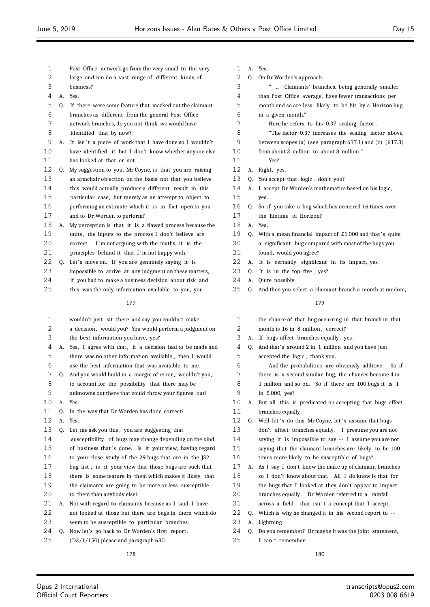- Post Office network go from the very small to the very
- large and can do a vast range of different kinds of
- business?
- A. Yes.
- Q. If there were some feature that marked out the claimant
- branches as different from the general Post Office
- network branches, do you not think we would have
- identified that by now?
- 9 A. It isn't a piece of work that I have done so I wouldn't have identified it but I don't know whether anyone else has looked at that or not.
- Q. My suggestion to you, Mr Coyne, is that you are raising an armchair objection on the basis not that you believe this would actually produce a different result in this particular case, but merely as an attempt to object to performing an estimate which it is in fact open to you and to Dr Worden to perform?
- A. My perception is that it is a flawed process because the
- 19 units, the inputs to the process I don't believe are correct . I 'm not arguing with the maths, it is the
- principles behind it that I 'm not happy with.
- 22 Q. Let's move on. If you are genuinely saying it is
- impossible to arrive at any judgment on these matters,
- if you had to make a business decision about risk and
- this was the only information available to you, you

- wouldn't just sit there and say you couldn't make
- 2 a decision, would you? You would perform a judgment on
- the best information you have, yes?
- 4 A. Yes, I agree with that, if a decision had to be made and there was no other information available , then I would use the best information that was available to me.
- 7 Q. And you would build in a margin of error, wouldn't you,
- to account for the possibility that there may be
- unknowns out there that could throw your figures out?
- A. Yes.
- Q. In the way that Dr Worden has done, correct?
- A. Yes.
- Q. Let me ask you this , you are suggesting that
- susceptibility of bugs may change depending on the kind 15 of business that's done. Is it your view, having regard
- to your close study of the 29 bugs that are in the JS2
- bug list , is it your view that those bugs are such that
- there is some feature in them which makes it likely that the claimants are going to be more or less susceptible 20 to them than anybody else?
- A. Not with regard to claimants because as I said I have
- not looked at those but there are bugs in there which do
- seem to be susceptible to particular branches.
- Q. Now let's go back to Dr Worden's first report .
- {D3/1/150} please and paragraph 630.
- A. Yes.
- Q. On Dr Worden's approach:
- " ... Claimants' branches, being generally smaller
- than Post Office average, have fewer transactions per
- month and so are less likely to be hit by a Horizon bug in a given month."
- Here he refers to his 0.37 scaling factor .
	-
- "The factor 0.37 increases the scaling factor above, between scopes (a) (see paragraph 617.1) and (c) (617.3)
- from about 3 million to about 8 million ."
- Yes?
- 12 A. Right, yes.
- 13 Q. You accept that logic, don't you?
- A. I accept Dr Worden's mathematics based on his logic ,
- yes.
- Q. So if you take a bug which has occurred 16 times over
- the lifetime of Horizon?
- A. Yes.
- 19 Q. With a mean financial impact of  $£1,000$  and that's quite
- a significant bug compared with most of the bugs you
- found, would you agree?
- A. It is certainly significant in its impact, yes.
- Q. It is in the top five , yes?
- A. Quite possibly .
- 25 O. And then you select a claimant branch a month at random,

### 

 the chance of that bug occurring in that branch in that 2 month is 16 in 8 million, correct? 3 A. If bugs affect branches equally, yes. Q. And that's around 2 in 1 million and you have just accepted the logic , thank you. And the probabilities are obviously additive . So if there is a second similar bug, the chances become 4 in 1 million and so on. So if there are 100 bugs it is 1 in 5,000, yes? A. But all this is predicated on accepting that bugs affect 11 branches equally. 12 Q. Well let 's do this Mr Coyne, let 's assume that bugs don't affect branches equally . I presume you are not saying it is impossible to say - - I assume you are not saying that the claimant branches are likely to be 100 times more likely to be susceptible of bugs? A. As I say I don't know the make up of claimant branches so I don't know about that. All I do know is that for the bugs that I looked at they don't appear to impact 20 branches equally. Dr Worden referred to a rainfall 21 across a field, that isn't a concept that I accept. Q. Which is why he changed it in his second report to - - 23 A. Lightning. Q. Do you remember? Or maybe it was the joint statement, 25 I can't remember.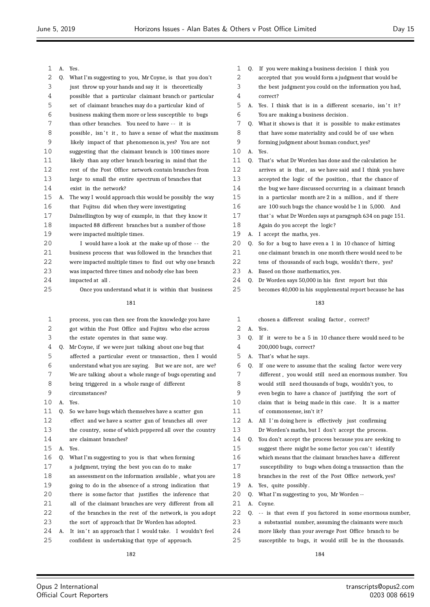| 1  |    | A. Yes.                                                  |
|----|----|----------------------------------------------------------|
| 2  | Q. | What I'm suggesting to you, Mr Coyne, is that you don't  |
| 3  |    | just throw up your hands and say it is theoretically     |
| 4  |    | possible that a particular claimant branch or particular |
| 5  |    | set of claimant branches may do a particular kind of     |
| 6  |    | business making them more or less susceptible to bugs    |
| 7  |    | than other branches. You need to have -- it is           |
| 8  |    | possible, isn't it, to have a sense of what the maximum  |
| 9  |    | likely impact of that phenomenon is, yes? You are not    |
| 10 |    | suggesting that the claimant branch is 100 times more    |
| 11 |    | likely than any other branch bearing in mind that the    |
| 12 |    | rest of the Post Office network contain branches from    |
| 13 |    | large to small the entire spectrum of branches that      |
| 14 |    | exist in the network?                                    |
| 15 | А. | The way I would approach this would be possibly the way  |
| 16 |    | that Fujitsu did when they were investigating            |
| 17 |    |                                                          |
|    |    | Dalmellington by way of example, in that they know it    |
| 18 |    | impacted 88 different branches but a number of those     |
| 19 |    | were impacted multiple times.                            |
| 20 |    | I would have a look at the make up of those -- the       |
| 21 |    | business process that was followed in the branches that  |
| 22 |    | were impacted multiple times to find out why one branch  |
| 23 |    | was impacted three times and nobody else has been        |
| 24 |    | impacted at all.                                         |
| 25 |    | Once you understand what it is within that business      |
|    |    | 181                                                      |
| 1  |    | process, you can then see from the knowledge you have    |
| 2  |    | got within the Post Office and Fujitsu who else across   |
| 3  |    | the estate operates in that same way.                    |
| 4  | Q. | Mr Coyne, if we were just talking about one bug that     |
| 5  |    | affected a particular event or transaction, then I would |
| 6  |    | understand what you are saying. But we are not, are we?  |
| 7  |    | We are talking about a whole range of bugs operating and |
| 8  |    | being triggered in a whole range of different            |
| 9  |    | circumstances?                                           |
| 10 | А. | Yes.                                                     |
| 11 | 0. | So we have bugs which themselves have a scatter gun      |
| 12 |    | effect and we have a scatter gun of branches all over    |
| 13 |    | the country, some of which peppered all over the country |
| 14 |    | are claimant branches?                                   |
| 15 | А. | Yes.                                                     |
| 16 | Q. | What I'm suggesting to you is that when forming          |
| 17 |    | a judgment, trying the best you can do to make           |
| 18 |    | an assessment on the information available, what you are |
| 19 |    | going to do in the absence of a strong indication that   |
| 20 |    | there is some factor that justifies the inference that   |
| 21 |    | all of the claimant branches are very different from all |
| 22 |    | of the branches in the rest of the network, is you adopt |
| 23 |    | the sort of approach that Dr Worden has adopted.         |
| 24 | А. | It isn't an approach that I would take. I wouldn't feel  |
|    |    |                                                          |

| 25 |  | confident in undertaking that type of approach. |  |  |
|----|--|-------------------------------------------------|--|--|

- Q. If you were making a business decision I think you
- accepted that you would form a judgment that would be
- the best judgment you could on the information you had, correct?
- 5 A. Yes. I think that is in a different scenario, isn't it? You are making a business decision .
- Q. What it shows is that it is possible to make estimates that have some materiality and could be of use when
- forming judgment about human conduct, yes?
- A. Yes.

| 11 | 0. | That's what Dr Worden has done and the calculation he    |
|----|----|----------------------------------------------------------|
| 12 |    | arrives at is that, as we have said and I think you have |
| 13 |    | accepted the logic of the position, that the chance of   |
| 14 |    | the bug we have discussed occurring in a claimant branch |
| 15 |    | in a particular month are 2 in a million, and if there   |
| 16 |    | are 100 such bugs the chance would be 1 in 5,000. And    |
| 17 |    | that's what Dr Worden says at paragraph 634 on page 151. |
| 18 |    | Again do you accept the logic?                           |
| 19 | А. | I accept the maths, yes.                                 |
| 20 | O. | So for a bug to have even a 1 in 10 chance of hitting    |
| 21 |    | one claimant branch in one month there would need to be  |
| 22 |    | tens of thousands of such bugs, wouldn't there, yes?     |
| 23 | А. | Based on those mathematics, yes.                         |
|    |    |                                                          |

- Q. Dr Worden says 50,000 in his first report but this
- becomes 40,000 in his supplemental report because he has

- chosen a different scaling factor , correct?
- A. Yes.
- Q. If it were to be a 5 in 10 chance there would need to be 200,000 bugs, correct?
- A. That's what he says.

| 6  | 0. | If one were to assume that the scaling factor were very  |
|----|----|----------------------------------------------------------|
| 7  |    | different, you would still need an enormous number. You  |
| 8  |    | would still need thousands of bugs, wouldn't you, to     |
| 9  |    | even begin to have a chance of justifying the sort of    |
| 10 |    | claim that is being made in this case. It is a matter    |
| 11 |    | of commonsense, isn't it?                                |
| 12 | А. | All I'm doing here is effectively just confirming        |
| 13 |    | Dr Worden's maths, but I don't accept the process.       |
| 14 | 0. | You don't accept the process because you are seeking to  |
| 15 |    | suggest there might be some factor you can't identify    |
| 16 |    | which means that the claimant branches have a different  |
| 17 |    | susceptibility to bugs when doing a transaction than the |
| 18 |    | branches in the rest of the Post Office network, yes?    |
| 19 | А. | Yes, quite possibly.                                     |
| 20 | 0. | What I'm suggesting to you, Mr Worden --                 |
| 21 | А. | Coyne.                                                   |
| 22 | 0. | -- is that even if you factored in some enormous number, |
| 23 |    | a substantial number, assuming the claimants were much   |
| 24 |    | more likely than your average Post Office branch to be   |
| 25 |    | susceptible to bugs, it would still be in the thousands. |
|    |    |                                                          |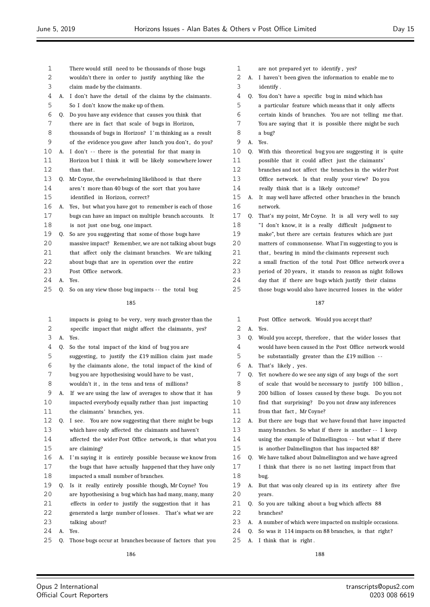- There would still need to be thousands of those bugs
- wouldn't there in order to justify anything like the
- claim made by the claimants.
- A. I don't have the detail of the claims by the claimants. So I don't know the make up of them.
- Q. Do you have any evidence that causes you think that
- there are in fact that scale of bugs in Horizon,
- thousands of bugs in Horizon? I 'm thinking as a result of the evidence you gave after lunch you don't , do you?
- 10 A. I don't -- there is the potential for that many in
- Horizon but I think it will be likely somewhere lower than that .
- Q. Mr Coyne, the overwhelming likelihood is that there
- 14 aren't more than 40 bugs of the sort that you have identified in Horizon, correct?
- A. Yes, but what you have got to remember is each of those bugs can have an impact on multiple branch accounts. It is not just one bug, one impact.
- Q. So are you suggesting that some of those bugs have
- massive impact? Remember, we are not talking about bugs
- 21 that affect only the claimant branches. We are talking
- about bugs that are in operation over the entire
- Post Office network.
- A. Yes.
- 25 Q. So on any view those bug impacts -- the total bug

 impacts is going to be very, very much greater than the specific impact that might affect the claimants, yes? A. Yes. Q. So the total impact of the kind of bug you are suggesting, to justify the £19 million claim just made by the claimants alone, the total impact of the kind of bug you are hypothesising would have to be vast , wouldn't it , in the tens and tens of millions? A. If we are using the law of averages to show that it has impacted everybody equally rather than just impacting the claimants' branches, yes. Q. I see. You are now suggesting that there might be bugs which have only affected the claimants and haven't affected the wider Post Office network, is that what you are claiming? 16 A. I'm saying it is entirely possible because we know from the bugs that have actually happened that they have only impacted a small number of branches. Q. Is it really entirely possible though, Mr Coyne? You are hypothesising a bug which has had many, many, many effects in order to justify the suggestion that it has generated a large number of losses. That's what we are talking about? A. Yes. Q. Those bugs occur at branches because of factors that you

- are not prepared yet to identify , yes?
- A. I haven't been given the information to enable me to identify .
- Q. You don't have a specific bug in mind which has a particular feature which means that it only affects certain kinds of branches. You are not telling me that. You are saying that it is possible there might be such a bug? A. Yes. Q. With this theoretical bug you are suggesting it is quite possible that it could affect just the claimants' branches and not affect the branches in the wider Post Office network. Is that really your view? Do you really think that is a likely outcome? A. It may well have affected other branches in the branch network. Q. That's my point, Mr Coyne. It is all very well to say 18 "I don't know, it is a really difficult judgment to make", but there are certain features which are just matters of commonsense. What I'm suggesting to you is 21 that, bearing in mind the claimants represent such a small fraction of the total Post Office network over a period of 20 years, it stands to reason as night follows
- day that if there are bugs which justify their claims those bugs would also have incurred losses in the wider

- Post Office network. Would you accept that?
- A. Yes.
- Q. Would you accept, therefore , that the wider losses that
- would have been caused in the Post Office network would be substantially greater than the £19 million - -
- A. That's likely , yes.
- Q. Yet nowhere do we see any sign of any bugs of the sort
- of scale that would be necessary to justify 100 billion ,
- 200 billion of losses caused by these bugs. Do you not
- find that surprising? Do you not draw any inferences
- 11 from that fact, Mr Coyne?
- A. But there are bugs that we have found that have impacted many branches. So what if there is another - - I keep using the example of Dalmellington - - but what if there is another Dalmellington that has impacted 88?
- Q. We have talked about Dalmellington and we have agreed I think that there is no net lasting impact from that bug.
- A. But that was only cleared up in its entirety after five years.
- Q. So you are talking about a bug which affects 88
- branches?
- A. A number of which were impacted on multiple occasions.
- Q. So was it 114 impacts on 88 branches, is that right?
- A. I think that is right .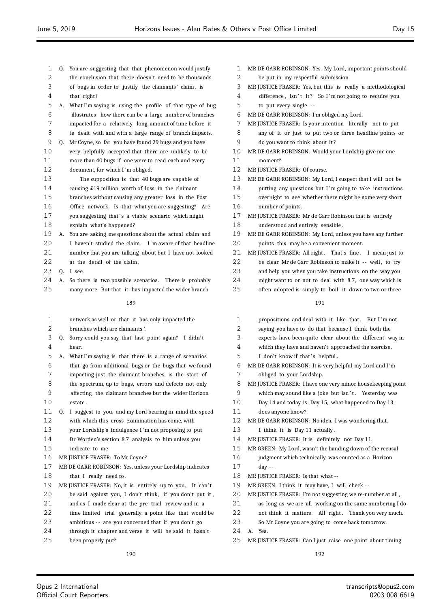| 1  |    | Q. You are suggesting that that phenomenon would justify  | 1  | MR I            |
|----|----|-----------------------------------------------------------|----|-----------------|
| 2  |    | the conclusion that there doesn't need to be thousands    | 2  |                 |
| 3  |    | of bugs in order to justify the claimants' claim, is      | 3  | MR J            |
| 4  |    | that right?                                               | 4  |                 |
| 5  | А. | What I'm saying is using the profile of that type of bug  | 5  |                 |
| 6  |    | illustrates how there can be a large number of branches   | 6  | MR 1            |
| 7  |    | impacted for a relatively long amount of time before it   | 7  | MR J            |
| 8  |    | is dealt with and with a large range of branch impacts.   | 8  |                 |
| 9  | Q. | Mr Coyne, so far you have found 29 bugs and you have      | 9  |                 |
| 10 |    | very helpfully accepted that there are unlikely to be     | 10 | MR I            |
| 11 |    | more than 40 bugs if one were to read each and every      | 11 |                 |
| 12 |    | document, for which I'm obliged.                          | 12 | $MR$ ]          |
| 13 |    | The supposition is that 40 bugs are capable of            | 13 | MR I            |
| 14 |    | causing £19 million worth of loss in the claimant         | 14 |                 |
| 15 |    | branches without causing any greater loss in the Post     | 15 |                 |
| 16 |    | Office network. Is that what you are suggesting? Are      | 16 |                 |
| 17 |    | you suggesting that's a viable scenario which might       | 17 | MR J            |
| 18 |    | explain what's happened?                                  | 18 |                 |
| 19 | А. | You are asking me questions about the actual claim and    | 19 | MR I            |
| 20 |    | I haven't studied the claim. I'm aware of that headline   | 20 |                 |
| 21 |    | number that you are talking about but I have not looked   | 21 | MR <sub>1</sub> |
| 22 |    | at the detail of the claim.                               | 22 |                 |
| 23 | Q. | I see.                                                    | 23 |                 |
| 24 | A. | So there is two possible scenarios. There is probably     | 24 |                 |
| 25 |    | many more. But that it has impacted the wider branch      | 25 |                 |
|    |    | 189                                                       |    |                 |
| 1  |    | network as well or that it has only impacted the          | 1  |                 |
| 2  |    | branches which are claimants'.                            | 2  |                 |
| 3  |    | Q. Sorry could you say that last point again? I didn't    | 3  |                 |
| 4  |    | hear.                                                     | 4  |                 |
| 5  | А. | What I'm saying is that there is a range of scenarios     | 5  |                 |
| 6  |    | that go from additional bugs or the bugs that we found    | 6  | MR I            |
| 7  |    | impacting just the claimant branches, is the start of     | 7  |                 |
| 8  |    | the spectrum, up to bugs, errors and defects not only     | 8  | MR              |
| 9  |    | affecting the claimant branches but the wider Horizon     | 9  |                 |
| 10 |    | estate.                                                   | 10 |                 |
| 11 | Q. | I suggest to you, and my Lord bearing in mind the speed   | 11 |                 |
| 12 |    | with which this cross-examination has come, with          | 12 | MR I            |
| 13 |    | your Lordship's indulgence I'm not proposing to put       | 13 |                 |
| 14 |    | Dr Worden's section 8.7 analysis to him unless you        | 14 | $MR$ ]          |
| 15 |    | indicate to me--                                          | 15 | MR (            |
| 16 |    | MR JUSTICE FRASER: To Mr Coyne?                           | 16 |                 |
| 17 |    | MR DE GARR ROBINSON: Yes, unless your Lordship indicates  | 17 |                 |
| 18 |    | that I really need to.                                    | 18 | MR J            |
| 19 |    | MR JUSTICE FRASER: No, it is entirely up to you. It can't | 19 | MR (            |
| 20 |    | be said against you, I don't think, if you don't put it,  | 20 | MR J            |
| 21 |    | and as I made clear at the pre-trial review and in a      | 21 |                 |
| 22 |    | time limited trial generally a point like that would be   | 22 |                 |
| 23 |    | ambitious -- are you concerned that if you don't go       | 23 |                 |
| 24 |    | through it chapter and verse it will be said it hasn't    | 24 | А.              |
| 25 |    | been properly put?                                        | 25 | MR J            |

| 1  | MR DE GARR ROBINSON: Yes. My Lord, important points should  |
|----|-------------------------------------------------------------|
| 2  | be put in my respectful submission.                         |
| 3  | MR JUSTICE FRASER: Yes, but this is really a methodological |
| 4  | difference, isn't it? So I'm not going to require you       |
| 5  | to put every single --                                      |
| 6  | MR DE GARR ROBINSON: I'm obliged my Lord.                   |
| 7  | MR JUSTICE FRASER: Is your intention literally not to put   |
| 8  | any of it or just to put two or three headline points or    |
| 9  | do you want to think about it?                              |
| 10 | MR DE GARR ROBINSON: Would your Lordship give me one        |
| 11 | moment?                                                     |
| 12 | MR JUSTICE FRASER: Of course.                               |
| 13 | MR DE GARR ROBINSON: My Lord, I suspect that I will not be  |
| 14 | putting any questions but I'm going to take instructions    |
| 15 | overnight to see whether there might be some very short     |
| 16 | number of points.                                           |
| 17 | MR JUSTICE FRASER: Mr de Garr Robinson that is entirely     |
| 18 | understood and entirely sensible.                           |
| 19 | MR DE GARR ROBINSON: My Lord, unless you have any further   |
| 20 | points this may be a convenient moment.                     |
| 21 | MR JUSTICE FRASER: All right. That's fine. I mean just to   |
| 22 | be clear Mr de Garr Robinson to make it -- well, to try     |
| 23 | and help you when you take instructions on the way you      |
| 24 | might want to or not to deal with 8.7, one way which is     |
| 25 | often adopted is simply to boil it down to two or three     |
|    | 191                                                         |
| 1  | propositions and deal with it like that. But I'm not        |
| 2  | saying you have to do that because I think both the         |
| 3  | experts have been quite clear about the different way in    |
| 4  | which they have and haven't approached the exercise.        |
| 5  | I don't know if that's helpful.                             |
| 6  | MR DE GARR ROBINSON: It is very helpful my Lord and I'm     |
| 7  | obliged to your Lordship.                                   |
| 8  | MR JUSTICE FRASER: I have one very minor housekeeping point |
| 9  | which may sound like a joke but isn't. Yesterday was        |
| 10 | Day 14 and today is Day 15, what happened to Day 13,        |
| 11 | does anyone know?                                           |
| 12 | MR DE GARR ROBINSON: No idea. I was wondering that.         |
| 13 | I think it is Day 11 actually.                              |
| 14 | MR JUSTICE FRASER: It is definitely not Day 11.             |

- GREEN: My Lord, wasn't the handing down of the recusal
- judgment which technically was counted as a Horizon day --
- **IUSTICE FRASER:** Is that what --
- GREEN: I think it may have, I will check --

JUSTICE FRASER: I'm not suggesting we re-number at all ,

- as long as we are all working on the same numbering I do
- not think it matters. All right. Thank you very much.
- So Mr Coyne you are going to come back tomorrow.
	- Yes.
- JUSTICE FRASER: Can I just raise one point about timing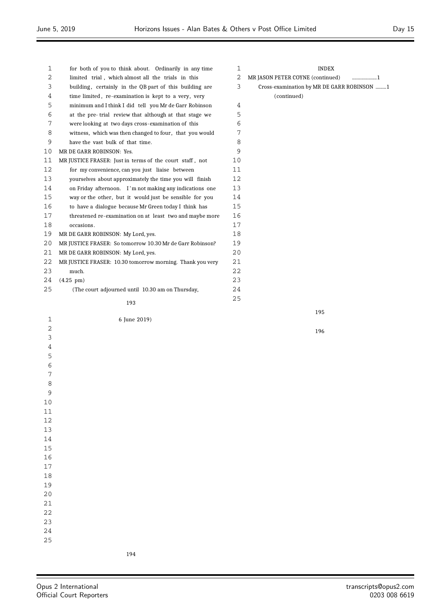$\equiv$ 

| 1  | for both of you to think about. Ordinarily in any time    | 1              | <b>INDEX</b>                               |
|----|-----------------------------------------------------------|----------------|--------------------------------------------|
| 2  | limited trial, which almost all the trials in this        | 2              | MR JASON PETER COYNE (continued)<br>1      |
| 3  | building, certainly in the QB part of this building are   | $\mathfrak{Z}$ | Cross-examination by MR DE GARR ROBINSON 1 |
| 4  | time limited, re-examination is kept to a very, very      |                | (continued)                                |
| 5  | minimum and I think I did tell you Mr de Garr Robinson    | 4              |                                            |
| 6  | at the pre-trial review that although at that stage we    | 5              |                                            |
| 7  | were looking at two days cross-examination of this        | 6              |                                            |
| 8  | witness, which was then changed to four, that you would   | 7              |                                            |
| 9  | have the vast bulk of that time.                          | 8              |                                            |
| 10 | MR DE GARR ROBINSON: Yes.                                 | 9              |                                            |
| 11 | MR JUSTICE FRASER: Just in terms of the court staff, not  | 10             |                                            |
| 12 | for my convenience, can you just liaise between           | 11             |                                            |
| 13 | yourselves about approximately the time you will finish   | 12             |                                            |
| 14 | on Friday afternoon. I'm not making any indications one   | 13             |                                            |
| 15 | way or the other, but it would just be sensible for you   | 14             |                                            |
| 16 | to have a dialogue because Mr Green today I think has     | 15             |                                            |
| 17 | threatened re-examination on at least two and maybe more  | 16             |                                            |
| 18 | occasions.                                                | 17             |                                            |
| 19 | MR DE GARR ROBINSON: My Lord, yes.                        | 18             |                                            |
| 20 | MR JUSTICE FRASER: So tomorrow 10.30 Mr de Garr Robinson? | 19             |                                            |
| 21 | MR DE GARR ROBINSON: My Lord, yes.                        | 20             |                                            |
| 22 | MR JUSTICE FRASER: 10.30 tomorrow morning. Thank you very | 21             |                                            |
| 23 | much.                                                     | 22             |                                            |
| 24 | $(4.25 \text{ pm})$                                       | 23             |                                            |
| 25 | (The court adjourned until 10.30 am on Thursday,          | 24             |                                            |
|    |                                                           | 25             |                                            |
|    | 193                                                       |                |                                            |
| 1  | 6 June 2019)                                              |                | 195                                        |
| 2  |                                                           |                |                                            |
| 3  |                                                           |                | 196                                        |
| 4  |                                                           |                |                                            |
| 5  |                                                           |                |                                            |
|    |                                                           |                |                                            |

 $\equiv$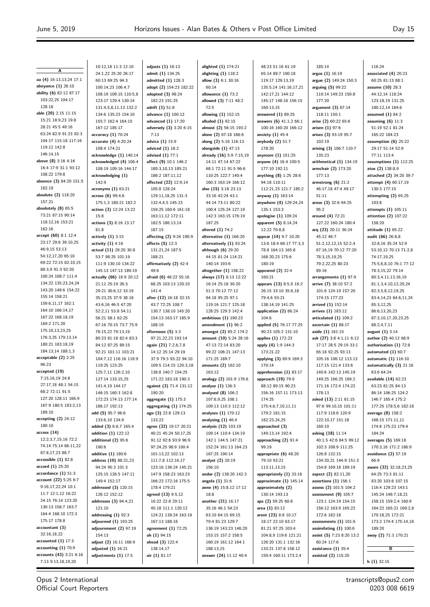**A aa (4)** 16:13,13,24 17:1 **abeyance (1)** 26:10 **ability (6)** 82:12 87:17 103:22,25 104:17 128:18 **able (20)** 2:15 11:15 15:21 18:9,23 19:8 28:21 45:5 49:16 63:24 82:9 91:23 92:3 104:17 115:18 117:16 119:12 142:8 146:14,15 **above (8)** 3:16 4:16 16:4 17:9 31:1 93:12 108:22 179:8 **absence (3)** 84:20 151:5 182:19 **absolute (2)** 118:20 157:21 **absolutely (8)** 65:5 73:21 87:15 90:14 118:12,16 153:21 162:16 **accept (60)** 8:1 12:4 23:17 29:6 39:10,25 46:9,15 53:13 54:12,17,20 65:10 69:22 72:15 82:10,15 88:3,9 91:3 92:20 100:24 108:7 111:4 134:22 135:23,24,24 143:20 148:6 154:22 155:14 158:21 159:6,11,17 162:1 164:10 166:14,17 167:22 168:18,19 169:2 171:20 175:10,13,23,25 176:3,25 179:13,14 180:21 183:18,19 184:13,14 188:1,3 **acceptable (2)** 2:25 96:23 **accepted (19)** 7:15,16,19 24:8 27:17,18 48:1 54:15 68:2 72:11 91:5 127:20 128:11 166:9 167:9 180:5 183:2,13 189:10 **accepting (2)** 24:12 180:10 **access (14)** 12:2,3,7,15,16 72:2 74:14 75:14 86:11,22 87:8,17,23 88:7 **accessible (1)** 82:8 **accord (1)** 25:20 **accordance (1)** 51:3 **account (22)** 5:25 6:7 9:16,17,22,24 10:1 11:7 12:1,12 16:22 24:15 76:14 123:20 130:13 158:7 163:7 164:4 168:10 172:3 175:17 178:8 **accountant (3)** 32:16,18,22 **accounted (1)** 17:3 **accounting (1)** 70:9 **accounts (43)** 3:21 6:16 7:13 9:13,18,19,20

10:12,18 11:3 12:10 24:1,22 25:20 26:17 60:13 69:25 94:3 100:14,23 106:4,7 108:19 109:15 110:5,8 123:17 129:4 130:14 131:4,5,8,11,13 132:2 134:6 135:23 154:10 155:7 162:4 164:15 167:12 185:17 **accuracy (1)** 70:24 **accurate (4)** 4:20,24 108:4 174:21 **acknowledge (1)** 140:14 **acknowledged (4)** 106:4 108:19 109:16 144:17 **acknowledging (1)** 142:9 **acronyms (1)** 63:21 **across (6)** 99:4,6 175:1,3 180:21 182:2 **action (3)** 12:24 13:22 15:8 **actions (3)** 8:16 13:17 81:8 **actively (1)** 3:15 **activity (1)** 4:16 **actual (11)** 29:20 30:8 53:7 98:25 101:19 111:9 130:10 134:22 145:13 147:13 189:19 **actually (66)** 18:9 20:12 21:11 25:19 26:3 29:21 30:6,12 33:19 35:23,25 37:9 38:18 43:6,16 46:5 47:20 52:2,11 53:8 54:11 56:21 58:1 62:25 67:16 70:15 73:7 75:9 78:15,22 79:13,19 80:23 81:18 82:4 83:3 84:12 87:25 89:15 92:21 101:11 103:21 104:7,12 116:16 118:9 119:25 123:25 125:7,11 126:2,10 127:14 133:15,25 141:4,19 144:17 146:15 160:3 162:8 172:23 174:13 177:14 186:17 192:13 **add (5)** 95:7 96:6 133:6,10 134:9 **added (3)** 6:6,7 165:4 **addition (1)** 122:12 **additional (2)** 95:6 190:6 **additive (1)** 180:6 **address (10)** 88:21,23 94:24 95:3 101:3 125:15 126:5 147:11 149:4 152:17 **addressed (3)** 120:15 126:12 152:12 **addresses (3)** 94:4,21 121:10 **addressing (1)** 92:3 **adjourned (1)** 193:25 **adjournment (2)** 97:19 154:13 **adjust (2)** 16:11 168:9 **adjusted (1)** 16:21 **adjustments (1)** 17:5

**adjusts (1)** 16:13 **admit (1)** 134:25 **admitted (1)** 128:3 **adopt (2)** 154:23 182:22 **adopted (3)** 98:24 182:23 191:25 **adrift (1)** 51:8 **advance (1)** 100:12 **advanced (1)** 17:20 **adversely (3)** 3:20 6:15 7:13 **advice (1)** 15:9 **adviced (1)** 18:2 **advised (1)** 77:1 **affect (9)** 10:1 146:2 180:3,10,13 185:21 186:2 187:11,12 **affected (22)** 12:9,14 105:8 128:24 129:11,18,25 131:3 132:4,4,5 145:23 159:25 160:6 161:18 163:11,12 172:11 182:5 186:13,14 187:15 **affecting (2)** 9:24 190:9 **affects (5)** 12:3 131:21,24 187:5 188:21 **affirmatively (2)** 42:4 49:6 **afraid (6)** 48:22 55:16 68:25 103:13 120:10 141:4 **after (12)** 16:18 32:15 43:7 72:25 108:7 130:7 138:10 145:20 154:13 163:17 185:9 188:19 **afternoon (5)** 3:3 97:21,22,23 193:14 **again (21)** 7:2,6,7,8 14:12 25:14 29:19 37:9 79:3 93:22 94:10 109:5 114:15 120:3,18 138:8 140:7 154:25 171:22 183:18 190:3 **against (3)** 71:4 131:12 190:20 **aggregate (1)** 175:3 **aggregating (1)** 174:25 **ago (3)** 22:8 129:13 133:22 **agree (32)** 19:17 20:21 40:21 45:24 50:17,25 91:12 92:6 93:9 96:9 97:24,25 98:9 100:4 101:13,22 102:13 111:7,8 112:16,17 123:16 136:24 145:21 147:9 158:23 163:23 166:23 172:16 175:5 178:4 179:21 **agreed (13)** 9:5,12 10:22 22:8 29:11 45:18 111:1 120:12 124:21 139:24 163:19 167:13 188:16 **agreement (1)** 72:25 **ah (1)** 94:15 **ahead (3)** 122:4 138:14,17 **air (1)** 81:17

**alighted (1)** 174:21 **alighting (1)** 118:2 **allow (3)** 6:1 30:16 60:14 **allowance (1)** 73:2 **allowed (3)** 7:11 48:2 72:5 **allowing (1)** 152:15 **alluded (1)** 92:15 **almost (2)** 56:15 193:2 **alone (2)** 67:18 186:6 **along (2)** 5:16 116:13 **alongside (1)** 47:13 **already (16)** 5:9 7:15,19 14:11 47:14 67:22 68:1 72:11 91:5 96:6 110:25 122:7 140:4 160:3 163:19 166:12 **also (15)** 3:18 23:13 33:16 42:24 43:1 44:14 73:11 80:22 100:4 125:24 127:19 142:3 163:15 176:19 187:25 **altered (1)** 74:2 **alternative (1)** 166:20 **alternatively (1)** 93:24 **although (6)** 29:20 44:15 81:24 114:21 140:14 193:6 **altogether (1)** 158:22 **always (17)** 8:13 12:22 16:14 25:18 30:20 51:3 70:12 77:12 94:18 95:25 97:1 119:16 121:7 125:18 128:25 129:3 142:4 **ambitious (1)** 190:23 **amendment (1)** 96:2 **amongst (2)** 85:2 174:2 **amount (10)** 5:24 28:16 47:13 72:14 83:20 99:22 106:21 147:13 171:25 189:7 **amounts (2)** 162:10 163:12 **analogy (2)** 101:9 176:6 **analyse (1)** 136:3 **analysed (8)** 106:2 107:6,9,25 108:1 109:13 110:3 112:12 **analyses (1)** 170:12 **analysing (1)** 46:4 **analysis (12)** 103:19 109:14 110:4 134:19 142:1 144:5 147:21 152:24 161:13 164:23 167:25 190:14 **analyst (2)** 20:19 156:10 **andor (2)** 138:20 142:3 **angela (1)** 31:6 **anne (4)** 15:8,12 17:12 18:8 **another (21)** 16:17 35:16 46:1 54:23 63:10 64:15 69:15 79:4 81:23 129:7 136:19 143:23 146:20 153:15 157:2 158:5 160:19 161:12 164:1 188:13,15 **answer (24)** 11:12 40:4

48:23 51:16 61:19 65:14 89:7 100:18 119:17 129:13,19 135:5,14 141:16,17,21 142:17,21 144:12 145:17 148:16 156:15 160:13,15 **answered (1)** 89:25 **answers (6)** 41:1,2 66:1 100:16 160:20 166:12 **anxiety (1)** 45:4 **anybody (2)** 51:7 178:20 **anymore (1)** 151:25 **anyone (4)** 16:4 100:5 177:10 192:11 **anything (8)** 1:25 28:6 94:18 110:11 112:21,23 121:7 185:2 **anyway (1)** 163:14 **anywhere (4)** 129:24,24 135:1 153:3 **apologise (1)** 109:24 **apparent (5)** 8:14,24 12:22 70:8,8 **appear (14)** 9:7 10:20 13:6 18:4 66:17 77:3,3 78:8 164:13 165:8 168:20,23 175:6 180:19 **appeared (2)** 32:4 160:21 **appears (13)** 8:5,9 16:2 26:15 33:10 35:6,18 79:4,6 93:21 138:14,19 141:25 **application (2)** 86:24 104:6 **applied (5)** 76:17 77:25 90:23 105:2 131:10 **applies (1)** 172:23 **apply (4)** 1:9 144:3 173:21,22 **applying (3)** 89:9 169:3 170:14 **apprehension (1)** 83:17 **approach (19)** 79:9 88:12 89:15 90:23 156:16 157:11 173:13 174:25 175:4,6,7,10,11,11 179:2 181:15 182:23,24,25 **approached (3)** 149:13,14 192:4 **approaching (2)** 91:4 99:19 **appropriate (6)** 48:20 79:10 93:21 113:11,13,15 **appropriately (1)** 33:16 **approximate (1)** 145:14 **approximately (2)** 130:14 193:13 **aps (2)** 59:25 60:6 **area (1)** 83:12 **arent (23)** 8:8 10:17 18:17 22:10 63:17 81:21 97:25 103:4 104:8,9 119:6 121:21 126:20 131:1 132:16 133:21 137:8 158:12 159:4 160:11 173:2,4

185:14 **argos (1)** 16:19 **argue (2)** 149:24 150:3 **arguing (5)** 99:22 110:14 149:23 150:8 177:20 **argument (3)** 67:14 118:11 150:1 **arise (2)** 60:22 65:6 **arisen (1)** 97:6 **arises (3)** 93:19 95:7 102:19 **arising (3)** 106:7 110:7 135:23 **arithmetical (1)** 134:19 **armchair (2)** 173:20 177:13 **armstrong (6)** 21:2 46:17,18 47:4 49:17 51:11 **arose (3)** 32:6 94:25 95:2 **around (4)** 72:21 127:22 160:24 180:4 **arq (23)** 20:11 36:24 45:12 46:7 51:2,12,12,15 52:2,4 67:16,19 70:12 77:20 78:3,15,19,25 79:2,22,25 80:23 89:16 **arrangements (1)** 97:9 **arrive (7)** 38:10 57:2 101:6 124:19 157:20 174:15 177:23 **arrived (1)** 152:14 **arrives (1)** 183:12 **articulated (1)** 109:2 **ascertain (1)** 88:17 **aside (1)** 161:15 **ask (27)** 3:8 4:1,11 6:12 17:17 28:5 29:19 33:1 65:18 92:25 93:13 105:16 106:12 113:13 117:15 121:4 133:6 140:6 142:13 145:19 149:25 166:25 169:2 171:16 172:4 174:22 178:13 **asked (13)** 2:11 61:15 97:6 99:10,15 101:11 117:9 118:6 120:9 122:10,17 151:18 160:10 **asking (18)** 11:14 40:1,5 42:6 84:5 99:12 102:3 108:9 111:25 126:8 132:15 134:20,21 144:9 151:3 154:8 169:18 189:19 **aspect (2)** 82:11,20 **assertions (1)** 156:1 **assess (2)** 101:5 104:2 **assessment (9)** 105:7 123:1 124:19 154:15 156:12 163:9 165:22 172:6 182:18 **assessments (1)** 101:6 **assimilating (1)** 100:6 **assist (5)** 7:23 8:20 13:2 60:24 117:6 **assistance (1)** 35:4 **assisted (2)** 115:20

116:24 **associated (4)** 20:23 60:25 81:13 88:1 **assume (10)** 28:3 44:12,14 118:24 123:18,19 131:25 180:12,14 184:6 **assumed (1)** 84:2 **assuming (6)** 11:3 51:19 52:1 81:24 165:22 184:23 **assumption (6)** 25:22 29:17 51:14 52:9 77:11 113:4 **assumptions (1)** 112:25 **atos (2)** 138:8,9 **attached (2)** 34:20 39:7 **attempt (4)** 60:17,19 130:3 177:15 **attempting (2)** 65:25 103:8 **attempts (1)** 105:11 **attention (2)** 107:22 158:20 **attitude (1)** 65:22 **audit (66)** 26:8,8 32:8,16 35:24 52:9 53:10,12 70:13 71:2,8 74:17,19,25 75:5,6,8,10 76:1 77:12 78:3,15,22 79:14 80:3,4,11,13,16,19 81:1,3,4,10,12,20,24 82:3,5,8,12,19,25 83:4,14,23 84:6,11,24 85:3,12,25 86:6,13,20,23 87:3,10,17,20,23,25 88:2,4,7,11 **august (1)** 3:14 **author (2)** 40:12 68:9 **authorisation (1)** 72:8 **automated (1)** 60:7 **automatic (1)** 116:10 **automatically (3)** 21:16 63:6 64:24 **available (14)** 62:23 63:23 81:25 84:13 86:14 106:25 124:2 146:7 165:4 175:2 177:25 178:5,6 182:18 **average (8)** 158:2 168:15 171:11,11 174:8 175:23 179:4 184:24 **averages (5)** 169:18 170:3,16 171:2 186:9 **avoidance (2)** 57:19 66:9 **aware (32)** 32:18,23,25 64:25 73:3 81:11 83:20 103:8 107:15 116:4 129:23 143:1 145:24 146:7,18,21 158:15 159:2,4 160:9 164:22 165:21 169:2,8 170:18,25 172:21 173:2 174:4 175:14,18 189:20 **away (2)** 71:3 170:21 **B b (1)** 32:15

Opus 2 International Official Court Reporters

transcripts@opus2.com 0203 008 6619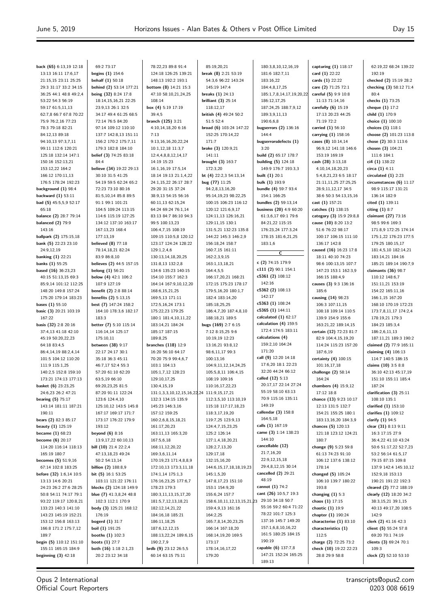$\equiv$ 

| back (65) 6:13,19 12:18                     | 69:2 73:17                                  | 78:22,23 89:8 91:4                         | 85:19,20,21                             | 180:3,8,10,12,16,19                      | capturing $(1)$ 118:17                      | 62:19,22 68:24 139:22                      |
|---------------------------------------------|---------------------------------------------|--------------------------------------------|-----------------------------------------|------------------------------------------|---------------------------------------------|--------------------------------------------|
| 13:13 16:11 17:6,17                         | begins $(1)$ 154:6                          | 124:18 126:25 139:21                       | break $(8)$ 2:21 53:19                  | 181:6 182:7,11                           | card (1) 22:22                              | 192:19                                     |
| 21:15,15 23:11 25:25                        | behalf $(1)$ 50:18                          | 148:13 192:2 193:1                         | 54:3,6 96:22 143:24                     | 183:16,22                                | cards (1) 22:22                             | checked (2) 15:19 28:2                     |
| 29:3 31:17 33:2 34:15                       | behind (2) 53:14 177:21                     | bottom (8) 14:21 15:3                      | 145:19 147:4                            | 184:4,8,17,25                            | care (2) 71:25 72:1                         | checking (3) 58:12 71:4                    |
| 36:25 44:1 48:8 49:2,4                      | being (32) 8:24 17:8                        | 47:10 58:10,21,24,25                       | breaks $(1)$ 24:13                      | 185:1,7,8,14,17,19,20,22                 | careful (5) 9:9 10:8                        | 80:4                                       |
| 53:22 54:3 56:19                            | 18:14, 15, 16, 21 22: 25                    | 108:14                                     | brilliant $(3)$ 25:14                   | 186:12,17,25                             | 11:13 71:14.16                              | checks (1) 73:25                           |
| 59:17 61:5,11,13                            | 23:9,13 26:1 32:5                           | box (4) 5:19 17:19                         | 118:12,17                               | 187:24,25 188:7,9,12                     | carefully $(6)$ 15:19                       | cheque (1) 17:2                            |
| 62:7,8 66:7 67:8 70:22                      | 34:17 49:4 61:25 68:5                       | 39:4,5                                     | british (4) 49:24 50:2                  | 189:3,9,11,13                            | 17:13 20:23 44:25                           | child (1) 170:9                            |
| 75:9 76:2,16 77:23                          | 72:14 76:5 84:20                            | branch (125) 3:21                          | 51:5 52:4                               | 190:6,6,8                                | 71:19 72:2                                  | choice (1) 100:10                          |
| 78:3 79:18 82:21                            | 97:14 109:12 110:10                         | 4:10,14,18,20 6:16                         | broad (6) 103:24 147:22                 | bugserrors (2) 136:16                    | carried (1) 56:10                           | choices (1) 118:1                          |
| 84:12,13 89:18                              | 137:7 142:8,13 151:11                       | 7:13                                       | 152:25 170:14,22                        | 144:4                                    | carrying (1) 158:16                         | choose (2) 101:23 113:8                    |
| 94:10,13 97:3,7,11                          | 156:2 170:2 175:7,11                        | 9:13,16,16,20,22,24                        | 171:7                                   | bugserrorsdefects (1)                    | cases (8) 10:14,14                          | chose (2) 30:3 113:6                       |
| 99:11 112:6 120:21                          | 179:3 182:8 184:10                          | 10:1,12,18 11:3,7                          | broke (3) 120:9,21                      | 3:20                                     | 96:9,12 141:18 146:6                        | chosen (3) 104:21                          |
| 125:18 132:14 147:1                         | belief (3) 74:25 83:18                      | 12:4,4,8,8,12,14,17                        | 141:11                                  | build (2) 65:17 178:7                    | 153:19 169:19                               | 111:6 184:1                                |
| 150:16 152:13,21                            | 84:4                                        | 14:19 15:23                                | brought (3) 163:7                       | <b>building (5)</b> 124:18               | cash (28) 3:13,18                           | ci4 (1) 138:22                             |
| 153:12,22 164:2                             | believe (34) 19:22 29:13                    | 16:1,16,19 17:5,14                         | 172:3,20                                | 149:9 176:7 193:3,3                      | 4:10,14,18,20,23                            | circa (1) 4:11                             |
| 166:12 170:11,13                            | 30:10 31:5 41:25                            | 18:14 19:13 21:1,4,22                      | bt (4) $22:2,3\ 54:13,14$               | built $(1)$ 20:1                         | 5:4,8,21,23 6:5 18:17                       | circulated $(1)$ 2:23                      |
| 176:5 178:24 192:23                         | 54:19 59:5 62:24 65:2                       | 24:1,15,22 26:17 28:7                      | bug (77) 11:25                          | bulk (1) 193:9                           | 21:11,11,25 27:25,25                        | circumstances $(6)$ 11:17                  |
| background (1) 98:4                         | 72:23 73:10 80:16                           | 29:20 31:15 37:24                          | 94:2,8,13,16,20                         | bundle (4) 59:7 93:4                     | 28:9,11,12,17 34:5                          | 98:9 115:17 131:21                         |
| backward (1) 53:11                          | 81:5,10,14 85:8 89:5                        | 38:9,13 54:15 56:16                        | 95:14,19,23 98:22,25                    | 154:1 166:25                             | 38:6 50:3 54:13,15,16                       | 136:14 182:9                               |
| bad (5) 45:5,5,9 52:17                      | 91:1 99:1 101:21                            | 60:11,13 62:15,24<br>64:24 69:24 76:1,14   | 100:15 106:23 116:12                    | bundles (2) 59:13,14                     | cast (1) 157:21                             | cited (1) 139:11                           |
| 65:18                                       | 104:5 109:24 113:15                         |                                            | 120:12 121:6,9,17                       | business (20) 4:9 60:20                  | catches (1) 138:15                          | citing $(1)$ 8:7                           |
| balance (2) 28:7 79:14                      | 114:6 115:19 127:25<br>134:12 137:10 163:17 | 83:13 84:7 86:10 94:3                      | 124:11,13 126:16,21<br>129:11,15 130:1  | 61:3,6,17 69:1 79:6                      | category (3) 15:9 29:8,8                    | claimant (27) 73:16                        |
| <b>balanced (2) 79:9</b><br>143:16          | 167:13,23 168:4                             | 99:5 100:13,23<br>106:4,7,15 108:19        | 131:5,21 132:23 135:8                   | 84:21,22 115:15<br>176:23,24 177:3,24    | cause (10) 8:20 13:2<br>51:6 76:22 98:17    | 98:5 99:6 169:3<br>171:8,9 172:25 174:14   |
| ballpark (2) 175:15,18                      | 177:13,19                                   | 109:15 110:5,8 120:12                      | 144:22 145:3 146:2,9                    | 178:15 181:6,21,25                       | 100:17 106:15 111:10                        | 175:1,22 176:23 177:5                      |
| bank (5) 22:23 23:10                        | believed $(8)$ 77:18                        | 123:17 124:24 128:22                       | 156:18,24 158:7                         | 183:1,6                                  | 136:17 142:8                                | 179:25 180:15,17                           |
| 24:9,12,19                                  | 78:14,18,21 82:24                           | 129:1,2,4,6                                | 160:7,15 161:11                         |                                          | caused (16) 16:23 17:8                      | 181:4,5,10 182:14,21                       |
| banking $(1)$ 22:21                         | 83:9 86:8,10                                | 130:13,14,18,20,25                         | 162:2,3,9,15                            | $\overline{\mathsf{c}}$                  | 18:11 40:10 74:23                           | 183:14,21 184:16                           |
| banks (1) 55:25                             | believes (2) 44:5 157:15                    | 131:8,13 132:2,8                           | 163:1,13,18,21                          | c (2) 74:15 179:9                        | 98:6 100:13,15 107:7                        | 185:21 189:14 190:7,9                      |
| based $(16)$ 36:23,23                       | belong $(1)$ 56:21                          | 134:6 135:23 140:15                        | 164:4,5,5                               | c111 (2) 90:1 154:1                      | 147:23 153:1 162:3,9                        | claimants $(36)$ 98:7                      |
| 40:15 51:13,15 69:3                         | below $(4)$ 42:1 106:2                      | 154:10 155:7 162:3                         | 166:17,20,21 168:21                     | c5361 (2) 108:12                         | 166:15 188:4,9                              | 110:12 148:6,7                             |
| 85:9,14 101:12 112:25                       | 107:9 127:19                                | 164:14 167:9,10,12,20                      | 172:15 175:23 178:17                    | 142:16                                   | causes (3) 9:3 136:16                       | 151:11,21 153:19                           |
| 148:20 149:8 157:24                         | benefit (2) 2:8 88:14                       | 168:6, 15, 21, 25                          | 179:5,16,20 180:1,7                     | c5362 (2) 108:13                         | 185:6                                       | 154:22 165:11,16                           |
| 175:20 179:14 183:23                        | benefits (2) 5:13,15                        | 169:5,13 171:11                            | 182:4 183:14,20                         | 142:17                                   | causing (14) 98:23                          | 166:1,15 167:20                            |
| bases (1) 55:10                             | best (7) 147:24 158:2                       | 172:5,16,24 173:1                          | 185:18,25,25                            | c5363 (1) 108:24                         | 106:3 107:11,15                             | 168:10 170:19 172:23                       |
| basic (3) 20:21 103:19                      | 164:10 178:3,6 182:17                       | 175:22,23 179:25                           | 186:4,7,20 187:4,8,10                   | c5365 (1) 144:11                         | 108:18 109:14 110:5                         | 173:7,8,11,17 174:2,4                      |
| 167:22                                      | 183:3                                       | 180:1 181:4,10,11,22                       | 188:18,21 189:5                         | calculated $(1)$ 62:17                   | 139:9 154:9 155:6                           | 178:19,21 179:3                            |
| basis (32) 2:8 20:16                        | better (7) 5:10 115:14                      | 183:14,21 184:24                           | bugs (169) 2:7 6:15                     | calculation (4) 159:5                    | 163:21,22 189:14,15                         | 184:23 185:3,4                             |
| 37:4,13 41:18 42:10                         | 116:14,14 125:17                            | 185:17 187:15                              | 7:12 8:15,25 9:6                        | 172:4 174:5 183:11                       | certain (12) 72:23 81:7                     | 186:2,6,11,13                              |
| 45:19 50:20,22,23                           | 175:10,11                                   | 189:8.25                                   | 10:19.19 12:23                          | calculations (4)                         | 82:9 104:4,15,19,20                         | 187:11,21 189:3 190:2                      |
| 64:18 83:4,5                                | between (38) 9:17                           | branches (118) 12:9                        | 13:16,21 93:8,12                        | 159:2,10 164:24                          | 114:24 115:23 157:20                        | claimed (2) 77:9 165:11                    |
| 86:4,14,19 88:2,4,14                        | 22:17 24:17 30:1                            | 16:20 56:10 64:17                          | 98:6,11,17 99:3                         | 171:20                                   | 187:6,19                                    | claiming $(4)$ 106:13                      |
| 101:5 104:12 110:20                         | 35:18 36:3 45:11                            | 70:20 75:9 99:4,6,7                        | 100:13.16                               | call (9) 12:20 14:18                     | certainty (4) 100:15                        | 114:7 140:5 186:15                         |
| 111:9 115:1,25                              | 46:7,17 52:4 55:3                           | 103:1 104:13                               | 104:9,11,12,14,24,25                    | 17:6,20 18:1 22:23                       | 101:16,17,18                                | claims (10) 3:5 8:8                        |
| 140:2,5 152:8 159:10                        | 57:20 61:10 62:20                           | 105:1,7,12 128:23                          | 105:5,8,11 106:4,15                     | 32:20 44:24 66:12                        | challenge (2) 58:14                         | 36:10 42:13 45:17,19                       |
| 173:21 174:13 177:13                        | 63:5,19 66:10                               | 129:10,17,25                               | 108:19 109:16                           | called (12) 5:13                         | 164:24                                      | 151:10 155:11 185:4                        |
| basket $(6)$ 23:23,25                       | 69:20,23,25 81:5                            | 130:4,15,19                                | 110:16,17,22,23                         | 20:17,17 22:14 27:24                     | chambers (4) 15:9,12                        | 187:24                                     |
| 24:6,23 26:2 47:21                          | 87:20 91:11 122:24                          | 131:1,3,3,10,12,15,16,22,24 111:9,15,17,21 |                                         | 55:19 58:10 63:13                        | 17:12 18:8                                  | clarification (3) 25:11                    |
| bearing $(5)$ 75:17                         | 123:6 124:4,10                              | 132:3 134:15 135:9                         | 112:3,5,10 113:10,19                    | 70:9 115:16 135:11                       | chance (13) 9:23 10:17                      | 108:10 135:1                               |
| 143:14 181:11 187:21                        | 125:10,12 143:5 145:8                       | 145:23 146:3,16                            | 115:18 117:17,18,23                     | 149:19                                   | 12:13 131:5 132:7                           | clarified (1) 153:10                       |
| 190:11                                      | 167:17 169:17 171:7                         | 157:12 159:25                              | 118:3,17,19,20                          | callendar (3) 158:8                      | 154:21 155:25 180:1                         | clarifies (1) 109:12                       |
| bears (2) 82:3 85:17                        | 173:17 176:22 179:9                         | 160:2,6,8,15,18,21                         | 119:7,25 123:9,13                       | 164:5,18                                 | 183:13,16,20 184:3,9                        | clarify (1) 94:5                           |
| beauty (1) 125:19                           | 193:12                                      | 161:17,20,23                               | 124:4,7,15,23,25                        | calls (1) 167:19<br>came (3) 1:14 138:23 | chances (5) 120:13                          | clear (31) 8:13 9:11                       |
| <b>became</b> $(1)$ 68:23                   | beyond $(6)$ 8:16                           | 163:11,13 165:3,20                         | 125:2 126:14                            | 144:10                                   | 121:18 123:12 124:21                        | 16:3 17:15 27:9                            |
| become $(6)$ 20:17                          | 13:9,17,22 60:10,13                         | 167:5,6,18                                 | 127:1,4,18,20,21                        | cancellable (12)                         | 180:7                                       | 36:4,22 41:10 43:24                        |
| 114:20 116:14 118:13                        | bill (10) 21:4 22:2,4                       | 168:11,12,20,22                            | 128:2,7,13,20                           | 21:7,16,20                               | change (9) 5:23 59:8                        | 50:6 51:17,22 52:7,23                      |
| 165:19 180:7                                | 47:13,18,23 49:24                           | 169:3,6,11,14                              | 129:17,18                               | 22:9,12,15,18                            | 61:13 74:23 91:10                           | 53:2 56:14 61:5,17                         |
| becomes $(5)$ 51:9,16<br>67:14 102:8 183:25 | 50:2 54:13,14                               | 170:19,23 171:4,8,8,9                      | 132:15,16,20<br>144:6,15,17,18,18,19,23 | 29:4,8,12,15 30:14                       | 106:12 137:6 138:12                         | 79:15 87:15 109:8<br>137:9 142:4 145:10,12 |
| before (32) 1:6,14 10:5                     | billion (2) 188:8,9<br>bit (5) 16:1 53:25   | 172:10,13 173:3,11,18<br>174:1,14 175:1,3  |                                         | cancelled $(2)$ 29:21                    | 178:14                                      |                                            |
| 13:13 14:6 20:21                            | 103:11 121:22 176:11                        | 176:16,23,25 177:6,7                       | 145:1,5,20<br>147:8,17,23 151:10        | 48:19                                    | changed $(5)$ 105:24<br>106:10 139:7 180:22 | 152:9,18 153:13<br>190:21 191:22 192:3     |
| 24:23 26:2 27:6 28:25                       | blocks (2) 124:18 149:9                     | 178:23 179:3                               | 153:1 154:9,20                          | cannot (1) 74:2                          | 193:8                                       | cleared (2) 77:2 188:19                    |
| 50:8 54:11 74:17 79:1                       | blue (7) 41:3,8,24 48:8                     | 180:3,11,13,15,17,20                       | 155:6,24 157:7                          | cant (26) 10:5,7 19:3                    | changing $(1)$ 5:3                          | clearly (12) 18:20 34:2                    |
| 93:22 119:17 120:8,21                       | 102:3 112:1 170:9                           | 181:5,7,12,13,18,21                        | 158:6,10,11,12,13,15,21,23              | 29:10 34:18 50:7                         | chaos (1) 17:15                             | 38:3,15,21 39:1,15                         |
| 133:23 140:3 141:10                         | body (3) 125:21 168:12                      | 182:12,14,21,22                            | 159:4,9,13 161:16                       | 55:16 59:2 60:4 71:22                    | chaotic (1) 19:9                            | 40:13 49:17,20 108:5                       |
| 143:23 145:19 152:21                        | 176:19                                      | 184:16,18 185:21                           | 164:2,25                                | 78:22 101:7 125:3                        | chapter (1) 190:24                          | 142:9                                      |
| 153:12 156:8 163:13                         | bogerd $(1)$ 31:7                           | 186:11,18,25                               | 165:7,8,14,20,23,25                     | 137:16 145:7 149:20                      | characterise (1) 83:10                      | clerk (2) 41:16 42:3                       |
| 166:8 171:2 175:7,12                        | boil (1) 191:25                             | 187:6, 12, 12, 15                          | 166:14 167:18,20                        | 157:1,6,8,10,16,22                       | characteristics (1)                         | client (5) 55:24 57:8                      |
| 189:7                                       | booths $(1)$ 102:3                          | 188:13,22,24 189:6,15                      | 168:14,19,20 169:5                      | 161:5 180:25 184:15                      | 112:5                                       | 69:20 70:1 74:19                           |
| begin (5) 110:12 151:10                     | boots $(1)$ 27:7                            | 190:2,7,9                                  | 173:17                                  | 190:19                                   | charge (2) 72:25 73:2                       | clients (3) 69:24 70:1                     |
| 155:11 165:15 184:9                         | both $(16)$ 1:18 2:1,23                     | brdb (9) 23:12 26:5,5                      | 178:14,16,17,22                         | capable (6) 137:7,8                      | check (10) 19:22 22:23                      | 109:3                                      |
| beginning $(3)$ 42:18                       | 20:2 23:12 34:18                            | 60:14 63:15 75:11                          | 179:20                                  | 147:21 152:24 165:25                     | 28:8 29:9 58:8                              | clock $(2)$ 52:10 53:10                    |
|                                             |                                             |                                            |                                         | 189:13                                   |                                             |                                            |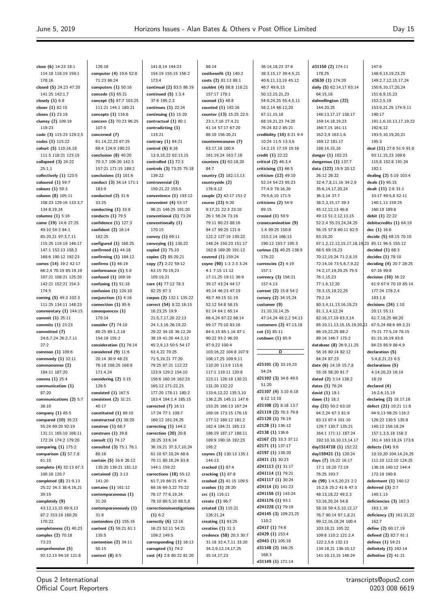**close (6)** 14:23 18:1 114:18 118:19 159:1 178:16 **closed (5)** 24:23 47:20 141:25 142:1,7 **closely (1)** 6:8 **closer (1)** 82:15 **closes (1)** 23:19 **clumsy (2)** 109:19 119:23 **code (3)** 115:23 129:2,5 **codes (1)** 115:22 **cohort (5)** 110:16,18 111:5 118:21 123:15 **collapsed (3)** 24:22 25:1,1 **collectively (1)** 123:5 **coloured (1)** 59:7 **colours (1)** 59:3 **column (8)** 105:11 108:23 129:16 133:3,7 134:8,19,24 **columns (1)** 5:16 **come (19)** 14:6 27:25 49:10 54:3 84:1 85:20,21 97:3,7,11 115:25 119:19 146:17 147:1 152:13 158:2 168:6 190:12 192:23 **comes (14)** 19:2 42:17 66:2,4 70:19 85:19,19 107:21 108:21 125:20 142:21 152:21 154:3 174:5 **coming (5)** 49:3 102:3 111:25 134:11 148:23 **commentary (1)** 144:15 **commit (1)** 25:11 **commits (1)** 23:23 **committed (7)** 24:6,7,24 26:2,7,11  $27.2$ **common (1)** 109:6 **commonly (1)** 32:11 **commonsense (2)** 184:11 187:20 **comms (1)** 25:4 **communication (1)** 87:20 **communications (2)** 5:7 38:10 **company (1)** 85:5 **compared (10)** 35:23 55:24 69:20 92:19 131:11 165:10 168:11 172:24 174:2 179:20 **comparing (1)** 175:2 **comparison (3)** 57:7,8 61:10 **complete (4)** 32:13 67:3 100:18 120:7 **completed (8)** 21:9,13 25:22 34:3 38:4,16,21 39:15 **completely (9)** 43:12,13,15 69:9,13 87:2 153:19 160:20 170:22 **completeness (1)** 40:23 **complex (2)** 70:18 73:23 **comprehensive (5)** 92:12,13 94:19 121:8

126:18 **computer (4)** 19:6 52:8 71:23 86:24 **computers (1)** 50:16 **concede (1)** 65:21 **concept (5)** 87:7 103:25 111:21 144:1 180:21 **concepts (1)** 116:6 **concern (3)** 70:23 96:25 107:5 **concerned (7)** 61:14,22,23 67:25 68:4 124:9 190:23 **conclusion (8)** 40:20 70:3,7 106:20 142:3 157:21 171:15 189:2 **conclusions (1)** 101:6 **conduct (3)** 34:14 171:1 183:9 **conducted (2)** 31:6 33:25 **conducting (1)** 33:8 **conducts (1)** 79:5 **confidence (1)** 127:3 **confident (2)** 16:14 182:25 **configured (1)** 168:25 **confirmed (1)** 44:18 **confirming (1)** 184:12 **confirms (1)** 46:19 **conformance (1)** 5:8 **confused (1)** 169:16 **confusing (1)** 51:18 **confusion (1)** 124:10 **conjunction (1)** 4:16 **connection (1)** 85:6 **consequences (1)** 170:14 **consider (7)** 74:10 88:25 89:1,2,18 154:19 155:2 **consideration (1)** 76:14 **considered (9)** 11:6 20:14 30:9 48:23 76:18 108:25 168:8 171:4,24 **considering (2)** 3:15 126:5 **consisted (1)** 167:5 **consistent (2)** 31:21 40:17 **constituted (1)** 89:10 **constructed (1)** 38:20 **construe (1)** 68:7 **construes (1)** 39:8 **consult (1)** 74:17 **consulted (3)** 75:1 76:1 80:16 **contain (5)** 16:6 26:12 135:20 139:21 181:12 **contained (2)** 3:13 141:20 **contains (1)** 161:12 **contemporaneous (1)** 31:20 **contemporaneously (1)** 31:8 **contenders (1)** 155:16 **content (3)** 59:21 61:1 135:5 **contention (2)** 34:11 50:15 **context (8)** 8:5

141:8,14 144:23 154:19 155:15 156:2 173:4 **continual (2)** 83:5 86:19 **continued (5)** 1:3,4 37:6 195:2,3 **continues (1)** 22:24 **continuing (1)** 15:20 **contractual (1)** 80:1 **contradicting (1)** 133:21 **contrary (1)** 84:21 **control (6)** 8:16 13:9,18,22 62:13,15 **controlled (1)** 72:3 **controls (3)** 73:25 75:18 139:22 **controversial (3)** 150:21,22 155:5 **convenience (1)** 193:12 **convenient (4)** 53:17 96:21 146:25 191:20 **conventional (1)** 73:24 **conventionally (1)** 170:15 **convey (1)** 69:11 **conveying (1)** 130:22 **copied (1)** 75:10 **copies (2)** 85:20,21 **copy (7)** 2:22 59:12 63:15 70:19,23 105:19,21 **core (4)** 77:12 78:3 82:25 87:3 **corpus (2)** 132:1 135:22 **correct (54)** 8:22 16:15 18:23,25 19:9 21:5,7,17,20 22:13 24:1,3,16 26:19,22 29:22 34:18 36:12,20 38:19 41:20 44:2,12 45:2,9,13 50:5 54:17 63:4,22 70:25 71:5,19,21 77:20 79:25 87:21 112:22 123:9 129:2 154:10 156:6 160:16 162:23 165:12 171:22,23 177:20 178:11 180:2 183:4 184:1,4 185:15 **corrected (7)** 16:11 17:24 77:1 108:7 160:12 161:24,25 **correcting (1)** 144:2 **correction (20)** 20:8 28:25 33:6,14 36:19,21 37:3,7,10,24 61:10 67:10,24 68:6 70:11 80:18,24 83:8 144:1 159:22 **corrections (18)** 55:12 61:7,19 66:21 67:6 68:16 69:3,22 75:22 76:17 77:6,19,24 78:10 80:5,10 88:5,8 **correctionsinvestigations (1)** 6:2 **correctly (6)** 12:16 16:23 52:11 54:21 109:2 149:5 **corresponding (1)** 16:13 **corrupted (1)** 74:2

**cost (4)** 2:8 80:22 81:20

88:14 **costbenefit (1)** 140:2 **costs (2)** 81:13 88:1 **couldnt (4)** 88:8 118:21 157:17 178:1 **counsel (1)** 48:8 **counted (1)** 192:16 **counter (13)** 15:25 22:5 23:1,7,16 27:4,21 41:14 57:17 67:20 86:10 156:20,21 **countermeasures (7)** 63:17,18 160:4 161:19,24 163:7,16 **counters (3)** 62:18,20 84:7 **country (2)** 182:13,13 **countryside (2)** 176:9,12 **couple (2)** 42:17 151:2 **course (23)** 6:20 9:17,21 22:3 23:10 26:1 56:24 73:16 79:11 80:23 88:16 94:17 99:25 121:6 122:2 127:19 130:22 148:24 150:23 151:17 162:8 169:20 191:12 **covered (1)** 159:24 **coyne (90)** 1:3 2:3 3:24 4:1 7:15 11:12 17:11,25 19:11 36:9 39:17 43:24 44:17 45:14 46:23 47:19 48:7 49:15 51:19 52:12 54:8 58:15 61:14 64:1 65:14 66:4,24 67:22 68:14 69:17 75:10 83:16 84:5,15 85:1,16 87:1 90:22 93:2 96:20 97:9,22 100:4 103:16,22 104:8 107:9 108:17,25 109:9,11 110:20 113:9 115:6 117:1 119:11 120:8 123:11 126:18 130:21 131:20 132:22 133:6,12,22 135:3,10 136:2,25 145:11 147:6 153:25 166:13 167:24 169:16 173:15 176:15 177:12 180:12 181:2 182:4 184:21 185:13 186:19 187:17 188:11 189:9 190:16 192:23 195:2 **coynes (3)** 130:13 135:1 144:13 **cracked (1)** 87:4 **cracking (1)** 87:8 **crashed (2)** 41:15 109:5 **crashes (1)** 28:20 **crc (1)** 116:11 **create (1)** 96:7 **created (3)** 115:21 126:21,24 **creating (1)** 93:25 **creation (1)** 31:3 **credence (58)** 20:3 30:7 31:18 32:4,7,11 33:20 34:2,9,12,14,17,25 35:14,17,23

36:14,18,23 37:6 38:3,15,17 39:4,5,21 40:6,11,13,19 45:12 46:7 49:6,13 50:12,15,21,23 54:9,24,25 55:4,5,11 58:2,14 66:12,20 67:11,15,18 68:19,21,23 74:20 76:24 82:2 85:21 **credibility (10)** 8:21 9:4 10:24 11:5 13:3,6 14:2,15 17:19 19:16 **credit (1)** 22:22 **critical (2)** 46:3,4 **criticising (1)** 66:5 **criticism (12)** 49:10 52:14 54:23 65:23 77:4,9 78:16,20 79:5,6,10 171:5 **criticisms (2)** 54:9 89:15 **crossed (1)** 59:9 **crossexamination (9)** 1:4 99:25 150:8 153:2,14 166:13 190:12 193:7 195:3 **curious (3)** 40:25 138:9 176:22 **currencies (2)** 4:19 157:1 **currency (3)** 156:21 157:4,13 **current (2)** 15:8 54:2 **cursory (2)** 34:15,24 **customer (9)** 21:10,10,14,25 47:14,24 48:2,2 54:13 **customers (2)** 47:13,18 **cut (1)** 85:11 **cutdown (1)** 85:9 **D d21101 (3)** 33:19,23 54:24 **d21102 (3)** 34:6 49:5 51:20 **d21107 (4)** 3:10 6:18 8:12 13:10 **d21108 (2)** 8:18 13:7 **d21119 (2)** 76:3 79:8 **d21120 (1)** 76:19 **d2128 (1)** 136:12 **d2138 (1)** 136:6 **d2167 (2)** 33:3 37:11 **d2171 (1)** 137:17 **d2197 (1)** 139:20 **d2411 (1)** 30:23 **d241113 (1)** 31:17 **d241114 (1)** 79:21 **d241117 (1)** 30:24 **d24114 (1)** 141:23 **d241156 (1)** 143:24 **d241176 (1)** 93:1 **d241228 (1)** 79:19 **d24145 (3)** 109:23,25 110:2 **d2417 (1)** 74:6 **d2429 (1)** 153:4 **d2443 (1)** 105:18 **d31148 (2)** 166:25 168:3

**d31149 (1)** 171:14

**d31150 (2)** 174:11 178:25 **d3630 (1)** 174:20 **daily (5)** 62:14,17 63:14 64:15,18 **dalmellington (22)** 144:20,25 146:13,17,17 158:17 159:14,18,19,23 160:7,15 161:11 162:2,9 163:1,6 169:12 181:17 188:14,15,16 **danger (1)** 102:23 **dangerous (1)** 137:7 **data (122)** 19:9 20:12 26:12 28:22 32:4,7,8,11,16 34:2,9 35:6,14,17,20,24 36:3,14 37:7 38:2,3,15,17 39:3 45:12,12,13 46:8 49:13 51:2,12,13,15 52:2,4 55:23,24,24,25 56:15 57:8 60:11 62:5 63:19,20 67:1,2,12,12,15,17,18,19 68:5 69:19,23 70:12,19,24 71:2,8,15 72:14,16 73:5,6,7,9,22 74:2,17,19,20,25 75:5 76:1,15,23 77:1,6,12,20 78:3,15,19,22,25 79:2,14 80:3,4,11,13,16,19,23 81:1,3,4,12,24 82:16,17,19 83:3,14 85:10,11,13,15,15,19,20,21 86:19,22,25 88:2 89:16 146:7 175:2 **database (8)** 26:9,11,25 56:16 80:14 82:12 84:24 87:23 **date (6)** 14:19 15:7,8 55:16 58:20 81:7 **dated (2)** 3:14 138:2 **dates (1)** 76:24 **david (1)** 18:1 **dawe (1)** 18:1 **day (21)** 50:2 63:10 64:2,24 67:3 81:9 83:13 87:4 101:10 129:7 130:7 135:21 164:1 171:11 187:24 192:10,10,10,13,14,17 **day1514718 (1)** 152:22 **day159421 (1)** 120:24 **days (7)** 15:22 16:17 17:1 18:20 72:19 76:25 193:7 **de (99)** 1:4,5,20,23 2:2 15:2,6 25:2 41:6 47:3 48:13,18,22 49:2,3 53:16,20,24 54:8 58:18 59:4,5,10,12,17 76:7 90:14 97:1,8,21 99:12,16,18,24 100:4 103:18,21 105:22 109:8 110:2 121:2,4 122:2,5,6 132:13 134:18,21 136:10,12 141:10,13,15 146:24

147:6 148:9,13,19,23,25 149:2,7,12,15,17,24 150:6,10,17,20,24 151:6,9,15,23  $152.25,19$ 153:9,21,25 174:9,11 190:17 191:1,6,10,13,17,19,22 192:6,12 193:5,10,19,20,21 195:3 **deal (11)** 27:6 51:9 91:8 93:11,15,23 109:6 115:8 152:8 191:24 192:1 **dealing (2)** 5:19 103:4 **deals (1)** 95:15 **dealt (11)** 2:8 31:1 33:17 49:5,8 52:11 140:1,13 159:25 160:19 189:8 **debit (1)** 22:22 **debitscredits (1)** 64:19 **dec (1)** 16:6 **decide (5)** 68:15 70:10 85:11 96:5 155:12 **decided (1)** 68:3 **decides (1)** 78:10 **deciding (4)** 20:7 28:25 67:16 99:8 **decision (10)** 36:22 61:9 67:9 70:10 85:14 177:24 178:2,4 183:1,6 **decisions (24)** 1:10 20:11 55:11 61:7,18,25 66:20 67:5,24 68:6 69:2,21 75:21 77:5,19 78:15 81:15,16,19 83:8 84:23 85:9 88:4,9 **declaration (5)** 5:4,8,21,23 6:5 **declarations (5)** 4:14,20,23 16:14 18:19 **declared (4)** 16:2,6,15,19 **declaring (2)** 18:17,18 **defect (21)** 10:21 11:8 94:9,13 98:25 116:2 126:22 130:5 135:8 140:12 156:18,24 157:1,3,5,18 158:3 161:4 163:18,24 173:6 **defects (14)** 9:6 10:19,20 104:14,24,25 111:10 112:10 124:25 136:16 140:12 144:4 172:19 190:8 **deferment (1)** 140:12 **deferred (3)** 2:7 140:1,13 **deficiencies (3)** 162:3 163:1,16 **deficiency (3)** 161:21,22 162:7 **define (2)** 60:17,19 **defined (2)** 82:7 91:1 **defines (1)** 59:21 **definitely (1)** 192:14 **definitive (2)** 41:21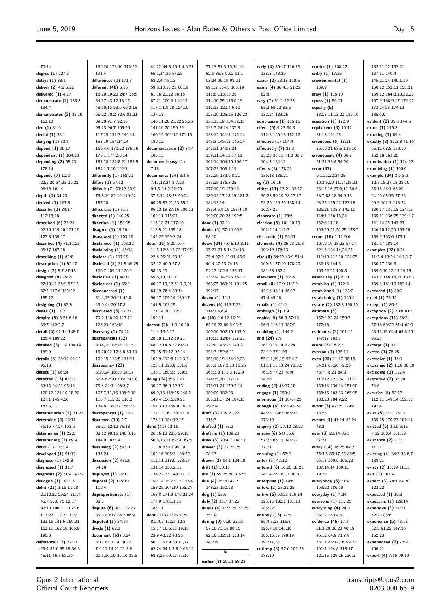70:14 **degree (1)** 127:3 **delays (1)** 88:1 **deliver (2)** 4:8 5:22 **delivered (1)** 4:17 **demonstrate (2)** 133:8 134:4 **demonstrates (2)** 32:10 161:13 **den (1)** 31:6 **denial (1)** 38:1 **denying (1)** 33:8 **depend (1)** 96:17 **dependent (1)** 104:20 **depending (2)** 65:23 178:14 **depends (7)** 10:2 22:5,20 34:23 36:22 96:16 161:4 **depth (1)** 34:23 **derived (1)** 167:8 **describe (3)** 84:17 112:18,18 **described (6)** 73:25 92:16 119:16 121:19 127:8 135:17 **describes (4)** 71:11,25 95:17 167:16 **describing (1)** 62:8 **description (1)** 52:10 **design (2)** 5:7 87:18 **designed (9)** 26:21 27:10,11 56:9 57:12 87:5 117:6 139:22 155:12 **designing (1)** 82:5 **desire (1)** 11:21 **despite (5)** 3:21 6:16 33:7 142:2,7 **detail (4)** 62:14 148:7 185:4 189:22 **detailed (3)** 1:9 134:19 169:9 **details (3)** 38:12 94:12 96:13 **detect (1)** 96:24 **detected (13)** 62:13 63:15 94:21 95:14 120:12 121:10,18,20 127:1 145:4,20 163:5,13 **determination (1)** 31:21 **determine (4)** 18:11 76:16 77:24 103:6 **determines (1)** 22:6 **determining (1)** 89:9 **detre (1)** 115:14 **developed (1)** 91:13 **diagnose (1)** 142:8 **diagnosed (1)** 31:7 **diagnosis (2)** 31:4 142:2 **dialogue (1)** 193:16 **didnt (23)** 1:16 11:18 21:12,22 29:24 31:14 45:7 58:8 75:12,17 92:10 100:11 107:16 111:22 112:2 113:7 133:16 141:6 159:21 161:11 162:18 166:9 190:3 **difference (12)** 22:17 23:4 32:6 35:18 36:3 45:11 46:7 52:10

169:20 173:16 176:22 191:4 **differences (1)** 171:7 **different (46)** 5:16 18:20 19:20 24:7 26:5 34:17 43:12,13,15 48:10,16 53:9 60:2,15 65:22 70:2 82:6 83:21 89:20 91:7 92:16 95:23 96:7 109:20 117:15 131:7 149:14 153:19 154:14,14 169:4,6 170:22 175:16 176:1 177:2,6,14 181:18 182:8,21 183:5 184:1,7,16 192:3 **differently (1)** 168:21 **differs (1)** 67:12 **difficult (7)** 53:12 58:9 73:8,19 82:10 119:22 187:18 **difficulties (1)** 51:7 **directed (1)** 140:25 **direction (1)** 153:15 **disagree (1)** 15:16 **disavowed (1)** 103:16 **disclaimed (1)** 103:22 **disclaiming (1)** 46:14 **disclose (1)** 117:19 **disclosed (5)** 31:5 46:25 100:7 109:11 120:1 **disclosure (1)** 49:11 **disclosures (1)** 35:9 **disconnected (7)** 31:4,15 36:11 42:8 43:9 44:20 47:8 **discovered (6)** 17:21 79:2 116:20 117:11 123:23 163:18 **discovery (1)** 74:22 **discrepancies (12)** 8:14,25 12:23 13:15 15:20,22 17:3,8 63:19 109:15 110:5 111:11 **discrepancy (23)** 5:20,24 18:10 24:17 52:4 62:20 70:8 74:18 75:4 81:1 106:3,7 107:7,11,15 108:2,18 110:7 115:23 116:2 134:6 135:22 156:23 **discrepancys (1)** 18:2 **discussed (10)** 2:7 55:21 62:12 75:18 88:12 98:15 140:3,15 144:9 183:14 **discussing (2)** 54:11 136:24 **discussion (2)** 43:15 54:10 **displayed (1)** 28:15 **disposal (2)** 115:10 119:4 **disproportionate (1)** 88:3 **dispute (6)** 30:1 33:25 35:5 80:17 84:7 86:9 **disputed (1)** 34:10 **divide (1)** 62:1 **document (63)** 3:24 5:12 6:11,14,19,22 7:9,11,14,21,21 8:6 20:1,16,19 30:10 33:5

41:22 44:8 46:1,4,6,21 55:1,14,20 57:25 58:2,4,7,8,13 59:8,18,18,21 60:19 61:16,21,22 86:16 87:21 100:6 116:19 117:1,1,9,18 124:10 137:18 140:11,20,21,22,25,25 141:10,20 159:20 160:19 161:12 171:15 189:12 **documentation (2)** 84:4 105:13 **documentheavy (1)** 7:18 **documents (34)** 3:4,6 7:17,18,24 8:7,23 9:1,5 14:9 32:20 37:5,14 48:23 50:24 60:25 83:21,23 85:2 86:12,18 87:16 100:11 109:11 115:21 116:18,21 117:10 118:5,21 135:18 142:25 159:3,24 **does (36)** 8:20 10:4 11:5 12:3 15:23 17:19 22:6 25:21 28:11 32:12 46:6 57:8 58:13,20 59:8,10,11,12 60:17,19,22 61:7,9,21 64:19 76:4 89:14 96:17 105:14 139:17 141:5 163:15 171:14,20 172:1 192:11 **doesnt (26)** 1:9 10:10 11:4 19:5,17 28:10,11,12 39:21 48:12,14 61:2 64:21 75:15 81:12 92:14 102:9 112:6 119:3,5 123:11 125:9 131:6 135:1 168:23 189:2 **doing (24)** 6:5 23:7 30:17 36:9 52:13 69:9,13 116:25 148:2 149:4 156:6,20,21 157:3,13 159:9 161:5 172:13,16 173:10,19 176:11 184:12,17 **done (41)** 12:16 26:16,18 28:6 29:18 50:8,13,21 62:20 67:5 71:18 83:10 99:19 102:16 105:3 106:22 112:11 118:9 128:17 131:14 133:2,11 134:22,23 148:10,17 150:14 153:3,17 156:9 158:25 164:19 166:24 168:8 171:3 176:23,24 177:9 178:11,15 183:11 **dont (113)** 1:25 7:25 8:2,4,7 11:23 12:8 15:17 18:5,18 19:18 23:9 43:22 48:25 50:11 51:9 58:11,17 62:24 64:1,2,8,9 65:12 68:8,25 69:12 71:16

77:13 81:3,10,14,16 82:6 85:8 90:2 91:1 93:24 96:19 98:21 99:1,2 104:5 105:19 111:8 113:15,25 114:10,25 115:6,19 117:13 120:4,6,10 123:19 125:25 126:23 133:13,19 134:12,15 135:7,24,24 137:5 138:12 141:4 142:24 143:3 145:13 146:24 147:11 149:3,24 159:11,14,15,17,18 161:14 164:16 166:17 167:23 168:4,19 172:25 173:6,8,21 175:25 176:3,25 177:10,19 179:13 180:13,17,18,19 181:2 184:13,14 185:4,5,9,10 187:4,18 190:20,20,23 192:5 **door (1)** 99:11 **doubt (3)** 57:19 66:9 68:10 **down (24)** 4:6 5:19 8:11 15:21 21:5,14 24:13 25:4 27:2 41:11 45:5 46:4 47:23 74:15 92:17 102:5 130:17 135:14 147:25 161:21 168:25 169:21 191:25 192:15 **dozen (1)** 11:1 **dozens (6)** 113:7,23 114:1,4,6,9 **dr (46)** 9:6,12 10:21 63:18,22 80:8 93:7 100:10 102:16 105:9 110:13 124:4 127:21 128:8 143:25 148:21 151:7 152:6,11 155:18,19 164:19,23 165:1 167:2,13,16,25 168:3,8 171:3 172:9 174:15,20 177:17 178:11,24 179:2,14 180:20 182:23 183:11,17,24 184:13 190:14 **draft (3)** 109:21,22 116:7 **drafted (1)** 75:2 **drafting (1)** 109:20 **draw (3)** 70:4,7 188:10 **drawer (3)** 27:25,25 28:17 **drawn (2)** 94:1 104:10 **drift (1)** 50:16 **drs (3)** 59:25 60:3 62:5 **due (4)** 15:20 42:2 148:23 150:23 **dug (1)** 25:6 **duly (2)** 33:7 37:25 **dunks (4)** 71:7,25 73:25 75:19 **during (9)** 9:20 23:10 57:18 73:16 80:15 92:16 112:11 128:14 143:19 **E**

**earlier (2)** 29:11 58:23

**early (4)** 86:17 116:19 138:3 143:20 **easier (2)** 53:15 118:5 **easily (4)** 36:4,5 51:22 82:8 **easy (7)** 51:9 52:23 53:2 58:12 83:6 132:24 133:25 **edisclosure (1)** 115:15 **effect (5)** 9:23 94:3 112:3 166:18 182:12 **effective (1)** 104:4 **effectively (7)** 23:3 25:23 33:15 71:3 88:7 104:3 184:12 **effects (3)** 128:23 136:18 186:21 **eg (1)** 16:15 **either (11)** 13:21 32:12 36:23 50:10 78:17,17 93:20 129:20 138:14 162:7,21 **elaborate (1)** 73:6 **election (5)** 101:10,19 102:2,14 112:7 **electronic (1)** 56:11 **elements (4)** 25:23 26:3 103:19 176:13 **else (8)** 34:22 43:9 51:4 100:5 177:10 178:20 181:23 182:2 **elsewhere (1)** 30:19 **email (8)** 17:9 41:2,9 42:16 43:14 46:17 47:4 49:18 **emails (1)** 41:9 **embargo (1)** 1:9 **enable (5)** 56:9 57:13 96:3 116:15 187:2 **enabling (1)** 144:2 **end (24)** 7:9 16:10,15,19 22:24 23:19 27:1,23 55:1,1,19,19 57:4,5 61:11,11,13,24 70:5,5 76:16 77:23 78:4 142:6 **ending (2)** 43:17,18 **engage (1)** 150:1 **enormous (2)** 184:7,22 **enough (6)** 15:5 43:24 44:25 109:7 166:15 173:19 **enquiry (2)** 27:12 28:23 **ensure (6)** 5:8 55:6 57:23 66:15 145:22 171:1 **ensuring (1)** 67:2 **enter (1)** 47:12 **entered (6)** 16:25 18:21 24:14 26:16,17 38:8 **enterprise (1)** 19:6 **enters (2)** 23:22,25 **entire (6)** 90:23 115:14 123:15 132:1 181:13 185:22 **entirely (13)** 78:5 85:4,5,23 116:3 126:7,18 145:18 186:16,19 190:19 191:17,18 **entirety (3)** 57:6 102:25 188:19

**entries (1)** 108:22 **entry (1)** 17:25 **environmental (1)** 139:9 **envy (1)** 115:10 **eposs (1)** 56:11 **equally (5)** 180:3,11,13,20 186:10 **equation (1)** 172:9 **equivalent (3)** 16:12 81:18 111:25 **erroneous (5)** 18:21 36:19,21 58:5 139:10 **erroneously (4)** 36:7 51:24 53:4 54:20 **error (37)** 9:1,21,22,24,25 10:3,6,20 11:14,18,21 33:15,16 37:8,11 50:6 53:7 88:18 94:9,13 98:25 115:22 123:18 126:21 135:8 142:10 144:1 156:18,24 162:8,11,18 163:20,21,24,25 178:7 **errors (18)** 1:11 9:6 10:19,19 18:23 57:17 62:13 104:14,24,25 111:10 112:10 124:25 136:13 144:3 163:22,22 190:8 **essentially (1)** 6:11 **establish (1)** 112:8 **established (1)** 133:2 **establishing (1)** 149:9 **estate (2)** 182:3 190:10 **estimate (5)** 157:9,22,24 159:7 177:16 **estimates (3)** 101:12 147:17 183:7 **euros (2)** 16:2,7 **evasion (1)** 135:11 **even (20)** 11:17 30:15 34:21 65:20 72:20 73:7 78:21 84:3 110:12 121:24 131:1 133:14 136:14 151:10 158:15 163:13 165:15 183:20 184:9,22 **event (3)** 42:25 129:8 182:5 **events (3)** 41:14 42:24 43:2 **ever (3)** 28:14 86:5 87:21 **every (14)** 16:25 64:2 75:3,5 80:17,25 88:5 96:18 100:6 106:22 107:14,14 189:11  $101.5$ **everybody (3)** 51:4 169:22 186:10 **everyday (1)** 4:24 **everyone (1)** 111:25 **everything (4)** 24:3 85:12 163:4,5 **evidence (45)** 17:7 31:3,20 36:23 40:15  $46.126497179$ 73:17 88:12,16 99:21 101:4 104:8 118:17 121:15 129:25 130:2

132:11,22 133:21 137:11 140:4 145:21,24 149:1,19 150:12 152:11 158:21 159:12 164:3,10,22,23 167:9 168:9,17 172:22 173:24,25 174:13 185:6,9 **evident (2)** 35:3 144:5 **exact (1)** 115:2 **exacting (1)** 89:4 **exactly (8)** 27:3,8 41:16 65:12 68:8 150:10 162:18 163:20 **examination (1)** 124:22 **examining (1)** 100:6 **example (34)** 3:6 8:9 12:7,18 27:15 28:19 35:16 46:1 63:20 64:20 65:15 77:25 99:3 102:1 113:24 130:17 131:18 134:15 135:11 136:25 139:1,7 141:14,25 143:23 146:10,12,20 153:20 159:9 163:6 173:1 181:17 188:14 **examples (22)** 8:24 11:2,4 13:24 14:1,1,7 130:17 136:3 139:6,10,12,13,14,15 143:2 146:18,21 153:3 159:8 161:10 162:14 **exceeded (1)** 80:2 **excel (1)** 73:12 **except (1)** 80:2 **exception (2)** 70:9 81:1 **exceptions (11)** 56:2 57:16 60:22 61:4 62:9 63:13,15 64:4 65:6,20 95:25 **excerpt (1)** 31:1 **excess (1)** 76:25 **excessive (1)** 16:1 **exchange (2)** 1:19 88:19 **excluding (1)** 112:4 **executive (2)** 37:20 74:6 **exercise (5)** 52:17 112:11 149:14 152:18  $102.4$ **exist (5)** 8:1 126:11 155:25 170:23 181:14 **existed (5)** 3:19 6:15 7:12 160:4 161:19 **existence (2)** 11:3 111:17 **existing (4)** 34:5 38:6,7 138:21 **exists (2)** 18:19 111:3 **exit (1)** 101:9 **expect (3)** 74:1 84:20 123:22 **expected (1)** 16:3 **expecting (1)** 129:14 **expensive (3)** 71:21 72:22 88:6 **experience (5)** 73:18 82:5 91:22 147:20 152:23 **experienced (2)** 73:21 166:21 **expert (4)** 7:16 99:19

transcripts@opus2.com 0203 008 6619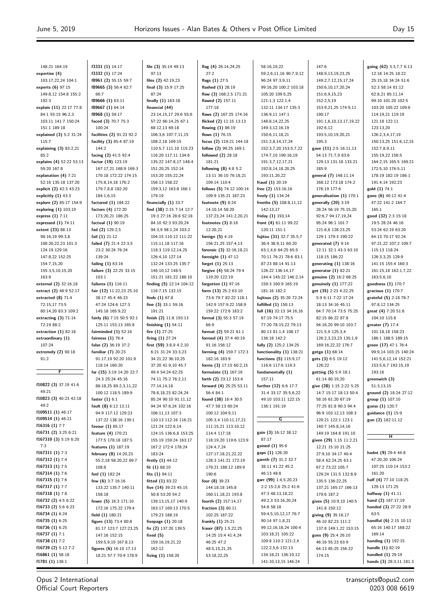148:21 164:19 **expertise (4)** 103:17,22,24 104:1 **experts (6)** 97:15 149:8,12 154:8 155:2 192:3 **explain (11)** 22:17 77:8 84:1 93:15 96:2,3 103:11 141:7 150:24 151:1 189:18 **explained (3)** 5:2 31:24 115:7 **explaining (3)** 83:2,21 85:2 **explains (4)** 52:22 53:13 59:20 167:8 **explanation (4)** 7:21 52:16 135:18 137:20 **explicit (2)** 42:3 43:23 **explicitly (1)** 43:3 **explore (2)** 85:17 154:9 **exploring (1)** 103:19 **express (1)** 7:11 **expressed (1)** 74:11 **extent (23)** 88:13 98:16,19 99:3,8 100:20,22,23 101:3 124:19 129:16 147:8,22 152:25 154:7,15,20 155:3,5,10,15,20 163:9 **external (2)** 32:16,18 **extract (2)** 48:9 52:17 **extracted (8)** 71:4 72:15,17 73:5 80:14,20 83:3 109:2 **extracting (3)** 71:14 72:19 88:2 **extraction (1)** 82:18 **extraordinary (1)** 107:24 **extremely (2)** 90:18  $91.2$ **F f10822 (3)** 37:19 41:6 49:21 **f10823 (3)** 40:23 42:18 49:2 **f109511 (1)** 46:17 **f109514 (1)** 46:21 **f16316 (1)** 7:7 **f16731 (2)** 3:25 6:21 **f167310 (3)** 5:19 6:20 7:3 **f167311 (1)** 7:3 **f167312 (1)** 7:4 **f167313 (1)** 7:5 **f167314 (1)** 7:6 **f167315 (1)** 7:6 **f167317 (1)** 7:7 **f167318 (1)** 7:8 **f16732 (2)** 4:5 6:22 **f16733 (2)** 5:6 6:23 **f16734 (1)** 6:24 **f16735 (1)** 6:25

**f3331 (1)** 14:17 **f3332 (1)** 17:24 **f8961 (2)** 55:15 59:7 **f89665 (3)** 56:4 62:7 66:7 **f89666 (1)** 63:11 **f89667 (1)** 64:14 **f8968 (1)** 59:17 **faced (3)** 70:7 75:3 100:24 **facilities (2)** 91:23 92:2 **facility (3)** 85:4 87:19 144:2 **facing (2)** 41:5 92:4 **factor (19)** 123:19 167:17,21 168:9 169:3 170:18 172:22 174:15 175:8,14,18 176:2 179:7,8,8 182:20 184:1,6,15 **factored (1)** 184:22 **factors (4)** 172:20 173:20,21 186:25 **factual (1)** 90:19 **fad (2)** 129:2,5 **fail (1)** 21:12 **failed (7)** 21:4 22:3,5 23:2 30:24 76:24 139:24 **failing (1)** 63:16 **failure (3)** 22:25 33:15 103:1 **failures (1)** 116:11 **fair (12)** 11:22,23 25:10 38:17 45:4 46:23 47:24 124:6 127:3 145:18 165:9,22 **fairly (6)** 7:15 50:5 92:1 125:11 153:13 165:8 **fairminded (1)** 52:16 **fairness (1)** 76:4 **false (2)** 36:19 37:2 **familiar (7)** 20:23 91:17,19 92:20 101:9 118:14 160:20 **far (15)** 3:19 14:20 22:7 24:3 25:24 45:16 88:18,25 89:2,3,11,22 100:12 118:5 189:9 **faster (1)** 6:1 **fault (8)** 6:12 13:11 94:9 117:12 129:23 137:22 138:16 139:1 **favour (1)** 65:17 **feature (4)** 170:21 177:5 178:18 187:5 **features (1)** 187:19 **february (8)** 14:20,23 55:2,18 58:20,22 69:7 108:8 **feel (1)** 182:24 **few (6)** 3:7 16:16 133:22 135:7 140:11 158:18 **fewer (5)** 16:3 171:10 172:16 175:22 179:4 **field (1)** 180:21 **figure (13)** 73:4 80:8 81:17 123:7 127:23,25 147:16 152:15 159:5,9,10 167:8,13 **figures (6)** 16:10 17:13 18:21 57:7 70:9 178:9

**file (3)** 35:14 49:13 97:13 **files (2)** 42:19,23 **final (3)** 15:9 17:25 87:24 **finally (1)** 163:18 **financial (44)** 23:14,15,17 29:6 55:6 57:22 66:14,25 67:1 68:12,13 69:18 106:3,6 107:7,11,15 108:2,18 109:15 110:5,7 111:10 115:23 116:20 117:11 134:6 135:22 147:8,17 148:4 151:20,25 152:14 153:20 155:22,24 156:13 158:22 159:3,12 163:8 166:1 179:19 **financially (1)** 33:7 **find (38)** 2:15 7:14 12:7 19:3 27:16 28:8 52:18 84:10 92:3 93:20,24 04:3,9 98:1,24 103:2 104:15 110:12 111:22 115:11,18 117:16 118:3 119:12,14,25 126:4,10 127:14 132:24 133:25 135:7 146:10,12 148:5 151:21 181:22 188:10 **finding (5)** 12:14 104:12 116:7,15 132:15 **finds (1)** 67:8 **fine (3)** 33:1 59:16 191:21 **finish (2)** 11:8 193:13 **finishing (1)** 54:11 **fire (1)** 27:25 **firing (1)** 27:24 **first (59)** 3:8,9 4:2,10 6:21 31:24 33:3,23 34:21,22 36:10,25 37:20 41:9,10 45:7 49:4 54:24 62:25 74:11 75:2 76:2,11 77:14,14,18 78:8,18,23 82:24,24 85:24 90:10 91:11,12 94:24 97:6,24 102:16 106:11,13 107:3 110:13 112:16 116:21 121:24 122:6,14 124:15 136:6,8 153:25 155:19 159:24 163:17 167:2 172:4 178:24 183:24 **firstly (1)** 44:12 **fit (1)** 68:10 **fits (1)** 94:11 **fitted (1)** 83:22 **five (14)** 39:23 45:15 50:8 53:20 54:2 139:13,15,17 140:9 163:17 169:13 170:5 179:23 188:19 **fivepage (1)** 20:18 **fix (2)** 137:20 139:5 **fixed (5)** 159:16,19,21,22 162:12 **fixing (1)** 158:20

**flag (4)** 26:14,24,25  $27.2$ **flags (1)** 27:5 **flashed (1)** 28:19 **flaw (3)** 168:2,5 171:21 **flawed (2)** 157:11 177:18 **flaws (2)** 167:25 174:16 **flicked (2)** 11:15 13:13 **flowing (1)** 86:19 **flows (1)** 76:15 **focus (2)** 119:21 144:18 **follow (2)** 99:25 169:1 **followed (2)** 28:18 181:21 **following (8)** 4:8 5:2 13:11 36:10 76:18,21 109:14 110:4 **follows (5)** 74:12 100:14 109:9 135:21 187:23 **footnote (9)** 8:24 14:10,14 58:20 137:23,24 141:2,20,21 **footnotes (3)** 8:18 12:20,21 **foreign (5)** 4:19 156:21,25 157:4,13 **forensic (3)** 32:16,18,21 **foresight (1)** 47:12 **forget (1)** 25:13 **forgive (4)** 58:24 79:4 119:20 122:19 **forgotten (1)** 97:16 **form (13)** 25:2 63:10 73:6 79:7 82:22 118:1 142:9 157:9,22 158:9 159:22 172:6 183:2 **formal (3)** 55:3 57:19 66:9 **format (2)** 59:21 61:1 **formed (4)** 37:4 40:19 91:16 156:12 **forming (4)** 159:7 172:3 182:16 183:9 **forms (3)** 17:15 60:2,15 **formulate (1)** 167:16 **forth (2)** 23:12 153:4 **forward (4)** 25:25 53:11 56:4 84:1 **found (38)** 16:4 30:5 47:7 58:13 60:24 100:12 104:9,11 105:3,4 110:11,17,21 111:15,21 113:10,12 114:4 117:18 118:19,20 119:6 123:9 124:4,7,24 127:17,18,21,22,22 128:3 141:21 172:19 179:21 188:12 189:9 190:6 **four (8)** 39:23 144:18,18 145:8 160:11,18,21 193:8 **fourth (2)** 157:14,17 **fraction (3)** 80:11 102:25 187:22 **frankly (1)** 25:21 **fraser (87)** 1:5,22,25 14:25 15:4 41:4,24 46:25 47:2 48:5,15,21,25 53:18,22,25

58:16,19,22 59:2,6,11,16 90:7,9,12 96:24 97:3,9,11 99:16,20 100:2 103:18 105:20 109:5,25  $121:1,3$  122:1,4 132:11 134:17 135:3 136:9,11 147:1 148:8,14,22,25 149:3,12,16,19 150:6,11,18,21 151:2,8,14,17,24 152:3,7,20 153:5,7,22 174:7,10 190:16,19 191:3,7,12,17,21 192:8,14,18,20,25 193:11,20,22 **fraud (1)** 20:19 **free (2)** 153:16,16 **freely (1)** 134:24 **freeths (5)** 108:8,11,12 142:13,17 **friday (1)** 193:14 **front (4)** 61:11 99:22 120:11 151:1 **fujitsu (31)** 32:7 35:5,7 36:4 38:9,11 60:20 63:1,4,6 64:25 65:5 70:11 76:21 78:6 83:1 87:23 88:14 91:13 126:22 136:14,17 144:4 145:22 146:2,14 159:3 160:9 165:19 181:16 182:2 **fujitsus (2)** 35:20 72:24 **fulfilled (1)** 150:13 **full (16)** 32:13 34:16,16 67:19 74:17 75:5 77:20 78:15,22 79:13 80:13 81:1,4 108:17 136:18 142:2 **fully (2)** 125:2 134:25 **functionality (1)** 138:21 **functions (5)** 115:9,17 116:6 117:6 119:3 **fundamentally (1)** 157:11 **further (12)** 6:6 17:7 31:4 33:17 35:5,6,22 49:10 103:11 122:15 136:1 191:19 **G gain (3)** 16:12 38:12 87:17 **gained (1)** 95:6 **gaps (1)** 126:20 **gareth (7)** 31:2 32:7 38:11 41:22 45:2 46:13 48:8 **garr (99)** 1:4,5,20,23 2:2 15:2,6 25:2 41:6 47:3 48:13,18,22 49:2,3 53:16,20,24 54:8 58:18 59:4,5,10,12,17 76:7 90:14 97:1,8,21 99:12,16,18,24 100:4 103:18,21 105:22 109:8 110:2 121:2,4 122:2,5,6 132:13 134:18,21 136:10,12 141:10,13,15 146:24

147:6 148:9,13,19,23,25 149:2,7,12,15,17,24 150:6,10,17,20,24 151:6,9,15,23  $152.25,19$ 153:9,21,25 174:9,11 190:17 191:1,6,10,13,17,19,22 192:6,12 193:5,10,19,20,21 195:3 **gave (11)** 2:5 16:11,13 54:13 71:7,9 83:6 129:13 131:18 133:21 185:9 **general (7)** 148:11,14 168:12 173:18 174:2 176:19 177:6 **generalisation (1)** 170:1 **generally (20)** 3:19 28:24 56:19 75:15,20 92:6,7 94:17,19,24 95:24 96:1 101:7 121:6,8 128:23,25 129:1 179:3 190:22 **generated (7)** 9:14 12:11 32:1 43:3 63:10 118:15 186:22 **generating (1)** 138:16 **generator (1)** 82:21 **genuine (2)** 16:2 68:25 **genuinely (1)** 177:22 **get (35)** 2:23 4:22,25 5:9 6:11 7:22 17:24 18:13 34:16 45:11 64:7 70:14 73:5 75:25 82:15 86:22 87:8 94:16,20 99:10 103:7 121:5,9 125:3,4 126:2,3,23,23 135:1,9 169:16,22,22 176:7 **getgo (1)** 68:14 **gets (3)** 6:5 19:12 126:22 **getting (5)** 5:9 18:1 61:14 80:19,20 **give (28)** 1:15 2:22 5:25 14:7 15:17 18:13 50:4 58:16 61:20 67:19 77:25 81:8 90:3 94:4 96:9 103:12,13 108:3 120:21 122:1 123:1 140:7 145:8,14,16 149:19 164:8 191:10 **given (29)** 1:15 11:2,21 12:21 15:10 21:25 27:9,10 34:17 40:4 58:4 62:24,25 63:1 67:2 73:22 105:7 129:24 131:5 132:8,9 135:5 136:22,25 137:21 165:17 166:13 179:6 187:2 **gives (5)** 10:9,10 140:5 141:8 150:12 **giving (9)** 35:16,17 46:10 82:23 111:2 137:8 149:1,22 153:15 **goes (9)** 25:4 26:10 46:16 55:23 63:9 64:13 85:25 156:22 174:15

**going (62)** 3:3,7,7 6:13 12:18 14:25 18:22 25:15,18 34:24 51:6 52:3 58:14 61:12 62:8,21 85:11,14 99:10 101:20 102:5 103:20 105:22 109:6 114:19,21 119:19 121:18 122:11 123:13,20 126:2,3,4,17,19 150:13,25 151:6,12,15 152:7,8,9,11 155:19,22 156:5 164:2,15 165:5 169:21 172:5,10 176:5,11 178:19 182:19 186:1 191:4,14 192:23 **gold (1)** 74:1 **gone (6)** 40:12 41:4 47:22 141:2 164:7 165:1 **good (32)** 2:3 15:18 19:5 28:24 46:16 53:24 62:19 63:20 64:13 70:17 92:24 97:21,22 107:2 109:7 115:13 118:24 126:3,3,25 129:9 141:15 155:4 160:3 161:15,18 162:1,7,22 163:5,6,10 **goodness (1)** 170:7 **gracious (1)** 170:7 **grateful (5)** 2:18 76:7 97:8,12 134:25 **great (4)** 7:20 51:6 104:10 115:8 **greater (7)** 17:4 101:18,18 158:23 186:1 188:5 189:15 **green (17)** 47:1 76:4 99:9,14 103:15 140:24 141:5,6,12,14 152:21 153:5,6,7 192:15,19 193:16 **greenwich (3)** 51:3,13,15 **ground (2)** 18:24 27:12 **group (1)** 107:10 **guess (1)** 120:7 **guidance (1)** 15:9 **gun (2)** 182:11,12 **H hadnt (9)** 29:4 44:8 47:20,20 106:24 107:25 110:14 153:2 161:20 **half (4)** 77:10 118:25 129:13 171:25

**halfway (1)** 41:11 **hand (2)** 167:17,19 **handed (3)** 27:22 28:9 63:5 **handful (6)** 2:15 10:13 65:16 140:17 168:22 169:14 **handing (1)** 192:15 **handle (1)** 82:19 **handled (1)** 29:19 **hands (3)** 28:3,11 181:3

**f16736 (1)** 6:25 **f16737 (1)** 7:1 **f16738 (1)** 7:2 **f16739 (2)** 5:12 7:2 **f16861 (1)** 58:18 **f1781 (1)** 138:1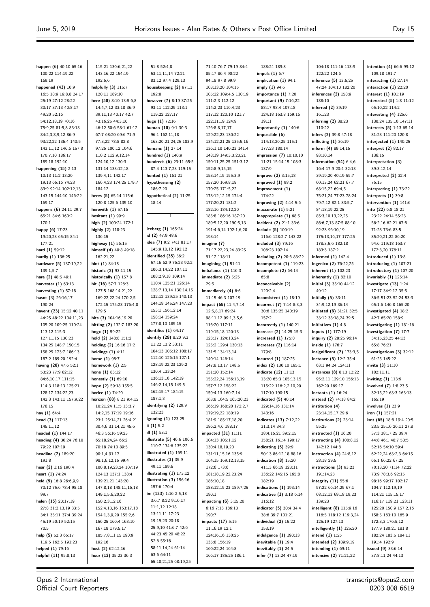Opus 2 International Official Court Reporters **intention (4)** 66:6 99:12

| happen (6) 40:10 65:16       | 115:21 130:6,21,22       | 51:8 52:4,8               | 71:10 76:7 79:19 84:4 |
|------------------------------|--------------------------|---------------------------|-----------------------|
|                              |                          |                           |                       |
| 100:22 114:19,22             | 143:16,22 154:19         | 53:11,11,14 72:21         | 85:17 86:4 90:22      |
| 169:19                       | 192:5,6                  | 83:12 97:4 129:13         | 94:18 97:8 99:9       |
| happened (43) 10:9           | helpfully (3) 115:7      | housekeeping (2) 97:13    | 103:13,20 104:15      |
| 16:5 18:9 19:8,8 24:17       | 120:11 189:10            | 192:8                     | 105:22 109:4,5 110:19 |
| 25:19 27:12 28:22            | here (50) 8:10 13:5,6,8  | however (7) 8:19 37:25    | 111:2,3 112:12        |
| 30:17 37:13 40:8,17          | 14:4,7,12 33:18 36:9     | 93:11 112:25 113:1        | 114:2,23 116:4,23     |
| 49:20 52:16                  | 39:11,13 40:17 42:7      | 119:22 127:17             | 117:12 120:10 121:7   |
| 54:12,18,19 70:16            | 43:16,25 44:3,10         | huge (1) 72:16            | 122:11,19 124:9       |
|                              |                          |                           |                       |
| 75:9,25 81:5,8 83:13         | 46:12 50:6 58:1 61:12    | human (10) 9:1 30:3       | 126:8,8,17,17         |
| 84:2,3,8,9,12 86:9           | 67:7 68:20 69:6 71:9     | 96:1 162:11,18            | 129:22,23 130:22      |
| 93:22,22 136:4 140:5         | 77:3.22 78:8 82:8        | 163:20,21,24,25 183:9     | 134:12,21,25 135:5,16 |
| 143:11,12 146:6 157:8        | 97:25 100:12 104:6       | humans $(1)$ 27:14        | 136:1,10 140:23 141:4 |
| 170:7,10 186:17              | 110:2 112:9,12,14        | hundred (1) 140:9         | 148:19 149:3,3,20,21  |
| 189:18 192:10                | 124:10,12 130:3          | hundreds (6) 23:11 65:5   | 150:11,25,25 151:3,12 |
| happening $(15)$ 2:13        | 131:14 133:12,18         | 87:4 113:7,23 119:15      | 152:8,9,15,15         |
| 10:13 11:2 13:20             | 139:4,11 142:17          | hunted (1) 161:21         | 153:14,15 155:3,9     |
| 19:13 65:16 74:23            | 166:4,23 174:25 179:7    | hypothesising (2)         | 157:20 169:8,18       |
|                              |                          |                           |                       |
| 83:9 92:14 102:12,13         | 184:12                   | 186:7,20                  | 170:25 171:5,22       |
| 143:15 144:10 146:22         | heres (5) 65:14 115:6    | hypothetical (2) 11:25    | 173:12,12,15 174:4    |
| 169:17                       | 120:8 125:6 135:10       | 18:14                     | 177:20,21 181:2       |
| happens (6) 24:11 29:7       | herewith $(1)$ 57:16     |                           | 182:16 184:12,20      |
| 65:21 84:6 160:2             | hesitant (1) 99:9        | т                         | 185:8 186:16 187:20   |
| 170:1                        | high (2) 100:24 172:1    |                           | 189:5,12,20 190:5,13  |
| happy (6) 17:23              | highly (2) 118:23        | iceberg (1) 165:24        | 191:4,6,14 192:1,6,20 |
| 19:20.23 65:15 84:1          | 136:15                   | id (2) 47:9 48:6          | 193:14                |
|                              |                          | idea (7) 9:2 74:1 81:17   |                       |
| 177:21                       | highway (1) 56:15        |                           | imagine (7)           |
| hard (1) 59:12               | himself (4) 40:8 49:18   | 145:9,10,12 192:12        | 71:17,22,23,24 83:25  |
| hardly (1) 136:25            | 162:21,22                | identified (35) 56:2      | 91:12 118:11          |
| hardware (5) 137:19,22       | hint $(1)$ 84:18         | 57:16 62:9 76:23 92:2     | imagining $(1)$ 51:11 |
| 139:1,5,7                    | historic (2) 93:11,15    | 106:3,14,22 107:11        | imbalance (1) 116:3   |
| hare (2) 48:5 49:1           | historically (1) 157:8   | 108:2,9,18 109:14         | immediate (2) 5:25    |
| harvester (1) 63:13          | hit (16) 57:7 126:3      | 110:4 125:21 126:14       | 29:5                  |
| harvesting $(1)$ 57:18       | 127:5 168:14,21,22       | 128:7,13,14 130:14,15     | immediately (4) 6:6   |
| hasnt (3) 26:16,17           | 169:22,22,24 170:2,5     | 132:12 139:25 140:13      | 11:15 46:3 107:19     |
|                              |                          | 144:19 145:24 147:23      |                       |
| 190:24                       | 172:15 175:23 176:4,8    |                           | impact (65) 11:4,7,14 |
| havent (23) 15:12 40:11      | 179:5                    | 153:1 156:12,14           | 12:5,8,17 69:24       |
| 44:25 48:22 104:11,23        | hits (3) 104:16,19,20    | 158:14 159:24             | 98:11,12 99:1,3,5,6   |
| 105:20 109:25 110:24         | hitting (2) 132:7 183:20 | 177:8,10 185:15           | 116:20 117:11         |
| 113:12 115:3                 | hngx (1) 59:22           | identifies $(1)$ 64:17    | 119:15,18 120:13      |
| 127:11,15 130:23             | hold (2) 148:8 151:2     | identify (29) 8:20 9:3    | 123:17 124:13,24      |
| 134:25 148:7 150:15          | holding (2) 16:16 17:2   | 11:22 13:2 33:11          | 125:2 129:4 130:13    |
| 158:25 173:7 186:13          | holdings $(1)$ 4:11      | 104:13 105:12 108:17      | 131:5 134:13,14       |
|                              |                          | 112:10 126:15 127:1       |                       |
| 187:2 189:20 192:4           | home (1) 98:7            | 128:19,22,23 129:2        | 140:14 146:14         |
| having (20) 47:6 52:1        | homework $(1)$ 2:5       |                           | 147:8,13,17 148:5     |
| 53:23 77:9 82:12             | hone $(1)$ 83:12         | 130:4 133:24              | 151:20 152:14         |
| 84:6,10,17 111:15            | honestly (1) 69:10       | 136:13.16 142:19          | 155:22,24 156:13,19   |
| 114:3 118:13 125:21          | hope (2) 59:18 155:5     | 146:2,14,15 149:5         |                       |
|                              |                          |                           | 157:7,12 158:22       |
|                              |                          | 162:15,17 184:15          |                       |
| 128:17 134:22,23             | horice (1) 74:20         |                           | 159:4,13 160:7,14     |
| 142:3 143:11 157:9,22        | horizon (88) 8:21 9:4,12 | 187:1,3                   | 163:8 164:5 165:20,23 |
| 178:15                       | 10:21,24 11:5 13:3,7     | identifying (2) 129:9     | 166:19 168:20 172:2,7 |
| hay (1) 64:4                 | 14:2,15 17:19 19:16      | 132:23                    | 179:19,22 180:19      |
| head (3) 117:13              | 23:1 25:14,21 26:4,21    | ignoring (1) 123:25       | 181:9 185:17,18,20    |
| 145:11,12                    | 30:4,6 31:14,21 45:6     | ii $(1)$ 5:2              | 186:2,4,6 188:17      |
| headed (1) 144:17            | 46:3 56:16 59:23         | ill $(1)$ 53:1            | impacted (31) 11:11   |
| heading (4) 30:24 76:10      | 65:18,24,24 66:2         | illustrate (5) 46:6 106:6 | 104:13 105:1,12       |
| 79:22 107:19                 | 70:18 74:10 89:5         | 110:7 134:6 135:22        | 130:4,18,19,20        |
|                              |                          | illustrated $(1)$ 169:11  |                       |
| headline (2) 189:20<br>191:8 | 90:1,4 91:17             | illustrates $(3)$ 35:9    | 131:11,15,16 135:9    |
|                              | 98:1,6,12,15 99:4        | 49:11 189:6               | 164:15 169:12,13,15   |
| hear (2) 1:16 190:4          | 100:8,19,23,24 107:19    |                           | 172:6 173:6           |
| heart (1) 74:24              | 124:13 137:1 138:4       | illustrating $(1)$ 173:12 | 181:18,19,22,23,24    |
| held (9) 16:8 26:6,9,9       | 139:21,21 143:20         | illustration $(3)$ 156:16 | 186:10,18             |
| 70:12 75:6 78:4 98:18        | 147:8,18 148:11,16,18    | 157:6 170:4               | 188:12,15,23 189:7,25 |
| 99:7                         | 149:1,5,6,20,22          | im $(133)$ 1:16 2:5,18    | 190:1                 |
| helen $(15)$ 20:17,19        | 150:2,3,12,16            | 3:6,7 8:22 9:16,17        | impacting (6) 3:15,20 |
| 27:8 31:2,13,19 33:5         | 152:4,13,16 153:17,18    | 11:1,12 12:18             | 6:16 7:13 186:10      |
|                              |                          | 13:11,11 17:23            | 190:7                 |
| 34:1 35:11 37:4 39:24        | 154:1,3,9,20 155:2,6     |                           |                       |
| 45:19 50:19 52:15            | 156:25 160:4 163:10      | 19:19,23 20:18            | impacts (17) 5:15     |
| 70:5                         | 167:18 179:5,17          | 25:9,10 41:6,7 42:6       | 11:16,19 12:1         |
| help (5) 52:3 65:17          | 185:7,8,11,15 190:9      | 44:23 45:20 48:22         | 124:16,16 130:25      |
| 119:5 162:5 191:23           | 192:16                   | 52:6 55:16                | 135:8 156:19          |
| helped (1) 79:16             | host $(2)$ 62:12,16      | 58:11,14,24 61:14         | 160:22,24 164:8       |
| helpful (11) 95:8,13         | hour (12) 35:23 36:3     | 63:6 64:11                | 166:17 185:25 186:1   |

188:24 189:8 **impels (1)** 6:7 **implication (1)** 94:1 **imply (1)** 94:6 **importance (1)** 7:20 **important (9)** 7:16,22 88:17 98:4 107:18 124:18 163:8 169:16 191:1 **importantly (1)** 140:6 **impossible (6)** 114:13,20,25 115:1 177:23 180:14 **impression (7)** 10:10,10 11:21 15:14,15 108:3 137:9 **improve (2)** 3:15,18 **improved (1)** 98:2 **improvement (1)** 174:22 **improving (2)** 4:14 5:6 **inaccurate (1)** 5:21 **inappropriate (1)** 68:5 **incident (2)** 21:1 33:6 **include (5)** 100:19 116:6 128:2,7 143:22 **included (3)** 79:16 106:23 107:14 **including (2)** 20:6 83:22 **incompetent (1)** 119:23 **incomplete (2)** 64:14 65:8 **inconceivable (2)** 120:2,4 **inconsistent (1)** 18:19 **incorrect (7)** 7:14 8:3,3 30:6 135:25 140:19 157:2 **incorrectly (1)** 140:21 **increase (2)** 14:25 15:3 **increased (1)** 175:8 **increases (2)** 116:14 179:8 **incurred (1)** 187:25 **index (2)** 130:10 195:1 **indicate (12)** 11:13 13:20 65:3 105:13,15 115:22 116:2,2,10,20 117:10 190:15 **indicated (5)** 40:14 129:14,16 131:14 143:16 **indicates (13)** 7:12,22 31:3,14 34:3 38:4,15,21 39:2,15 158:21 161:4 190:17 **indicating (5)** 39:9 50:13 86:12,18 88:16 **indication (8)** 15:20 41:13 66:19 123:11 136:22 145:15 165:8 182:19 **indications (1)** 193:14 **indicative (3)** 3:18 6:14 116:12 **indicator (5)** 30:4 34:4 38:6 39:7 101:21 **individual (2)** 15:22 153:19 **indulgence (1)** 190:13 **inevitable (1)** 19:4 **inevitably (1)** 24:5 **infer (7)** 13:24 47:19 104:18 111:16 113:9 188:10 161:23 110:22 93:10,14 49:12 55:25 139:23

122:22 124:6 **inference (5)** 13:5,25 47:24 104:10 182:20 **inferences (2)** 158:9 **inferred (2)** 39:19 **inferring (2)** 38:23 **infers (2)** 39:8 47:18 **inflicting (1)** 36:19 **inform (4)** 89:14,15 **information (54)** 6:4,6 16:4 17:9 20:4 32:13 39:19,20 40:19 55:7 60:13,24 62:21 67:7 68:15,22 69:4,5 75:21,24 77:23 78:24 79:7,12 82:1 83:5,7 84:18,19,22,25 85:3,10,13,22,25 86:6,7,13 87:5 88:10 92:23 96:10,19 175:13,16,17 177:25 178:3,5,6 182:18 183:3 187:2 **informed (1)** 142:4 **ingenico (2)** 76:22,25 **inherent (1)** 102:23 **inherently (1)** 82:10 **initial (3)** 35:10 44:12 **initially (5)** 33:11 34:9,12,19 36:14 **initiated (6)** 31:21 32:5 33:12 38:18,24 39:5 **initiatives (1)** 4:8 **inputs (1)** 177:19 **inquiry (2)** 28:25 96:14 **inside (1)** 176:7 **insignificant (2)** 173:3,5 **instance (5)** 12:2 35:4 63:1 94:24 124:11 **instances (8)** 8:13 12:22 95:2,11 129:10 156:13 162:20 169:17 **instants (1)** 16:24 **instead (2)** 74:18 84:2 **institution (4)** 23:14,15,17 29:6 **institutions (2)** 23:14 **instructed (1)** 16:20 **instructing (4)** 108:8,12 142:12 144:8 **instruction (4)** 24:8,12 28:18 29:5 **instructions (3)** 93:23 191:14,23 **integrity (11)** 55:6 57:22 66:14,25 67:1 68:12,13 69:18,19,23 **intelligent (8)** 115:9,16 116:5 118:12 119:3,24 125:19 127:13 **intelligently (1)** 125:20 **intend (1)** 1:25 **intended (2)** 109:9,19 **intending (1)** 69:11 **intensive (2)** 71:21,22 109:18 191:7 **interacting (1)** 27:14 **interaction (1)** 22:20 **interest (1)** 101:19 **interested (5)** 1:8 11:12 65:10,22 114:2 **interesting (4)** 125:6 130:24 135:10 147:11 **interests (5)** 1:13 65:14 81:23 111:20 120:8 **interjected (1)** 140:25 **interpret (2)** 82:17 136:15 **interpretation (3)** 39:3,12,14 **interpreted (2)** 32:4 76:15 **interpreting (1)** 73:22 **interprets (1)** 39:8 **intervention (1)** 141:6 **into (22)** 6:8 18:21 23:22 24:14 55:23 56:2,16 62:21 67:8 71:23 73:6 83:5 85:20,21,22 86:20 94:6 119:18 163:7 172:3,20 176:11 **introduced (1)** 13:8 **introducing (1)** 107:21 **introductory (1)** 107:20 **invariably (1)** 125:14 **investigate (13)** 1:24 17:17 34:9,12 35:5 36:5 51:23 52:24 53:3 65:1,6 146:8 165:20 **investigated (4)** 18:2 42:7 65:20 158:9 **investigating (1)** 181:16 **investigation (7)** 17:7 34:15,23,25 44:13 65:8 76:21 **investigations (3)** 32:12 61:25 145:22 **invite (3)** 31:10 102:11,11 **inviting (1)** 113:9 **involved (7)** 1:8 23:5 32:15,22 63:3 163:13 165:19 **involves (1)** 23:9 **iron (1)** 157:21 **isnt (65)** 18:8 19:4 20:5 23:5 25:16 26:11 27:8 37:3 38:17,25 39:4 44:8 46:1 48:7 50:5 52:16 54:10 59:4 62:22,24 63:2,3 64:15 65:1 66:22 67:25 70:13,20 71:14 72:22 73:9 78:3,6 92:15 98:16 99:17 102:17 104:7 112:19,19 114:21 115:15,17 116:17 119:21 123:11 125:20 150:9 157:2,16 158:5 163:10 165:9 172:3,3 176:5,12 177:9 180:21 181:8 182:24 183:5 184:11 191:4 192:9 **issued (9)** 33:6,14 37:8,11,24 44:13

> transcripts@opus2.com 0203 008 6619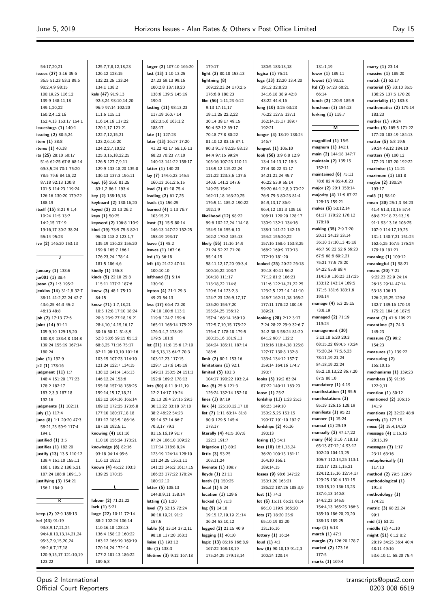**marry (1)** 23:14 **massive (1)** 185:20 **match (1)** 62:17 **material (5)** 33:10 35:5 136:25 137:5 170:20 **materiality (1)** 183:8 **mathematics (2)** 179:14

183:23 **mather (1)** 79:24 **maths (5)** 165:5 171:22 177:20 183:19 184:13 **matter (5)** 6:8 19:5 39:24 48:12 184:10 **matters (4)** 100:12 177:23 187:20 192:22 **maximise (1)** 11:21 **maximum (1)** 181:8 **maybe (2)** 180:24 193:17 **md5 (1)** 58:10 **mean (30)** 25:1,3 34:23 41:4 51:3,13,15 57:4 68:8 72:18 73:13,15 91:1 93:13,16 106:25 107:9 114:17,19,25 131:1 140:7,21 151:24 162:6,25 167:5 176:24 179:19 191:21 **meaning (1)** 109:12 **meaningful (1)** 98:21 **means (20)** 7:21 9:22,23 22:9 24:14 26:15 29:14 47:14 53:18 106:13 126:2,15,25 129:8 132:7 139:16 170:19 175:21 184:16 187:5 **meant (2)** 41:6 109:21 **meantime (2)** 74:3 145:23 **measure (2)** 99:2 154:23 **measures (1)** 139:22 **measuring (2)** 155:10,15 **mechanisms (1)** 139:23 **members (3)** 91:16 122:9,11 **mention (1)** 30:12 **mentioned (2)** 106:16 141:9

| 54:17,20,21                                   | 125:7,7,8,12,18,23                             | larger (2) 107:10 166:20                   | 179:17                                    | 180:5 183:13,18                              | 131:1,19                                                                                                                                            |
|-----------------------------------------------|------------------------------------------------|--------------------------------------------|-------------------------------------------|----------------------------------------------|-----------------------------------------------------------------------------------------------------------------------------------------------------|
| issues (27) 3:16 35:6                         | 126:12 128:15                                  | last (13) 1:10 13:25                       | light (2) 80:18 153:13                    | logica (1) 76:21                             | lower $(1)$ 185:11                                                                                                                                  |
| 36:5 51:23 53:3 89:6                          | 132:23,25 133:24                               | 27:23 69:13 99:16                          | lightning (8)                             | logs (13) 12:20 13:4,20                      | lowest $(1)$ 90:21                                                                                                                                  |
| 90:2,4,9 98:15                                | 134:1 138:2                                    | 100:2,8 137:18,20                          | 169:22,23,24 170:2,5                      | 19:12 32:8,20                                | Itd (3) 57:23 60:21                                                                                                                                 |
| 100:19,25 116:12                              | kels (47) 91:9,13                              | 138:6 139:5 145:19                         | 176:6,8 180:23                            | 34:16,18 38:9 42:8                           | 66:14                                                                                                                                               |
| 139:9 148:11,18                               | 92:3,24 93:10,14,20                            | 190:3                                      | like (56) 1:11,23 6:12                    | 43:22 44:4,16                                | lunch (2) 120:9 185:9                                                                                                                               |
| 149:1,20,22                                   | 96:9 97:14 102:20                              | lasting (11) 98:13,23                      | 9:13 17:11,17                             | long (10) 3:25 63:23                         | luncheon (1) 154:13                                                                                                                                 |
| 150:2,4,12,16                                 | 111:5 115:11                                   | 117:19 160:7,14                            | 19:11,25 22:2,22                          | 76:22 127:5 137:1                            | lurking (1) 119:7                                                                                                                                   |
| 152:4,13 153:17 154:1                         | 116:14,16 117:22                               | 162:3,5,6 163:1,2                          | 30:14 39:17 49:15                         | 162:14,15,17 189:7                           |                                                                                                                                                     |
| issuesbugs $(1)$ 140:1                        | 120:1,17 121:21                                | 188:17                                     | 50:4 52:12 69:17                          | 192:21                                       | м                                                                                                                                                   |
| issuing (2) 80:5,24                           | 122:7,12,15,21                                 | late (1) 127:23                            | 70:18 77:8 80:22                          | longer (3) 18:19 138:24                      | magnified $(1)$ 15:5                                                                                                                                |
| item (1) 38:8                                 | 123:2,6,16,20                                  | later (13) 16:17 17:20                     | 81:10,12 83:16 87:1                       | 146:7                                        | magnum (1) 141:1                                                                                                                                    |
| items (1) 40:18                               | 124:2,2,7,10,22                                | 41:22 42:17 58:1,6,13<br>68:23 70:23 77:10 | 90:3 91:8 92:25 93:13<br>94:4 97:15 99:24 | longest (1) 105:10<br>look (56) 3:9 6:8 12:9 | main (2) 144:18 147:7                                                                                                                               |
| its (25) 28:10 50:17<br>51:6 62:25 67:8 68:14 | 125:3,15,18,22,25<br>126:5 127:7,9,11          | 140:13 141:22 158:17                       | 105:16 107:23 110:11                      | 13:4 14:13,17 18:3                           | maintain (2) 135:15                                                                                                                                 |
| 69:3,5,24 70:1 75:20                          | 129:9 133:18,20 135:8                          | latter (1) 140:23                          | 113:5,12 115:22,24                        | 27:4 30:22 31:17                             | 152:11                                                                                                                                              |
| 78:5 79:6 84:18,22                            | 136:13 137:3 156:11                            | lay (7) 144:6,23 145:5                     | 121:22 123:3,6 137:6                      | 34:21,21,24 45:7                             | maintained $(6)$ 75:11                                                                                                                              |
| 87:18 92:13 100:8                             | kept (6) 26:6 81:25                            | 160:13 161:2,5,15                          | 140:6 141:2 147:6                         | 46:22 53:9 55:14                             | 78:6 82:4 85:4,6,23                                                                                                                                 |
| 101:5 114:23 119:24                           | 83:1,2 86:1 193:4                              | lead (2) 61:18 75:4                        | 149:25 154:2                              | 59:20 64:1,2,8,9 70:22                       | major (2) 20:1 158:14                                                                                                                               |
| 126:16 130:20 179:22                          | key (2) 138:16,18                              | leading (2) 61:7,25                        | 162:11,18 163:20,25                       | 76:9 79:3 80:23 81:4                         | majority (4) 11:9 87:22                                                                                                                             |
| 188:19                                        | keyboard (2) 138:16,20                         | leads (1) 156:25                           | 176:5,11 185:2 190:22                     | 84:9,13,17 86:9                              | 128:13 159:21                                                                                                                                       |
| itself (15) 8:21 9:1,4                        | keyed (2) 23:13 26:2                           | learned (4) 1:13 76:7                      | 192:1,9                                   | 96:4,12 101:3 105:16                         | makes $(6)$ 53:12,14                                                                                                                                |
| 10:24 11:5 13:7                               | keys (1) 50:25                                 | 103:15,21                                  | likelihood (12) 98:22                     | 108:11 120:20 128:17                         | 61:17 170:22 176:12                                                                                                                                 |
| 14:2,15 17:19                                 | keyword (2) 106:8 110:9                        | least (7) 15:5 80:14                       | 99:6 102:12,24 114:18                     | 130:9 132:1 134:16                           | 178:18                                                                                                                                              |
| 19:16,17 30:2 38:24                           | kind (19) 73:9 75:3 82:1                       | 146:13 147:22 152:25                       | 154:9,16 155:6,10                         | 138:1 141:22 142:16                          | making (35) 2:9 7:20                                                                                                                                |
| 55:14 95:23                                   | 96:20 118:2 123:1,7                            | 158:19 193:17                              | 162:2 170:2 185:13                        | 154:2 155:20,22                              | 20:11 24:13 33:14                                                                                                                                   |
| ive (2) 146:20 153:13                         | 135:19 136:23 155:20                           | leave $(1)$ 48:2                           | likely (56) 11:16 14:9                    | 157:16 158:6 163:8,25                        | 36:10 37:10,13 45:18                                                                                                                                |
|                                               | 159:8 165:7 166:1                              | leaves (1) 167:16                          | 21:24 52:22 71:20                         | 168:2 169:9 170:13                           | 46:7 50:22 52:6 66:20                                                                                                                               |
| J                                             | 176:23,24 178:14                               | led (1) 36:18                              | 95:14,15                                  | 172:19 181:20                                | 67:5 68:6 69:2,21                                                                                                                                   |
|                                               | 181:5 186:4,6                                  | left (4) 21:22 47:14                       | 98:11,12,17,20 99:3,4                     | looked (25) 20:22 26:18                      | 75:21 77:5 78:20                                                                                                                                    |
| january (1) 138:6                             | kindly (1) 156:8                               | 100:10,10                                  | 100:16,22 103:7                           | 39:18 40:11 56:2                             | 84:22 85:9 88:4                                                                                                                                     |
| jar001 (1) 38:4                               | kinds (5) 22:10 25:8                           | lefthand $(2)$ 5:14                        | 104:18 111:17                             | 77:12 81:2 106:21                            | 114:3,9 116:23 117:25                                                                                                                               |
| jason (2) 1:3 195:2                           | 115:11 177:2 187:6                             | 130:10                                     | 113:18,22 114:8                           | 111:6 122:14,21,22,25                        | 133:12 143:14 169:5                                                                                                                                 |
| jenkins (14) 31:2,8 32:7                      | knew (3) 48:1 75:10                            | lepton (4) 21:1 29:3                       | 120:6,14 123:2,3                          | 123:2,5 127:14 141:10                        | 171:5 181:6 183:1,6<br>193:14                                                                                                                       |
| 38:11 41:2,22,24 42:7                         | 84:15                                          | 49:23 54:13                                | 124:7,23 126:9,17,17                      | 148:7 162:11,18 165:2                        | manage (4) 5:3 25:15                                                                                                                                |
| 43:6,25 44:3 45:2                             | know (71) 1:7,18,21                            | less (17) 66:4 72:20                       | 135:20 154:7,20                           | 177:11 178:22 180:19<br>189:21               | 73:8,19                                                                                                                                             |
| 46:13 48:8<br>job (2) 17:13 72:6              | 10:5 12:8 17:10 18:24<br>20:3 23:9 27:18,19,21 | 74:10 100:6 113:1<br>119:9 124:7 159:6     | 155:24,25 156:12<br>157:4 168:14 169:19   | looking (28) 2:12 3:17                       | managed (2) 71:19                                                                                                                                   |
| joint (14) 91:11                              | 28:4, 10, 14, 15, 16, 17                       | 165:11 168:14 175:22                       | 172:5,7,10,15 175:22                      | 7:24 28:22 29:9 32:6,7                       | 119:24                                                                                                                                              |
| 105:9,10 129:15,20                            | 30:16 50:11 51:8,9                             | 176:3,4,7 178:19                           | 176:4,7 178:18 179:5                      | 34:2 38:3 58:24 81:20                        | management (30)                                                                                                                                     |
| 130:8,9 133:4,8 134:8                         | 52:8 53:6 59:15 65:12                          | 179:5 181:6                                | 180:15,16 181:9,11                        | 84:12 90:7 112:2                             | 3:13,18 5:20 20:3                                                                                                                                   |
| 139:24 155:19 167:14                          | 68:8,25 71:16 75:17                            | let (21) 11:8 15:6 17:10                   | 184:24 185:11 187:14                      | 116:16 118:4,18 125:8                        | 68:15,22 69:4,5 70:24                                                                                                                               |
| 180:24                                        | 82:11 98:10,10 101:16                          | 18:5,13,13 64:7 70:3                       | 188:6                                     | 127:17 130:8 132:8                           | 75:20,24 77:5,6,23                                                                                                                                  |
| joke (1) 192:9                                | 103:15 107:23 114:10                           | 103:12,23 117:15                           | limit (2) 80:1 153:16                     | 133:4 134:12 157:7                           | 78:11,19,21,24                                                                                                                                      |
| js2 (1) 178:16                                | 121:24 122:7 134:15                            | 129:7 137:6 145:19                         | limitations $(1)$ 92:1                    | 159:14 164:16 174:7                          | 84:18,19,22,24                                                                                                                                      |
| judgment $(11)$ 1:7                           | 138:12 141:4 145:13                            | 149:11 150:5,24 151:1                      | limited $(5)$ 101:3                       | 193:7                                        | 85:2,10,13,22 86:7,20                                                                                                                               |
| 148:4 151:20 177:23                           | 146:12,24 153:6                                | 152:9 169:2 178:13                         | 104:17 190:22 193:2,4                     | looks (5) 19:2 63:24                         | 87:5 88:10                                                                                                                                          |
| 178:2 182:17                                  | 155:18 157:18 158:25                           | lets (50) 8:11 9:11,19                     | line $(5)$ 25:6 121:3                     | 87:22 140:11 163:20                          | mandatory $(1)$ 4:19                                                                                                                                |
| 183:2,3,9 187:18                              | 159:14,15,17,18,21                             | 12:2 14:17 19:24                           | 126:24 132:14 152:10                      | loose $(1)$ 25:2                             | manifestation (1) 95:5                                                                                                                              |
| 192:16                                        | 163:12 164:16 165:14                           | 25:13 26:4 27:15 29:3                      | lines $(1) 87:19$                         | lordship (11) 1:23 25:3                      | manifestations (3)                                                                                                                                  |
| judgments (1) 102:11                          | 169:12 172:25 173:6,8                          | 30:11,22 33:18 37:18                       | link (4) 125:10,12,17,18                  | 96:23 149:10                                 | 95:19 126:16 128:19                                                                                                                                 |
| july (1) 117:4                                | 177:10 180:17,18,18                            | 38:2 46:22 54:23                           | list (7) 1:11 63:14 81:8                  | 150:2,5,25 151:15                            | manifests $(1)$ 95:23                                                                                                                               |
| june (8) 1:1 20:20 47:3                       | 181:17 185:5 186:16                            | 55:14 57:14 66:7                           | 90:9 129:5 145:4                          | 190:17 191:10 192:7                          | manner (1) 15:24                                                                                                                                    |
| 58:21,23 59:9 117:4                           | 187:18 192:5,11                                | 70:3,17 79:3                               | 178:17                                    | lordships $(2)$ 46:16                        | manual (1) 29:19                                                                                                                                    |
| 194:1                                         | knowing (4) 101:16                             | 81:15,16,19 91:7                           | literally (4) 41:5 107:8                  | 190:13                                       | manually (2) 47:17,22                                                                                                                               |
| justified $(1)$ 3:5                           | 110:10 156:24 173:21                           | 97:24 106:10 109:22                        | 122:1 191:7                               | losing $(1)$ 54:1                            | many (46) 3:16 7:18,18                                                                                                                              |
| justifies (1) 182:20                          | knowledge $(6)$ 82:16                          | 117:14 118:8,8,24                          | litigation $(1)$ 80:2                     | loss (10) 16:1,13,24                         | 65:13 87:12,14 93:12                                                                                                                                |
| justify (13) 13:5 110:12                      | 93:18 94:14 95:6                               | 123:19 124:14 128:10                       | little (3) 53:25                          | 36:20 100:15 161:11                          | 102:20 104:13,25                                                                                                                                    |
| 139:4 151:10 155:11                           | 116:13 182:1                                   | 131:24,25 136:3,11                         | 103:11,24                                 | 164:10 166:1                                 | 105:7 112:14,25 113:1                                                                                                                               |
| 166:1 185:2 186:5,21                          | known (4) 45:22 103:3                          | 141:23 145:2 161:7,15                      | livenote (1) 109:7                        | 189:14,15                                    | 122:17 123:1,15,21                                                                                                                                  |
|                                               |                                                |                                            | lloyds $(1)$ 21:11                        | losses (9) 98:6 147:22                       | 124:12,15,16 127:4,17                                                                                                                               |
| 187:24 188:8 189:1,3                          | 139:25 170:15                                  | 166:23 177:22 178:24                       |                                           |                                              |                                                                                                                                                     |
| justifying (3) 154:21                         |                                                | 180:12,12                                  | loath (1) 150:25                          | 153:1,20 163:21                              |                                                                                                                                                     |
| 156:1 184:9                                   | L                                              | letter (5) 108:13                          | local $(1)$ 5:24                          | 186:22 187:25 188:3,9                        |                                                                                                                                                     |
|                                               |                                                | 144:8,9,11 158:14                          | location $(1)$ 129:6                      | lost(1) 74:3                                 | 137:6,13 140:8                                                                                                                                      |
| $\overline{\mathsf{k}}$                       | labour (2) 71:21,22                            | letting $(1)$ 1:20                         | locked $(1)$ 71:3                         | lot (6) 15:11 65:21 81:4                     | 144:2,23 145:5                                                                                                                                      |
|                                               | lack $(1)$ 5:21                                | level (7) 52:15 72:24                      | $log(9)$ 14:18                            | 96:10 119:9 166:20                           |                                                                                                                                                     |
|                                               | large (22) 10:11 72:14                         | 90:18,19,21 91:2                           | 19:15,17,19,19 21:14                      | lots (7) 18:20 25:9                          |                                                                                                                                                     |
| keep (2) 92:9 188:13<br>kel (43) 91:19        | 88:2 102:24 106:14                             | 157:5                                      | 36:24 53:10,12                            | 65:10,19 82:20                               | 188:13 189:25                                                                                                                                       |
| 93:8,9,17,21,24                               | 110:16,18 128:13                               | liable (6) 33:14 37:2,11                   | logged (2) 21:15 40:9                     | 131:16,16                                    | map $(1)$ 5:13                                                                                                                                      |
| 94:4,8,10,13,14,21,24                         | 136:4 158:12 160:22                            | 98:18 117:20 163:3                         | logging $(1)$ 40:10                       | lottery (1) 16:24                            | march $(1)$ 47:1                                                                                                                                    |
| 95:3,7,9,15,20,24                             | 163:12 166:19 169:19                           | liaise (1) 193:12                          | logic (13) 85:16 166:8,9                  | loud $(1)$ 4:1                               |                                                                                                                                                     |
| 96:2,6,7,17,18<br>120:9,15,17 121:10,19       | 170:14,24 172:14<br>177:2 181:13 186:22        | life (1) 138:3<br>lifetime (3) 9:12 167:18 | 167:22 168:18,19<br>175:24,25 179:13,14   | low (8) 90:18,19 91:2,3<br>100:24 120:14     | 129:25 130:4 131:15<br>133:15,19 136:13,23<br>154:4,13 165:25 166:3<br>185:10 186:20,20,20<br>margin (2) 126:20 178:7<br>marked (2) 173:16<br>177:5 |

**mentions (2)** 32:22 48:9 **merely (1)** 177:15 **mess (3)** 18:4,14,20 **message (4)** 1:15,16 28:15,19 **messages (3)** 1:17 23:11 63:16 **metaphorically (1)** 117:13 **method (2)** 79:5 129:9 **methodological (1)** 191:3 **methodology (1)** 174:21 **metric (3)** 98:22,24 99:1 **mid (1)** 63:21 **middle (1)** 41:10 **might (51)** 6:12 8:2 28:19 34:25 36:4 40:4 48:11 49:16 53:6,10,11 68:20 75:4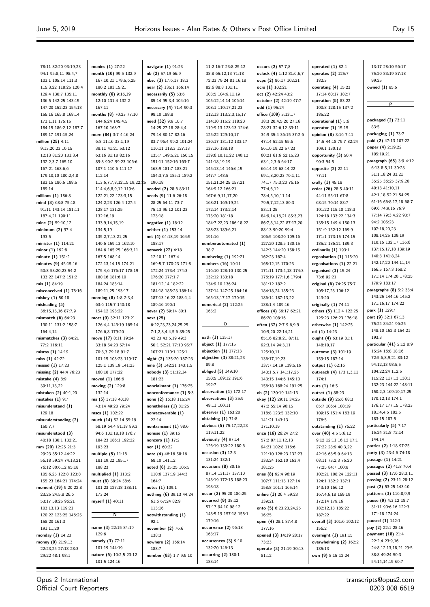$\equiv$ 

| 78:11 82:20 93:19,23                    | monies (1) 27:22                               | navigate (1) 91:23                        | 11:2 16:7 23:8 25:12                  | occurs (2) 57:7,8                    | operated $(1)$ 82:4                           | 13:17 28:10 56:17                            |
|-----------------------------------------|------------------------------------------------|-------------------------------------------|---------------------------------------|--------------------------------------|-----------------------------------------------|----------------------------------------------|
| 94:1 95:8,11 98:4,7                     | month (10) 99:5 132:9                          | nb (2) 57:19 66:9                         | 38:8 65:12,13 71:18                   | oclock (4) 1:12 81:6,6,7             | operates (2) 125:7                            | 75:20 83:19 87:18                            |
| 103:1 105:14 111:3                      | 167:10,21 179:5,6,25                           | nbsc (3) 17:6,17 18:3                     | 72:23 79:24 81:16,18                  | ocps (2) 86:17 102:21                | 182:3                                         | 99:25                                        |
| 115:3,22 118:25 120:4                   | 180:2 183:15,21                                | near (2) 135:1 166:14                     | 82:6 88:8 101:11                      | ocrs (1) 102:21                      | operating $(4)$ 15:23                         | owned (1) 85:5                               |
| 129:4 130:7 135:11                      | monthly (6) 9:16,19                            | necessarily $(5)$ 53:6                    | 103:5 104:9,11,19                     | oct (2) 42:24 43:2                   | 17:14 60:17 182:7                             |                                              |
| 136:5 142:25 143:15                     | 12:10 131:4 132:2                              | 85:14 95:3,4 104:16                       | 105:12,14,14 106:14                   | october (2) 42:19 47:7               | operation $(5)$ 83:22                         | P                                            |
| 147:20 152:23 154:18                    | 167:11                                         | necessary (4) 71:4 90:3                   | 108:1 110:17,21,23                    | odd (1) 95:24                        | 100:8 128:15 137:2                            |                                              |
| 155:16 165:8 168:14                     | months (8) 70:23 77:10                         | 98:10 188:8                               | 112:13 113:2,3,15,17                  | office (109) 3:13,17                 | 185:22                                        |                                              |
| 173:1,11 175:15                         | 144:6,24 145:4,5                               | need (32) 9:9 10:7                        | 114:10 115:2 118:20                   | 18:3 20:4,5,20 27:16                 | operational (1) 5:6                           | packaged (2) 73:11                           |
| 184:15 186:2,12 187:7                   | 167:10 168:7                                   | 14:25 27:18 28:4,4                        | 119:9,13 123:13 124:6                 | 28:21 32:6,12 33:11                  | operator (1) 15:15                            | 83:5                                         |
| 189:17 191:15,24                        | more (84) 3:7 4:16,24                          | 79:14 80:17 82:16                         | 125:22 129:10,17                      | 34:9 35:4 36:15 37:2,6               | opinion (8) 3:16 7:11                         | packaging (1) 73:7                           |
| million (25) 4:11                       | 6:8 11:16 33:1,19                              | 83:7 96:4 99:2 101:24                     | 130:17 131:12 133:17                  | 47:14 52:15 55:6                     | 14:5 44:18 75:7 82:24                         | paid (2) 47:13 107:22                        |
| 9:13,20,23 10:15                        | 38:11 41:21 53:12                              | 110:11 118:3 127:13                       | 137:16 138:18                         | 56:10,19,22 57:23                    | 109:1 130:13                                  | paper (4) 2:19,22                            |
| 12:13 81:20 131:3,4                     | 63:16 81:18 82:16                              | 135:7 149:5,21 150:15                     | 139:6,10,11,22 140:12                 | 60:21 61:6 62:15,23                  | opportunity (3) 50:4                          | 105:19,21                                    |
| 132:2,3,7 165:10                        | 89:3 90:2 99:23 106:6                          | 151:11 152:16 163:7                       | 141:18,19,19                          | 63:1,2,3,6 64:17                     | 90:3 94:5                                     | paragraph (65) 3:9 4:12<br>6:13 8:5,11 30:23 |
| 167:21 168:6,6                          | 107:1 110:6 111:17                             | 168:9 181:7 183:21                        | 145:13,14 146:6,15                    | 66:14,19 68:14,22                    | opposite (2) 22:11                            | 31:1,18,24 33:21                             |
| 179:10,10 180:2,4,8                     | 112:14                                         | 184:3,7,8 185:1 189:2                     | 147:7 148:5                           | 69:1,8,20,23 70:1,11                 | 77:11                                         | 35:25 36:25 37:9,20                          |
| 183:15 186:5 188:5                      | 113:6,7,7,8,12,15,19,22,25                     | 190:18                                    | 151:21,24,25 157:21                   | 74:17 75:3,20 76:16                  | orally (1) 45:18                              | 40:13 41:10,11                               |
| 189:14<br>millions (1) 186:8            | 114:4,6,8,9,12 119:6                           | needed (2) 28:6 83:11                     | 164:9,12 166:21<br>167:6,9,11,17,20   | 77:4,6,12                            | order (26) 28:5 40:11<br>44:11 55:11 67:8     | 42:1,18 52:21 54:25                          |
| mind (8) 68:8 75:18                     | 122:21,22 123:3,15<br>124:2,23 126:4 127:4     | needs (9) 11:6 26:18<br>28:25 64:11 73:7  | 168:21 169:19,24                      | 78:4,5,10,11,14<br>79:5,7,12,13 80:3 | 68:15 70:14 83:7                              | 61:16 66:8,17,18 68:7                        |
| 91:11 143:14 181:11                     | 128:17 131:25                                  | 75:13 96:12 101:23                        | 172:14 173:2,14                       | 83:11,25                             | 101:22 115:10 118:3                           | 69:6 74:9,15 76:9                            |
| 187:4,21 190:11                         | 132:16,19                                      | 173:18                                    | 175:20 181:18                         | 84:9,14,16,21 85:3,23                | 124:18 133:22 134:3                           | 77:14 79:3,4,22 93:7                         |
| mine (2) 59:10,12                       | 133:9,14,15,19                                 | negative (1) 16:12                        | 184:7,22,23 186:18,22                 | 86:7,8,14,22 87:17,20                | 135:15 149:4 150:13                           | 94:2 105:23                                  |
| minimum (2) 97:4                        | 134:5,19                                       | neither (1) 153:14                        | 188:23 189:6,21                       | 88:13 90:20 99:4                     | 151:9 152:12 169:9                            | 107:18,20,23                                 |
| 193:5                                   | 135:2,7,13,21,25                               | net (4) 64:18,19 164:5                    | 191:16                                | 106:5 108:20 109:16                  | 171:1 173:15 174:15                           | 108:14,25 109:19                             |
| minister (1) 114:21                     | 140:6 159:13 162:10                            | 188:17                                    | numberautomated (1)                   | 127:20 128:5 130:15                  | 185:2 186:21 189:3                            | 110:15 132:17 136:6                          |
| minor (1) 192:8                         | 164:6 165:25 166:3,11                          | network (27) 4:18                         | 38:7                                  | 142:3 144:20 158:15                  | ordinarily $(1)$ 193:1                        | 137:15,17,18 139:19                          |
| minute (1) 151:2                        | 167:5 168:14                                   | 12:10,11 167:4                            | numbering (1) 192:21                  | 162:23 167:4                         | organisation (1) 115:20                       | 140:3 141:8,24                               |
| minutes (9) 45:15,16                    | 172:13,14,15 174:21                            | 169:5,7 170:23 171:8                      | numbers (16) 10:11                    | 168:12,15 170:23                     | organisations $(1)$ 22:21                     | 142:17,20 144:11,14                          |
| 50:8 53:20,23 54:2                      | 175:4,6 176:17 178:19                          | 172:24 173:4 174:3                        | 116:10 128:10 130:25                  | 171:11 173:4,18 174:3                | organised $(3)$ 15:24                         | 166:5 167:3 168:2                            |
| 133:22 147:2 151:2                      | 180:16 181:6,10                                | 176:20 177:1,7                            | 132:12 133:18                         | 176:19 177:1,6 179:4                 | 73:6 92:21                                    | 171:14 174:20 178:25                         |
| mis (1) 84:19                           | 184:24 185:14                                  | 181:12,14 182:22                          | 134:9,10 136:24                       | 181:12 182:2                         | original (6) 74:25 75:7                       | 179:9 183:17                                 |
| misconceived (1) 78:16                  | 189:11,25 193:17                               | 184:18 185:23 186:14                      | 137:14 147:25 164:16                  | 184:18,24 185:23                     | 105:17,23 106:12                              | paragraphs $(8)$ 5:2 33:4                    |
| miskey (1) 50:18                        | morning (8) 1:8 2:3,4                          | 187:13,16,22 188:1,4                      | 165:13,17,17 170:15                   | 186:14 187:13,22                     | 143:20                                        | 143:25 144:16 145:2                          |
| misleading (5)                          | 63:6 115:7 140:18                              | 189:16 190:1                              | numerical (2) 112:25                  | 188:1,4 189:16                       | originally (1) 74:11                          | 171:16,17 174:22                             |
| 36:15,15,16 87:7,9                      | 154:12 193:22                                  | never (2) 59:14 80:1                      | 165:2                                 | offices (4) 56:17 62:21              | others (5) 112:4 122:25                       | park (1) 129:7                               |
| mismatch $(6)$ 64:23                    | most (9) 32:11 123:21                          | next (25)                                 |                                       | 86:20 108:16                         | 125:23 126:23 176:18                          | part (9) 32:1 67:13                          |
| 130:11 131:2 158:7                      | 126:4,4 143:19 165:14                          | 6:22,23,23,24,25,25                       | $\mathbf{o}$                          | often (37) 2:7 9:6,9,9               | otherwise $(1)$ 142:25                        | 75:24 84:24 96:25                            |
| 164:4,14                                | 176:6,8 179:20                                 | 7:1,2,3,4,4,5,6 35:25                     |                                       | 10:9,20 22:14,21                     | oti (1) 14:23                                 | 148:10 152:3 154:21                          |
| mismatches $(3)$ 64:21                  | move (17) 8:11 19:24                           | 42:23 43:5,19 49:3                        | oath (1) 135:17                       | 65:16 82:8,21 87:11                  | ought (4) 63:19 81:1                          | 193:3                                        |
| 77:2 116:11                             | 33:18 54:23 57:14                              | 50:1 52:21 77:10 95:7                     | object (1) 177:15                     | 92:3,14 94:3,11                      | 148:10,17                                     | particular (41) 2:12 8:9                     |
| misras (1) 14:19                        | 70:3,3 79:18 91:7                              | 107:21 110:1 125:1                        | objection $(1)$ 177:13                | 125:10,11                            | outcome (3) 101:19                            | 15:24 16:8 18:16                             |
| miss $(1)$ 42:22                        | 101:15 103:23 119:17                           | night (2) 135:20 187:23                   | objective (3) 88:21,23                | 136:17,19,23                         | 159:15 187:14                                 | 72:5,6,8,9,21 83:12                          |
| missed $(1)$ 17:23                      | 125:1 139:19 141:23                            | nine (3) 142:21 143:1,5                   | 89:8                                  | 137:7,14,19 139:5,16                 | output (1) 62:16                              | 94:12,13 98:5,5                              |
| missing (2) 44:4 76:23                  | 160:18 177:22                                  | nobody (3) 51:12,14                       | obliged (5) 149:10                    | 140:1,5,7 141:17,25                  | outreach (4) 173:1,3,11                       | 104:22,24 112:5                              |
| mistake (4) 8:9                         | moved (1) 166:6                                | 181:23                                    | 150:5 189:12 191:6                    | 143:15 144:6 145:10                  | 1/4:1                                         | 115:22 117:13 130:1                          |
| 39:11,13,22                             | moving (2) 129:8                               | nonclaimant (1) 176:25                    | 192:7                                 | 156:18 168:24 191:25                 | outs (1) 16:5                                 | 132:23 144:22 148:11                         |
| mistaken (2) 40:1,20                    | 132:14                                         | nonconformance (1) 5:3                    | observation $(1)$ 172:17              | oh (2) 130:19 141:13                 | outset (1) 88:23                              | 150:2,3 169:10,17,25                         |
| mistakes $(1)$ 9:7                      | ms (5) 37:18 40:18                             | none (2) 16:18 115:24                     | observations (3) 35:9<br>49:11 100:11 | okay (12) 29:11 34:25                | outside (9) 25:6 68:3                         | 170:12,13 174:1                              |
| misunderstand (1)                       | 43:14 49:20 79:24                              | nonetheless $(1)$ 81:25                   | observer $(1)$ 163:20                 | 47:2 55:14 90:15                     | 85:7 106:4 108:19                             | 176:17 177:15 178:23<br>181:4,4,5 182:5      |
| 129:18                                  | mscs (1) 102:22                                | nonrecoverable (1)                        | obtaining $(1)$ 71:8                  | 118:8 123:5 132:10                   | 109:15 151:4 163:19                           | 183:15 187:5                                 |
| misunderstanding (2)<br>150:7,7         | much (14) 52:14 55:19<br>58:19 64:4 81:18 89:3 | 22:14                                     | obvious (5) 75:17,22,23               | 141:21 143:13                        | 176:5                                         | particularly (5) 7:17                        |
|                                         | 94:6 101:18,18 176:7                           | nontransient (1) 98:6<br>nonuse (1) 89:16 | 119:11,22                             | 171:10,19<br>once (16) 26:24 27:2    | outstanding (1) 76:22<br>over (40) 4:5 5:6,12 | 15:24 31:8 72:14                             |
| misunderstood (3)<br>40:18 130:1 132:21 | 184:23 186:1 192:22                            | nonzero (1) 17:2                          | obviously $(4)$ 97:14                 | 57:2 87:11,12,13                     | 9:12 12:11 16:12 17:1                         | 144:14                                       |
| mm (20) 12:25 21:3                      | 193:23                                         | nor $(1)$ 60:22                           | 126:19 130:22 180:6                   | 94:21 102:8 116:6                    | 27:22 28:9 40:3,22                            | parties (2) 1:18 97:25                       |
| 29:23 35:12 44:22                       | multiple (5) 11:18                             | note (4) 46:16 58:16                      | occasion $(3)$ 12:3                   | 121:10 126:23 132:23                 | 42:16 63:5,9 64:13                            | party (3) 23:4,6 74:18                       |
| 56:18 59:24 74:13,21                    | 181:19,22 185:17                               | 68:10 141:12                              | 131:24 132:1                          | 133:24 162:10 163:4                  | 68:11 73:2,3 76:20                            | passage (1) 14:21                            |
| 76:12 80:6,12 95:18                     | 188:23                                         | noted (6) 15:25 106:5                     | occasions $(8)$ 80:15                 | 181:25                               | 77:25 84:7 100:8                              | passages (2) 41:8 70:4                       |
| 105:6,25 122:8 123:8                    | multiplied (1) 113:2                           | 110:6 137:19 144:3                        | 87:14 131:17 137:10                   | ones (8) 92:4 96:19                  | 102:21 108:24 122:11                          | passed (3) 17:6 28:3,11                      |
| 155:23 164:21 174:24                    | must (6) 38:24 58:6                            | 164:7                                     | 143:19 172:15 188:23                  | 107:7 111:13 127:14                  | 124:1 132:2 137:1                             | passing (2) 23:11 28:12                      |
| moment (19) 5:20 22:8                   | 101:23 127:18 138:11                           | notes (1) 109:1                           | 193:18                                | 158:8 161:1 165:14                   | 143:10 166:12                                 | past (2) 53:25 143:10                        |
| 23:25 24:5,8 26:6                       | 173:24                                         | nothing (6) 39:13 44:24                   | occur (2) 95:20 186:25                | online (3) 26:4 59:23                | 167:4,6,18 169:19                             | patterns (3) 116:8,9,9                       |
| 53:17 58:25 96:21                       | myself (1) 40:11                               | 61:6 67:24 82:9                           | occurred $(9)$ 38:12                  | 139:21                               | 172:14 179:16                                 | pause (9) 4:3,12 18:7                        |
| 103:13,13 119:21                        |                                                | 113:16                                    | 57:17 94:10 98:12                     | onto (5) 6:23,23,24,25               | 182:12,13 185:22                              | 31:11 90:6,16 122:3                          |
| 120:22 123:25 146:25                    | $\overline{\mathsf{N}}$                        | notwithstanding (1)                       | 143:5,19 157:18 158:1                 | 16:25                                | 187:22                                        | 171:18 174:24                                |
| 158:20 161:3                            |                                                | 92:1                                      | 179:16                                | open (4) 28:1 87:4,8                 | overall (3) 101:6 102:12                      | paused (1) 142:1                             |
| 191:11,20                               | name (3) 22:15 84:19                           | november (2) 76:6                         | occurrence (2) 96:18                  | 177:16                               | 156:2                                         | pay (2) 22:1 28:16                           |
| monday $(1)$ 14:23                      | 129:6                                          | 138:3                                     | 163:17                                | opened (3) 14:19 28:17               | overnight (1) 191:15                          | payment (18) 21:4                            |
| money (9) 21:9,13                       | namely (3) 77:11                               | nowhere (2) 166:14                        | occurrences (3) 9:10                  | 73:23                                | overwhelming (2) 162:2                        | 22:2,4 23:9,16                               |
| 22:23,25 27:18 28:3                     | 101:19 144:19                                  | 188:7                                     | 132:20 146:13                         | operate (3) 21:19 30:13              | 185:13                                        | 24:8,12,13,18,21 29:5                        |
| 29:22 48:1 98:1                         | nature (5) 10:2,5 23:12                        | number (93) 1:7 9:5,10                    | occurring $(2)$ 180:1                 | 81:12                                | own (9) 8:15 12:24                            | 38:8 49:24 50:3                              |
|                                         | 101:5 124:16                                   |                                           | 183:14                                |                                      |                                               | 54:14,14,15 60:7                             |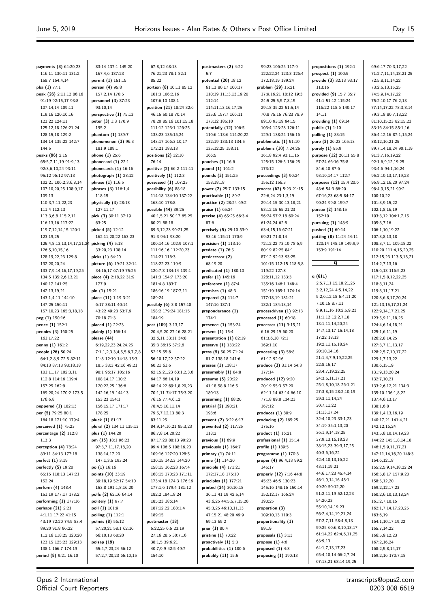$\equiv$ 

| payments (8) 64:20,23                         |                                                |                                                 |                                                 |                                               |                                         |                                             |
|-----------------------------------------------|------------------------------------------------|-------------------------------------------------|-------------------------------------------------|-----------------------------------------------|-----------------------------------------|---------------------------------------------|
|                                               | 83:14 137:1 145:20                             | 67:8,12 68:13                                   | postmasters (2) 4:22                            | 99:23 106:25 117:9                            | propositions (1) 192:1                  | 69:6,17 70:3,17,22                          |
| 116:11 130:11 131:2                           | 167:4,6 187:23                                 | 76:21,23 78:1 82:1                              | 5:7                                             | 122:22,24 123:3 126:4                         | prospect $(1)$ 100:5                    | 71:2,7,11,14,18,21,25                       |
| 158:7 164:4,14                                | permit (1) 151:15                              | 85:22                                           | potential (20) 18:12                            | 172:18,19 189:24                              | provide (3) 32:13 93:17                 | 72:5,8,11,14,22                             |
| pba (1) 77:1                                  | person (4) 95:8                                | portion (8) 10:11 85:12                         | 61:13 80:17 100:17                              | problem (29) 15:21                            | 113:16                                  | 73:2,5,13,15,25                             |
| peak (26) 2:11,12 86:16                       | 157:2,14 170:5                                 | 101:3 106:2,16                                  | 110:19 111:3,13,19,20                           | 17:9,16,21 18:12 19:3                         | provided (9) 15:7 35:7                  | 74:5,9,14,17,22                             |
| 91:19 92:15,17 93:8                           | personnel $(3)$ 87:23<br>93:10.14              | 107:6,10 108:1                                  | 112:14                                          | 24:5 25:5,5,7,8,15                            | 41:1 51:12 115:24                       | 75:2,10,17 76:2,13                          |
| 107:14,14 109:11<br>119:16 120:10,16          | perspective (1) 75:13                          | position (21) 18:24 32:6<br>46:15 50:18 70:14   | 114:11,13,16,17,25<br>135:6 157:7 166:11        | 29:18 35:22 51:5,14<br>70:8 75:15 76:23 78:9  | 116:22 118:6 140:17<br>141:1            | 77:14,17,22 78:3,8,14<br>79:3,18 80:7,13,22 |
| 123:22 124:11                                 | peter (3) 1:3 170:9                            | 78:20 85:16 101:15,18                           | 173:12 185:10                                   | 89:10 93:19 94:15                             | providing $(1)$ 69:14                   | 81:10,15,23 82:15,23                        |
| 125:12,18 126:21,24                           | 195:2                                          | 111:12 123:1 126:25                             | potentially (12) 106:5                          | 103:4 123:23 126:11                           | public $(1)$ 1:10                       | 83:16 84:15 85:1,16                         |
| 128:15,18 129:2                               | phantom (1) 139:7                              | 133:23 135:15,24                                | 110:6 113:6 114:20,22                           | 129:1 138:24 156:16                           | pulling (1) 83:15                       | 86:4,12,16 87:1,15,24                       |
| 134:14 135:22 142:7                           | phenomenon (3) 96:3                            | 143:17 166:3,10,17                              | 132:19 133:13 134:5                             | problematic $(1)$ 51:10                       | pure (2) 26:23 165:13                   | 88:12,16,21,25                              |
| 144:5                                         | 181:9 189:1                                    | 172:21 183:13                                   | 135:12,25 158:11                                | problems (10) 7:24,25                         | purely (1) 85:9                         | 89:7,14,18,24 90:1,19                       |
| peaks (96) 2:15                               | phone $(1)$ 25:6                               | positions (2) 32:10                             | 166:5                                           | 36:18 92:4 93:11,15                           | purpose (12) 20:11 55:8                 | 91:3,7,16,19,22                             |
| 65:5,7,11,19 91:9,13                          | phonecard $(1)$ 22:1                           | 76:14                                           | pouches (1) 16:6                                | 125:15 126:5 156:25                           | 57:24 66:16 75:8                        | 92:1,6,9,12,19,25                           |
| 92:3,6,10,24 93:11                            | phonecards (1) 16:16                           | positive (2) 66:2 111:11                        | pound (1) 161:2                                 | 173:12                                        | 84:6,10 87:6                            | 93:4,6 94:1,16,24                           |
| 95:12 96:12 97:13                             | photograph $(1)$ 28:12                         | positively $(1)$ 112:3                          | pounds (3) 151:25                               | proceedings (3) 90:24                         | 93:10,14,17 112:7                       | 95:2,10,13,17,19,23                         |
| 102:21 106:2,3,6,8,14                         | phrase (1) 116:5                               | possessed $(1)$ 107:23                          | 158:18,18                                       | 155:12 156:3                                  | purposes (12) 15:4 20:6                 | 96:9,12,16,20 97:24                         |
| 107:10,20,25 108:9,17<br>109:13               | phrases (3) 116:1,4<br>118:15                  | possibility $(6)$ 88:18<br>114:18 134:10 137:22 | power (2) 25:7 133:15<br>practicable $(1)$ 89:2 | process (62) 5:23 21:15<br>22:6,24 23:1,3,19  | 48:6 54:3 66:20<br>67:16,23 68:5 84:17  | 98:4,9,15,21 99:2<br>100:10,22              |
| 110:3,7,11,22,23                              | physically (3) 28:18                           | 168:10 178:8                                    | practice (2) 28:24 69:2                         | 29:14,15 30:13,18,21                          | 90:24 99:8 159:7                        | 101:3,9,15,22                               |
| 111:4 112:13                                  | 127:11,17                                      | possible (44) 39:25                             | praise (1) 65:24                                | 53:12,15 55:21,23                             | pursue (2) 148:15                       | 102:1,8,16,19                               |
| 113:3,6,8 115:2,11                            | pick (3) 30:11 37:19                           | 40:1,5,21 50:17 65:25                           | precise (4) 65:25 66:3,4                        | 56:24 57:2,18 60:24                           | 152:10                                  | 103:3,12 104:1,7,15                         |
| 116:13,16 117:22                              | 63:25                                          | 80:21 88:18                                     | 87:6                                            | 61:24,24 62:8                                 | pursuing $(1)$ 148:9                    | 105:3,7,16                                  |
| 119:7,12,14,15 120:1                          | picked (5) 12:12                               | 89:3,12,23 90:21,25                             | precisely (5) 29:10 53:9                        | 63:4,15,16 67:21                              | pushed (1) 60:14                        | 106:1,10,19,22                              |
| 123:19,25                                     | 162:11,20,22 163:23                            | 91:3 94:1 98:20                                 | 93:16 115:11 170:9                              | 69:21 71:8,14                                 | putting (8) 11:24 44:11                 | 107:3,8,13,18                               |
| 125:4,8,13,13,14,17,21,24 picking (4) 5:18    |                                                | 100:14,16 102:9 107:1                           | precision $(1)$ 113:16                          | 72:12,22 73:10 78:6,9                         | 120:14 148:19 149:9,9                   | 108:3,7,11 109:18,22                        |
| 126:5,10,15,16                                | 33:20,23 108:14                                | 111:16,16 112:20,23                             | predate $(1)$ 76:5                              | 80:19 82:25 84:1                              | 153:9 191:14                            | 110:20 111:4,15,20,25                       |
| 128:19,22,23 129:8                            | picks (1) 64:20                                | 114:21 116:3                                    | predecessor (2)                                 | 87:12 92:13 93:25                             |                                         | 112:15,23 113:5,18,21                       |
| 132:20,20,24                                  | picture (6) 19:21 32:14                        | 118:22,23 119:9                                 | 68:19,20                                        | 101:15 112:15 118:5,8                         | Q                                       | 114:2,7,13,16                               |
| 133:7,9,14,16,17,19,25<br>134:5 135:2,6,13,21 | 34:16,17 67:19 75:25<br>piece (4) 2:18,22 31:9 | 126:7,8 134:14 139:1<br>141:3 154:7 173:20      | predicated $(1)$ 180:10<br>prefer (1) 145:16    | 119:22 127:8<br>128:11,12 133:3               | q $(611)$                               | 115:6,13 116:5,23<br>117:1,5,8,12,22,25     |
| 140:17 141:25                                 | 177:9                                          | 181:4,8 183:7                                   | preference $(1)$ 87:4                           | 135:16 146:1 148:4                            | 2:5,7,11,15,18,21,25                    | 118:8,11,24                                 |
| 142:13,19,21                                  | pin (1) 15:21                                  | 186:16,19 187:7,11                              | premises $(1)$ 48:3                             | 151:19 165:1 174:14                           | 3:2,12,24 4:5,14,22                     | 119:3,11,17,21                              |
| 143:1,4,11 144:10                             | place (11) 1:19 3:21                           | 189:24                                          | prepared $(3)$ 114:7                            | 177:18,19 181:21                              | 5:2,6,12,18 6:4,11,20                   | 120:3,6,8,17,20,24                          |
| 147:25 156:11                                 | 6:17 38:11 40:14                               | possibly (6) 3:8 157:18                         | 147:16 187:1                                    | 182:1 184:13,14                               | 7:10,15 8:7,11                          | 121:13,15,17,21,24                          |
| 157:10,23 165:3,18,18                         | 43:22 49:23 53:7,9                             | 158:2 179:24 181:15                             | preponderance (1)                               | processdriven $(1)$ 92:13                     | 9:9,11,16 10:2,5,9,23                   | 122:9,14,17,21,25                           |
| peg (1) 150:16                                | 70:18 71:3                                     | 184:19                                          | 174:1                                           | processed $(1)$ 60:18                         | 11:1,12 12:2,7,18                       | 123:5,9,11,18,25                            |
| pence (1) 152:1                               | placed $(1)$ 22:23                             | post (109) 3:13,17                              | presence (1) 153:24                             | processes (11) 3:15,21                        | 13:1,11,14,20,24                        | 124:4,6,14,18,21                            |
| pennies (3) 160:25                            | plainly (1) 166:14                             | 20:4,5,20 27:16 28:21                           | present $(1)$ 15:4                              | 6:16 29:19 60:20                              | 14:7,13,17 15:14,18<br>17:22 18:13      | 125:1,6,11,19                               |
| 161:17,22<br>penny (1) 161:2                  | please (44)<br>6:19,22,23,24,24,25             | 32:6,11 33:11 34:8<br>35:3 36:15 37:2,6         | presentation $(1)$ 82:19<br>preserve (1) 133:22 | 61:3,6,18 72:1<br>169:1,10                    | 19:2, 11, 15, 18, 24                    | 126:2,8,14,25<br>127:3,7,11,13,17           |
| people (26) 50:24                             | 7:1,1,2,3,3,4,5,5,6,7,7,8                      | 52:15 55:6                                      | press (5) 50:25 71:24                           | processing $(3)$ 56:8                         | 20:10,14,16                             | 128:2,5,7,10,17,22                          |
| 64:1,2,8,9 72:5 82:11                         | 11:8 12:19 14:18 15:3                          | 56:10,17,22 57:22                               | 81:7 138:18 141:6                               | 61:12 92:16                                   | 21:1,4,7,9,19,22,25                     |                                             |
| 84:13 87:13 93:18,18                          |                                                |                                                 |                                                 |                                               |                                         | 129:1,7,13,22                               |
|                                               | 18:5 33:3 42:16 49:21                          | 60:21 61:6                                      | presses (1) 138:17                              | produce (3) 31:14 64:3                        | 22:8,15,17                              | 130:6,15,19                                 |
| 101:11,17 102:3,11                            | 90:1 96:17 105:16                              | 62:15,21,23 63:1,2,3,6                          | presumably $(1)$ 84:8                           | 177:14                                        | 23:4,7,19,22,25                         | 131:9,13,20,24                              |
| 112:8 114:16 119:4                            | 108:14,17 110:2                                | 64:17 66:14,19                                  | presume (5) 20:22                               | produced (12) 9:20                            | 24:3,5,11,17,21                         | 132:7,10,21                                 |
| 157:25 162:9                                  | 120:22,25 136:6                                | 68:14,22 69:1,8,20,23                           | 41:18 58:8 116:5                                | 20:19 55:3 57:20                              | 25:1,8,10,18 26:1,21                    | 133:2,6,12,21 134:3                         |
| 169:20,24 170:2 173:5                         | 142:16,19 144:13                               | 70:1,11 74:17 75:3,20                           | 180:13                                          | 62:11,14 63:14 66:10                          | 27:3,8,15 28:2,10,19                    | 135:10 136:1,8,22                           |
| 176:6,8                                       | 153:23 154:1                                   | 76:15 77:4,6,12                                 | presuming $(1)$ 68:20                           | 77:18 89:8 134:23                             | 29:3,11,14,24                           | 137:4,6,13,17                               |
| peppered (1) 182:13                           | 156:15,17 171:17                               | 78:4,5,10,11,14                                 | pretrial (2) 190:21                             | 167:12                                        | 30:7,11,22                              | 138:1,6,8                                   |
| per (5) 79:25 80:1                            | 178:25                                         | 79:5,7,12,13 80:3                               | 193:6                                           | produces $(1)$ 80:9                           | 31:13,17,24                             | 139:1,4,13,16,19                            |
| 164:18 171:10 179:4                           | pluck (1) 81:17                                | 83:11,25                                        | prevent (2) 3:22 6:17                           | producing (2) 165:25                          | 32:4,10,23 33:1,23                      | 140:17,21 141:4,21                          |
| perceived $(1)$ 75:23                         | plural (2) 134:11 135:13                       | 84:9,14,16,21 85:3,23                           | prevented (2) 117:25                            | 175:16                                        | 34:19 35:1,13,20<br>36:1,9,14,18,25     | 142:12,16,24                                |
| percentage (2) 112:8<br>113:3                 | plus (1) 144:20<br>pm (15) 18:1 96:23          | 86:7,8,14,20,22<br>87:17,20 88:13 90:20         | 118:2<br>previous $(1)$ 69:9                    | product (1) 16:21<br>professional $(1)$ 15:14 | 37:9,13,16,18,23                        | 143:5,8,10,14,19,23<br>144:22 145:1,8,14,18 |
| perception (4) 78:24                          | 97:3,7,11,17,18,20                             | 99:4 106:5 108:16,20                            | previously $(1)$ 164:7                          | profile (1) 189:5                             | 38:15,23 39:3,17,25                     | 146:1,5,9,11,17,21                          |
| 83:11 84:13 177:18                            | 138:14,17,20                                   | 109:16 127:20 128:5                             | primary (1) 74:11                               | programme $(1)$ 170:8                         | 40:3,6,16,22                            | 147:11,14,16,20 148:3                       |
| perfect (1) 3:19                              | 147:1,3,5 193:24                               | 130:15 142:3 144:20                             | prime (1) 114:20                                | proper (4) 96:4,13 99:2                       | 42:4,10,13,16,22                        | 154:6,12,18                                 |
| perfectly (5) 19:20                           | po (1) 16:16                                   | 158:15 162:23 167:4                             | principle (4) 171:21                            | 145:17                                        | 43:11,19,21                             | 155:2,5,9,14,18,22,24                       |
| 65:15 118:13 147:21                           | points (10) 33:19                              | 168:15 170:23 171:11                            | 172:17,18 175:10                                | properly (12) 7:16 44:8                       | 44:6,17,23 45:4,14                      | 156:5,8,17 157:9,20                         |
| 152:24                                        | 39:18,19 52:17 54:10                           | 173:4,18 174:3 176:19                           | principles $(1)$ 177:21                         | 45:23 46:5 130:23                             | 46:1,9,14,16 48:1                       | 158:5,12,20                                 |
| perform (4) 148:4                             | 153:8 191:1,8,16,20                            | 177:1,6 179:4 181:12                            | printed (24) 30:16,18                           | 145:16 148:16 150:14                          | 49:20 50:12,20                          | 159:2,12,17,23                              |
| 151:19 177:17 178:2                           | polfs (2) 62:16 64:14                          | 182:2 184:18,24                                 | 36:11 41:19 42:5,14                             | 152:12,17 166:24                              | 51:2,11,19 52:12,23<br>54:20,23         | 160:2,6,10,13,18,24                         |
| performing $(1)$ 177:16                       | politely (1) 97:7                              | 185:23 186:14                                   | 43:6,25 44:5,5,7,15,20                          | 190:25                                        | 55:10,14,19,23                          | 161:2,7,10,15                               |
| perhaps (21) 2:21<br>4:1,11 17:22 41:15       | poll (1) 101:9<br>polling (1) 112:1            | 187:12,22 188:1,4<br>189:15                     | 45:3,25 46:10,11,13<br>47:15,21 48:20 49:9      | proportion (3)<br>109:10,13 110:3             | 56:2,4,14,19,21,24                      | 162:1,7,14,17,20,25<br>163:6,19             |
| 43:19 72:20 74:5 83:4                         | polmis (8) 56:12                               | postmaster (18)                                 | 59:13 65:2                                      | proportionality (1)                           | 57:2,7,11 58:4,8,13                     | 164:1,10,17,19,22                           |
| 89:20 91:8 96:22                              | 57:20,21 58:1 62:16                            | 5:22,25 6:5 23:19                               | prior (1) 80:4                                  | 89:19                                         | 59:25 60:6,8,10,13,17                   | 165:7,14,22                                 |
| 112:16 118:25 120:20                          | 66:10,13 68:20                                 | 27:16 28:5 30:7,16                              | pristine (1) 70:22                              | proposals $(1)$ 3:13                          | 61:14,22 62:4,6,11,25                   | 166:5,9,12,23                               |
| 123:15 125:23 129:13                          | polsap (19)                                    | 38:1,5 39:6,21                                  | proactively $(1)$ 5:3                           | propose $(1)$ 4:6                             | 63:9,13                                 | 167:2,16,24                                 |
| 138:1 166:7 174:19<br>period (8) 9:21 16:10   | 55:4,7,23,24 56:12<br>57:2,7,20,23 66:10,15    | 40:7,9,9 42:5 49:7<br>154:10                    | probabilities (1) 180:6<br>probably (11) 15:5   | proposed $(1)$ 4:8<br>proposing $(1)$ 190:13  | 64:1,7,13,17,23<br>65:4,10,14 66:2,7,24 | 168:2,5,8,14,17<br>169:2,16 170:7,18        |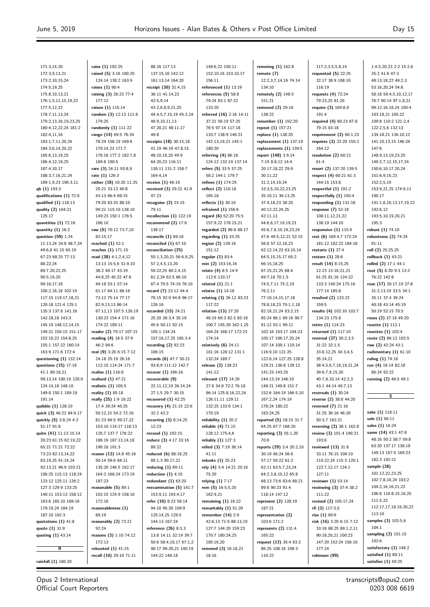1:4,5,20,23 2:2 15:2,6

171:3,14,20 172:3,9,13,21 173:2,10,15,24 174:5,19,25 175:8,10,13,21 176:1,5,11,15,19,22 177:5,12,22 178:7,11,13,24 179:2,13,16,19,23,25 180:4,12,22,24 181:2 182:4,11,16 183:1,7,11,20,24 184:3,6,14,20,22 185:6,13,19,25 186:4,12,19,25 187:4,10,17 188:3,7,16,21,24 189:1,9,23 190:3,11 **qb (1)** 193:3 **qualifications (1)** 72:9 **qualified (1)** 118:13 **quality (2)** 104:21 125:17 **quantities (1)** 72:16 **quantity (1)** 16:2 **question (59)** 1:24 11:13,24 34:8 48:7,24 49:6,8 61:15 65:19 67:23 68:25 77:13 88:22,24 80-7,20,22.25 90:5,19,20 99:16,17,18 100:2,16,18 102:19 117:15 119:17,18,21 120:18 121:4 125:1 135:3 137:6 141:16 142:18,18 143:3 145:19 148:12,14,15 149:21 150:15 151:17 152:10,22 154:8,25 155:1 157:22 160:14 163:9 171:6 172:4 **questioning (1)** 132:14 **questions (15)** 17:16 41:1 89:18,21 99:13,14 100:19 120:9 124:14,18 148:10 149:8 150:1 189:19 191:14 **quibble (1)** 128:10 **quick (3)** 46:22 84:9,17 **quickly (5)** 3:8,24 4:2 51:17 91:8 **quite (41)** 11:13 15:14 20:23 61:15 62:19,22 65:21 71:21 72:22 73:23 82:13,14,22 83:19,25,91:14,24 92:13,21 96:9 103:21 106:25 115:13 118:24 123:12 125:11 126:2 127:3 129:9 133:25 140:11 153:13 158:12 163:6 165:10 169:16 179:19,24 184:19 187:10 192:3 **quotations (1)** 41:8 **quote (1)** 31:9 **quoting (1)** 43:14 **R**

**raise (1)** 192:25 **raised (5)** 3:16 100:25 124:14 138:2 163:9 **raises (1)** 90:4 **raising (3)** 26:23 77:4 177:12 **raison (1)** 115:14 **random (3)** 12:13 111:6 179:25 **randomly (1)** 111:22 **range (14)** 69:5 76:24 78:24 156:19 169:6 170:14,23 171:7 176:16 177:2 182:7,8 189:8 190:5 **rare (3)** 24:11 93:8,9 **rate (1)** 126:3 **rather (18)** 10:20 11:25 25:21 33:12 40:8 43:13 66:4 69:15 79:20 83:25 88:10 99:21 115:10 138:10 149:23 150:1 176:5 186:10 **raw (5)** 70:12 73:7,10 82:15,17 **reached (1)** 52:1 **reaches (1)** 171:15 **read (38)** 4:1,2,4,12 13:13 15:5,6 31:9,10 38:2 40:17 43:19 44:8,25 45:22 47:6 49:18 53:1 57:14 61:17 64:11 66:18 73:12 75:14 77:17 82:9,13,13 86:14 87:12,13 107:5 126:19 130:23 154:4 171:16 174:22 189:11 **reader (2)** 79:17 107:21 **reading (4)** 18:5 37:9 46:2 94:6 **real (9)** 3:20 6:15 7:12 24:18 25:19 26:16 112:10 114:24 171:7 **realise (1)** 116:8 **realised (1)** 47:21 **realistic (1)** 100:5 **reality (1)** 85:18 **really (25)** 1:9 16:22 17:4 39:24 40:25 50:12,15 54:2 72:16 81:23 84:5 99:17,22 103:10 114:17 118:13 125:7 137:7 176:22 186:19 187:13,14,18 190:18 191:3 **reason (12)** 14:8 45:16 50:14 59:6 84:11 135:20 146:5 162:17 164:3 168:24 173:19 187:23 **reasonable (5)** 89:1 102:15 124:9 158:10 172:18 **reasonableness (1)** 89:19 **reasonably (2)** 73:21  $92.24$ **reasons (3)** 1:10 74:12 172:13 **rebooted (1)** 41:15 **recall (10)** 29:10 71:11

88:16 117:13 137:15,16 142:12 161:13,14 164:20 **receipt (30)** 31:4,15 36:11 41:14,23  $42.5,0,14$ 43:2,6,8,9,21,25 44:4,5,7,15,19 45:2,24 46:9,10,11,13 47:20,21 48:11,17 49:8 **receipts (18)** 30:15,18 41:19 46:19 47:8,15 48:10,16,20 49:9 64:20,23 116:11 130:11 131:2 158:7 164:4,14 **receive (1)** 46:19 **received (3)** 29:21 41:9 47:23 **recognise (2)** 23:15 79:11 **recollection (1)** 122:19 **recommend (2)** 17:6 138:17 **reconcile (1)** 69:16 **reconciled (1)** 67:10 **reconciliation (25)** 55:1,3,20,21 56:6,9,25 57:2,4,5,13,20 59:22,25 60:2,4,15 61:2,24 62:5 66:10 67:4 70:5 74:19 76:10 **record (7)** 23:12 44:4 70:15 92:9 94:8 96:17 126:16 **recorded (15)** 24:21 25:20 26:3,4 35:19 45:6 50:11 92:15 105:1 134:24 157:16,17,25 165:3,4 **recording (2)** 92:23 106:15 **records (6)** 47:7 50:21 93:8,9 111:12 142:7 **recover (1)** 166:16 **recoverable (9)** 22:11,12,19 26:14,24 27:1,5 29:7 30:15 **recovered (1)** 42:25 **recovery (4)** 21:15 22:6 32:2 42:2 **recurring (3)** 8:14,25 12:23 **recusal (1)** 192:15 **reduce (3)** 4:17 33:16 89:22 **reduced (6)** 88:18,25 89:1,3 90:17,21 **reducing (1)** 89:11 **reduction (1)** 4:10 **redundant (1)** 63:20 **reexamination (5)** 141:7 153:9,11 193:4,17 **refer (10)** 8:23 58:14 94:10 95:20 109:9 125:14,25 129:5 144:13 167:24 **reference (26)** 8:3,3 13:8 14:11 32:19 39:7 50:6 58:4,10,17 67:1,2 90:17 99:20,21 140:19 144:22 148:18

149:6,22 150:11 152:10,16 153:10,17 156:11 **referenced (1)** 13:19 **references (5)** 58:8 79:24 83:1 87:22 133:20 **referred (16)** 2:16 14:11 37:21 56:19 57:25 76:5 97:14 117:18 133:7 138:9 140:21 142:13,19,21 145:1 180:20 **referring (4)** 86:18 124:12 132:19 137:14 **refers (5)** 33:5 57:25 58:2 144:1 179:7 **refines (1)** 174:25 **reflect (2)** 110:18 165:18 **reflects (1)** 30:10 **refrained (1)** 156:6 **regard (6)** 52:20 75:5 157:9,22 178:15,21 **regarded (2)** 86:6 88:17 **regarding (1)** 33:25 **region (2)** 139:16 151:12 **regular (1)** 83:4 **rein (2)** 153:16,16 **relate (4)** 8:5 14:9 112:6 133:17 **related (1)** 21:1 **relates (1)** 14:18 **relating (3)** 26:12 83:23 117:22 **relation (13)** 27:20 46:19 69:3 82:3 85:18 100:7 145:20 162:1,25 164:24 168:17 172:23 174:14 **relatively (6)** 24:11 101:16 128:12 131:1 132:24 189:7 **release (2)** 138:23 141:12 **relevant (17)** 14:20 27:8 34:8 72:2 76:18 96:14 125:8,16,22,24 126:11,11 129:11 132:25 133:9 134:1 170:19 **reliability (1)** 20:2 **reliable (4)** 71:15 128:12 175:4,6 **reliably (1)** 127:3 **relied (3)** 7:19 36:14 41:11 **relooks (1)** 25:23 **rely (4)** 3:4 14:21 20:16 75:20 **relying (1)** 7:17 **rem (5)** 16:5,5,20 162:9,21 **remaining (1)** 16:22 **remarkably (1)** 51:20 **remember (14)** 2:9 42:6,13 71:9 88:13,19 127:7 144:20 159:23 170:7 180:24,25 185:16,20 **remmed (3)** 16:18,21 18:16

**remming (1)** 162:8 **remote (7)** 12:2,3,7,14,16 74:14 134:10 **remotely (2)** 148:5 151:21 **removed (2)** 29:16 138:22 **renumber (1)** 192:20 **repeat (1)** 157:21 **replace (1)** 138:20 **replacement (1)** 137:19 **replacements (1)** 139:5 **report (148)** 3:9,14 7:19 8:8,12 14:4 20:17,18,22 29:9 30:11,22 31:2,14,19,24 33:3,5,10,22,23,25 35:10,11 36:13,25 37:4,18,23 38:20 40:12,22,24,25 42:11,13 44:6,6,17,19,19,23 45:6,7,8,10,19,23,24 47:6 49:5,12,21 52:15 56:8 57:12,16,23 62:12,14,23 63:10,14 64:5,15,15,17 65:2 66:15,18,25 67:15,21,25 68:4 69:7,18 70:1,5 74:5,7,11 75:2,19 76:2,11 77:10,14,15,17,18 78:8,18,23 79:1,1,18 82:18,21,24 83:2,15 85:24 86:1 89:16 90:7 91:12 93:1 99:11 102:16 103:17 104:23 105:17 106:17,20,24 107:14 109:1 110:14 116:9,10 121:25 122:6,14 127:25 128:8 129:21 136:8 139:12 141:23 143:25 144:13,19 146:10 148:21 149:8 151:7 152:6 164:19 166:5,10 167:2,24 174:19 178:24 180:22 183:24,25 **reported (5)** 18:15 31:7 64:25 67:7 168:20 **reporting (3)** 55:1,20 70:6 **reports (29)** 3:4 20:2,10 30:19 46:24 56:6 57:17 59:22 61:2 62:11 63:5,7,23,24 64:2,3,8,10,12 65:8 68:13 73:6 83:6 88:21 89:8 90:23 91:4 118:14 147:12 **represent (2)** 128:19 187:21 **representative (2)** 103:6 171:2 **represents (2)** 131:4 165:22 **request (12)** 35:4 63:2 86:25 108:16 109:3 116:22

117:2,3,5,5,8,14 **requested (5)** 22:25 32:17 38:9 108:10 116:19 **requests (4)** 72:24 79:23,25 81:20 **require (3)** 169:8,9 191:4 **required (4)** 60:23 67:8 79:15 83:18 **requirement (2)** 60:1,23 **requires (3)** 22:20 155:2 164:12 **resolution (2)** 60:21  $61.4$ **resort (2)** 137:20 139:5 **respect (4)** 60:21 61:3 144:15 153:8 **respectful (1)** 191:2 **respectfully (1)** 150:4 **responding (1)** 131:18 **response (7)** 52:18 108:11,12,21,22 138:19 144:10 **responsive (1)** 115:4 **rest (6)** 169:4,7 172:24 181:12 182:22 184:18 **restarts (1)** 27:4 **restore (1)** 28:6 **result (14)** 8:15,25 12:23 13:16,21,21 61:25 81:16 124:22 133:3 140:24 175:16 177:14 185:8 **resulted (2)** 123:22 159:5 **results (4)** 102:10 103:7 134:23 175:8 **retire (1)** 114:23 **returned (1)** 117:10 **reversal (37)** 30:2,3,5 31:22 32:1,5 33:8,12,25 34:3,4,5 35:14,21 38:4,5,6,7,16,19,21,24 39:6,7,9,15,20 40:7,8,10,14 42:2,3 43:1 44:14 49:7,13 **reversals (1)** 30:24 **reverse (2)** 38:8 44:20 **reversed (7)** 21:16 31:25 36:16 46:20 50:3,7 162:21 **reversing (2)** 38:1 162:8 **review (3)** 101:4 190:21 193:6 **reviewed (13)** 31:6 33:11 76:15 109:10 110:22,24 115:3 120:1 122:7,12,17 124:1 127:11 **reviewer (1)** 53:14 **reviewing (3)** 37:4 38:2 111:22 **revised (2)** 105:17,24 **rfi (2)** 117:3,5 **rise (1)** 99:9 **risk (16)** 3:20 6:15 7:12 33:16 88:25 89:1,2,11 90:18,20,21 100:23 147:20 152:24 156:10 177:24 **robinson (99)**

25:2 41:6 47:3 48:13,18,22 49:2,3 53:16,20,24 54:8 58:18 59:4,5,10,12,17 76:7 90:14 97:1,8,21 99:12,16,18,24 100:4 103:18,21 105:22 109:8 110:2 121:2,4 122:2,5,6 132:13 134:18,21 136:10,12 141:10,13,15 146:24 147:6 148:9,13,19,23,25 149:2,7,12,15,17,24 150:6,10,17,20,24 151:6,9,15,23 152:2,5,19 153:9,21,25 174:9,11 190:17 191:1,6,10,13,17,19,22 192:6,12 193:5,10,19,20,21 195:3 **robust (1)** 74:10 **robustness (2)** 74:24 91:11 **roll (2)** 25:25,25 **rollback (1)** 43:21 **rolled (2)** 17:1 44:1 **root (5)** 8:20 9:3 13:2 76:22 142:8 **rose (17)** 20:17,19 27:8 31:2,13,19 33:5 34:1 35:11 37:4 39:24 40:18 43:14 45:19 50:19 52:15 70:5 **roses (2)** 37:18 49:20 **rosette (1)** 112:1 **rosettes (1)** 102:4 **route (2)** 86:12 102:5 **row (2)** 42:24 43:1 **rudimentary (1)** 61:10 **ruling (1)** 74:18 **run (4)** 18:14 82:18 86:24 92:22 **running (2)** 48:5 49:1 **S sake (1)** 118:11 **sale (1)** 56:11 **sales (1)** 16:24 **same (14)** 43:1 47:8 48:16 50:2 58:7 59:8 63:20 137:17 138:18 149:13 157:5 169:23 182:3 192:21 **sample (28)** 101:12,22,23,25 102:7,8,10,24 103:2 104:2,16,16,21,22 106:8 110:8,15,16,25 111:5,22 112:17,17,18,19,20,22

Opus 2 International Official Court Reporters

**rainfall (1)** 180:20

transcripts@opus2.com 0203 008 6619

113:10 **samples (3)** 103:5,6  $104.1$ **sampling (2)** 101:15 102:6 **satisfactory (1)** 148:2 **satisfied (1)** 89:11 **satisfies (1)** 59:25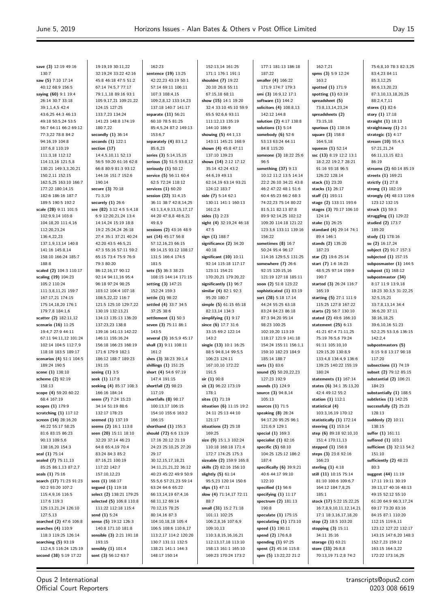**save (3)** 12:19 49:16 130:7 **saw (5)** 7:10 17:14 40:12 68:9 156:5 **saying (60)** 9:1 19:4 26:14 30:7 33:18 39:1,1,4,5 42:4 43:6,25 44:3 46:13 49:18 50:5,24 53:5 56:7 64:11 66:2 69:12 77:3,22 78:8 84:2 94:16,19 104:8 107:6,8 110:19 111:3,18 112:12 114:13,16 121:5,8 130:21 149:3,3,20,21 150:2,11 152:15 162:5,25 163:10 166:7 177:22 180:14,15 182:6 186:16 187:7 189:5 190:5 192:2 **scale (28)** 9:11 101:5 102:9,9,14 103:8 104:18,20 111:4,16 112:20,23,24 136:4,22,23 137:1,9,13,14 140:8 141:16 145:8,14 158:10 166:24 185:7 188:8 **scaled (2)** 104:3 110:17 **scaling (19)** 104:23 105:2 110:24 111:3,8,11,21 159:7 167:17,21 174:15 175:14,18,20 176:1 179:7,8 184:1,6 **scatter (2)** 182:11,12 **scenario (16)** 11:25 19:4,7 27:9 44:11 67:11 94:11,12 101:24 102:14 104:5 112:7,9 118:18 183:5 189:17 **scenarios (4)** 51:1 104:5 189:24 190:5 **scene (1)** 138:10 **scheme (2)** 92:19 158:13 **scope (4)** 59:20 60:22 68:4 167:19 **scopes (1)** 179:9 **scratching (1)** 117:12 **screen (14)** 28:16,20 46:22 55:17 58:25 81:6 83:15 86:23 90:13 109:5,6 138:16,20 154:3 **seal (1)** 75:14 **sealed (7)** 75:11,13 85:25 86:1,13 87:2,7 **seals (1)** 75:16 **search (17)** 71:23 91:23 92:2 93:20 107:2 115:4,9,16 116:5 117:6 119:3 125:13,21,24 126:10 127:5,13 **searched (2)** 47:6 106:8 **searches (4)** 110:9 118:3 119:25 126:14 **searching (5)** 93:19 112:4,5 116:24 125:19 **second (38)** 5:19 17:22 19:19,19 30:11,22 32:19,24 33:22 42:16 45:8 46:18 47:5 51:2 67:14 74:5,7 77:17 79:1,1,18 89:16 93:1 105:9,17,21 109:21,22 124:15 127:25 133:7,23 134:24 141:23 148:8 174:19 180:7,22 **secondly (1)** 36:14 **seconds (1)** 122:1 **section (17)** 14:4,5,10,11 52:13 56:5 59:20 61:16 62:8 66:8 80:9 81:3 93:12 144:16 151:7 152:6 190:14 **secure (3)** 70:18 71:3,19 **securely (1)** 26:6 **see (82)** 3:12 4:5 5:4,18 6:9 12:20,21,24 13:4 14:14,24 15:19 18:8 19:2 25:24,24 26:18 27:4 35:1 37:21 40:24 42:20 43:5 46:5,21 47:3 55:16 57:11 59:2 65:15 73:4 75:9 76:9 79:3 80:20 86:12,16,17 90:12 92:14 94:11,16 95:4 96:18 97:24 98:25 103:12 104:4 107:18 108:5,22,22 116:7 121:5 125:10 129:7,22 130:19 132:13,21 134:13 135:13 136:20 137:23,23 138:8 139:16 141:13 142:22 146:11 155:16,24 156:18 166:23 168:19 171:6 179:9 182:1 186:12 188:7 189:23 191:15 **seeing (1)** 3:5 **seek (1)** 117:8 **seeking (4)** 85:17 108:3 166:16 184:14 **seem (7)** 7:24 15:23 34:14 51:19 88:6 132:17 178:23 **seemed (1)** 137:19 **seems (2)** 16:1 113:8 **seen (20)** 15:11 18:10 32:20 37:14 46:23 64:8 65:4,19 70:4 83:24 84:3 85:2 87:16,21 100:19 117:22 142:7 157:10,12,23 **sees (1)** 168:17 **segued (1)** 119:18 **select (2)** 138:21 179:25 **selected (5)** 106:8 110:8 111:22 112:18 115:4 **send (1)** 5:24 **sense (5)** 19:12 126:3 140:8 171:10 181:8 **sensible (3)** 2:21 191:18 193:15 **sensibly (1)** 101:4 **sent (3)** 56:12 63:7 162:23 **sentence (19)** 13:25 42:22,23 43:19 50:1 57:14 69:11 106:11 107:3 108:4,15 109:2,8,12 133:14,23 137:18 140:7 141:17 **separate (11)** 56:21 60:10 78:5 81:25 85:4,5,24 87:2 149:13 153:6,7 **separately (4)** 83:1,2 85:6,23 **series (3)** 5:14,15,15 **serious (3)** 51:5 93:8,12 **seriously (1)** 50:12 **service (5)** 56:11 60:4 62:5 72:24 118:12 **services (1)** 60:20 **session (22)** 31:4,15 36:11 38:7 42:8,14,25 43:1,3,4,9,13,15,17,17 44:20 47:8,8 48:6,21 49:8,9 **sessions (2)** 43:16 48:9 **set (14)** 45:17 56:8 57:12,16,23 66:15 69:14,15 93:12 108:17 131:5 166:4 174:5 181:5 **sets (5)** 36:3 38:23 108:15 144:14 171:15 **setting (3)** 147:21 152:24 159:3 **settle (1)** 98:22 **settled (4)** 33:7 34:5 37:25 38:6 **settlement (1)** 50:3 **seven (3)** 75:11 86:1 143:5 **several (3)** 16:5,9 45:17 **shall (3)** 9:11 108:11 161:2 **shes (3)** 38:23 39:1,4 **shillings (1)** 151:25 **short (4)** 54:6 97:19 147:4 191:15 **shortfall (2)** 98:23 117:19 **shortfalls (8)** 98:17 100:13,17 106:15 154:10 155:6 163:2 166:15 **shorthand (1)** 155:3 **should (72)** 6:6 13:19 17:16 20:12 21:19 24:23 25:10,25 27:20  $29.17$ 30:12,15,17,18,21 34:11,21,21,22 36:12 40:23 45:22 49:9 50:9 55:5,6 57:21,23 59:14 63:24 64:6 65:22 66:13,14,19 67:4,16 68:11,12 69:14 70:12,15 78:25 80:14,16 87:3 104:10,18,18 105:4 106:5 108:6 110:6,17 113:2,17 114:2 120:20 130:7 131:11 132:5 138:21 141:1 144:3 148:17 150:14 152:13,14 161:25 171:1 176:1 191:1 **shouldnt (7)** 19:22 20:10 26:8 55:11 67:15,18 68:11 **show (15)** 14:1 19:20 32:4 33:10 45:10 59:9 65:5 92:6,6 93:11 111:12,13 135:19 144:10 186:9 **showing (5)** 44:1,13 143:11 145:21 168:9 **shown (4)** 45:8 47:11 137:10 139:23 **shows (14)** 2:12 17:12 35:14 42:24 43:2 44:6,19 49:13 62:14,19 63:14 93:21 124:12 183:7 **side (7)** 5:14 62:1 130:11 141:1 160:13 161:2,6 **sides (1)** 2:23 **sight (4)** 32:19,24 46:18 47:5 **sign (1)** 188:7 **significance (2)** 34:20 40:18 **significant (10)** 10:11 92:14 115:18 117:17 123:11 154:21 170:20,21 179:20,22 **significantly (1)** 96:7 **similar (4)** 82:1 92:3 95:20 180:7 **simple (5)** 61:15 65:18 82:13,14 134:3 **simplifying (1)** 9:17 **since (6)** 17:7 31:6 33:15 69:2 122:14 143:2 **single (13)** 10:1 16:25 88:5 94:8,14 99:5,5 106:23 124:11 167:10,10 172:22 191:5 **sir (1)** 90:8 **sit (3)** 96:22 173:19 178:1 **sites (1)** 71:19 **situation (6)** 11:15 19:2 24:11 25:13 44:10 121:17 **situations (2)** 25:18 169:25 **size (9)** 15:1,3 102:24 110:18 168:18 171:4 172:7 174:25 175:3 **sizeable (2)** 159:9 165:8 **skills (2)** 82:16 156:10 **slightly (5)** 61:14 95:5,23 120:14 150:6 **slips (1)** 47:11 **slow (4)** 71:14,17 72:11 88:7 **small (31)** 15:2 71:18 101:11 102:25 106:2,8,16 107:6,9 109:10,13 110:3,8,15,16,16,21 112:13,17,18 113:10 158:13 161:1 165:10 169:23 170:24 173:2 177:1 181:13 186:18 187:22 **smaller (4)** 166:22 171:9 174:7 179:3 **smi (3)** 16:9,12 17:1 **software (1)** 144:2 **solicitors (4)** 108:8,13 142:12 144:8 **solution (2)** 4:17 138:8 **solutions (1)** 5:14 **somebody (6)** 52:6 53:13 63:24 64:11 84:8 115:20 **someone (3)** 18:22 25:6  $96 - 5$ **something (37)** 9:13 10:12 11:2 13:5 14:14 22:2 26:10 34:21 43:8 46:2 47:22 48:1 51:6 60:4 65:23 66:2 68:3 74:22,23 75:14 80:22 81:5,11 82:13 87:8 89:9 92:14,25 102:12 109:20 114:18 121:22 123:3,6 133:11 139:16 156:22 **sometimes (8)** 16:7 50:24 95:4 96:17 114:16 129:5,5 131:25 **somewhere (7)** 26:6 92:15 120:15,16 121:19 127:18 185:11 **soon (2)** 51:8 123:22 **sophisticated (1)** 83:19 **sort (28)** 5:18 17:14 44:24 55:25 63:18 83:24 84:23 86:18 87:3 94:20 95:14 98:23 100:25 102:19,20 113:19 118:17 121:9 141:18 154:24 155:11 156:1,1 159:10 182:23 184:9 185:14 188:7 **sorts (1)** 83:6 **sound (5)** 50:20,22,23 127:23 192:9 **sounds (1)** 124:9 **source (3)** 94:8,14 105:13 **sources (1)** 71:5 **speaking (8)** 28:24 94:17,20 95:25 96:1 121:6,9 129:1 **special (1)** 169:3 **specialist (1)** 82:16 **specific (5)** 68:10 104:25 125:12 186:2 187:4 **specifically (6)** 39:9,21 40:6 44:17 99:10 122:10 **specified (1)** 56:6 **specifying (1)** 11:17 **spectrum (2)** 181:13 190:8 **speculate (1)** 175:15 **speculating (1)** 173:10 **speed (1)** 190:11 **spend (2)** 176:6,8 **spending (1)** 97:25 **spent (2)** 45:16 115:8 **spm (5)** 13:22,22 21:2  $162.7.21$ **spms (3)** 5:9 12:24 163:2 **spotted (1)** 171:9 **spotting (1)** 63:19 **spreadsheet (5)** 73:8,13,14,23,24 **spreadsheets (2)** 73:15,18 **spurious (1)** 138:16 **square (3)** 158:8 164:5,18 **squeeze (1)** 52:14 **ssc (13)** 8:19 12:2 13:1 18:2,22 19:2,7 28:21 91:16 93:18 96:5 126:22 128:14 **stack (1)** 23:20 **stacks (1)** 26:17 **staff (1)** 193:11 **stage (2)** 133:11 193:6 **stages (3)** 70:17 106:10 124:14 **stake (1)** 26:25 **standard (4)** 29:14 74:1 89:4 146:1 **stands (2)** 135:20 187:23 **star (2)** 19:6 25:14 **start (7)** 1:6 16:23 48:5,25 97:14 159:9 190:7 **started (3)** 26:24 116:7 165:19 **starting (5)** 27:1 111:9 115:25 127:8 167:22 **starts (2)** 56:7 130:10 **stated (2)** 49:6 166:10 **statement (25)** 6:13 41:21 67:4 71:11,25 75:19 76:5,6 79:24 91:11 105:10,10 129:15,20 130:8,9 133:4,8 134:4,9 136:6 139:25 140:22 155:19 180:24 **statements (1)** 167:14 **states (6)** 34:1 35:13,20 42:4 49:12 55:2 **station (1)** 112:1 **statistical (4)** 103:3,16,19 170:12 **statistically (1)** 172:14 **steering (1)** 153:14 **step (6)** 89:18 92:10,10 151:4 170:11,13 **stepped (1)** 156:8 **steps (3)** 23:8 92:16 166:23 **sterling (1)** 4:18 **still (11)** 10:15 75:14 81:10 100:6 109:6,7 164:12 184:7,8,25 185:1 **stock (17)** 5:22 15:22,25 16:7,8,9,10,11,12,14,21 17:1 18:3,16,17,18,20 **stop (2)** 18:5 103:20 **stopping (3)** 15:11 34:11 35:16 **storage (1)** 63:21 **store (33)** 26:8,8 70:13,19 71:2,8 74:2 75:6,8,10 78:3 82:3,25 83:4,23 84:11 85:3,12,25 86:6,13,20,23 87:3,10,13,18,20,25 88:2,4,7,11 **stores (1)** 82:6 **story (1)** 17:18 **straight (1)** 18:13 **straightaway (1)** 2:1 **strategic (1)** 4:17 **stream (10)** 55:4,5 57:21,21,24 66:11,13,15 82:1 86:19 **streams (2)** 60:14 85:19 **streets (1)** 169:21 **strictly (1)** 27:8 **strong (1)** 182:19 **strongly (4)** 48:13 119:6 123:12 132:15 **struck (1)** 59:3 **struggling (1)** 129:22 **studied (2)** 173:7 189:20 **study (1)** 178:16 **su (2)** 16:17,24 **subject (2)** 91:7 157:3 **subjected (1)** 157:15 **subposmaster (1)** 144:5 **subpost (1)** 168:12 **subpostmaster (34)** 8:17 11:9 13:9,18 18:23 30:3,5 31:22,25 32:5,15,21 33:7,8,13,14 34:4 36:6,20 37:11 38:16,18,25 39:6,10,16 51:23 52:2,25 53:3,6 136:15  $142.24$ **subpostmasters (5)** 8:15 9:8 13:17 98:18 117:20 **subsections (1)** 74:19 **subset (2)** 79:12 85:15 **substantial (2)** 106:21 184:23 **substantially (1)** 188:5 **subtleties (1)** 142:25 **successfully (2)** 25:23 128:13 **suddenly (2)** 10:11 138:15 **suffer (1)** 161:11 **suffered (1)** 103:1 **sufficient (3)** 32:13 54:2 151:10 **sufficiently (2)** 48:23 80:3 **suggest (44)** 11:19 17:11 19:11 30:19 39:13,17 40:16 48:13 49:15 52:12 55:10 61:20 64:9 66:3,17,24 69:17 73:20 83:16 84:15 87:1 110:20 112:15 119:6,11 123:12 127:22 132:17 143:15 147:6,20 148:3 152:7,23 159:12 163:15 164:3,22 172:22 173:16,25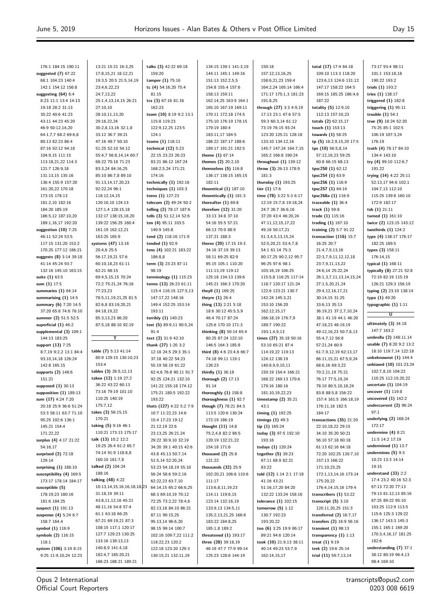73:17 93:4 98:11 101:1 153:18,18 190:22 193:2 **trials (1)** 193:2

176:1 184:15 190:11 **suggested (7)** 67:22 68:1 104:23 140:4 142:1 154:12 156:8 **suggesting (64)** 6:4 8:23 11:1 13:4 14:13 19:18 28:2 31:13 35:22 40:6 41:23 43:11 44:23 45:20 46:9 50:12,14,20 64:1,7,7 68:2 69:6,8 80:13 82:23 86:4 87:16 92:12 94:18 104:9,15 111:15 113:18,21,22 114:3 121:7 126:9,18 131:13,15 135:16 136:4 155:9 157:20 161:20,22 170:18 173:15 178:13 181:2,10 182:16 184:20 185:19 186:5,12 187:10,20 189:1,16,17 192:20 **suggestion (10)** 7:25 46:11 52:24 53:5 117:15 131:20 153:2 170:25 177:12 186:21 **suggests (8)** 3:14 39:18 41:14 45:24 93:7 132:16 145:10 163:15 **suite (1)** 63:5 **sum (1)** 17:5 **summaries (1)** 64:14 **summarising (1)** 14:5 **summary (6)** 7:20 14:5 37:20 65:8 74:6 76:10 **summer (2)** 51:5 52:5 **superficial (1)** 46:2 **supplemental (3)** 109:1 144:13 183:25 **support (13)** 7:25 8:7,19 9:2,2 13:1 84:4 93:10,14,18 126:24 142:8 165:15 **supports (2)** 148:6 151:21 **supposed (1)** 30:13 **supposition (1)** 189:13 **sure (17)** 4:24 7:20 20:18 25:9 36:6 51:24 53:3 58:11 63:7 71:10 95:25 102:6 136:1 145:21 154:4 171:22,22 **surplus (4)** 4:17 21:22 54:16,17 **surprised (2)** 72:18 129:14 **surprising (1)** 188:10 **susceptibility (4)** 169:5 173:17 178:14 184:17 **susceptible (5)** 178:19,23 180:16 181:6 184:25 **suspect (1)** 191:13 **suspense (4)** 5:24 6:7 158:7 164:4 **symbol (1)** 116:9 **symbols (2)** 116:15 118:1 **system (106)** 3:19 8:15 9:25 11:9,10,24 12:23

13:21 15:21 16:3,25 17:8,15,21 18:12,21 19:3,5 20:5 21:5,14,19 23:4,6,22,23 24:7,13,22 25:1,4,13,14,15 26:21 27:10,10 28:10,11,13,20 29:16,22,24 30:2,8,13,16 32:1,8 33:12 36:7 39:21 47:16 49:7 50:10 51:25 52:10 54:12 55:4,7 56:8,14,14 60:7 68:22 70:18 71:23 83:3,24 84:16,25 85:10 86:7,8 89:10 91:13,14,17,20,23 92:22,24 96:1 118:12,14,15 120:10,10 124:13 127:1,4 128:15,18 132:17 138:15,18,20 139:22 156:25 160:4 161:19 162:12,21 163:25 165:9 **systems (47)** 13:16 20:4,6 25:5 56:17,19,21 57:6 60:10,18,23 61:11 62:21 68:15 69:4,5,15,15 70:24 72:2 75:21,24 76:16 77:23,23 78:5,11,19,21,25 81:5 82:6,8 83:19,20,21 84:18,19,22 85:3,13,23 86:20 87:5,18 88:10 92:19 **T table (7)** 5:13 41:14 80:9 129:15 130:10,23 153:4 **tables (3)** 26:5,12,13 **taken (12)** 1:19 27:2 36:22 43:22 60:13 73:16 79:19 101:10 110:25 140:19 175:7,12 **takes (3)** 56:15,15 170:21 **taking (5)** 9:16 46:1 110:21 173:13 175:17 **talk (13)** 10:2 12:2 19:25 26:4 61:2 65:7 74:14 91:9 118:8,8 160:10 161:7,8 **talked (2)** 104:24 188:16 **talking (48)** 4:22 10:13,14,15,16,16,18,18,23 31:18,19 39:11 43:8,11,12,16 45:21 48:11,16 54:8 57:4 61:1 63:18 66:25 67:21 69:19,21 87:3 108:15 117:1 120:17 127:7 129:23 130:25 133:16 139:13,13 140:8,9 141:4,18 182:4,7 185:20,21 186:23 188:21 189:21

**talks (3)** 42:22 69:18 159:20 **tamper (1)** 75:16 **tc (4)** 54:16,20 75:4 81:15 **tcs (3)** 67:16 81:16 162:23 **team (10)** 8:19 9:2 13:1 115:8 119:23 122:9,12,25 123:5  $124.1$ **teams (1)** 118:11 **technical (12)** 5:23 22:15 23:23 26:23 83:21 86:12 167:24 168:2,5,24 171:21 174:16 **technically (1)** 192:16 **techniques (1)** 103:3 **teens (1)** 127:23 **telecom (2)** 49:24 50:2 **telling (2)** 78:17 187:6 **tells (3)** 51:12,14 52:6 **ten (4)** 95:11 103:5 140:9 145:8 **tend (2)** 118:16 171:9 **tended (1)** 92:9 **tens (4)** 102:21 183:22 186:8,8 **term (3)** 23:23 87:11 98:19 **terminology (1)** 115:23 **terms (13)** 26:23 61:11 115:4 116:15 127:5,13 147:17,22 148:16 149:4 152:25 153:14 193:11 **terribly (1)** 140:23 **test (5)** 89:9,11 90:5,24  $01:4$ **text (2)** 31:9 42:10 **thank (27)** 1:20 3:2 12:18 24:5 29:3 35:1 37:18 40:22 54:23 55:19 58:19 61:22 62:4,6 76:8 90:11 91:7 92:25 124:21 132:10 141:22 155:18 174:12 175:21 180:5 192:22 193:22 **thats (127)** 4:22 5:2 7:9 10:7 11:22,23 14:6 15:4 17:23 19:12 21:12,19 22:6 23:13,25 26:21,24 29:22 30:9,10 32:19 34:20 39:1 40:15 42:6 43:8 45:13 50:7,14 51:5,14 52:20,24 53:23 54:18,19 55:10 56:24 58:6 59:2,16 62:22,23 63:7,10 64:14,15 65:2 66:6,25 68:3 69:10,19 70:12 72:25 73:2,22 78:4,6 82:13,18 84:10 86:21 87:11 90:15,25 95:13,14 96:6,20 98:15 99:14 100:7 102:16 109:7,22 111:2 118:22,23 120:2 122:18 123:20 129:3 130:15,21 132:11,19

134:15 139:1 141:3,19 144:11 145:1 149:16 151:13 152:2,5,5 154:8 155:4 157:6 158:13 159:11 162:14,25 163:9 164:1 165:10 167:19 169:11 170:11 172:18 174:5 175:10 176:19 178:15 179:19 180:4 183:11,17 184:5 186:22 187:17 188:6 189:17 191:21 192:5 **theme (1)** 67:14 **themes (2)** 20:2,10 **themselves (5)** 116:8 136:17 138:15 165:15 182:11 **theoretical (1)** 187:10 **theoretically (1)** 181:3 **thereafter (1)** 69:8 **therefore (12)** 31:20 33:13 34:8 37:10 54:16 55:5 57:21 66:13 70:9 88:9 137:21 188:3 **theres (20)** 17:15 19:3 34:16 37:19 39:13 58:11 69:25 82:9 95:15 105:1 110:20 111:13,19 119:12 125:18 134:13 139:6 145:21 166:3 170:20 **theyll (1)** 169:25 **theyre (1)** 26:4 **thing (13)** 2:21 5:18 18:6 30:12 45:5,5,9 46:4 70:17 87:24 125:6 170:10 171:3 **thinking (8)** 50:14 65:4 80:25 87:24 122:10 146:5 164:3 185:8 **third (8)** 4:6 23:4,6 66:7 74:18 99:11 119:1 126:23 **thirdly (1)** 36:18 **thorough (2)** 17:13 91:14 **thoroughly (1)** 158:8 **thoroughness (1)** 92:7 **though (7)** 78:21 84:3 113:5 120:6 130:24 172:19 186:19 **thought (11)** 14:8 75:2,4,8 82:2 86:5 120:19 132:21,22 154:18 171:6 **thousand (2)** 25:8 121:22 **thousands (32)** 25:9 102:20,21 106:6 110:6 111:17 113:6,8,11,19,23 114:11 119:6,15 123:14 132:16,19 133:9,13 134:5,11 135:2,13,21,25 166:6 183:22 184:8,25 185:1,8 189:2 **threatened (1)** 193:17 **three (28)** 39:18,19 46:19 47:7 77:9 99:14 125:23 128:6 144:19

150:18 157:12,13,16,25 158:6,21,23 159:4 164:2,24 165:14 166:4 171:17 175:1,3 181:23 191:8,25 **through (27)** 3:3 4:9,19 17:13 23:1 47:6 57:5 59:3 60:3,14 61:12 73:19 76:15 93:24 123:20 125:21 128:18 133:10 134:12,16 145:7 147:24 164:7,15 165:2 166:8 190:24 **throughout (1)** 139:12 **throw (3)** 26:13 178:9 181:3 **thursday (1)** 193:25 **tier (1)** 17:6 **time (78)** 3:22 5:3 6:17 12:19 15:7,8 19:18,24 24:7 26:7 36:6,16 37:20 43:4 46:20,24 47:11,12,15,17,22 49:16 50:17,21 51:3,4,5,13,15,24 52:5,20,21 53:4,7,8 54:1 61:14 75:3 80:17,25 90:2,12 95:7 96:25 97:6 98:1 103:16,19 106:25 115:5,8 116:25 117:14 118:7 120:17 121:24 122:6 123:21 130:7 142:24 145:3,21 153:10 156:20 162:12,15,17 166:18,19 176:7,9 189:7 190:22 193:1,4,9,13 **times (27)** 35:18 50:16 53:10 65:21 87:4 114:19,22 119:13 124:12 138:19 140:8,9,9,10,11 150:19 154:4 166:21 168:22 169:13 170:6 179:16 180:16 181:10,19,22,23 **timestamp (2)** 35:21 43:1 **timing (1)** 192:25 **timings (1)** 49:3 **tip (1)** 165:24 **today (3)** 97:5 192:10 193:16 **todays (1)** 120:24 **together (5)** 39:23 67:11 68:9 82:21 83.22 **told (12)** 1:14 2:1 17:18 41:16 43:21 51:16,17,20 84:20 132:22 133:24 158:16 **tolerance (1)** 102:15 **tomorrow (5)** 1:12 130:7 192:23 193:20,22 **too (6)** 3:25 19:9 86:17 89:21 94:6 120:14 **took (10)** 21:9,13 38:11 40:14 49:23 53:7,9 162:14,15,17

**total (17)** 17:4 64:18 109:10 113:3 118:20 123:6,13 124:6 131:12 147:17 158:22 164:5 169:15 185:25 186:4,6 187:22 **totality (5)** 12:9,10 112:13 157:10,23 **totals (2)** 62:15,17 **touch (1)** 153:13 **towards (1)** 58:25 **tp (5)** 16:2,9,15,20 17:5 **tps (10)** 56:5,8,14 57:12,16,23 59:25 60:8 66:15 68:13 **tpsc250 (1)** 62:12 **tpsc254 (1)** 63:9 **tpsc256 (1)** 116:9 **tpsc257 (1)** 64:14 **tpsc268a (1)** 116:9 **traceable (1)** 36:4 **track (1)** 59:8 **trade (1)** 115:16 **trading (1)** 167:10 **training (2)** 5:7 91:22 **transaction (116)** 15:7 16:25 20:7 21:4,7,9,13,16 22:3,7,9,11,12,12,18 23:7,9,11,13,22 24:6,14 25:22,24 26:1,3,7,11,13,14,15,24 27:1,5,20,21,24 29:4,12,16,17,21 30:14,15 31:25 33:6,13 35:13 36:19,21 37:2,7,10,24 38:1 41:19 44:1 46:20 47:18,23 48:19,19 49:12,16,23 50:7,8,13 55:4,7,12 56:8 57:21,24 60:9 61:7,9,12,19 62:13,17 66:11,15,21 67:5,9,24 68:6,16 69:3,22 70:2,11,19 75:21 76:17 77:5,19,24 78:10 80:5,10,18,24 83:8 88:5,8 156:22 157:4 161:5 166:18,19 176:11,18 182:5 184:17 **transactions (35)** 21:20 22:10,18,22 29:15 34:10 35:20 50:21 56:10 57:18 60:18 61:13 62:16 64:18 72:20 102:25 139:7,10 157:13 166:22 171:10,23,25 172:1,13,14,16 173:14 175:20,22 176:4,14,15,16 179:4 **transcribers (1)** 53:22 **transcript (5)** 3:10 120:11,20,25 151:3 **transferred (2)** 16:7,17 **transfers (2)** 16:9 56:16 **transient (1)** 98:13 **transparency (1)** 1:13 **treat (1)** 9:19 **trek (2)** 19:6 25:14 **trial (11)** 59:7,13,14

**tries (1)** 138:17 **triggered (1)** 182:8 **triggering (1)** 95:11 **trouble (1)** 54:1 **true (9)** 18:24 52:20 75:25 85:1 102:5 106:19 107:3,24 176:19 **truth (4)** 78:17 84:10 134:4 143:10 **try (4)** 99:10 112:6,7 191:22 **trying (14)** 4:22 25:11 52:13,17 94:6 102:1 104:7,13 112:10 115:25 139:8 160:10 172:9 182:17 **tsb (1)** 21:11 **turned (1)** 161:10 **twice (2)** 123:15 143:12 **twothirds (1)** 124:2 **type (4)** 138:17 176:17 182:25 189:5 **types (3)** 158:11 176:14,15 **typical (1)** 168:11 **typically (8)** 27:21 52:8 72:19 82:19 115:19 126:21 129:3 156:19 **typing (2)** 23:10 138:14 **typo (1)** 49:20 **typographic (1)** 1:11 **U ultimately (3)** 34:18 147:7 163:2 **umbrella (2)** 148:11,14 **unable (7)** 8:20 9:2 13:2 18:10 119:7,14 122:18 **unbeknownst (1)** 144:4 **unbiased (10)** 101:23,24 102:7,8,10 104:22 110:25 112:19,20,22 **uncertain (1)** 104:19 **uncover (1)** 119:8 **uncovered (1)** 142:2 **undercurrent (2)** 96:24  $07.1$ **underlying (2)** 168:24 172:17 **undermine (4)** 8:21 11:5 14:2 17:19 **undermined (1)** 13:7 **undermines (5)** 9:3 10:23 13:3 14:14 19:15 **understand (33)** 2:2 17:4 23:2 40:16 52:3 67:13 72:20 77:13 79:13 81:12,13 85:16 87:25 89:22 95:10 103:25 112:9 113:5 115:6 125:3 129:22 136:17 143:3 145:3 155:1 165:1 169:20 170:3,4,16,17 181:25 182:6 **understanding (7)** 37:1 38:12 80:19 96:4,13 98:4 169:10

Opus 2 International Official Court Reporters

transcripts@opus2.com 0203 008 6619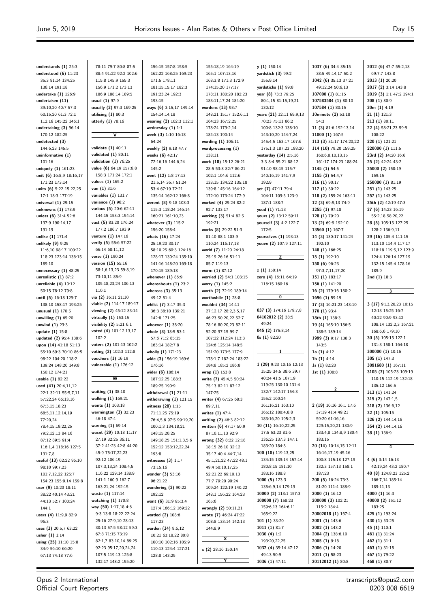**understands (1)** 25:3 **understood (6)** 11:23 35:3 81:14 134:25 136:14 191:18 **undertake (1)** 126:9 **undertaken (11)** 39:10,20 40:7 57:3 60:15,20 61:3 72:1 112:16 145:22 146:1 **undertaking (3)** 96:14 170:12 182:25 **undetected (3)** 144:6,23 145:5 **uninformative (1)** 101:16 **uniquely (1)** 161:23 **unit (6)** 16:8,9 18:16,17 171:23 173:14 **units (6)** 5:22 15:22,25 17:1 18:3 177:19 **universal (1)** 29:15 **unknowns (1)** 178:9 **unless (6)** 31:4 52:6 137:9 190:14,17 191:19 **unlike (1)** 171:4 **unlikely (9)** 9:25 11:6,10 98:17 100:22 118:23 123:14 136:15 189:10 **unnecessary (1)** 48:25 **unrealistic (1)** 87:2 **unreliable (4)** 10:12 50:15 78:12 79:8 **until (5)** 16:18 129:7 138:10 158:17 193:25 **unusual (1)** 170:5 **unwilling (1)** 65:20 **unwind (1)** 23:3 **update (1)** 15:8 **updated (2)** 95:4 138:6 **upon (14)** 41:18 51:13 55:10 69:3 70:10 86:5 98:22 104:20 118:2 139:24 148:20 149:8 150:12 174:21 **usable (1)** 82:22 **used (41)** 20:4,11,12 22:1 32:11 55:5,7,11 57:22,24 66:13,16 67:3,15,18,23 68:5,11,12,14,19 77:20,24 78:4,15,19,22,25 79:2,12,13 84:16 87:12 89:5 91:4 116:1,4 118:16 127:5 131:7,8 **useful (13)** 62:22 96:10 98:10 99:7,23 101:7,12,22 125:7 154:23 155:9,14 159:8 **user (9)** 10:20 18:11 38:22 40:14 43:21 44:13 52:7 100:24 144:1 **users (4)** 11:9,9 82:9  $96.3$ **uses (3)** 20:5,7 63:22 **usher (1)** 1:14 **using (25)** 11:10 15:8 34:9 56:10 66:20 67:13 74:18 77:6 78:11 79:7 80:8 87:5 88:4 91:22 92:2 102:6 115:8 145:9 155:3 156:9 171:2 173:13 186:9 188:14 189:5 **usual (1)** 97:9 **usually (2)** 97:3 169:25 **utilising (1)** 80:3 **utterly (1)** 78:16 **V validate (1)** 40:11 **validated (1)** 80:11 **validation (1)** 76:25 **value (6)** 64:19 157:6,8 158:3 171:24 172:1 **values (1)** 165:2 **van (1)** 31:6 **variables (1)** 131:7 **variance (1)** 96:2 **various (5)** 20:6 62:11 144:15 153:3 154:14 **vast (5)** 83:20 176:24 177:2 186:7 193:9 **venture (1)** 147:16 **verify (5)** 55:6 57:22 66:14 68:11,12 **verse (1)** 190:24 **version (15)** 55:16 58:1,6,13,23 59:8,19 73:10,11 85:9 105:18,23,24 106:13 110:1 **via (2)** 16:11 21:10 **viable (2)** 114:17 189:17 **viewing (2)** 45:12 83:14 **virtually (1)** 153:15 **visibility (2)** 5:21 6:1 **voted (4)** 101:12,13,17 102:2 **voters (2)** 101:13 102:2 **voting (2)** 102:3 112:8 **vouchers (1)** 16:19 **vulnerable (1)** 176:12 **W waiting (1)** 38:10 **walking (1)** 169:21 **wants (1)** 103:18 **warmington (3)** 32:23 46:18 47:4 **warning (1)** 69:14 **wasnt (29)** 10:18 11:17 27:19 32:25 36:11 37:2 41:23 42:8 44:20 45:9 75:17,22,23 92:12 106:19 107:3,13,24 108:4,5 116:22 129:14 138:9 141:1 160:9 162:7 163:21,24 192:15 **waste (1)** 117:14 **watching (1)** 170:8 **way (50)** 1:17,18 4:6 9:3 13:8 18:22 22:24 25:16 27:9,10 28:13 30:13 57:5 58:12 59:3 67:8 71:15 73:19 82:1,7 83:10,14 89:25 92:23 95:17,20,24,24 107:5 119:13 125:8 132:17 148:2 155:20 156:15 157:8 158:5 162:22 168:25 169:23 171:5 178:11 181:15,15,17 182:3 191:23,24 192:3 193:15 **ways (6)** 3:15,17 149:14 154:14,14,18 **wearing (2)** 102:3 112:1 **wednesday (1)** 1:1 **week (3)** 1:10 16:18 64:24 **weekly (2)** 9:18 47:7 **weeks (6)** 42:17 72:16,16 144:6,24 145:2 **went (12)** 1:8 17:13 21:5,14 36:7 51:24 53:4 67:19 72:21 135:14 162:12 166:8 **werent (8)** 9:18 108:3 115:3 118:24 146:14 160:21 161:10,23 **whatever (3)** 115:2 156:20 158:4 **whats (16)** 17:24 25:19,20 30:17 58:10,25 60:3 124:16 128:17 130:24 135:10 141:16 148:20 169:18 170:15 189:18 **whenever (1)** 86:9 **whereabouts (1)** 23:2 **whereas (3)** 35:13 49:12 51:4 **whilst (7)** 3:17 35:3 36:3 38:10 139:21 142:8 171:25 **whoever (1)** 38:20 **whole (8)** 18:5 53:1 57:6 71:2 85:15 163:14 182:7,8 **wholly (1)** 171:23 **wide (3)** 156:19 169:6 176:16 **wider (6)** 186:14 187:12,25 188:3 189:25 190:9 **withdrawal (1)** 21:11 **withdrawing (1)** 121:15 **witness (28)** 1:15 71:11,25 75:19 76:4,5,6 97:5 99:19,20 100:1,3 134:18,21 148:15,20,25 149:18,25 151:1,3,5,6 152:12 153:12,22,24 193:8 **witnesses (3)** 1:17 73:15,16 **wonder (3)** 53:16 96:21,22 **wondering (2)** 90:22 192:12 **wont (6)** 31:9 95:3,4 127:4 166:12 169:22 **worded (2)** 108:6 .<br>117<sup>.</sup>23 **worden (34)** 9:6,12 10:21 63:18,22 80:8 100:10 102:16 105:9 110:13 124:4 127:21 128:8 143:25 155:18,19 164:19 165:1 167:13,16 168:3,8 171:3 172:9 174:15,20 177:17 178:11 180:20 182:23 183:11,17,24 184:20 **wordens (13)** 93:7 148:21 151:7 152:6,11 164:23 167:2,25 178:24 179:2,14 184:13 190:14 **wording (1)** 106:11 **wordprocessing (1)** 138:11 **work (18)** 15:12 26:21 28:5 53:8 82:7 86:21 102:1 104:6 112:6 133:15 134:22 135:18 139:8 145:16 164:12 172:10 173:24 177:9 **worked (4)** 29:24 82:2 92:7 133:17 **working (3)** 51:4 82:5 192:21 **works (8)** 29:22 51:3 81:10 88:1 103:9 110:24 116:17,18 **world (7)** 11:20 24:18 25:19 26:16 51:11 85:7 119:13 **worm (1)** 87:12 **worried (2)** 54:1 103:15 **worry (1)** 145:2 **worth (2)** 72:19 189:14 **worthwhile (1)** 28:8 **wouldnt (34)** 14:11 27:12,17 28:2,3,5,17 46:23 50:20,22 52:7 78:16 80:20,23 82:11 92:20 97:15 99:7 107:22 112:24 113:3 124:6 125:14 148:5 151:20 173:5 177:9 178:1,7 182:24 183:22 184:8 185:2 186:8 **wrap (1)** 153:8 **write (7)** 45:4,5 50:24 75:13 82:11 87:12 147:25 **writer (4)** 67:25 68:3 69:7,11 **writes (1)** 47:4 **writing (2)** 46:3 82:12 **written (6)** 47:17 50:9 87:10,11,13 92:9 **wrong (32)** 8:22 12:18 18:15 26:10 32:12 35:17 40:4 44:7,14 45:1,21,22 47:22 48:1 49:4 50:10,17,25 52:21,22 69:10,13 77:7 79:20 90:24 109:24 122:19 140:22 148:1 156:22 164:23 165:6 **wrongly (2)** 50:11,21 **wrote (7)** 46:24 47:22 108:8 133:14 142:13 144:8,9 **X x (2)** 28:16 150:14 **Y y (1)** 150:14 **yardstick (3)** 99:2 155:9,14 **yardsticks (1)** 99:8 **year (8)** 73:3 79:25 80:1,15 81:15,19,21 130:12 **years (21)** 12:11 69:9,13 70:23 75:11 86:2 100:8 132:3 138:10 143:10,20 144:7,24 145:4,5 163:17 167:6 175:1,3 187:23 188:20 **yesterday (14)** 2:5,16 3:3 8:4 55:21 88:12 91:10 98:15 115:7 140:16,19 141:7,9 192:9 **yet (7)** 47:11 79:4 104:11 109:5 123:9 187:1 188:7 **youd (1)** 71:23 **yours (2)** 13:12 59:11 **yourself (3)** 4:2 122:7 172:5 **yourselves (1)** 193:13 **youve (2)** 107:9 127:11 **Z z (1)** 150:14 **zero (4)** 16:11 64:19 116:15 160:16 **0 037 (3)** 174:16 179:7,8 **04102012 (2)** 38:5 49:24 **045 (2)** 175:8,14 **0s (1)** 82:20 **1 1 (29)** 9:23 10:16 12:13 15:25 34:5 38:6 39:7 40:24 41:5 107:19 119:25 130:10 131:4 132:7 142:17 154:3 155:2 160:24 161:16,21 163:10 165:12 180:4,8,8 183:16,20 195:2,3 **10 (11)** 16:10,22,25 17:5 53:23 81:6 136:25 137:3 147:1 183:20 184:3 **100 (10)** 119:13,25 134:15 139:14 157:14 180:8,15 181:10 183:16 188:8 **1000 (5)** 123:3 135:6,9,14 179:19 **10000 (2)** 113:1 157:3 **100000 (7)** 158:23 159:6,13 164:6,11 165:9,22 **101 (1)** 33:20 **1011 (1)** 81:7 **1030 (4)** 1:2 193:20,22,25 **1032 (4)** 35:14 47:12 49:13 50:9 **1036 (1)** 47:11 **1037 (6)** 34:4 35:15 38:5 49:14,17 50:2 **1042 (6)** 35:13 37:21 49:12,24 50:6,13 **107000 (1)** 81:15 **107583584 (1)** 80:10 **107584 (1)** 80:15 **10minute (2)** 53:18 54:3 **11 (3)** 81:6 192:13,14 **11000 (1)** 167:5 **113 (3)** 31:17 174:20,22 **114 (10)** 79:20 159:25 160:6,8,10,13,15 161:17 174:23 188:24 **1145 (1)** 54:5 **1155 (2)** 54:4,7 **116 (1)** 90:17 **117 (1)** 30:22 **118 (2)** 159:24 163:11 **12 (3)** 69:9,13 74:9 **1255 (1)** 97:18 **128 (1)** 79:20 **13 (2)** 69:9 192:10 **13560 (1)** 167:7 **14 (3)** 130:17 141:24 192:10 **148 (1)** 166:25 **15 (1)** 192:10 **150 (6)** 96:23 97:3,7,11,17,20 **151 (1)** 183:17 **156 (1)** 141:20 **16 (2)** 179:16 180:2 **1696 (1)** 59:19 **17 (3)** 16:21,23 143:10 **176 (1)** 93:4 **18th (1)** 138:3 **19 (4)** 165:10 186:5 188:5 189:14 **1999 (3)** 9:17 138:3 143:5 **1a (1)** 4:12 **1b (1)** 4:14 **1s (1)** 82:20 **1st (1)** 108:8 **2 2 (19)** 10:16 16:1 17:6 37:19 41:4 49:21 59:20 61:16,16 129:15,20,21 130:9 133:4,8 134:8,9 180:4 183:15 **20 (14)** 10:14,15 12:11 16:16,17,19 45:16 100:8 115:18 127:19 132:3 157:13 158:1 187:23 **200 (5)** 16:24 73:3 81:20 111:4 188:9 **2000 (1)** 16:12 **200000 (3)** 102:21 115:2 184:4 **20002018 (1)** 167:4 **2001 (1)** 143:6 **2002 (1)** 143:2 **2004 (2)** 138:6,10 **2005 (1)** 9:18 **2006 (1)** 14:20 **2011 (1)** 58:23 **20112012 (1)** 80:8

**2012 (6)** 47:7 55:2,18 69:7,7 143:8 **2013 (1)** 20:20 **2017 (2)** 3:14 143:8 **2019 (3)** 1:1 47:2 194:1 **208 (1)** 80:9 **20m (1)** 4:19 **21 (1)** 121:3 **213 (1)** 80:11 **22 (4)** 58:21,23 59:9 108:22 **220 (1)** 121:21 **220000 (1)** 111:5 **23rd (2)** 14:20 16:6 **25 (2)** 42:24 43:2 **25000 (2)** 158:19 159:15 **250000 (1)** 81:19 **251 (1)** 143:25 **257 (1)** 143:25 **25th (2)** 42:19 47:3 **27 (6)** 14:23 16:19 55:2,18 58:20,22 **28 (5)** 105:15 127:25 128:2 136:9,11 **29 (16)** 105:4 111:15 113:10 114:4 117:17 118:18 119:5,12 123:9 124:4 126:14 127:19 132:15 145:4 178:16 189:9 **2nd (1)** 18:3 **3 3 (17)** 9:13,20,23 10:15 12:13 15:25 16:7 40:22 90:9 93:12 108:14 132:2,3 167:21 168:6,6 179:10 **30 (5)** 105:15 122:1 131:3 158:1 164:18 **300000 (1)** 10:16 **305 (1)** 147:3 **3091680 (1)** 167:11 **3105 (7)** 105:23 109:19 110:15 112:19 132:18 135:12 166:5 **313 (1)** 141:24 **315 (2)** 147:1,5 **318 (2)** 136:6,12 **32 (1)** 105:15 **326 (2)** 144:14,16 **354 (2)** 144:14,16 **38 (1)** 136:9 **4 4 (6)** 3:14 16:13 42:19,24 43:2 180:7 **40 (8)** 124:8,23 125:2 166:7,14 185:14 189:11,13 **4000 (1)** 16:3 **40000 (2)** 151:12 183:25 **425 (1)** 193:24 **430 (1)** 53:25 **45 (1)** 110:1 **461 (1)** 31:24 **462 (1)** 31:1 **463 (1)** 31:18 **467 (1)** 79:22 **468 (1)** 80:7

Opus 2 International Official Court Reporters

transcripts@opus2.com 0203 008 6619